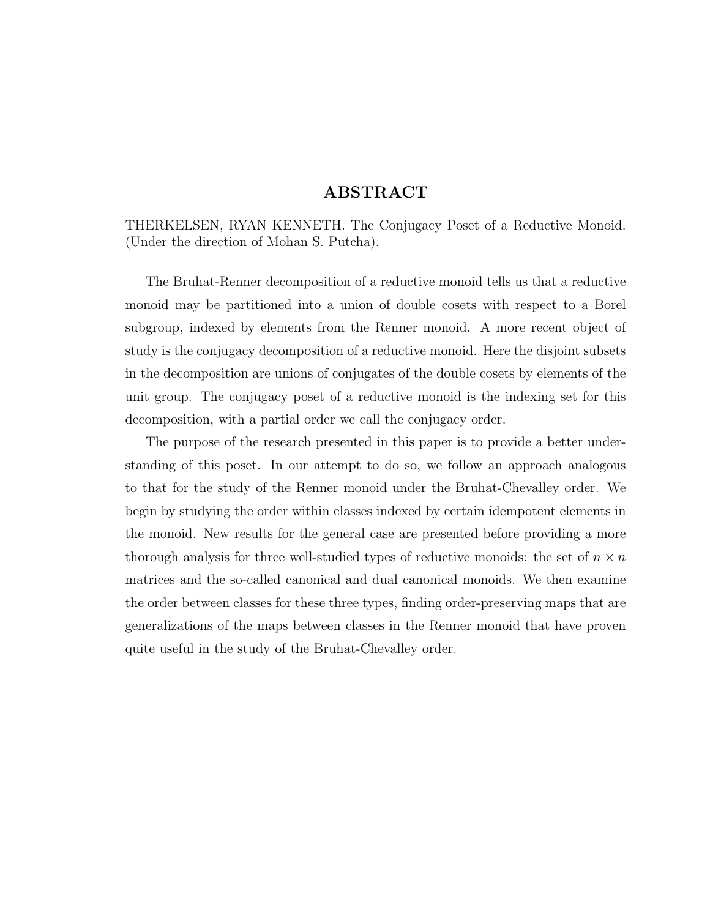#### ABSTRACT

THERKELSEN, RYAN KENNETH. The Conjugacy Poset of a Reductive Monoid. (Under the direction of Mohan S. Putcha).

The Bruhat-Renner decomposition of a reductive monoid tells us that a reductive monoid may be partitioned into a union of double cosets with respect to a Borel subgroup, indexed by elements from the Renner monoid. A more recent object of study is the conjugacy decomposition of a reductive monoid. Here the disjoint subsets in the decomposition are unions of conjugates of the double cosets by elements of the unit group. The conjugacy poset of a reductive monoid is the indexing set for this decomposition, with a partial order we call the conjugacy order.

The purpose of the research presented in this paper is to provide a better understanding of this poset. In our attempt to do so, we follow an approach analogous to that for the study of the Renner monoid under the Bruhat-Chevalley order. We begin by studying the order within classes indexed by certain idempotent elements in the monoid. New results for the general case are presented before providing a more thorough analysis for three well-studied types of reductive monoids: the set of  $n \times n$ matrices and the so-called canonical and dual canonical monoids. We then examine the order between classes for these three types, finding order-preserving maps that are generalizations of the maps between classes in the Renner monoid that have proven quite useful in the study of the Bruhat-Chevalley order.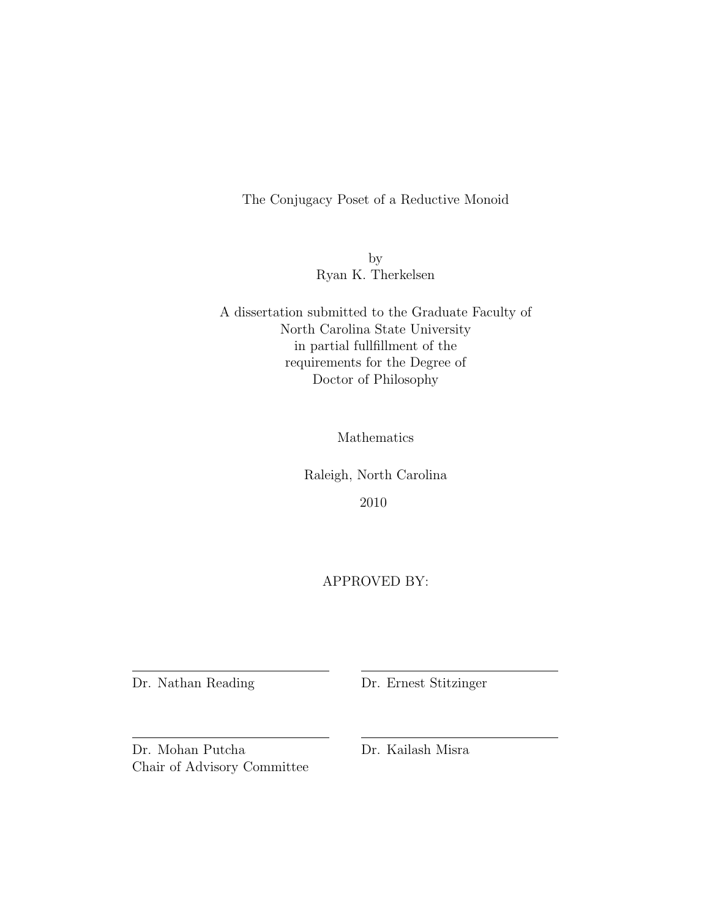The Conjugacy Poset of a Reductive Monoid

by Ryan K. Therkelsen

A dissertation submitted to the Graduate Faculty of North Carolina State University in partial fullfillment of the requirements for the Degree of Doctor of Philosophy

Mathematics

Raleigh, North Carolina 2010

APPROVED BY:

Dr. Nathan Reading Dr. Ernest Stitzinger

Dr. Mohan Putcha Dr. Kailash Misra Chair of Advisory Committee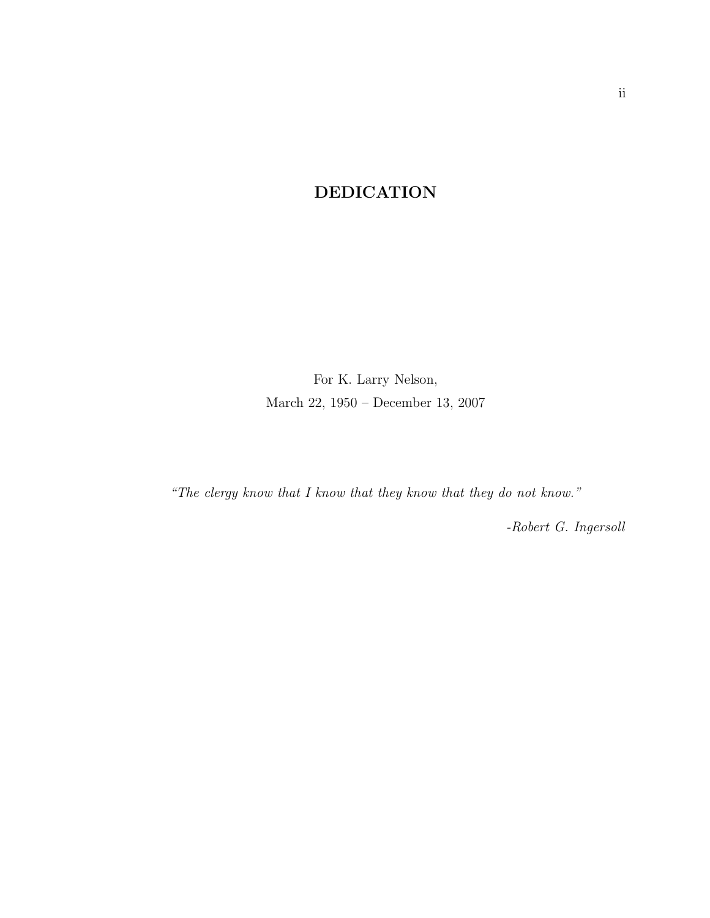### DEDICATION

For K. Larry Nelson, March 22, 1950 – December 13, 2007

"The clergy know that I know that they know that they do not know."

-Robert G. Ingersoll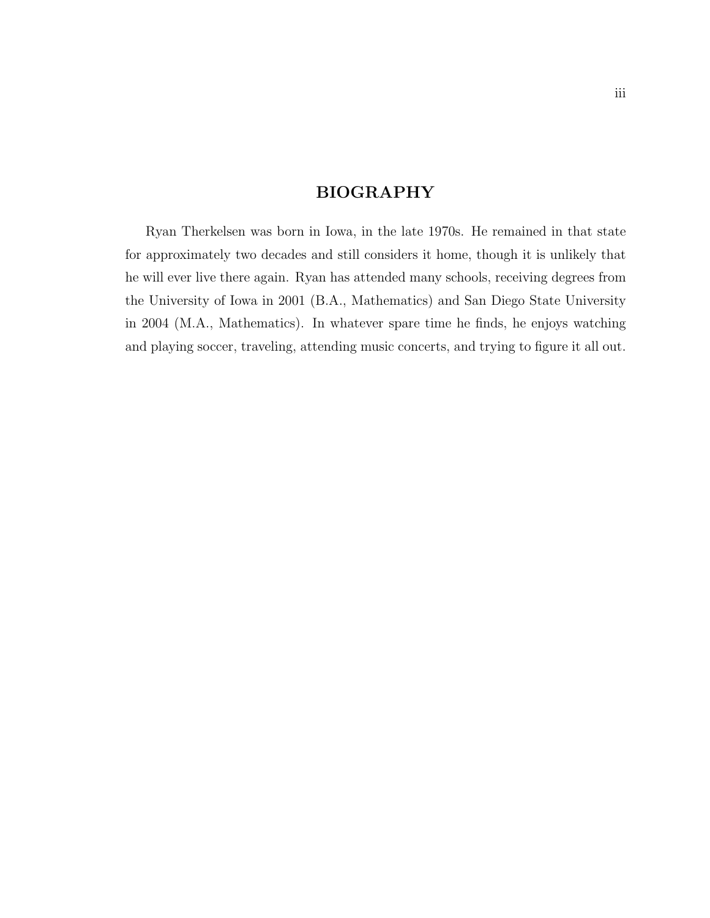#### BIOGRAPHY

Ryan Therkelsen was born in Iowa, in the late 1970s. He remained in that state for approximately two decades and still considers it home, though it is unlikely that he will ever live there again. Ryan has attended many schools, receiving degrees from the University of Iowa in 2001 (B.A., Mathematics) and San Diego State University in 2004 (M.A., Mathematics). In whatever spare time he finds, he enjoys watching and playing soccer, traveling, attending music concerts, and trying to figure it all out.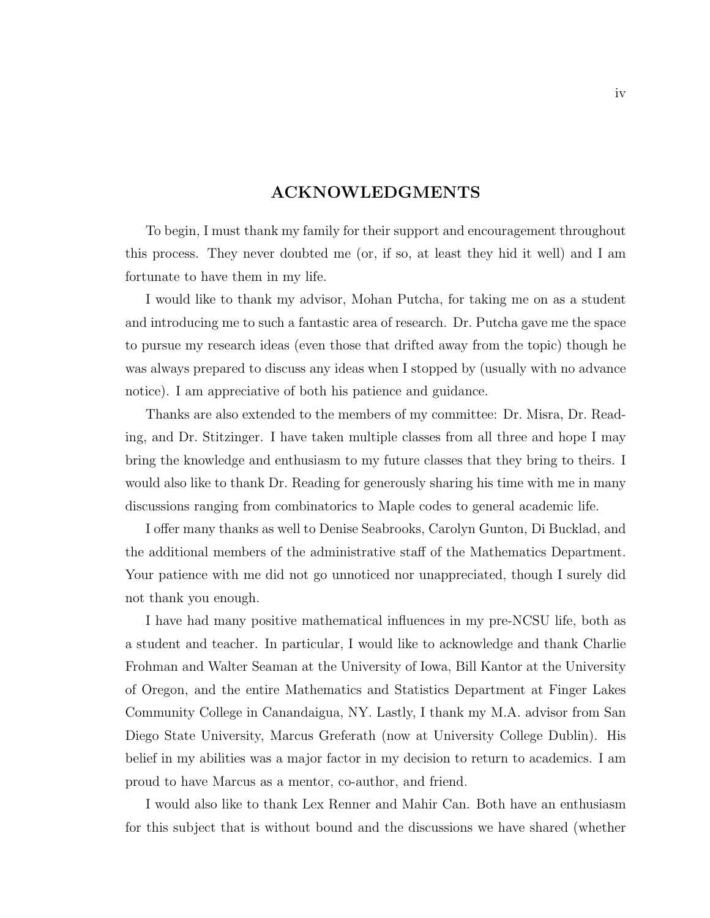#### ACKNOWLEDGMENTS

To begin, I must thank my family for their support and encouragement throughout this process. They never doubted me (or, if so, at least they hid it well) and I am fortunate to have them in my life.

I would like to thank my advisor, Mohan Putcha, for taking me on as a student and introducing me to such a fantastic area of research. Dr. Putcha gave me the space to pursue my research ideas (even those that drifted away from the topic) though he was always prepared to discuss any ideas when I stopped by (usually with no advance notice). I am appreciative of both his patience and guidance.

Thanks are also extended to the members of my committee: Dr. Misra, Dr. Reading, and Dr. Stitzinger. I have taken multiple classes from all three and hope I may bring the knowledge and enthusiasm to my future classes that they bring to theirs. I would also like to thank Dr. Reading for generously sharing his time with me in many discussions ranging from combinatorics to Maple codes to general academic life.

I offer many thanks as well to Denise Seabrooks, Carolyn Gunton, Di Bucklad, and the additional members of the administrative staff of the Mathematics Department. Your patience with me did not go unnoticed nor unappreciated, though I surely did not thank you enough.

I have had many positive mathematical influences in my pre-NCSU life, both as a student and teacher. In particular, I would like to acknowledge and thank Charlie Frohman and Walter Seaman at the University of Iowa, Bill Kantor at the University of Oregon, and the entire Mathematics and Statistics Department at Finger Lakes Community College in Canandaigua, NY. Lastly, I thank my M.A. advisor from San Diego State University, Marcus Greferath (now at University College Dublin). His belief in my abilities was a major factor in my decision to return to academics. I am proud to have Marcus as a mentor, co-author, and friend.

I would also like to thank Lex Renner and Mahir Can. Both have an enthusiasm for this subject that is without bound and the discussions we have shared (whether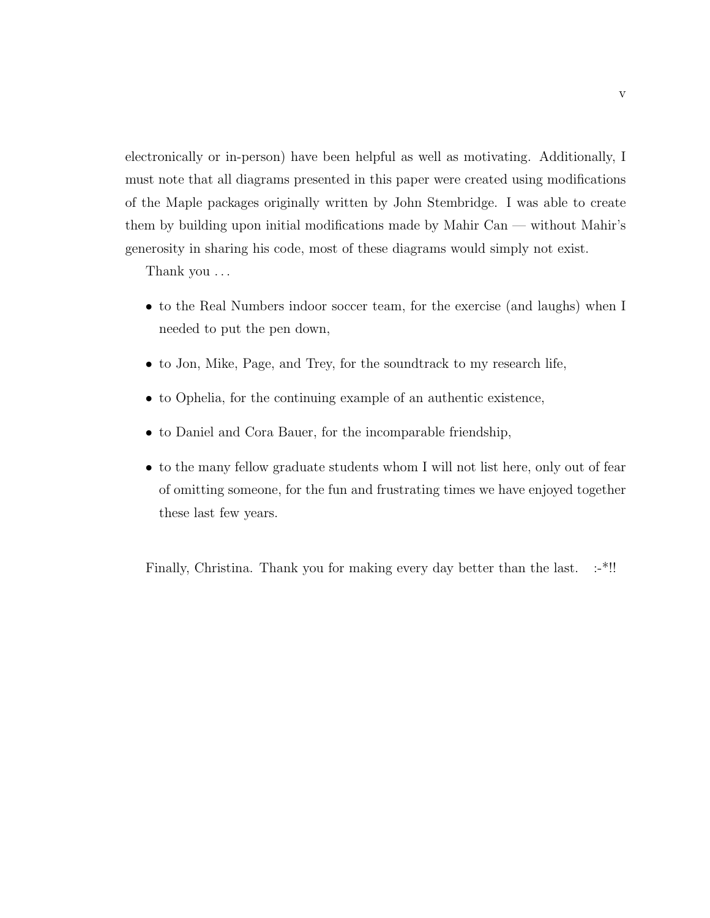electronically or in-person) have been helpful as well as motivating. Additionally, I must note that all diagrams presented in this paper were created using modifications of the Maple packages originally written by John Stembridge. I was able to create them by building upon initial modifications made by Mahir Can — without Mahir's generosity in sharing his code, most of these diagrams would simply not exist.

Thank you . . .

- to the Real Numbers indoor soccer team, for the exercise (and laughs) when I needed to put the pen down,
- to Jon, Mike, Page, and Trey, for the soundtrack to my research life,
- to Ophelia, for the continuing example of an authentic existence,
- to Daniel and Cora Bauer, for the incomparable friendship,
- to the many fellow graduate students whom I will not list here, only out of fear of omitting someone, for the fun and frustrating times we have enjoyed together these last few years.

Finally, Christina. Thank you for making every day better than the last. :-\*!!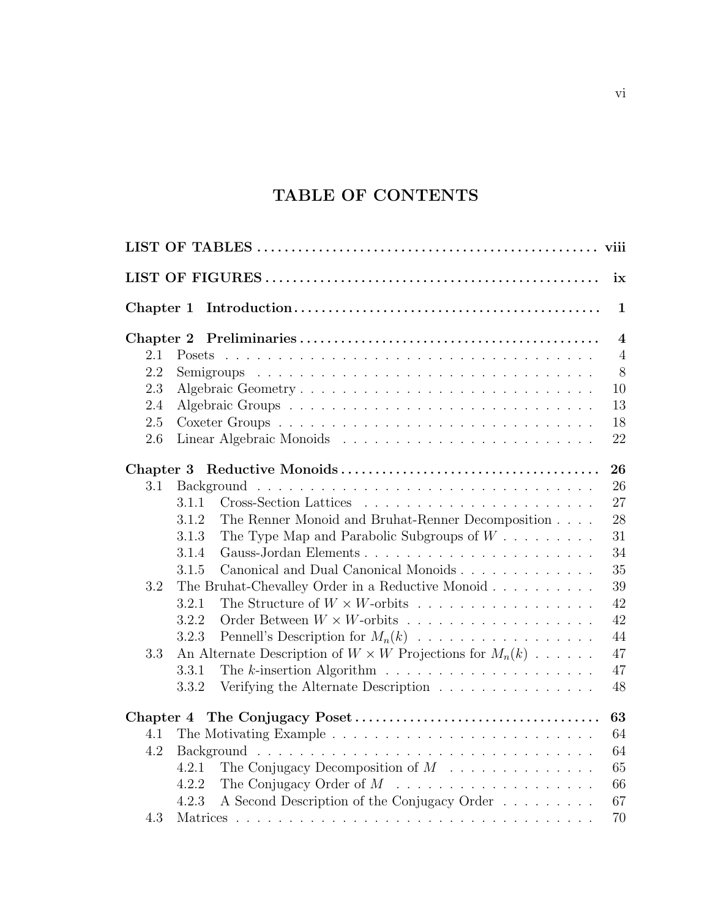## TABLE OF CONTENTS

|           |                                                                                          | ix                      |
|-----------|------------------------------------------------------------------------------------------|-------------------------|
| Chapter 1 |                                                                                          | $\mathbf{1}$            |
|           |                                                                                          | $\overline{\mathbf{4}}$ |
| 2.1       |                                                                                          | $\overline{4}$          |
| 2.2       |                                                                                          | 8                       |
| 2.3       | Algebraic Geometry                                                                       | 10                      |
| 2.4       |                                                                                          | 13                      |
| 2.5       |                                                                                          | 18                      |
| 2.6       |                                                                                          | 22                      |
|           |                                                                                          | 26                      |
| 3.1       |                                                                                          | 26                      |
|           | 3.1.1                                                                                    | 27                      |
|           | 3.1.2<br>The Renner Monoid and Bruhat-Renner Decomposition                               | 28                      |
|           | The Type Map and Parabolic Subgroups of $W \dots \dots \dots$<br>3.1.3                   | 31                      |
|           | 3.1.4                                                                                    | 34                      |
|           | Canonical and Dual Canonical Monoids<br>3.1.5                                            | 35                      |
| 3.2       | The Bruhat-Chevalley Order in a Reductive Monoid                                         | 39                      |
|           | The Structure of $W \times W$ -orbits<br>3.2.1                                           | 42                      |
|           | 3.2.2                                                                                    | 42                      |
|           | 3.2.3                                                                                    | 44                      |
| 3.3       | An Alternate Description of $W \times W$ Projections for $M_n(k)$                        | 47                      |
|           | The $k$ -insertion Algorithm $\ldots \ldots \ldots \ldots \ldots \ldots \ldots$<br>3.3.1 | 47                      |
|           | Verifying the Alternate Description<br>3.3.2                                             | 48                      |
| Chapter 4 |                                                                                          | 63                      |
| 4.1       |                                                                                          | 64                      |
| 4.2       |                                                                                          | 64                      |
|           | The Conjugacy Decomposition of $M$<br>4.2.1                                              | 65                      |
|           | 4.2.2                                                                                    | 66                      |
|           | A Second Description of the Conjugacy Order<br>4.2.3                                     | 67                      |
| 4.3       |                                                                                          | 70                      |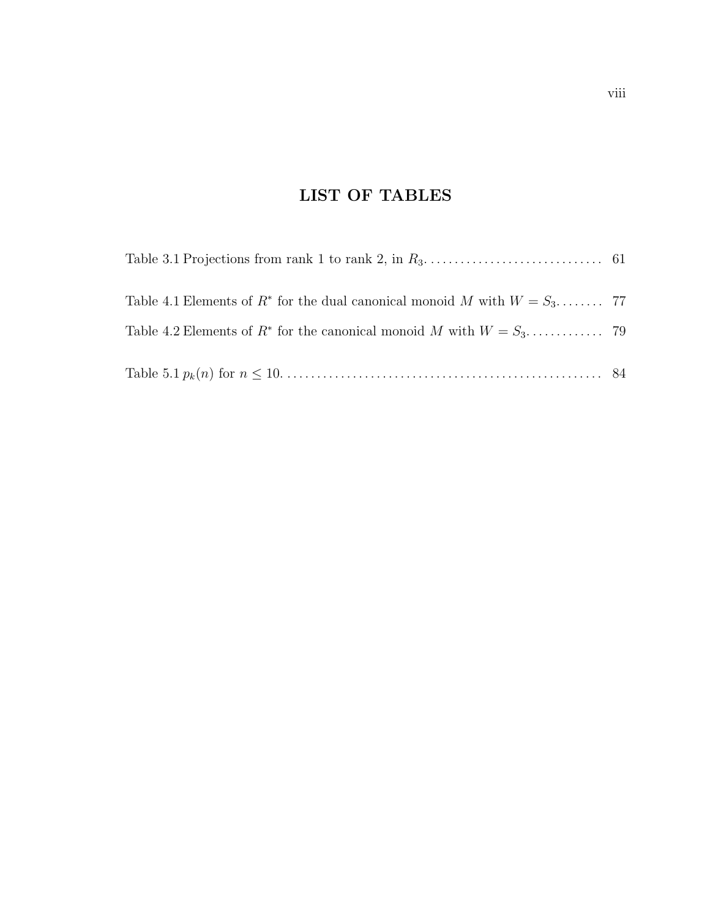## LIST OF TABLES

| Table 4.1 Elements of $R^*$ for the dual canonical monoid M with $W = S_3$ 77 |  |
|-------------------------------------------------------------------------------|--|
|                                                                               |  |
|                                                                               |  |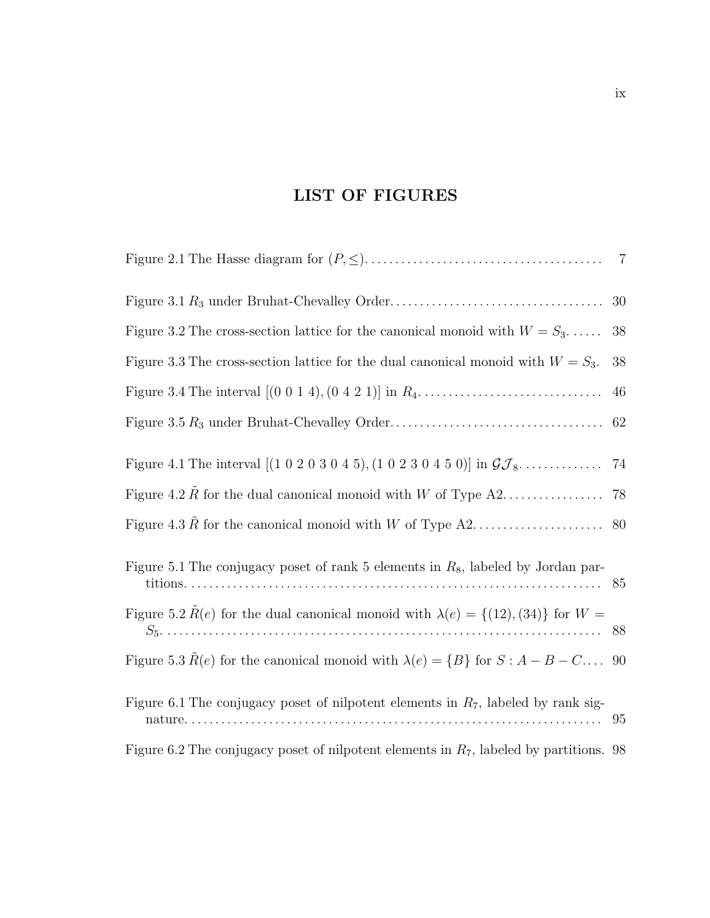## LIST OF FIGURES

|                                                                                                       | 30 |
|-------------------------------------------------------------------------------------------------------|----|
| Figure 3.2 The cross-section lattice for the canonical monoid with $W = S_3$                          | 38 |
| Figure 3.3 The cross-section lattice for the dual canonical monoid with $W = S_3$ .                   | 38 |
|                                                                                                       | 46 |
|                                                                                                       | 62 |
| Figure 4.1 The interval $[(1\ 0\ 2\ 0\ 3\ 0\ 4\ 5), (1\ 0\ 2\ 3\ 0\ 4\ 5\ 0)]$ in $\mathcal{GI}_8$    | 74 |
|                                                                                                       |    |
|                                                                                                       | 80 |
| Figure 5.1 The conjugacy poset of rank 5 elements in $R_8$ , labeled by Jordan par-                   |    |
| Figure 5.2 $\tilde{R}(e)$ for the dual canonical monoid with $\lambda(e) = \{(12), (34)\}\$ for $W =$ |    |
| Figure 5.3 $R(e)$ for the canonical monoid with $\lambda(e) = \{B\}$ for $S : A - B - C \dots$        | 90 |
| Figure 6.1 The conjugacy poset of nilpotent elements in $R_7$ , labeled by rank sig-                  | 95 |
| Figure 6.2 The conjugacy poset of nilpotent elements in $R_7$ , labeled by partitions. 98             |    |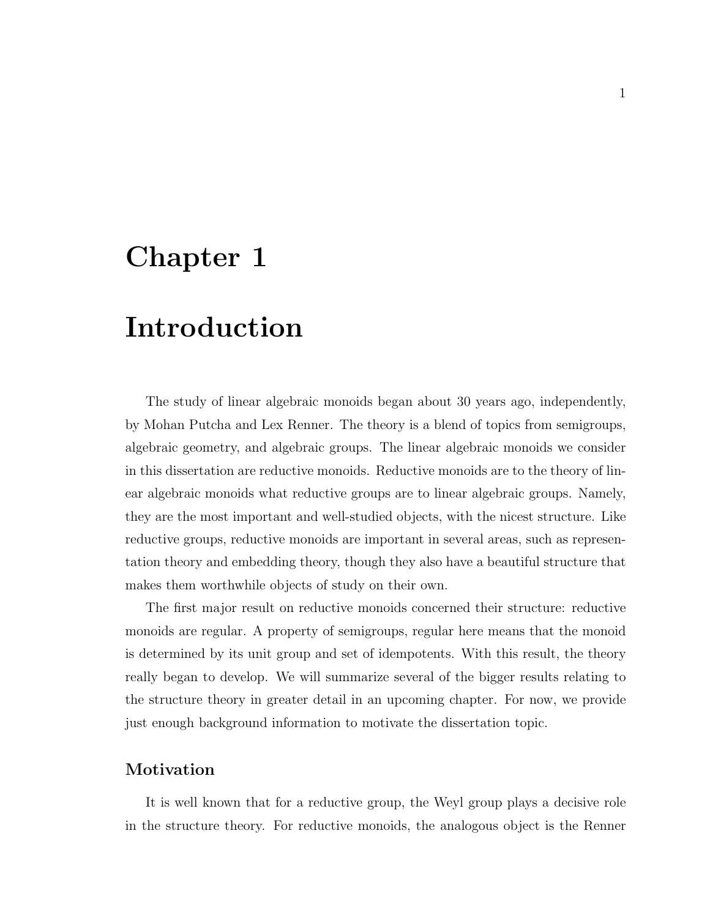# Chapter 1

# Introduction

The study of linear algebraic monoids began about 30 years ago, independently, by Mohan Putcha and Lex Renner. The theory is a blend of topics from semigroups, algebraic geometry, and algebraic groups. The linear algebraic monoids we consider in this dissertation are reductive monoids. Reductive monoids are to the theory of linear algebraic monoids what reductive groups are to linear algebraic groups. Namely, they are the most important and well-studied objects, with the nicest structure. Like reductive groups, reductive monoids are important in several areas, such as representation theory and embedding theory, though they also have a beautiful structure that makes them worthwhile objects of study on their own.

The first major result on reductive monoids concerned their structure: reductive monoids are regular. A property of semigroups, regular here means that the monoid is determined by its unit group and set of idempotents. With this result, the theory really began to develop. We will summarize several of the bigger results relating to the structure theory in greater detail in an upcoming chapter. For now, we provide just enough background information to motivate the dissertation topic.

#### Motivation

It is well known that for a reductive group, the Weyl group plays a decisive role in the structure theory. For reductive monoids, the analogous object is the Renner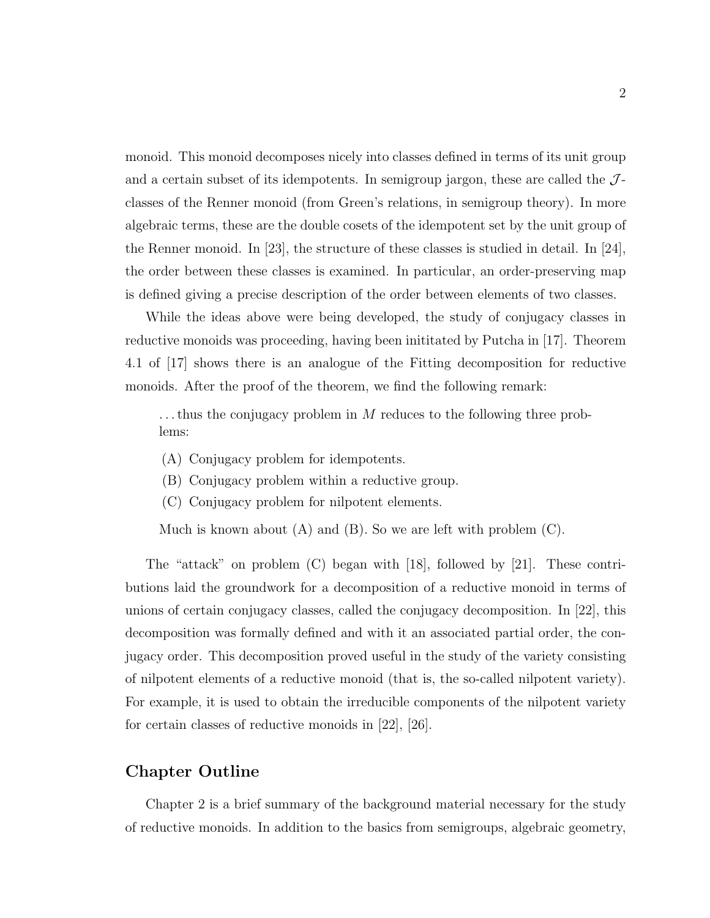monoid. This monoid decomposes nicely into classes defined in terms of its unit group and a certain subset of its idempotents. In semigroup jargon, these are called the  $J$ classes of the Renner monoid (from Green's relations, in semigroup theory). In more algebraic terms, these are the double cosets of the idempotent set by the unit group of the Renner monoid. In [23], the structure of these classes is studied in detail. In [24], the order between these classes is examined. In particular, an order-preserving map is defined giving a precise description of the order between elements of two classes.

While the ideas above were being developed, the study of conjugacy classes in reductive monoids was proceeding, having been inititated by Putcha in [17]. Theorem 4.1 of [17] shows there is an analogue of the Fitting decomposition for reductive monoids. After the proof of the theorem, we find the following remark:

 $\dots$  thus the conjugacy problem in M reduces to the following three problems:

- (A) Conjugacy problem for idempotents.
- (B) Conjugacy problem within a reductive group.
- (C) Conjugacy problem for nilpotent elements.

Much is known about  $(A)$  and  $(B)$ . So we are left with problem  $(C)$ .

The "attack" on problem (C) began with [18], followed by [21]. These contributions laid the groundwork for a decomposition of a reductive monoid in terms of unions of certain conjugacy classes, called the conjugacy decomposition. In [22], this decomposition was formally defined and with it an associated partial order, the conjugacy order. This decomposition proved useful in the study of the variety consisting of nilpotent elements of a reductive monoid (that is, the so-called nilpotent variety). For example, it is used to obtain the irreducible components of the nilpotent variety for certain classes of reductive monoids in [22], [26].

#### Chapter Outline

Chapter 2 is a brief summary of the background material necessary for the study of reductive monoids. In addition to the basics from semigroups, algebraic geometry,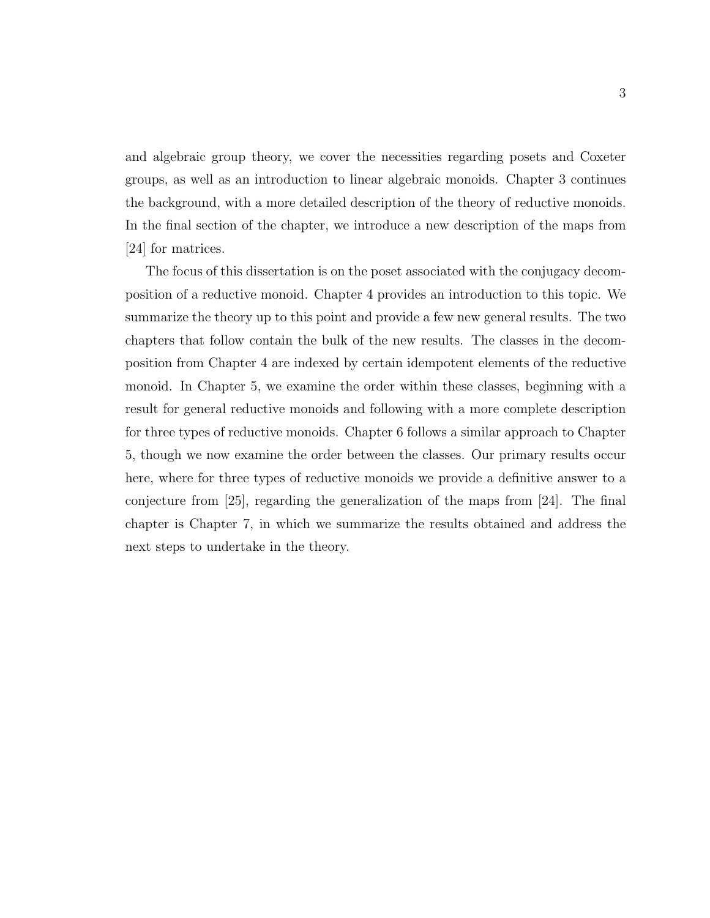and algebraic group theory, we cover the necessities regarding posets and Coxeter groups, as well as an introduction to linear algebraic monoids. Chapter 3 continues the background, with a more detailed description of the theory of reductive monoids. In the final section of the chapter, we introduce a new description of the maps from [24] for matrices.

The focus of this dissertation is on the poset associated with the conjugacy decomposition of a reductive monoid. Chapter 4 provides an introduction to this topic. We summarize the theory up to this point and provide a few new general results. The two chapters that follow contain the bulk of the new results. The classes in the decomposition from Chapter 4 are indexed by certain idempotent elements of the reductive monoid. In Chapter 5, we examine the order within these classes, beginning with a result for general reductive monoids and following with a more complete description for three types of reductive monoids. Chapter 6 follows a similar approach to Chapter 5, though we now examine the order between the classes. Our primary results occur here, where for three types of reductive monoids we provide a definitive answer to a conjecture from [25], regarding the generalization of the maps from [24]. The final chapter is Chapter 7, in which we summarize the results obtained and address the next steps to undertake in the theory.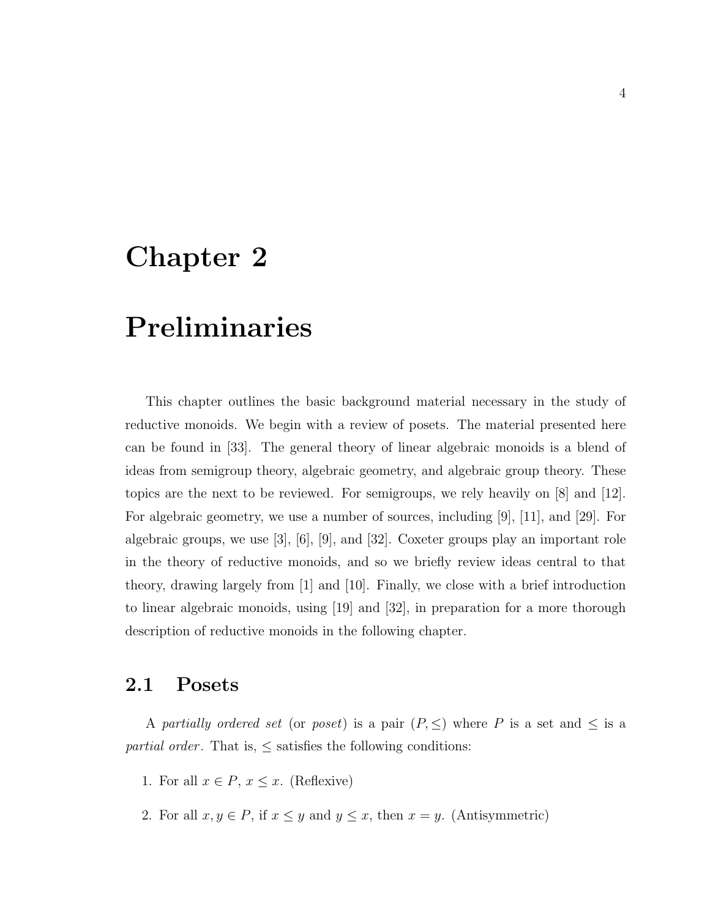# Chapter 2

# Preliminaries

This chapter outlines the basic background material necessary in the study of reductive monoids. We begin with a review of posets. The material presented here can be found in [33]. The general theory of linear algebraic monoids is a blend of ideas from semigroup theory, algebraic geometry, and algebraic group theory. These topics are the next to be reviewed. For semigroups, we rely heavily on [8] and [12]. For algebraic geometry, we use a number of sources, including [9], [11], and [29]. For algebraic groups, we use  $[3]$ ,  $[6]$ ,  $[9]$ , and  $[32]$ . Coxeter groups play an important role in the theory of reductive monoids, and so we briefly review ideas central to that theory, drawing largely from [1] and [10]. Finally, we close with a brief introduction to linear algebraic monoids, using [19] and [32], in preparation for a more thorough description of reductive monoids in the following chapter.

### 2.1 Posets

A partially ordered set (or poset) is a pair  $(P, \leq)$  where P is a set and  $\leq$  is a *partial order.* That is,  $\leq$  satisfies the following conditions:

- 1. For all  $x \in P$ ,  $x \leq x$ . (Reflexive)
- 2. For all  $x, y \in P$ , if  $x \leq y$  and  $y \leq x$ , then  $x = y$ . (Antisymmetric)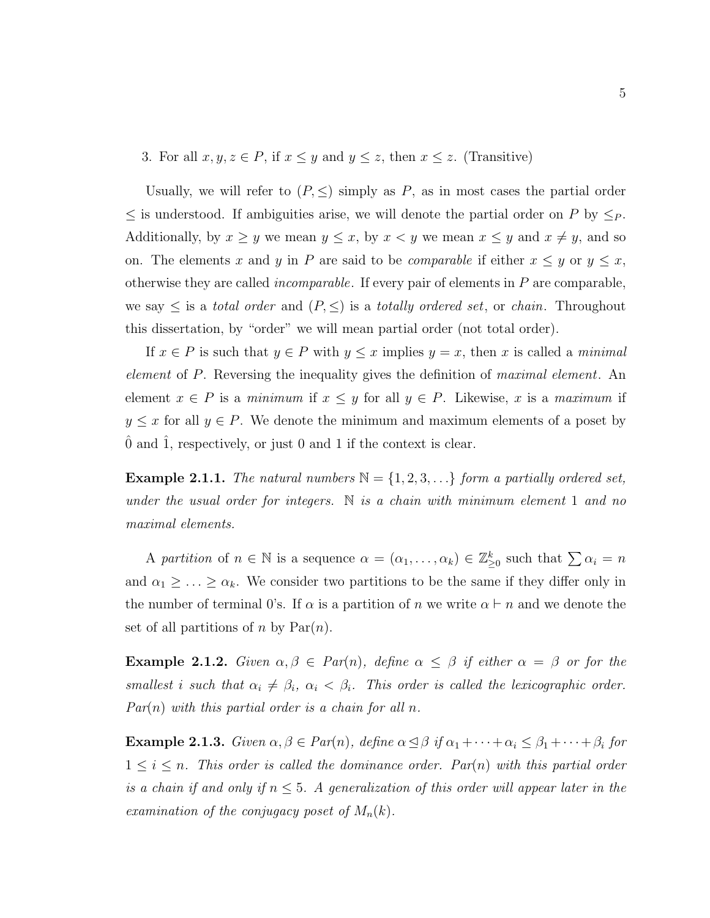3. For all  $x, y, z \in P$ , if  $x \leq y$  and  $y \leq z$ , then  $x \leq z$ . (Transitive)

Usually, we will refer to  $(P, \leq)$  simply as P, as in most cases the partial order  $\leq$  is understood. If ambiguities arise, we will denote the partial order on P by  $\leq_P$ . Additionally, by  $x \ge y$  we mean  $y \le x$ , by  $x < y$  we mean  $x \le y$  and  $x \ne y$ , and so on. The elements x and y in P are said to be *comparable* if either  $x \leq y$  or  $y \leq x$ , otherwise they are called *incomparable*. If every pair of elements in  $P$  are comparable, we say  $\leq$  is a *total order* and  $(P, \leq)$  is a *totally ordered set*, or *chain*. Throughout this dissertation, by "order" we will mean partial order (not total order).

If  $x \in P$  is such that  $y \in P$  with  $y \leq x$  implies  $y = x$ , then x is called a minimal element of P. Reversing the inequality gives the definition of maximal element. An element  $x \in P$  is a minimum if  $x \leq y$  for all  $y \in P$ . Likewise, x is a maximum if  $y \leq x$  for all  $y \in P$ . We denote the minimum and maximum elements of a poset by ˆ0 and ˆ1, respectively, or just 0 and 1 if the context is clear.

**Example 2.1.1.** The natural numbers  $\mathbb{N} = \{1, 2, 3, ...\}$  form a partially ordered set, under the usual order for integers. N is a chain with minimum element 1 and no maximal elements.

A partition of  $n \in \mathbb{N}$  is a sequence  $\alpha = (\alpha_1, \dots, \alpha_k) \in \mathbb{Z}_{\geq 0}^k$  such that  $\sum \alpha_i = n$ and  $\alpha_1 \geq \ldots \geq \alpha_k$ . We consider two partitions to be the same if they differ only in the number of terminal 0's. If  $\alpha$  is a partition of n we write  $\alpha \vdash n$  and we denote the set of all partitions of n by  $Par(n)$ .

**Example 2.1.2.** Given  $\alpha, \beta \in Par(n)$ , define  $\alpha \leq \beta$  if either  $\alpha = \beta$  or for the smallest i such that  $\alpha_i \neq \beta_i$ ,  $\alpha_i < \beta_i$ . This order is called the lexicographic order.  $Par(n)$  with this partial order is a chain for all n.

**Example 2.1.3.** Given  $\alpha, \beta \in Par(n)$ , define  $\alpha \leq \beta$  if  $\alpha_1 + \cdots + \alpha_i \leq \beta_1 + \cdots + \beta_i$  for  $1 \leq i \leq n$ . This order is called the dominance order. Par(n) with this partial order is a chain if and only if  $n \leq 5$ . A generalization of this order will appear later in the examination of the conjugacy poset of  $M_n(k)$ .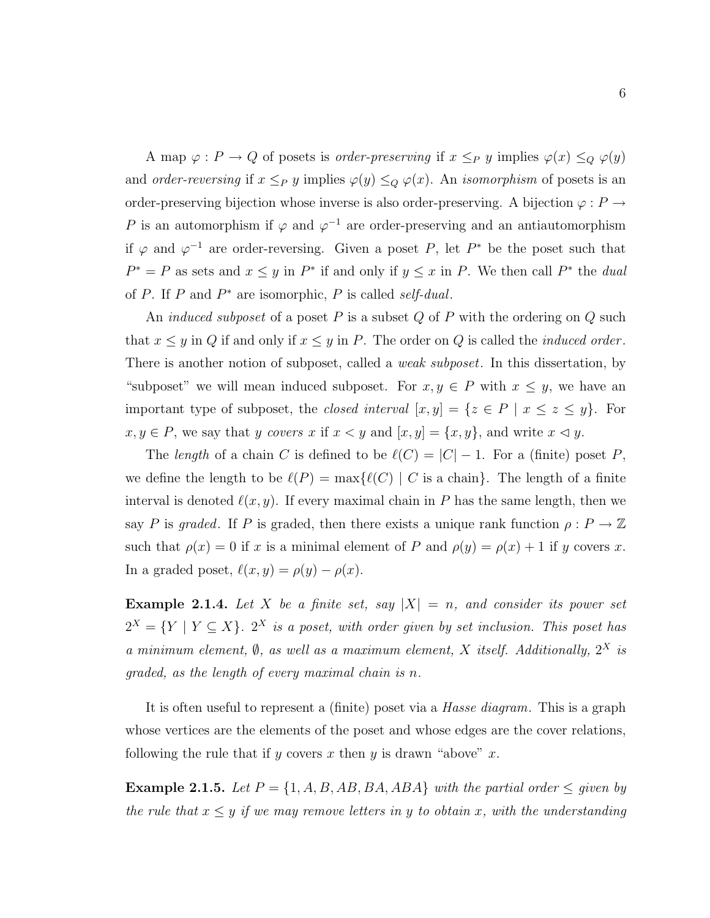A map  $\varphi : P \to Q$  of posets is *order-preserving* if  $x \leq_P y$  implies  $\varphi(x) \leq_Q \varphi(y)$ and order-reversing if  $x \leq_P y$  implies  $\varphi(y) \leq_Q \varphi(x)$ . An isomorphism of posets is an order-preserving bijection whose inverse is also order-preserving. A bijection  $\varphi : P \to$ P is an automorphism if  $\varphi$  and  $\varphi^{-1}$  are order-preserving and an antiautomorphism if  $\varphi$  and  $\varphi^{-1}$  are order-reversing. Given a poset P, let P<sup>\*</sup> be the poset such that  $P^* = P$  as sets and  $x \leq y$  in  $P^*$  if and only if  $y \leq x$  in P. We then call  $P^*$  the *dual* of  $P$ . If  $P$  and  $P^*$  are isomorphic,  $P$  is called self-dual.

An *induced subposet* of a poset  $P$  is a subset  $Q$  of  $P$  with the ordering on  $Q$  such that  $x \leq y$  in Q if and only if  $x \leq y$  in P. The order on Q is called the *induced order*. There is another notion of subposet, called a *weak subposet*. In this dissertation, by "subposet" we will mean induced subposet. For  $x, y \in P$  with  $x \leq y$ , we have an important type of subposet, the closed interval  $[x, y] = \{z \in P \mid x \le z \le y\}$ . For  $x, y \in P$ , we say that y covers x if  $x < y$  and  $[x, y] = \{x, y\}$ , and write  $x \le y$ .

The length of a chain C is defined to be  $\ell(C) = |C| - 1$ . For a (finite) poset P, we define the length to be  $\ell(P) = \max{\{\ell(C) | C \text{ is a chain}\}}$ . The length of a finite interval is denoted  $\ell(x, y)$ . If every maximal chain in P has the same length, then we say P is graded. If P is graded, then there exists a unique rank function  $\rho: P \to \mathbb{Z}$ such that  $\rho(x) = 0$  if x is a minimal element of P and  $\rho(y) = \rho(x) + 1$  if y covers x. In a graded poset,  $\ell(x, y) = \rho(y) - \rho(x)$ .

**Example 2.1.4.** Let X be a finite set, say  $|X| = n$ , and consider its power set  $2^X = \{ Y \mid Y \subseteq X \}$ .  $2^X$  is a poset, with order given by set inclusion. This poset has a minimum element,  $\emptyset$ , as well as a maximum element, X itself. Additionally,  $2^X$  is graded, as the length of every maximal chain is n.

It is often useful to represent a (finite) poset via a Hasse diagram. This is a graph whose vertices are the elements of the poset and whose edges are the cover relations, following the rule that if y covers x then y is drawn "above" x.

Example 2.1.5. Let  $P = \{1, A, B, AB, BA, ABA\}$  with the partial order  $\leq$  given by the rule that  $x \leq y$  if we may remove letters in y to obtain x, with the understanding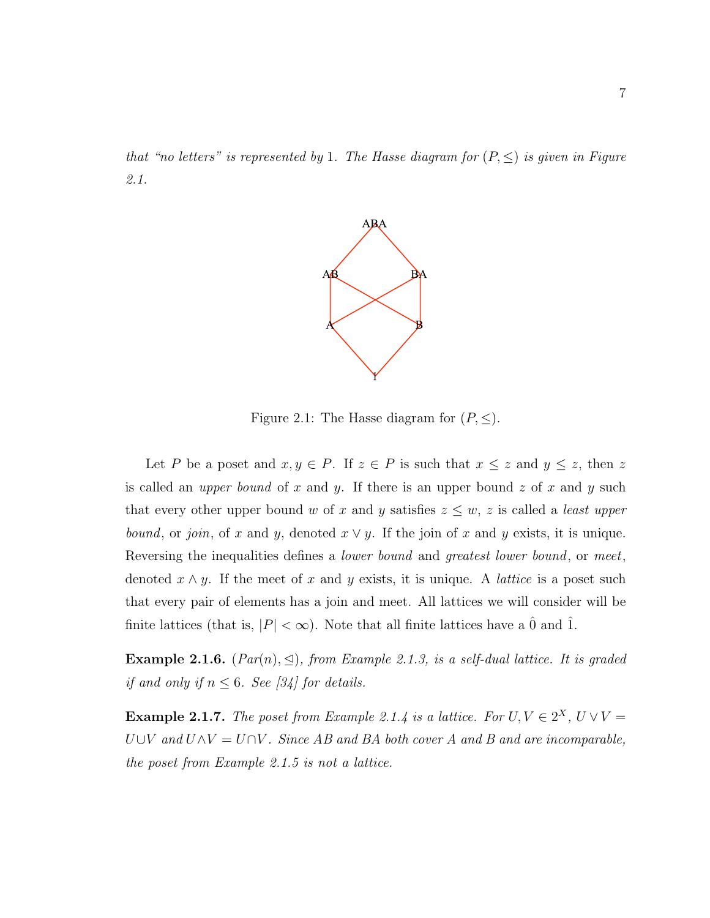that "no letters" is represented by 1. The Hasse diagram for  $(P, \leq)$  is given in Figure 2.1.



Figure 2.1: The Hasse diagram for  $(P, \leq)$ .

Let P be a poset and  $x, y \in P$ . If  $z \in P$  is such that  $x \leq z$  and  $y \leq z$ , then z is called an *upper bound* of x and y. If there is an upper bound z of x and y such that every other upper bound w of x and y satisfies  $z \leq w$ , z is called a *least upper* bound, or join, of x and y, denoted  $x \vee y$ . If the join of x and y exists, it is unique. Reversing the inequalities defines a *lower bound* and *greatest lower bound*, or meet, denoted  $x \wedge y$ . If the meet of x and y exists, it is unique. A *lattice* is a poset such that every pair of elements has a join and meet. All lattices we will consider will be finite lattices (that is,  $|P| < \infty$ ). Note that all finite lattices have a  $\hat{0}$  and  $\hat{1}$ .

Example 2.1.6.  $(Par(n), \leq)$ , from Example 2.1.3, is a self-dual lattice. It is graded if and only if  $n \leq 6$ . See [34] for details.

**Example 2.1.7.** The poset from Example 2.1.4 is a lattice. For  $U, V \in 2^X$ ,  $U \vee V =$  $U\cup V$  and  $U\wedge V = U\cap V$ . Since AB and BA both cover A and B and are incomparable, the poset from Example 2.1.5 is not a lattice.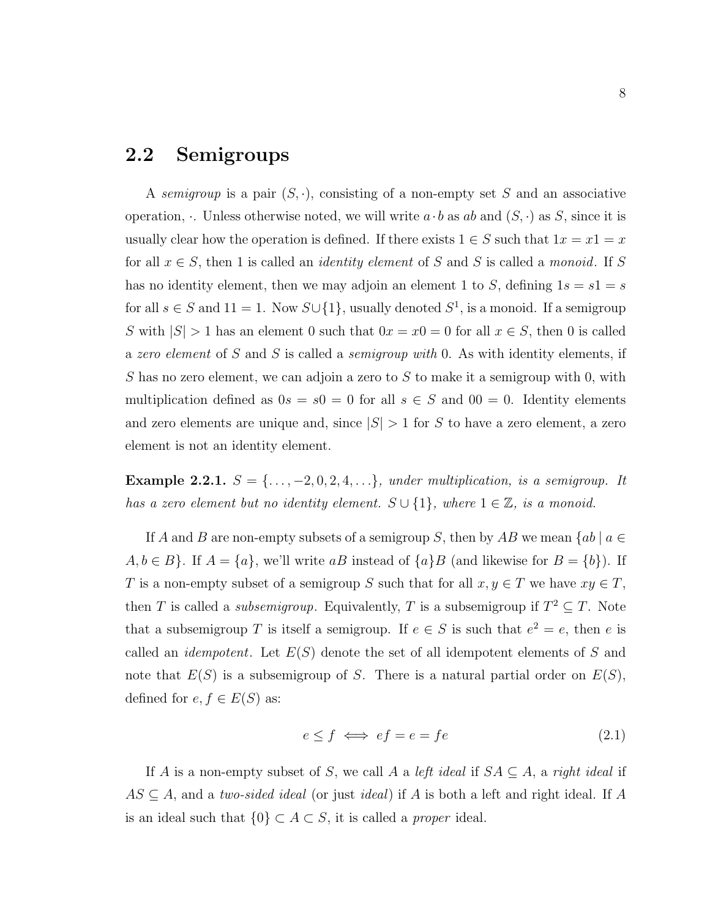### 2.2 Semigroups

A semigroup is a pair  $(S, \cdot)$ , consisting of a non-empty set S and an associative operation, . Unless otherwise noted, we will write  $a \cdot b$  as ab and  $(S, \cdot)$  as S, since it is usually clear how the operation is defined. If there exists  $1 \in S$  such that  $1x = x1 = x$ for all  $x \in S$ , then 1 is called an *identity element* of S and S is called a *monoid*. If S has no identity element, then we may adjoin an element 1 to S, defining  $1s = s1 = s$ for all  $s \in S$  and  $11 = 1$ . Now  $S \cup \{1\}$ , usually denoted  $S^1$ , is a monoid. If a semigroup S with  $|S| > 1$  has an element 0 such that  $0x = x0 = 0$  for all  $x \in S$ , then 0 is called a zero element of S and S is called a *semigroup with* 0. As with identity elements, if S has no zero element, we can adjoin a zero to S to make it a semigroup with 0, with multiplication defined as  $0s = s0 = 0$  for all  $s \in S$  and  $00 = 0$ . Identity elements and zero elements are unique and, since  $|S| > 1$  for S to have a zero element, a zero element is not an identity element.

Example 2.2.1.  $S = \{ \ldots, -2, 0, 2, 4, \ldots \}$ , under multiplication, is a semigroup. It has a zero element but no identity element.  $S \cup \{1\}$ , where  $1 \in \mathbb{Z}$ , is a monoid.

If A and B are non-empty subsets of a semigroup S, then by AB we mean  ${ab \mid a \in \mathbb{R}^n}$  $A, b \in B$ . If  $A = \{a\}$ , we'll write aB instead of  $\{a\}$  and likewise for  $B = \{b\}$ . If T is a non-empty subset of a semigroup S such that for all  $x, y \in T$  we have  $xy \in T$ , then T is called a *subsemigroup*. Equivalently, T is a subsemigroup if  $T^2 \subseteq T$ . Note that a subsemigroup T is itself a semigroup. If  $e \in S$  is such that  $e^2 = e$ , then e is called an *idempotent*. Let  $E(S)$  denote the set of all idempotent elements of S and note that  $E(S)$  is a subsemigroup of S. There is a natural partial order on  $E(S)$ , defined for  $e, f \in E(S)$  as:

$$
e \le f \iff ef = e = fe \tag{2.1}
$$

If A is a non-empty subset of S, we call A a left ideal if  $SA \subseteq A$ , a right ideal if  $AS \subseteq A$ , and a two-sided ideal (or just ideal) if A is both a left and right ideal. If A is an ideal such that  $\{0\} \subset A \subset S$ , it is called a *proper* ideal.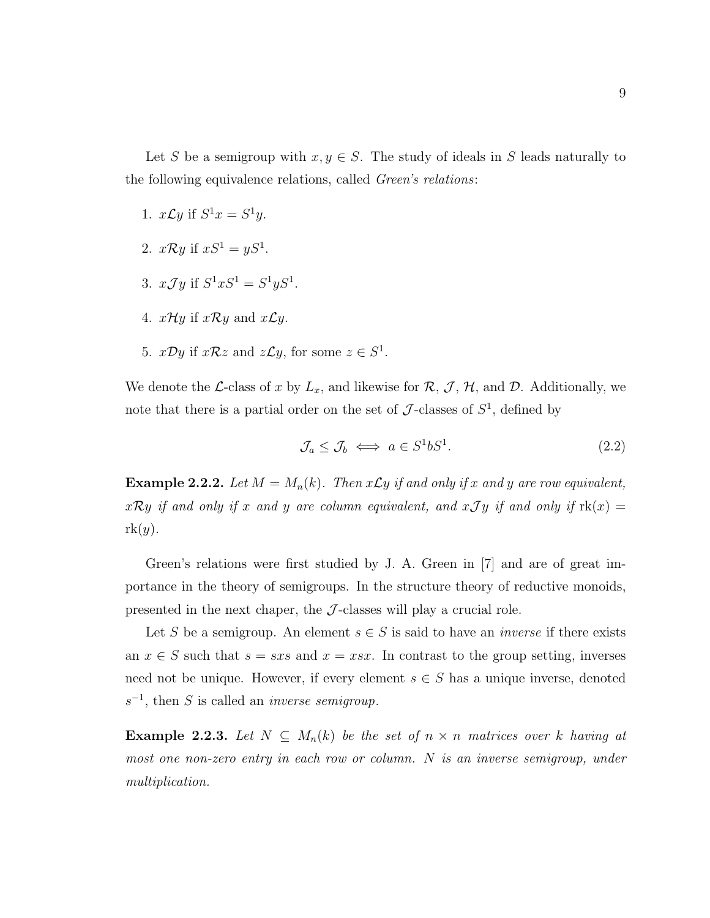Let S be a semigroup with  $x, y \in S$ . The study of ideals in S leads naturally to the following equivalence relations, called Green's relations:

- 1.  $x \mathcal{L}y$  if  $S^1x = S^1y$ .
- 2.  $x \mathcal{R} y$  if  $xS^1 = yS^1$ .
- 3.  $xJy$  if  $S^1xS^1 = S^1yS^1$ .
- 4.  $x\mathcal{H}y$  if  $x\mathcal{R}y$  and  $x\mathcal{L}y$ .
- 5.  $x\mathcal{D}y$  if  $x\mathcal{R}z$  and  $z\mathcal{L}y$ , for some  $z \in S^1$ .

We denote the L-class of x by  $L_x$ , and likewise for  $\mathcal{R}, \mathcal{J}, \mathcal{H}$ , and  $\mathcal{D}$ . Additionally, we note that there is a partial order on the set of  $\mathcal{J}$ -classes of  $S^1$ , defined by

$$
\mathcal{J}_a \le \mathcal{J}_b \iff a \in S^1 b S^1. \tag{2.2}
$$

**Example 2.2.2.** Let  $M = M_n(k)$ . Then  $x \mathcal{L}y$  if and only if x and y are row equivalent,  $x\mathcal{R}y$  if and only if x and y are column equivalent, and  $x\mathcal{J}y$  if and only if  $\text{rk}(x) =$  $rk(y).$ 

Green's relations were first studied by J. A. Green in [7] and are of great importance in the theory of semigroups. In the structure theory of reductive monoids, presented in the next chaper, the  $\mathcal{J}$ -classes will play a crucial role.

Let S be a semigroup. An element  $s \in S$  is said to have an *inverse* if there exists an  $x \in S$  such that  $s = sxs$  and  $x = ssx$ . In contrast to the group setting, inverses need not be unique. However, if every element  $s \in S$  has a unique inverse, denoted  $s^{-1}$ , then S is called an *inverse semigroup*.

Example 2.2.3. Let  $N \subseteq M_n(k)$  be the set of  $n \times n$  matrices over k having at most one non-zero entry in each row or column. N is an inverse semigroup, under multiplication.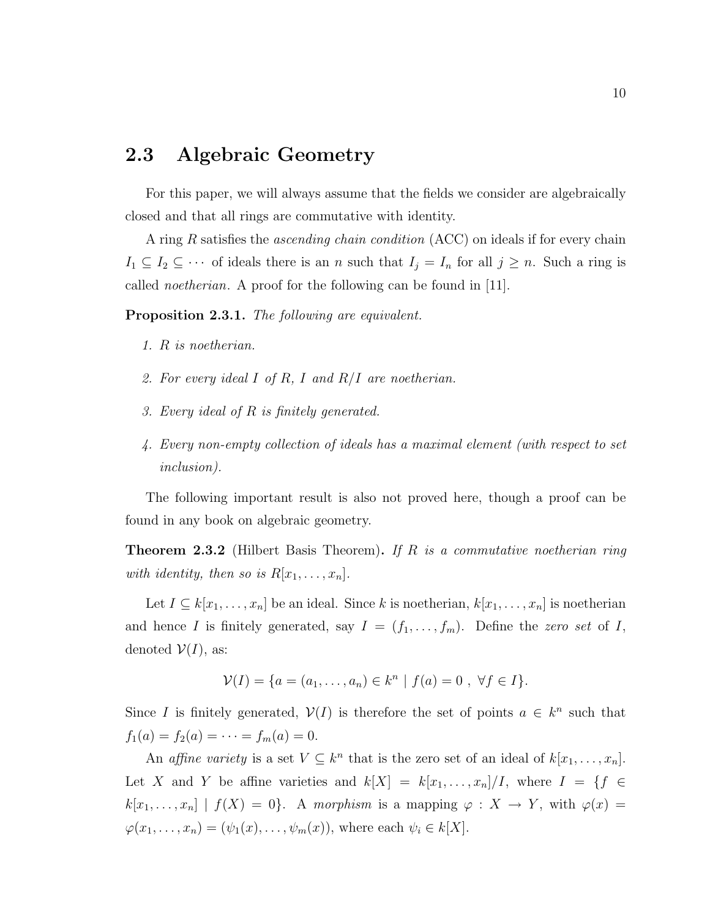### 2.3 Algebraic Geometry

For this paper, we will always assume that the fields we consider are algebraically closed and that all rings are commutative with identity.

A ring R satisfies the ascending chain condition (ACC) on ideals if for every chain  $I_1 \subseteq I_2 \subseteq \cdots$  of ideals there is an n such that  $I_j = I_n$  for all  $j \geq n$ . Such a ring is called noetherian. A proof for the following can be found in [11].

Proposition 2.3.1. The following are equivalent.

- 1. R is noetherian.
- 2. For every ideal I of R, I and  $R/I$  are noetherian.
- 3. Every ideal of R is finitely generated.
- 4. Every non-empty collection of ideals has a maximal element (with respect to set inclusion).

The following important result is also not proved here, though a proof can be found in any book on algebraic geometry.

**Theorem 2.3.2** (Hilbert Basis Theorem). If R is a commutative noetherian ring with identity, then so is  $R[x_1, \ldots, x_n]$ .

Let  $I \subseteq k[x_1, \ldots, x_n]$  be an ideal. Since k is noetherian,  $k[x_1, \ldots, x_n]$  is noetherian and hence I is finitely generated, say  $I = (f_1, \ldots, f_m)$ . Define the zero set of I, denoted  $V(I)$ , as:

$$
\mathcal{V}(I) = \{a = (a_1, \dots, a_n) \in k^n \mid f(a) = 0, \ \forall f \in I\}.
$$

Since I is finitely generated,  $V(I)$  is therefore the set of points  $a \in k^n$  such that  $f_1(a) = f_2(a) = \cdots = f_m(a) = 0.$ 

An affine variety is a set  $V \subseteq k^n$  that is the zero set of an ideal of  $k[x_1, \ldots, x_n]$ . Let X and Y be affine varieties and  $k[X] = k[x_1, \ldots, x_n]/I$ , where  $I = \{f \in$  $k[x_1, \ldots, x_n] | f(X) = 0$ . A morphism is a mapping  $\varphi : X \to Y$ , with  $\varphi(x) =$  $\varphi(x_1,\ldots,x_n)=(\psi_1(x),\ldots,\psi_m(x)),$  where each  $\psi_i\in k[X]$ .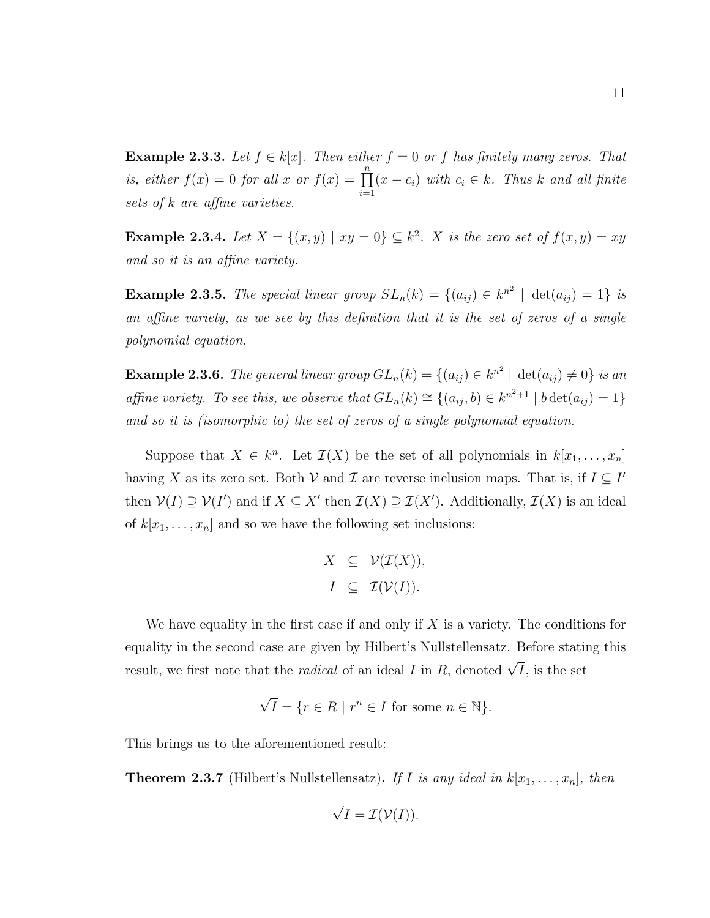**Example 2.3.3.** Let  $f \in k[x]$ . Then either  $f = 0$  or f has finitely many zeros. That is, either  $f(x) = 0$  for all x or  $f(x) = \prod_{n=1}^{\infty}$  $i=1$  $(x - c_i)$  with  $c_i \in k$ . Thus k and all finite sets of k are affine varieties.

**Example 2.3.4.** Let  $X = \{(x, y) | xy = 0\} \subseteq k^2$ . X is the zero set of  $f(x, y) = xy$ and so it is an affine variety.

**Example 2.3.5.** The special linear group  $SL_n(k) = \{(a_{ij}) \in k^{n^2} \mid \det(a_{ij}) = 1\}$  is an affine variety, as we see by this definition that it is the set of zeros of a single polynomial equation.

**Example 2.3.6.** The general linear group  $GL_n(k) = \{(a_{ij}) \in k^{n^2} \mid \det(a_{ij}) \neq 0\}$  is an affine variety. To see this, we observe that  $GL_n(k) \cong \{(a_{ij},b) \in k^{n^2+1} \mid b \det(a_{ij}) = 1\}$ and so it is (isomorphic to) the set of zeros of a single polynomial equation.

Suppose that  $X \in k^n$ . Let  $\mathcal{I}(X)$  be the set of all polynomials in  $k[x_1, \ldots, x_n]$ having X as its zero set. Both V and T are reverse inclusion maps. That is, if  $I \subseteq I'$ then  $V(I) \supseteq V(I')$  and if  $X \subseteq X'$  then  $\mathcal{I}(X) \supseteq \mathcal{I}(X')$ . Additionally,  $\mathcal{I}(X)$  is an ideal of  $k[x_1, \ldots, x_n]$  and so we have the following set inclusions:

$$
X \subseteq \mathcal{V}(\mathcal{I}(X)),
$$
  

$$
I \subseteq \mathcal{I}(\mathcal{V}(I)).
$$

We have equality in the first case if and only if  $X$  is a variety. The conditions for equality in the second case are given by Hilbert's Nullstellensatz. Before stating this result, we first note that the *radical* of an ideal I in R, denoted  $\sqrt{I}$ , is the set

$$
\sqrt{I} = \{ r \in R \mid r^n \in I \text{ for some } n \in \mathbb{N} \}.
$$

This brings us to the aforementioned result:

**Theorem 2.3.7** (Hilbert's Nullstellensatz). If I is any ideal in  $k[x_1, \ldots, x_n]$ , then

$$
\sqrt{I} = \mathcal{I}(\mathcal{V}(I)).
$$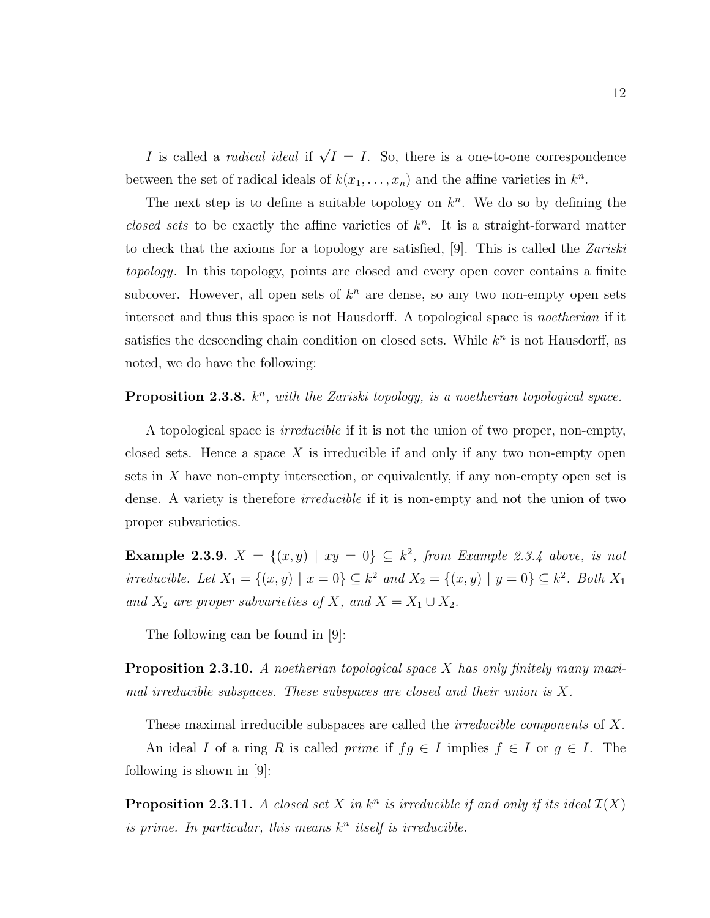*I* is called a *radical ideal* if  $\sqrt{I} = I$ . So, there is a one-to-one correspondence between the set of radical ideals of  $k(x_1, \ldots, x_n)$  and the affine varieties in  $k^n$ .

The next step is to define a suitable topology on  $k<sup>n</sup>$ . We do so by defining the closed sets to be exactly the affine varieties of  $k<sup>n</sup>$ . It is a straight-forward matter to check that the axioms for a topology are satisfied, [9]. This is called the  $Zariski$ topology. In this topology, points are closed and every open cover contains a finite subcover. However, all open sets of  $k^n$  are dense, so any two non-empty open sets intersect and thus this space is not Hausdorff. A topological space is *noetherian* if it satisfies the descending chain condition on closed sets. While  $k<sup>n</sup>$  is not Hausdorff, as noted, we do have the following:

#### **Proposition 2.3.8.**  $k^n$ , with the Zariski topology, is a noetherian topological space.

A topological space is irreducible if it is not the union of two proper, non-empty, closed sets. Hence a space  $X$  is irreducible if and only if any two non-empty open sets in X have non-empty intersection, or equivalently, if any non-empty open set is dense. A variety is therefore *irreducible* if it is non-empty and not the union of two proper subvarieties.

**Example 2.3.9.**  $X = \{(x, y) | xy = 0\} \subseteq k^2$ , from Example 2.3.4 above, is not irreducible. Let  $X_1 = \{(x, y) \mid x = 0\} \subseteq k^2$  and  $X_2 = \{(x, y) \mid y = 0\} \subseteq k^2$ . Both  $X_1$ and  $X_2$  are proper subvarieties of X, and  $X = X_1 \cup X_2$ .

The following can be found in [9]:

**Proposition 2.3.10.** A noetherian topological space X has only finitely many maximal irreducible subspaces. These subspaces are closed and their union is X.

These maximal irreducible subspaces are called the *irreducible components* of X.

An ideal I of a ring R is called *prime* if  $fg \in I$  implies  $f \in I$  or  $g \in I$ . The following is shown in [9]:

**Proposition 2.3.11.** A closed set X in  $k^n$  is irreducible if and only if its ideal  $\mathcal{I}(X)$ is prime. In particular, this means  $k^n$  itself is irreducible.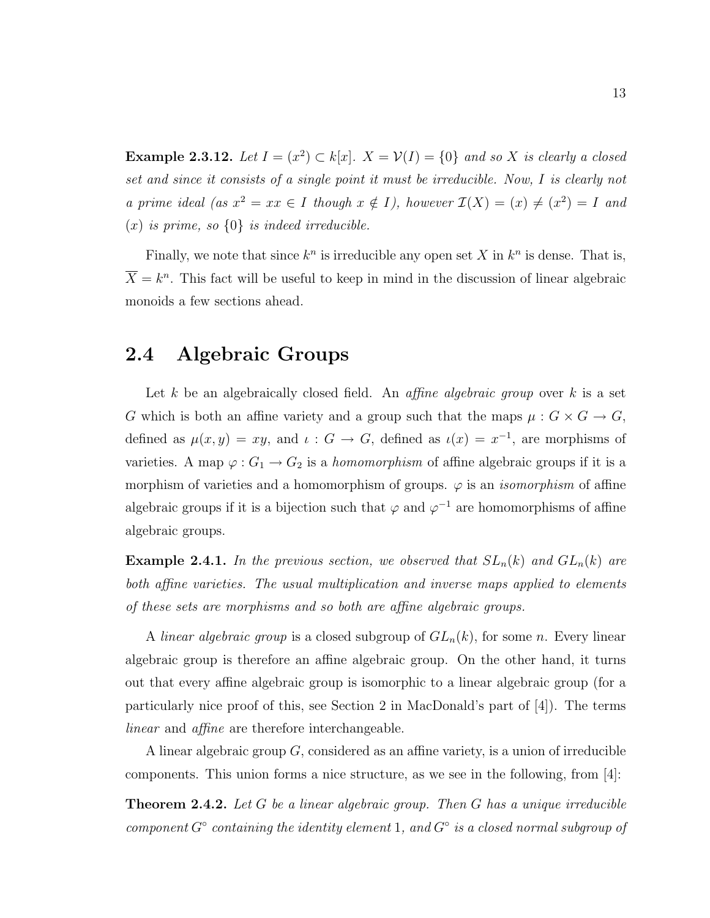**Example 2.3.12.** Let  $I = (x^2) \subset k[x]$ .  $X = V(I) = \{0\}$  and so X is clearly a closed set and since it consists of a single point it must be irreducible. Now, I is clearly not a prime ideal (as  $x^2 = xx \in I$  though  $x \notin I$ ), however  $\mathcal{I}(X) = (x) \neq (x^2) = I$  and  $(x)$  is prime, so  $\{0\}$  is indeed irreducible.

Finally, we note that since  $k^n$  is irreducible any open set X in  $k^n$  is dense. That is,  $\overline{X} = k^n$ . This fact will be useful to keep in mind in the discussion of linear algebraic monoids a few sections ahead.

### 2.4 Algebraic Groups

Let k be an algebraically closed field. An *affine algebraic group* over k is a set G which is both an affine variety and a group such that the maps  $\mu: G \times G \to G$ , defined as  $\mu(x, y) = xy$ , and  $\iota : G \to G$ , defined as  $\iota(x) = x^{-1}$ , are morphisms of varieties. A map  $\varphi: G_1 \to G_2$  is a *homomorphism* of affine algebraic groups if it is a morphism of varieties and a homomorphism of groups.  $\varphi$  is an *isomorphism* of affine algebraic groups if it is a bijection such that  $\varphi$  and  $\varphi^{-1}$  are homomorphisms of affine algebraic groups.

**Example 2.4.1.** In the previous section, we observed that  $SL_n(k)$  and  $GL_n(k)$  are both affine varieties. The usual multiplication and inverse maps applied to elements of these sets are morphisms and so both are affine algebraic groups.

A linear algebraic group is a closed subgroup of  $GL_n(k)$ , for some n. Every linear algebraic group is therefore an affine algebraic group. On the other hand, it turns out that every affine algebraic group is isomorphic to a linear algebraic group (for a particularly nice proof of this, see Section 2 in MacDonald's part of [4]). The terms linear and affine are therefore interchangeable.

A linear algebraic group G, considered as an affine variety, is a union of irreducible components. This union forms a nice structure, as we see in the following, from [4]:

**Theorem 2.4.2.** Let  $G$  be a linear algebraic group. Then  $G$  has a unique irreducible component  $G^{\circ}$  containing the identity element 1, and  $G^{\circ}$  is a closed normal subgroup of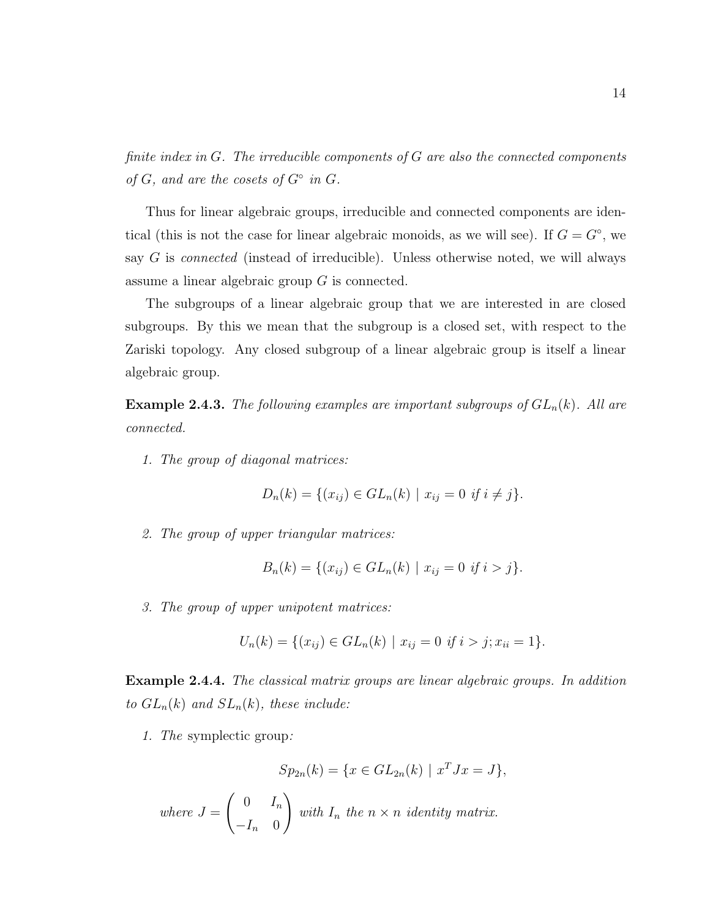finite index in  $G$ . The irreducible components of  $G$  are also the connected components of  $G$ , and are the cosets of  $G^{\circ}$  in  $G$ .

Thus for linear algebraic groups, irreducible and connected components are identical (this is not the case for linear algebraic monoids, as we will see). If  $G = G^{\circ}$ , we say G is *connected* (instead of irreducible). Unless otherwise noted, we will always assume a linear algebraic group G is connected.

The subgroups of a linear algebraic group that we are interested in are closed subgroups. By this we mean that the subgroup is a closed set, with respect to the Zariski topology. Any closed subgroup of a linear algebraic group is itself a linear algebraic group.

**Example 2.4.3.** The following examples are important subgroups of  $GL_n(k)$ . All are connected.

1. The group of diagonal matrices:

$$
D_n(k) = \{(x_{ij}) \in GL_n(k) \mid x_{ij} = 0 \text{ if } i \neq j\}.
$$

2. The group of upper triangular matrices:

$$
B_n(k) = \{(x_{ij}) \in GL_n(k) \mid x_{ij} = 0 \text{ if } i > j\}.
$$

3. The group of upper unipotent matrices:

$$
U_n(k) = \{(x_{ij}) \in GL_n(k) \mid x_{ij} = 0 \text{ if } i > j; x_{ii} = 1\}.
$$

Example 2.4.4. The classical matrix groups are linear algebraic groups. In addition to  $GL_n(k)$  and  $SL_n(k)$ , these include:

1. The symplectic group:

$$
Sp_{2n}(k) = \{ x \in GL_{2n}(k) \mid x^T J x = J \},\
$$

where 
$$
J = \begin{pmatrix} 0 & I_n \\ -I_n & 0 \end{pmatrix}
$$
 with  $I_n$  the  $n \times n$  identity matrix.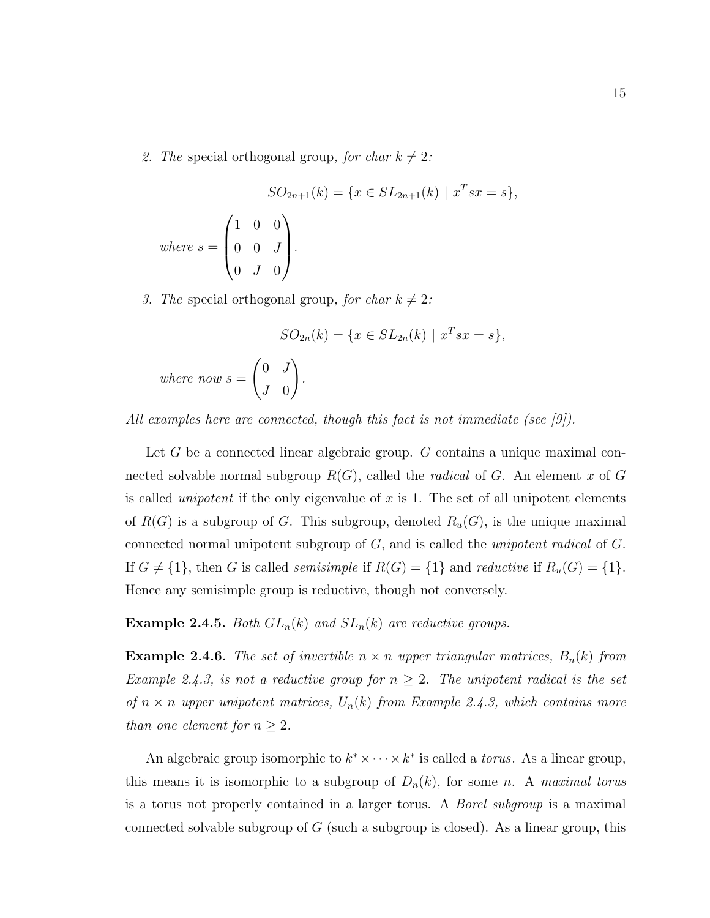2. The special orthogonal group, for char  $k \neq 2$ :

$$
SO_{2n+1}(k) = \{x \in SL_{2n+1}(k) \mid x^T s x = s\},\
$$
  
where  $s = \begin{pmatrix} 1 & 0 & 0 \\ 0 & 0 & J \\ 0 & J & 0 \end{pmatrix}.$ 

3. The special orthogonal group, for char  $k \neq 2$ :

 $where$ 

$$
SO_{2n}(k) = \{x \in SL_{2n}(k) \mid x^T s x = s\},\
$$
  
now 
$$
s = \begin{pmatrix} 0 & J \\ J & 0 \end{pmatrix}.
$$

All examples here are connected, though this fact is not immediate (see [9]).

Let G be a connected linear algebraic group. G contains a unique maximal connected solvable normal subgroup  $R(G)$ , called the *radical* of G. An element x of G is called *unipotent* if the only eigenvalue of x is 1. The set of all unipotent elements of  $R(G)$  is a subgroup of G. This subgroup, denoted  $R_u(G)$ , is the unique maximal connected normal unipotent subgroup of G, and is called the unipotent radical of G. If  $G \neq \{1\}$ , then G is called *semisimple* if  $R(G) = \{1\}$  and *reductive* if  $R_u(G) = \{1\}$ . Hence any semisimple group is reductive, though not conversely.

**Example 2.4.5.** Both  $GL_n(k)$  and  $SL_n(k)$  are reductive groups.

**Example 2.4.6.** The set of invertible  $n \times n$  upper triangular matrices,  $B_n(k)$  from Example 2.4.3, is not a reductive group for  $n \geq 2$ . The unipotent radical is the set of  $n \times n$  upper unipotent matrices,  $U_n(k)$  from Example 2.4.3, which contains more than one element for  $n \geq 2$ .

An algebraic group isomorphic to  $k^* \times \cdots \times k^*$  is called a *torus*. As a linear group, this means it is isomorphic to a subgroup of  $D_n(k)$ , for some n. A maximal torus is a torus not properly contained in a larger torus. A Borel subgroup is a maximal connected solvable subgroup of  $G$  (such a subgroup is closed). As a linear group, this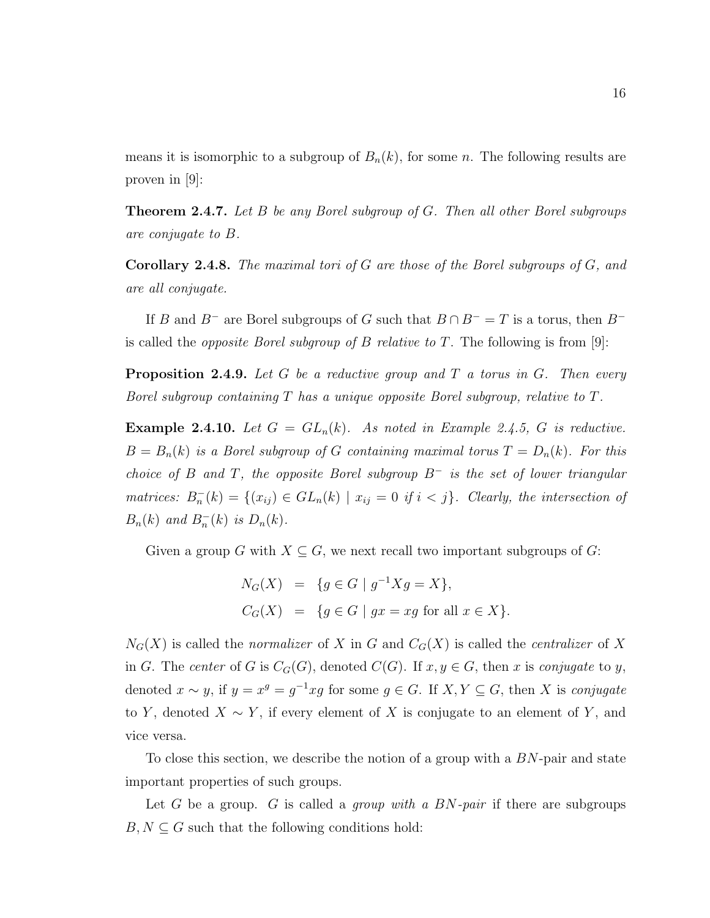means it is isomorphic to a subgroup of  $B_n(k)$ , for some n. The following results are proven in [9]:

**Theorem 2.4.7.** Let B be any Borel subgroup of G. Then all other Borel subgroups are conjugate to B.

**Corollary 2.4.8.** The maximal tori of G are those of the Borel subgroups of  $G$ , and are all conjugate.

If B and B<sup>-</sup> are Borel subgroups of G such that  $B \cap B^- = T$  is a torus, then B<sup>-</sup> is called the *opposite Borel subgroup of B relative to T*. The following is from [9]:

**Proposition 2.4.9.** Let G be a reductive group and T a torus in G. Then every Borel subgroup containing T has a unique opposite Borel subgroup, relative to T.

**Example 2.4.10.** Let  $G = GL_n(k)$ . As noted in Example 2.4.5, G is reductive.  $B = B_n(k)$  is a Borel subgroup of G containing maximal torus  $T = D_n(k)$ . For this choice of B and T, the opposite Borel subgroup  $B^-$  is the set of lower triangular matrices:  $B_n^{-}(k) = \{(x_{ij}) \in GL_n(k) \mid x_{ij} = 0 \text{ if } i < j\}$ . Clearly, the intersection of  $B_n(k)$  and  $B_n^-(k)$  is  $D_n(k)$ .

Given a group G with  $X \subseteq G$ , we next recall two important subgroups of G:

$$
N_G(X) = \{ g \in G \mid g^{-1}Xg = X \},
$$
  
\n
$$
C_G(X) = \{ g \in G \mid gx = xg \text{ for all } x \in X \}.
$$

 $N_G(X)$  is called the *normalizer* of X in G and  $C_G(X)$  is called the *centralizer* of X in G. The center of G is  $C_G(G)$ , denoted  $C(G)$ . If  $x, y \in G$ , then x is conjugate to y, denoted  $x \sim y$ , if  $y = x^g = g^{-1}xg$  for some  $g \in G$ . If  $X, Y \subseteq G$ , then X is conjugate to Y, denoted  $X \sim Y$ , if every element of X is conjugate to an element of Y, and vice versa.

To close this section, we describe the notion of a group with a BN-pair and state important properties of such groups.

Let G be a group. G is called a *group with a BN-pair* if there are subgroups  $B, N \subseteq G$  such that the following conditions hold: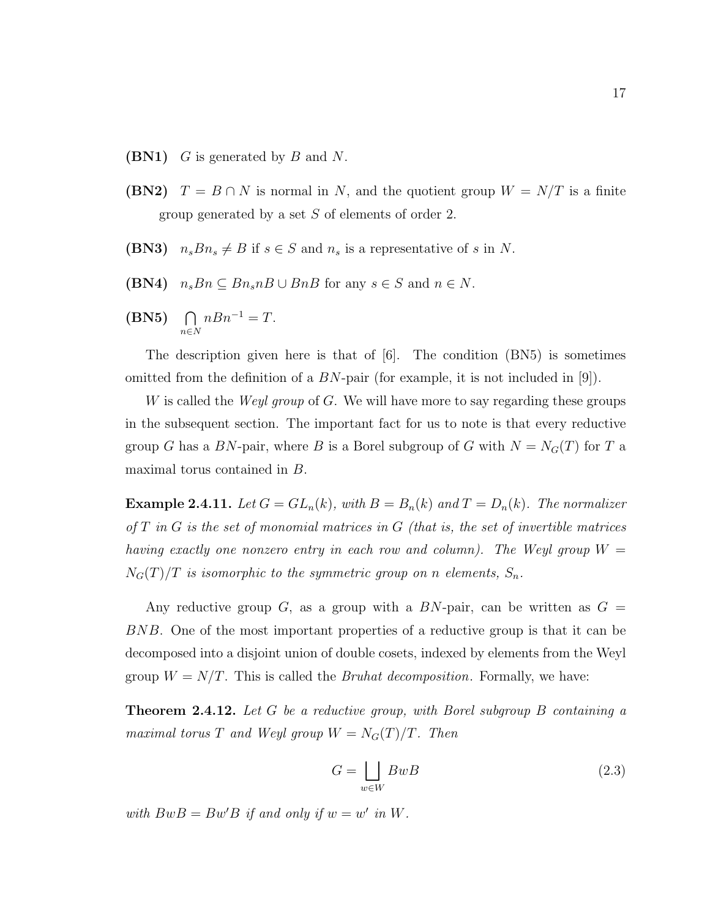- **(BN1)** G is generated by B and N.
- (BN2)  $T = B \cap N$  is normal in N, and the quotient group  $W = N/T$  is a finite group generated by a set S of elements of order 2.
- (BN3)  $n_s B n_s \neq B$  if  $s \in S$  and  $n_s$  is a representative of s in N.
- (BN4)  $n_s B n \subseteq B n_s n B \cup B n B$  for any  $s \in S$  and  $n \in N$ .
- $(BN5)$   $\bigcap$ n∈N  $nBn^{-1} = T.$

The description given here is that of [6]. The condition (BN5) is sometimes omitted from the definition of a  $BN$ -pair (for example, it is not included in [9]).

W is called the *Weyl group* of G. We will have more to say regarding these groups in the subsequent section. The important fact for us to note is that every reductive group G has a BN-pair, where B is a Borel subgroup of G with  $N = N<sub>G</sub>(T)$  for T a maximal torus contained in B.

**Example 2.4.11.** Let  $G = GL_n(k)$ , with  $B = B_n(k)$  and  $T = D_n(k)$ . The normalizer of  $T$  in  $G$  is the set of monomial matrices in  $G$  (that is, the set of invertible matrices having exactly one nonzero entry in each row and column). The Weyl group  $W =$  $N_G(T)/T$  is isomorphic to the symmetric group on n elements,  $S_n$ .

Any reductive group G, as a group with a  $BN$ -pair, can be written as  $G =$ BNB. One of the most important properties of a reductive group is that it can be decomposed into a disjoint union of double cosets, indexed by elements from the Weyl group  $W = N/T$ . This is called the *Bruhat decomposition*. Formally, we have:

**Theorem 2.4.12.** Let G be a reductive group, with Borel subgroup B containing a maximal torus T and Weyl group  $W = N_G(T)/T$ . Then

$$
G = \bigsqcup_{w \in W} BwB \tag{2.3}
$$

with  $BwB = Bw'B$  if and only if  $w = w'$  in W.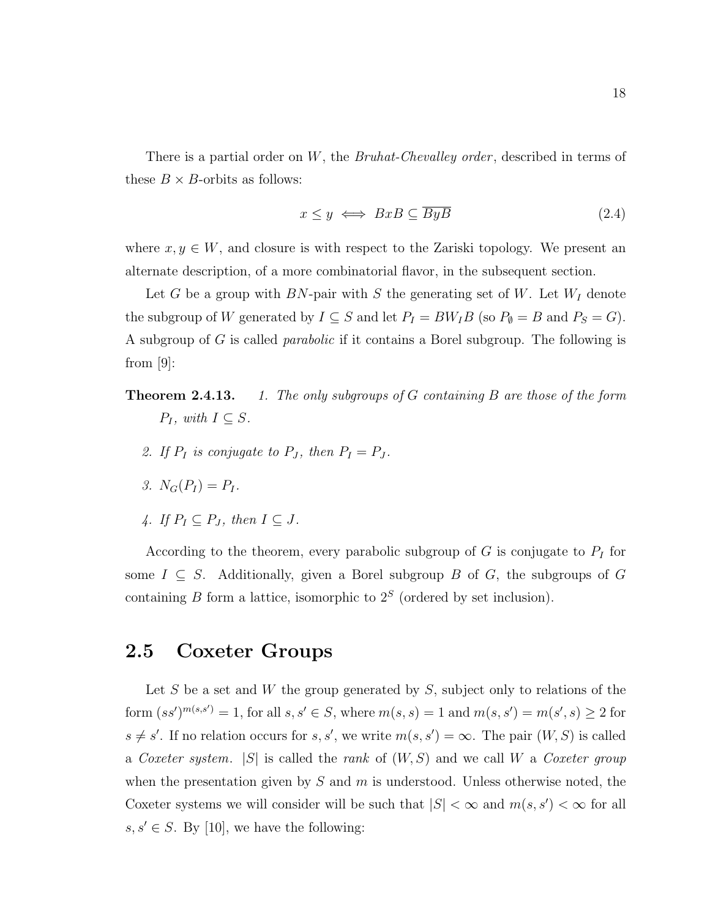There is a partial order on W, the Bruhat-Chevalley order, described in terms of these  $B \times B$ -orbits as follows:

$$
x \le y \iff BxB \subseteq \overline{ByB} \tag{2.4}
$$

where  $x, y \in W$ , and closure is with respect to the Zariski topology. We present an alternate description, of a more combinatorial flavor, in the subsequent section.

Let G be a group with BN-pair with S the generating set of W. Let  $W_I$  denote the subgroup of W generated by  $I \subseteq S$  and let  $P_I = B W_I B$  (so  $P_\emptyset = B$  and  $P_S = G$ ). A subgroup of G is called parabolic if it contains a Borel subgroup. The following is from [9]:

- **Theorem 2.4.13.** 1. The only subgroups of G containing B are those of the form  $P_I$ , with  $I \subseteq S$ .
	- 2. If  $P_I$  is conjugate to  $P_J$ , then  $P_I = P_J$ .
	- 3.  $N_G(P_I) = P_I$ .
	- 4. If  $P_I \subseteq P_J$ , then  $I \subseteq J$ .

According to the theorem, every parabolic subgroup of  $G$  is conjugate to  $P_I$  for some  $I \subseteq S$ . Additionally, given a Borel subgroup B of G, the subgroups of G containing B form a lattice, isomorphic to  $2<sup>S</sup>$  (ordered by set inclusion).

### 2.5 Coxeter Groups

Let S be a set and W the group generated by S, subject only to relations of the form  $(ss')^{m(s,s')} = 1$ , for all  $s, s' \in S$ , where  $m(s, s) = 1$  and  $m(s, s') = m(s', s) \ge 2$  for  $s \neq s'$ . If no relation occurs for s, s', we write  $m(s, s') = \infty$ . The pair  $(W, S)$  is called a Coxeter system.  $|S|$  is called the rank of  $(W, S)$  and we call W a Coxeter group when the presentation given by  $S$  and  $m$  is understood. Unless otherwise noted, the Coxeter systems we will consider will be such that  $|S| < \infty$  and  $m(s, s') < \infty$  for all  $s, s' \in S$ . By [10], we have the following: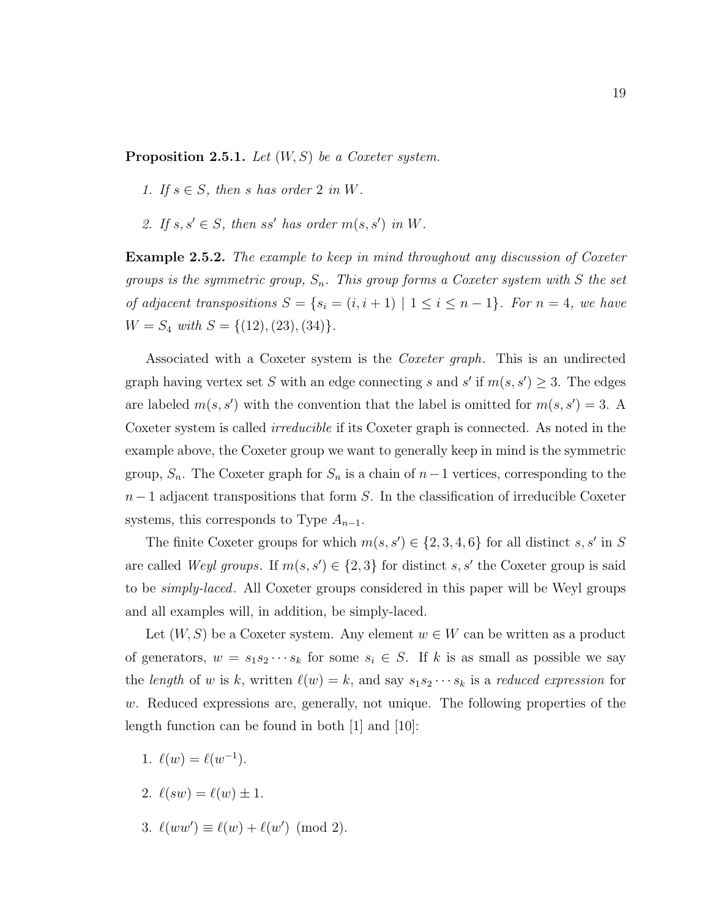**Proposition 2.5.1.** Let  $(W, S)$  be a Coxeter system.

- 1. If  $s \in S$ , then s has order 2 in W.
- 2. If  $s, s' \in S$ , then ss' has order  $m(s, s')$  in W.

**Example 2.5.2.** The example to keep in mind throughout any discussion of Coxeter groups is the symmetric group,  $S_n$ . This group forms a Coxeter system with S the set of adjacent transpositions  $S = \{s_i = (i, i + 1) \mid 1 \le i \le n - 1\}$ . For  $n = 4$ , we have  $W = S_4$  with  $S = \{(12), (23), (34)\}.$ 

Associated with a Coxeter system is the Coxeter graph. This is an undirected graph having vertex set S with an edge connecting s and s' if  $m(s, s') \geq 3$ . The edges are labeled  $m(s, s')$  with the convention that the label is omitted for  $m(s, s') = 3$ . A Coxeter system is called *irreducible* if its Coxeter graph is connected. As noted in the example above, the Coxeter group we want to generally keep in mind is the symmetric group,  $S_n$ . The Coxeter graph for  $S_n$  is a chain of  $n-1$  vertices, corresponding to the  $n-1$  adjacent transpositions that form S. In the classification of irreducible Coxeter systems, this corresponds to Type  $A_{n-1}$ .

The finite Coxeter groups for which  $m(s, s') \in \{2, 3, 4, 6\}$  for all distinct s, s' in S are called Weyl groups. If  $m(s, s') \in \{2, 3\}$  for distinct s, s' the Coxeter group is said to be *simply-laced*. All Coxeter groups considered in this paper will be Weyl groups and all examples will, in addition, be simply-laced.

Let  $(W, S)$  be a Coxeter system. Any element  $w \in W$  can be written as a product of generators,  $w = s_1 s_2 \cdots s_k$  for some  $s_i \in S$ . If k is as small as possible we say the length of w is k, written  $\ell(w) = k$ , and say  $s_1s_2 \cdots s_k$  is a reduced expression for  $w$ . Reduced expressions are, generally, not unique. The following properties of the length function can be found in both [1] and [10]:

- 1.  $\ell(w) = \ell(w^{-1})$ .
- 2.  $\ell(sw) = \ell(w) \pm 1$ .
- 3.  $\ell(ww') \equiv \ell(w) + \ell(w') \pmod{2}$ .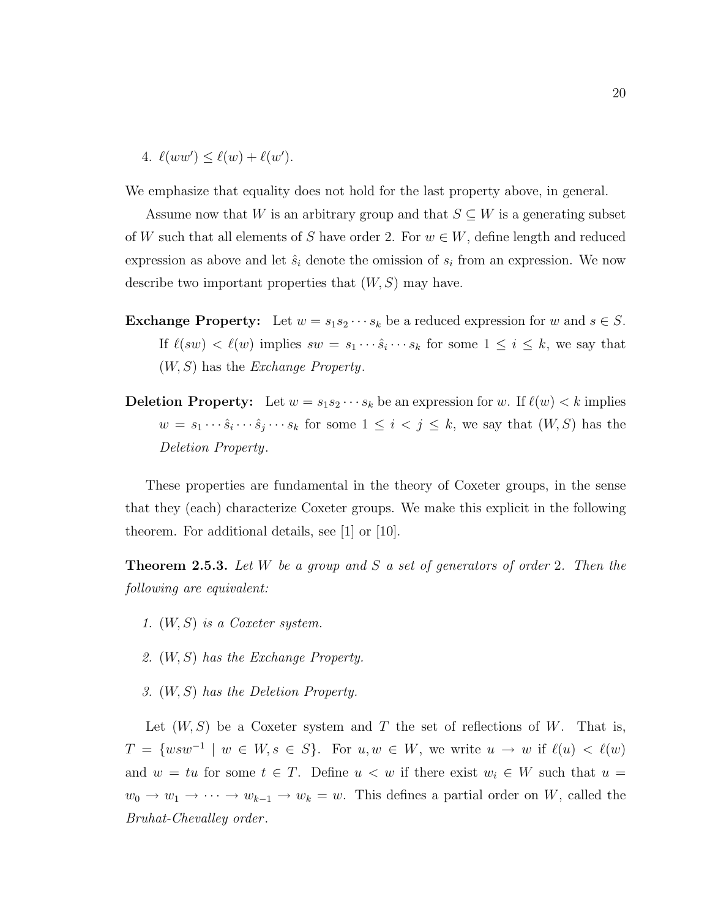4.  $\ell(ww') \leq \ell(w) + \ell(w')$ .

We emphasize that equality does not hold for the last property above, in general.

Assume now that W is an arbitrary group and that  $S \subseteq W$  is a generating subset of W such that all elements of S have order 2. For  $w \in W$ , define length and reduced expression as above and let  $\hat{s}_i$  denote the omission of  $s_i$  from an expression. We now describe two important properties that  $(W, S)$  may have.

- **Exchange Property:** Let  $w = s_1 s_2 \cdots s_k$  be a reduced expression for w and  $s \in S$ . If  $\ell(sw) < \ell(w)$  implies  $sw = s_1 \cdots \hat{s}_i \cdots s_k$  for some  $1 \leq i \leq k$ , we say that  $(W, S)$  has the *Exchange Property*.
- **Deletion Property:** Let  $w = s_1 s_2 \cdots s_k$  be an expression for w. If  $\ell(w) < k$  implies  $w = s_1 \cdots \hat{s}_i \cdots \hat{s}_j \cdots s_k$  for some  $1 \leq i < j \leq k$ , we say that  $(W, S)$  has the Deletion Property.

These properties are fundamental in the theory of Coxeter groups, in the sense that they (each) characterize Coxeter groups. We make this explicit in the following theorem. For additional details, see [1] or [10].

**Theorem 2.5.3.** Let  $W$  be a group and  $S$  a set of generators of order 2. Then the following are equivalent:

- 1. (W, S) is a Coxeter system.
- 2. (W, S) has the Exchange Property.
- 3. (W, S) has the Deletion Property.

Let  $(W, S)$  be a Coxeter system and T the set of reflections of W. That is,  $T = \{ wsw^{-1} \mid w \in W, s \in S \}.$  For  $u, w \in W$ , we write  $u \to w$  if  $\ell(u) < \ell(w)$ and  $w = tu$  for some  $t \in T$ . Define  $u < w$  if there exist  $w_i \in W$  such that  $u =$  $w_0 \to w_1 \to \cdots \to w_{k-1} \to w_k = w$ . This defines a partial order on W, called the Bruhat-Chevalley order .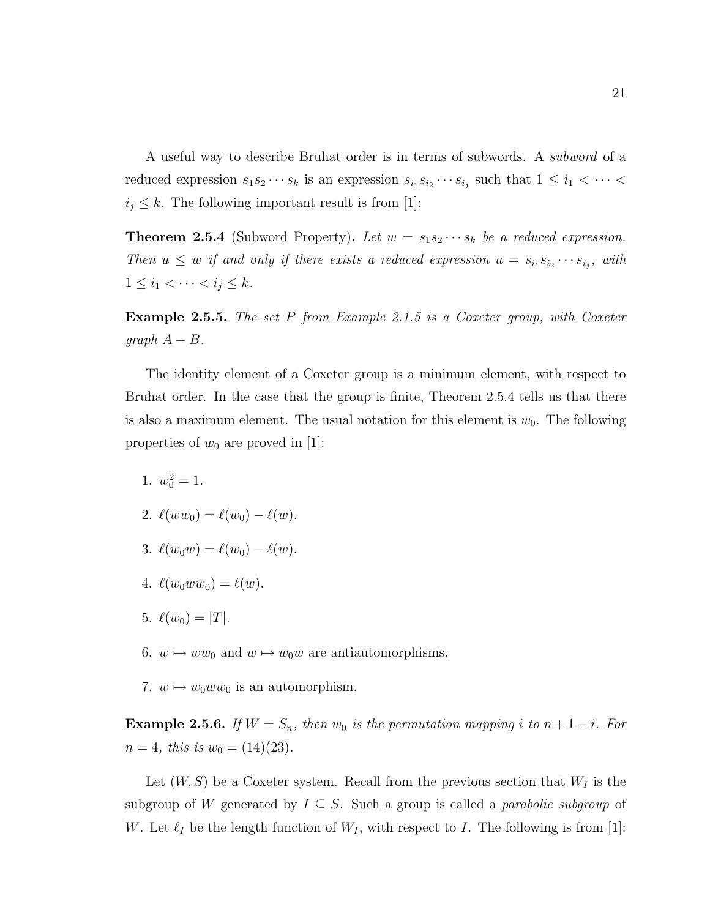A useful way to describe Bruhat order is in terms of subwords. A subword of a reduced expression  $s_1 s_2 \cdots s_k$  is an expression  $s_{i_1} s_{i_2} \cdots s_{i_j}$  such that  $1 \leq i_1 < \cdots <$  $i_j \leq k$ . The following important result is from [1]:

**Theorem 2.5.4** (Subword Property). Let  $w = s_1 s_2 \cdots s_k$  be a reduced expression. Then  $u \leq w$  if and only if there exists a reduced expression  $u = s_{i_1} s_{i_2} \cdots s_{i_j}$ , with  $1 \leq i_1 < \cdots < i_j \leq k$ .

**Example 2.5.5.** The set P from Example 2.1.5 is a Coxeter group, with Coxeter  $graph A - B.$ 

The identity element of a Coxeter group is a minimum element, with respect to Bruhat order. In the case that the group is finite, Theorem 2.5.4 tells us that there is also a maximum element. The usual notation for this element is  $w_0$ . The following properties of  $w_0$  are proved in [1]:

- 1.  $w_0^2 = 1$ .
- 2.  $\ell(ww_0) = \ell(w_0) \ell(w).$
- 3.  $\ell(w_0w) = \ell(w_0) \ell(w).$
- 4.  $\ell(w_0ww_0) = \ell(w)$ .
- 5.  $\ell(w_0) = |T|$ .
- 6.  $w \mapsto ww_0$  and  $w \mapsto w_0w$  are antiautomorphisms.
- 7.  $w \mapsto w_0ww_0$  is an automorphism.

Example 2.5.6. If  $W = S_n$ , then  $w_0$  is the permutation mapping i to  $n + 1 - i$ . For  $n = 4$ , this is  $w_0 = (14)(23)$ .

Let  $(W, S)$  be a Coxeter system. Recall from the previous section that  $W_I$  is the subgroup of W generated by  $I \subseteq S$ . Such a group is called a *parabolic subgroup* of W. Let  $\ell_I$  be the length function of  $W_I$ , with respect to I. The following is from [1]: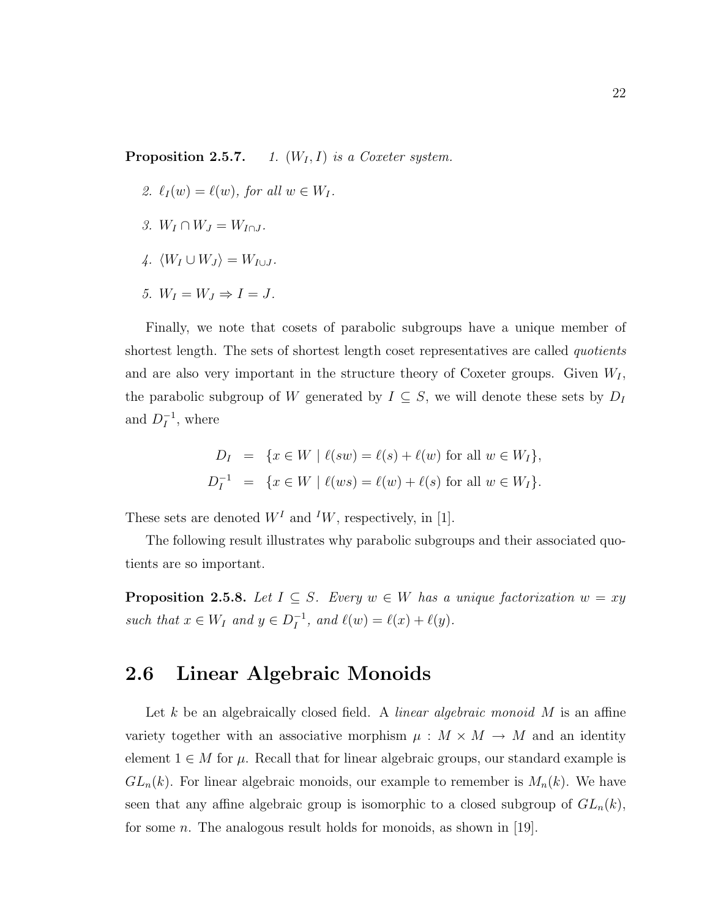**Proposition 2.5.7.** 1.  $(W_I, I)$  is a Coxeter system.

- 2.  $\ell_I (w) = \ell(w)$ , for all  $w \in W_I$ .
- 3.  $W_I \cap W_J = W_{I \cap J}$ .
- $4. \langle W_I \cup W_J \rangle = W_{I \cup J}$ .
- 5.  $W_I = W_J \Rightarrow I = J$ .

Finally, we note that cosets of parabolic subgroups have a unique member of shortest length. The sets of shortest length coset representatives are called *quotients* and are also very important in the structure theory of Coxeter groups. Given  $W_I$ , the parabolic subgroup of W generated by  $I \subseteq S$ , we will denote these sets by  $D_I$ and  $D_I^{-1}$  $I$ , where

$$
D_I = \{x \in W \mid \ell(sw) = \ell(s) + \ell(w) \text{ for all } w \in W_I\},
$$
  

$$
D_I^{-1} = \{x \in W \mid \ell(ws) = \ell(w) + \ell(s) \text{ for all } w \in W_I\}.
$$

These sets are denoted  $W<sup>I</sup>$  and  $<sup>I</sup>W$ , respectively, in [1].</sup>

The following result illustrates why parabolic subgroups and their associated quotients are so important.

**Proposition 2.5.8.** Let  $I \subseteq S$ . Every  $w \in W$  has a unique factorization  $w = xy$ such that  $x \in W_I$  and  $y \in D_I^{-1}$  $I_I^{-1}$ , and  $\ell(w) = \ell(x) + \ell(y)$ .

### 2.6 Linear Algebraic Monoids

Let  $k$  be an algebraically closed field. A *linear algebraic monoid*  $M$  is an affine variety together with an associative morphism  $\mu : M \times M \rightarrow M$  and an identity element  $1 \in M$  for  $\mu$ . Recall that for linear algebraic groups, our standard example is  $GL_n(k)$ . For linear algebraic monoids, our example to remember is  $M_n(k)$ . We have seen that any affine algebraic group is isomorphic to a closed subgroup of  $GL_n(k)$ , for some *n*. The analogous result holds for monoids, as shown in [19].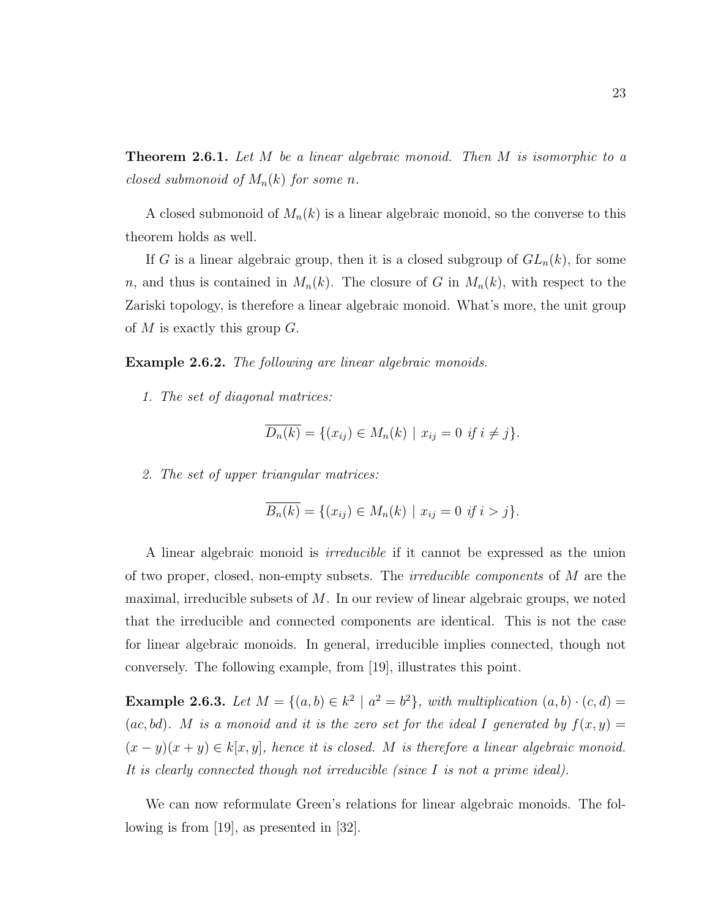**Theorem 2.6.1.** Let M be a linear algebraic monoid. Then M is isomorphic to a closed submonoid of  $M_n(k)$  for some n.

A closed submonoid of  $M_n(k)$  is a linear algebraic monoid, so the converse to this theorem holds as well.

If G is a linear algebraic group, then it is a closed subgroup of  $GL_n(k)$ , for some n, and thus is contained in  $M_n(k)$ . The closure of G in  $M_n(k)$ , with respect to the Zariski topology, is therefore a linear algebraic monoid. What's more, the unit group of M is exactly this group  $G$ .

**Example 2.6.2.** The following are linear algebraic monoids.

1. The set of diagonal matrices:

$$
\overline{D_n(k)} = \{ (x_{ij}) \in M_n(k) \mid x_{ij} = 0 \text{ if } i \neq j \}.
$$

2. The set of upper triangular matrices:

$$
\overline{B_n(k)} = \{ (x_{ij}) \in M_n(k) \mid x_{ij} = 0 \text{ if } i > j \}.
$$

A linear algebraic monoid is irreducible if it cannot be expressed as the union of two proper, closed, non-empty subsets. The *irreducible components* of  $M$  are the maximal, irreducible subsets of  $M$ . In our review of linear algebraic groups, we noted that the irreducible and connected components are identical. This is not the case for linear algebraic monoids. In general, irreducible implies connected, though not conversely. The following example, from [19], illustrates this point.

**Example 2.6.3.** Let  $M = \{(a, b) \in k^2 \mid a^2 = b^2\}$ , with multiplication  $(a, b) \cdot (c, d) =$ (ac, bd). M is a monoid and it is the zero set for the ideal I generated by  $f(x, y) =$  $(x - y)(x + y) \in k[x, y]$ , hence it is closed. M is therefore a linear algebraic monoid. It is clearly connected though not irreducible (since I is not a prime ideal).

We can now reformulate Green's relations for linear algebraic monoids. The following is from [19], as presented in [32].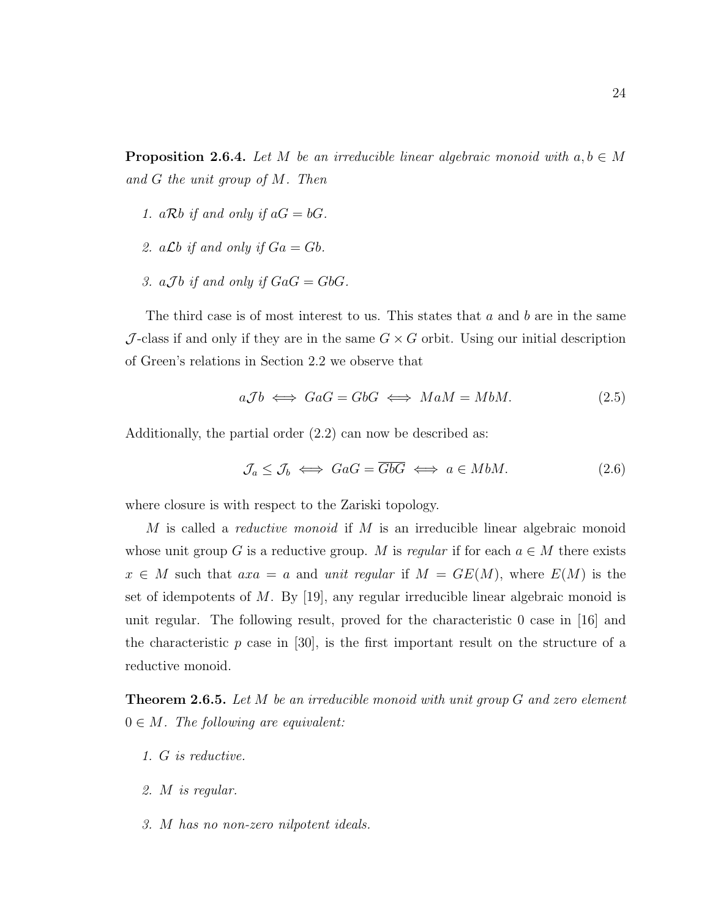**Proposition 2.6.4.** Let M be an irreducible linear algebraic monoid with  $a, b \in M$ and G the unit group of M. Then

- 1. aRb if and only if  $aG = bG$ .
- 2. a  $\mathcal{L}b$  if and only if  $Ga = Gb$ .
- 3. a.7b if and only if  $GaG = GbG$ .

The third case is of most interest to us. This states that  $a$  and  $b$  are in the same J-class if and only if they are in the same  $G \times G$  orbit. Using our initial description of Green's relations in Section 2.2 we observe that

$$
a\mathcal{J}b \iff \mathcal{G}aG = \mathcal{G}bG \iff \mathcal{M}aM = \mathcal{M}bM. \tag{2.5}
$$

Additionally, the partial order (2.2) can now be described as:

$$
\mathcal{J}_a \le \mathcal{J}_b \iff \text{GaG} = \overline{\text{GbG}} \iff a \in M bM. \tag{2.6}
$$

where closure is with respect to the Zariski topology.

M is called a *reductive monoid* if M is an irreducible linear algebraic monoid whose unit group G is a reductive group. M is regular if for each  $a \in M$  there exists  $x \in M$  such that  $axa = a$  and unit regular if  $M = GE(M)$ , where  $E(M)$  is the set of idempotents of M. By [19], any regular irreducible linear algebraic monoid is unit regular. The following result, proved for the characteristic 0 case in [16] and the characteristic  $p$  case in [30], is the first important result on the structure of a reductive monoid.

**Theorem 2.6.5.** Let M be an irreducible monoid with unit group G and zero element  $0 \in M$ . The following are equivalent:

- 1. G is reductive.
- 2. M is regular.
- 3. M has no non-zero nilpotent ideals.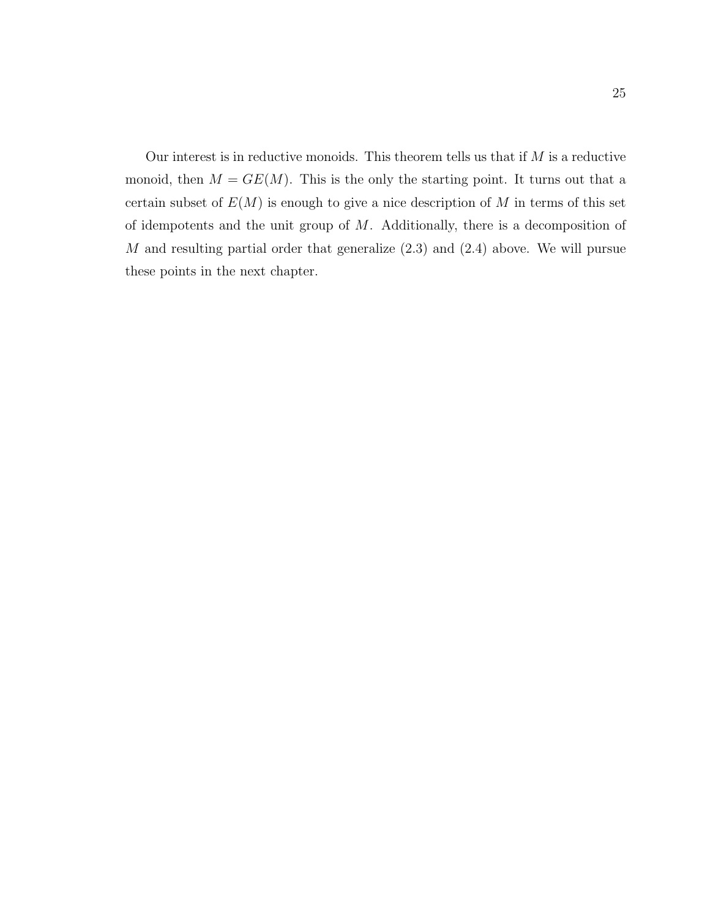Our interest is in reductive monoids. This theorem tells us that if  $M$  is a reductive monoid, then  $M = GE(M)$ . This is the only the starting point. It turns out that a certain subset of  $E(M)$  is enough to give a nice description of M in terms of this set of idempotents and the unit group of  $M$ . Additionally, there is a decomposition of M and resulting partial order that generalize (2.3) and (2.4) above. We will pursue these points in the next chapter.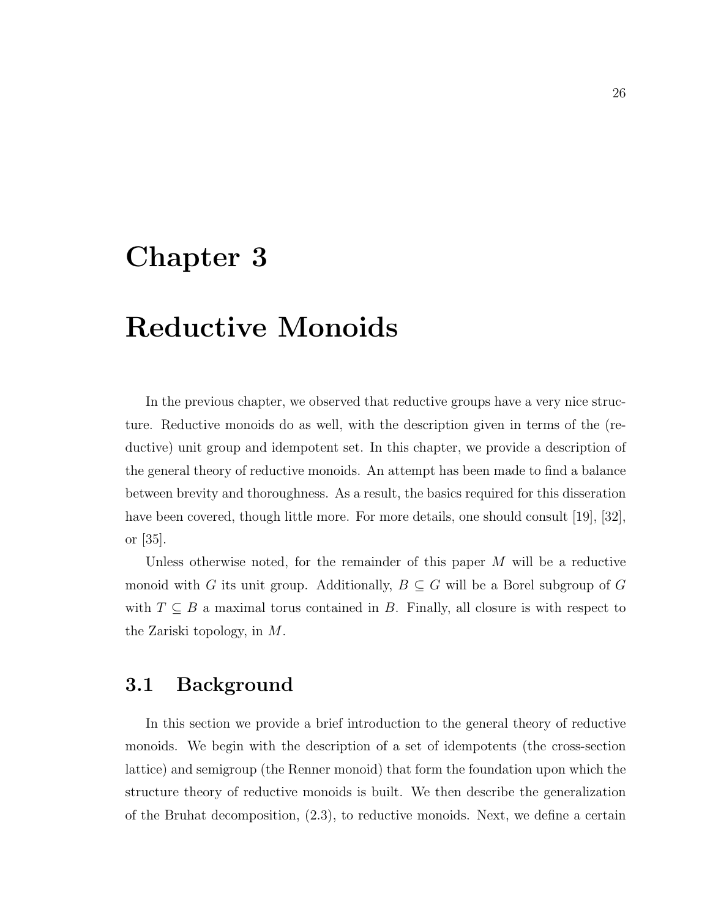## Chapter 3

# Reductive Monoids

In the previous chapter, we observed that reductive groups have a very nice structure. Reductive monoids do as well, with the description given in terms of the (reductive) unit group and idempotent set. In this chapter, we provide a description of the general theory of reductive monoids. An attempt has been made to find a balance between brevity and thoroughness. As a result, the basics required for this disseration have been covered, though little more. For more details, one should consult [19], [32], or [35].

Unless otherwise noted, for the remainder of this paper  $M$  will be a reductive monoid with G its unit group. Additionally,  $B \subseteq G$  will be a Borel subgroup of G with  $T \subseteq B$  a maximal torus contained in B. Finally, all closure is with respect to the Zariski topology, in M.

### 3.1 Background

In this section we provide a brief introduction to the general theory of reductive monoids. We begin with the description of a set of idempotents (the cross-section lattice) and semigroup (the Renner monoid) that form the foundation upon which the structure theory of reductive monoids is built. We then describe the generalization of the Bruhat decomposition, (2.3), to reductive monoids. Next, we define a certain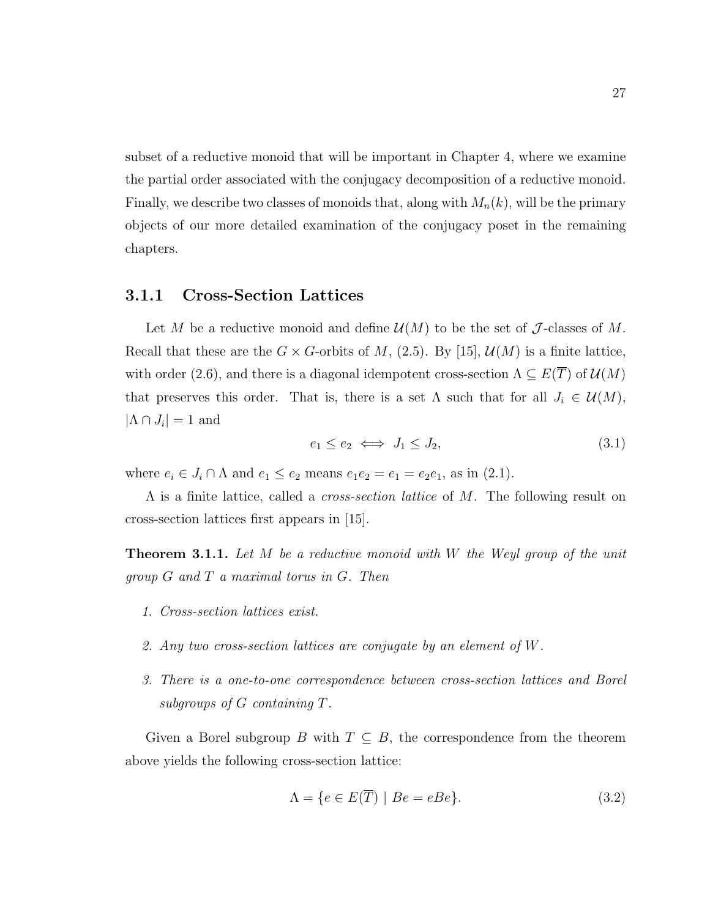subset of a reductive monoid that will be important in Chapter 4, where we examine the partial order associated with the conjugacy decomposition of a reductive monoid. Finally, we describe two classes of monoids that, along with  $M_n(k)$ , will be the primary objects of our more detailed examination of the conjugacy poset in the remaining chapters.

#### 3.1.1 Cross-Section Lattices

Let M be a reductive monoid and define  $\mathcal{U}(M)$  to be the set of J-classes of M. Recall that these are the  $G \times G$ -orbits of M, (2.5). By [15],  $\mathcal{U}(M)$  is a finite lattice, with order (2.6), and there is a diagonal idempotent cross-section  $\Lambda \subseteq E(\overline{T})$  of  $\mathcal{U}(M)$ that preserves this order. That is, there is a set  $\Lambda$  such that for all  $J_i \in \mathcal{U}(M)$ ,  $|\Lambda \cap J_i| = 1$  and

$$
e_1 \le e_2 \iff J_1 \le J_2,\tag{3.1}
$$

where  $e_i \in J_i \cap \Lambda$  and  $e_1 \le e_2$  means  $e_1e_2 = e_1 = e_2e_1$ , as in (2.1).

Λ is a finite lattice, called a cross-section lattice of M. The following result on cross-section lattices first appears in [15].

**Theorem 3.1.1.** Let  $M$  be a reductive monoid with  $W$  the Weyl group of the unit group G and T a maximal torus in G. Then

- 1. Cross-section lattices exist.
- 2. Any two cross-section lattices are conjugate by an element of W.
- 3. There is a one-to-one correspondence between cross-section lattices and Borel subgroups of G containing T.

Given a Borel subgroup B with  $T \subseteq B$ , the correspondence from the theorem above yields the following cross-section lattice:

$$
\Lambda = \{ e \in E(\overline{T}) \mid Be = eBe \}. \tag{3.2}
$$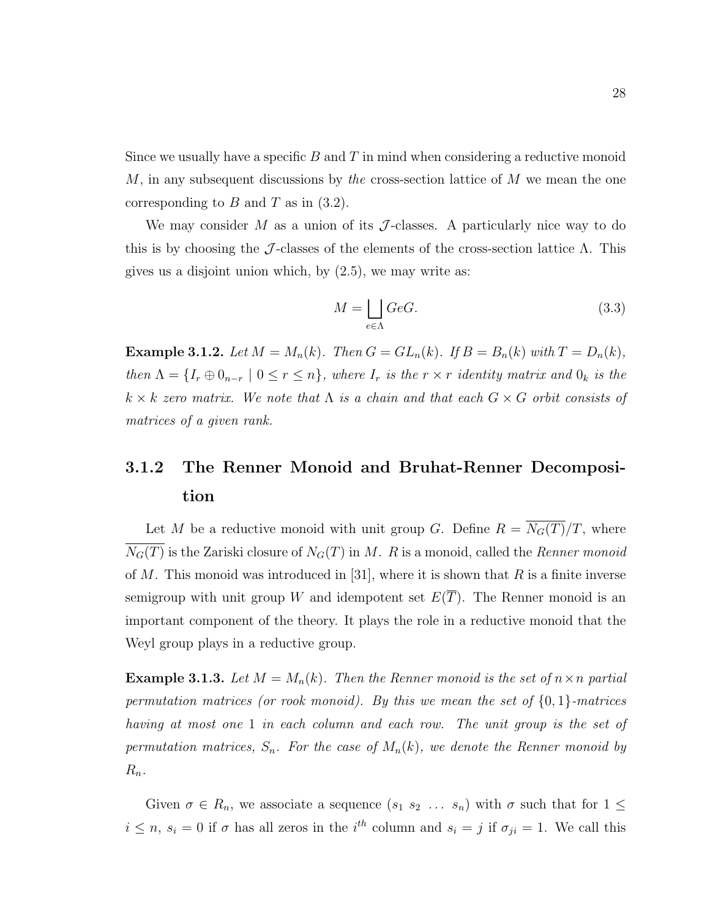Since we usually have a specific  $B$  and  $T$  in mind when considering a reductive monoid  $M$ , in any subsequent discussions by the cross-section lattice of  $M$  we mean the one corresponding to  $B$  and  $T$  as in  $(3.2)$ .

We may consider M as a union of its  $\mathcal J$ -classes. A particularly nice way to do this is by choosing the J-classes of the elements of the cross-section lattice  $\Lambda$ . This gives us a disjoint union which, by (2.5), we may write as:

$$
M = \bigsqcup_{e \in \Lambda} GeG. \tag{3.3}
$$

**Example 3.1.2.** Let  $M = M_n(k)$ . Then  $G = GL_n(k)$ . If  $B = B_n(k)$  with  $T = D_n(k)$ , then  $\Lambda = \{I_r \oplus 0_{n-r} \mid 0 \leq r \leq n\}$ , where  $I_r$  is the  $r \times r$  identity matrix and  $0_k$  is the  $k \times k$  zero matrix. We note that  $\Lambda$  is a chain and that each  $G \times G$  orbit consists of matrices of a given rank.

# 3.1.2 The Renner Monoid and Bruhat-Renner Decomposition

Let M be a reductive monoid with unit group G. Define  $R = \overline{N_G(T)}/T$ , where  $N_G(T)$  is the Zariski closure of  $N_G(T)$  in M. R is a monoid, called the Renner monoid of M. This monoid was introduced in [31], where it is shown that  $R$  is a finite inverse semigroup with unit group W and idempotent set  $E(\overline{T})$ . The Renner monoid is an important component of the theory. It plays the role in a reductive monoid that the Weyl group plays in a reductive group.

**Example 3.1.3.** Let  $M = M_n(k)$ . Then the Renner monoid is the set of  $n \times n$  partial permutation matrices (or rook monoid). By this we mean the set of  $\{0,1\}$ -matrices having at most one 1 in each column and each row. The unit group is the set of permutation matrices,  $S_n$ . For the case of  $M_n(k)$ , we denote the Renner monoid by  $R_n$ .

Given  $\sigma \in R_n$ , we associate a sequence  $(s_1, s_2, \ldots, s_n)$  with  $\sigma$  such that for  $1 \leq$  $i \leq n, s_i = 0$  if  $\sigma$  has all zeros in the i<sup>th</sup> column and  $s_i = j$  if  $\sigma_{ji} = 1$ . We call this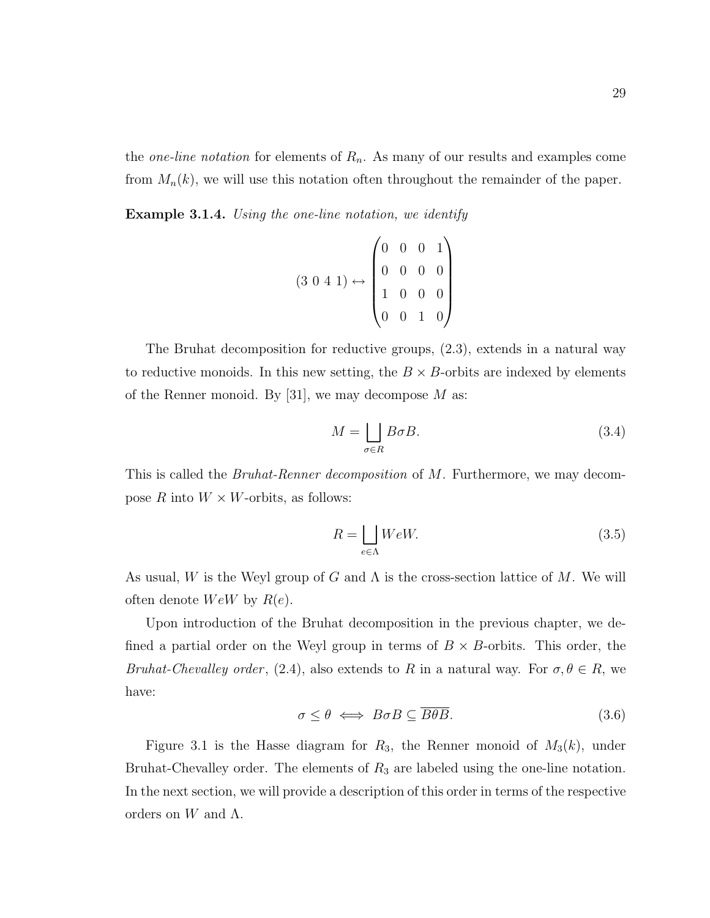the *one-line notation* for elements of  $R_n$ . As many of our results and examples come from  $M_n(k)$ , we will use this notation often throughout the remainder of the paper.

**Example 3.1.4.** Using the one-line notation, we identify

$$
(3\ 0\ 4\ 1) \leftrightarrow \begin{pmatrix} 0 & 0 & 0 & 1 \\ 0 & 0 & 0 & 0 \\ 1 & 0 & 0 & 0 \\ 0 & 0 & 1 & 0 \end{pmatrix}
$$

The Bruhat decomposition for reductive groups, (2.3), extends in a natural way to reductive monoids. In this new setting, the  $B \times B$ -orbits are indexed by elements of the Renner monoid. By [31], we may decompose  $M$  as:

$$
M = \bigsqcup_{\sigma \in R} B\sigma B. \tag{3.4}
$$

This is called the *Bruhat-Renner decomposition* of M. Furthermore, we may decompose R into  $W \times W$ -orbits, as follows:

$$
R = \bigsqcup_{e \in \Lambda} WeW. \tag{3.5}
$$

As usual, W is the Weyl group of G and  $\Lambda$  is the cross-section lattice of M. We will often denote  $WeW$  by  $R(e)$ .

Upon introduction of the Bruhat decomposition in the previous chapter, we defined a partial order on the Weyl group in terms of  $B \times B$ -orbits. This order, the Bruhat-Chevalley order, (2.4), also extends to R in a natural way. For  $\sigma, \theta \in R$ , we have:

$$
\sigma \le \theta \iff B \sigma B \subseteq \overline{B\theta B}.\tag{3.6}
$$

Figure 3.1 is the Hasse diagram for  $R_3$ , the Renner monoid of  $M_3(k)$ , under Bruhat-Chevalley order. The elements of  $R_3$  are labeled using the one-line notation. In the next section, we will provide a description of this order in terms of the respective orders on  $W$  and  $\Lambda$ .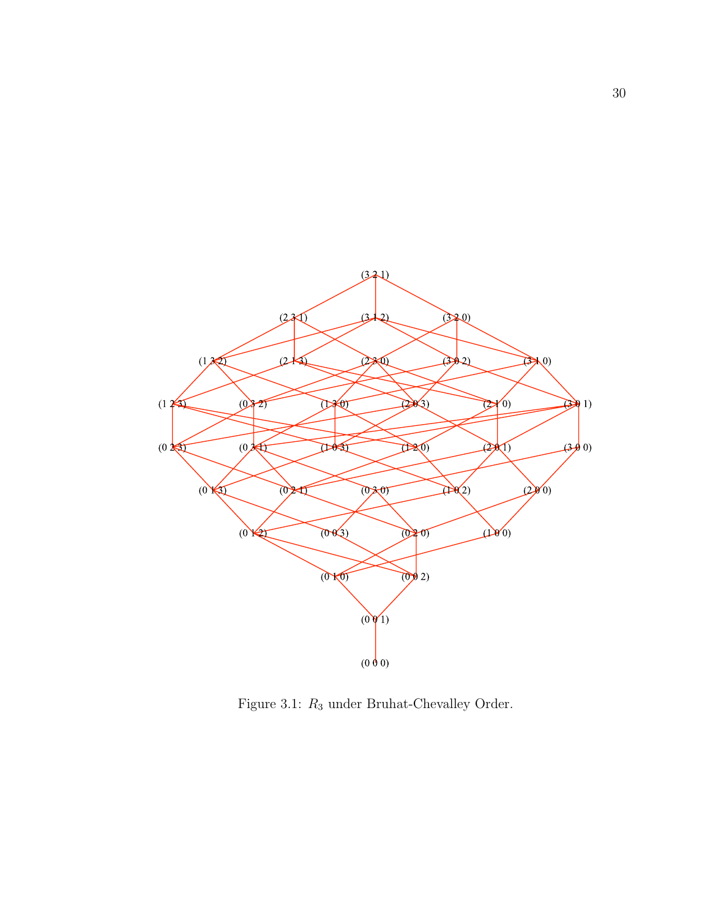

Figure 3.1:  $R_3$  under Bruhat-Chevalley Order.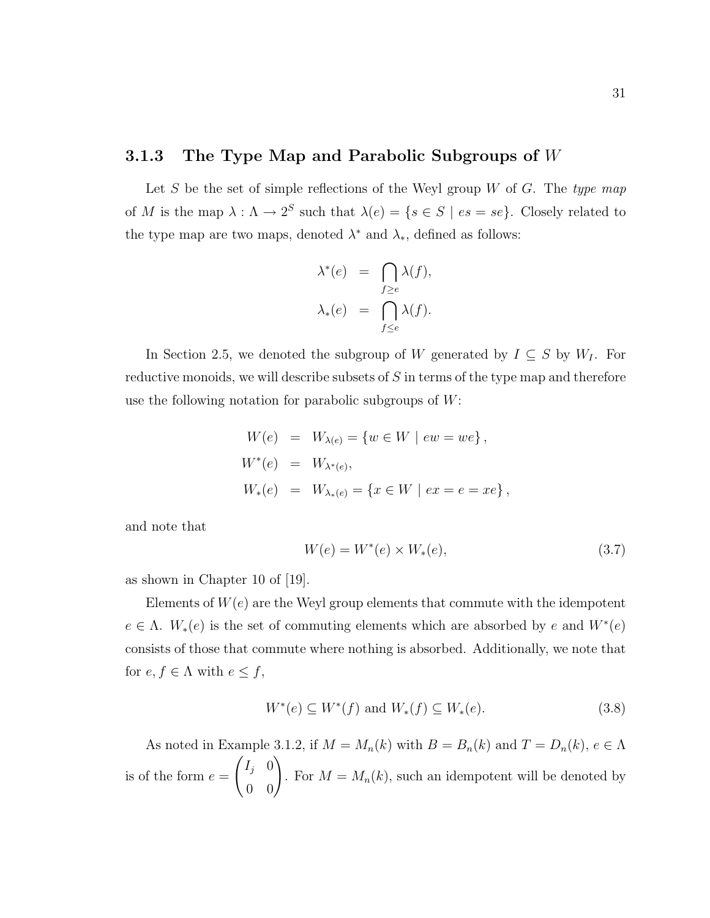#### 3.1.3 The Type Map and Parabolic Subgroups of  $W$

Let S be the set of simple reflections of the Weyl group  $W$  of  $G$ . The type map of M is the map  $\lambda : \Lambda \to 2^S$  such that  $\lambda(e) = \{s \in S \mid es = se\}$ . Closely related to the type map are two maps, denoted  $\lambda^*$  and  $\lambda_*$ , defined as follows:

$$
\lambda^*(e) = \bigcap_{f \ge e} \lambda(f),
$$
  

$$
\lambda_*(e) = \bigcap_{f \le e} \lambda(f).
$$

In Section 2.5, we denoted the subgroup of W generated by  $I \subseteq S$  by  $W_I$ . For reductive monoids, we will describe subsets of S in terms of the type map and therefore use the following notation for parabolic subgroups of  $W$ :

$$
W(e) = W_{\lambda(e)} = \{w \in W \mid ew = we\},
$$
  
\n
$$
W^*(e) = W_{\lambda^*(e)},
$$
  
\n
$$
W_*(e) = W_{\lambda^*(e)} = \{x \in W \mid ex = e = xe\},
$$

and note that

$$
W(e) = W^*(e) \times W_*(e),
$$
\n(3.7)

as shown in Chapter 10 of [19].

Elements of  $W(e)$  are the Weyl group elements that commute with the idempotent  $e \in \Lambda$ .  $W_*(e)$  is the set of commuting elements which are absorbed by e and  $W^*(e)$ consists of those that commute where nothing is absorbed. Additionally, we note that for  $e, f \in \Lambda$  with  $e \leq f$ ,

$$
W^*(e) \subseteq W^*(f)
$$
 and  $W_*(f) \subseteq W_*(e)$ . (3.8)

As noted in Example 3.1.2, if  $M = M_n(k)$  with  $B = B_n(k)$  and  $T = D_n(k)$ ,  $e \in \Lambda$ is of the form  $e =$  $\begin{pmatrix} I_j & 0 \\ 0 & 0 \end{pmatrix}$ . For  $M = M_n(k)$ , such an idempotent will be denoted by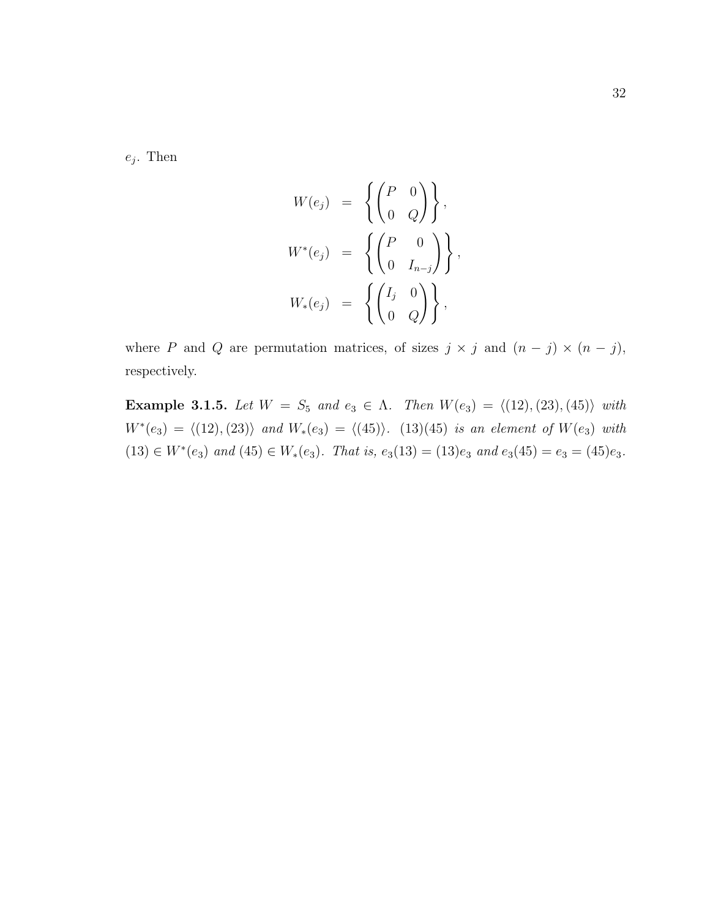$e_j$ . Then

$$
W(e_j) = \left\{ \begin{pmatrix} P & 0 \\ 0 & Q \end{pmatrix} \right\},
$$
  

$$
W^*(e_j) = \left\{ \begin{pmatrix} P & 0 \\ 0 & I_{n-j} \end{pmatrix} \right\},
$$
  

$$
W_*(e_j) = \left\{ \begin{pmatrix} I_j & 0 \\ 0 & Q \end{pmatrix} \right\},
$$

where P and Q are permutation matrices, of sizes  $j \times j$  and  $(n - j) \times (n - j)$ , respectively.

Example 3.1.5. Let  $W = S_5$  and  $e_3 \in \Lambda$ . Then  $W(e_3) = \langle (12), (23), (45) \rangle$  with  $W^*(e_3) = \langle (12), (23) \rangle$  and  $W_*(e_3) = \langle (45) \rangle$ . (13)(45) is an element of  $W(e_3)$  with  $(13) \in W^*(e_3)$  and  $(45) \in W_*(e_3)$ . That is,  $e_3(13) = (13)e_3$  and  $e_3(45) = e_3 = (45)e_3$ .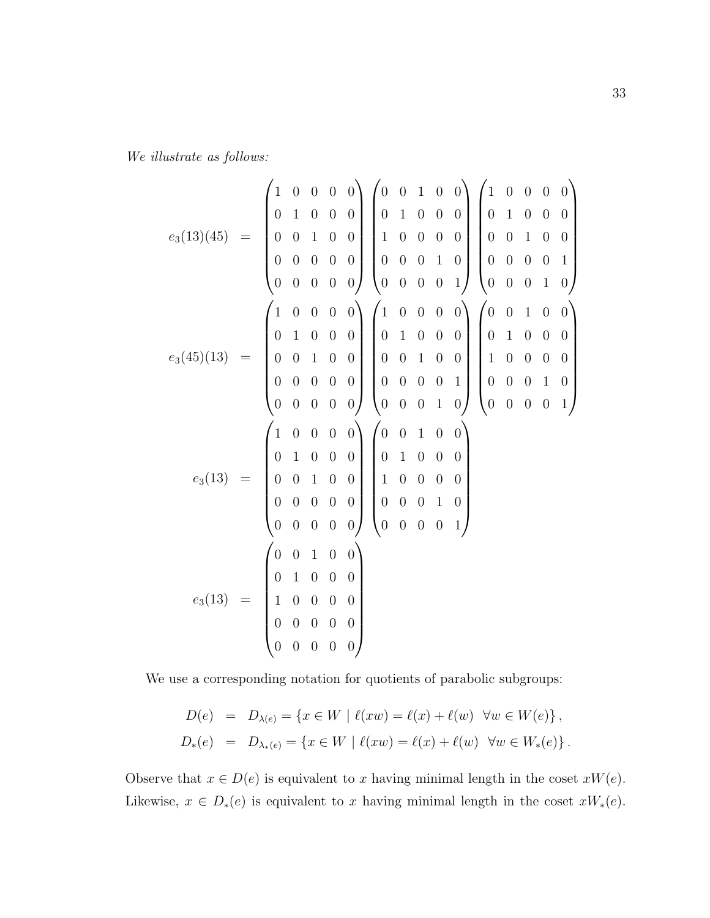$$
e_3(13)(45) = \begin{pmatrix} 1 & 0 & 0 & 0 & 0 \\ 0 & 1 & 0 & 0 & 0 \\ 0 & 0 & 1 & 0 & 0 \\ 0 & 0 & 0 & 0 & 0 \\ 0 & 0 & 0 & 0 & 0 \\ 0 & 0 & 0 & 0 & 0 \\ 0 & 0 & 0 & 0 & 0 \\ 0 & 0 & 0 & 0 & 0 \\ 0 & 0 & 0 & 0 & 0 \\ 0 & 0 & 0 & 0 & 0 \\ 0 & 0 & 0 & 0 & 0 \\ 0 & 0 & 0 & 0 & 0 \\ 0 & 0 & 0 & 0 & 0 \\ 0 & 0 & 0 & 0 & 0 \\ 0 & 0 & 0 & 0 & 0 \\ 0 & 0 & 0 & 0 & 0 \\ 0 & 0 & 0 & 0 & 0 \\ 0 & 0 & 0 & 0 & 0 \\ 0 & 0 & 0 & 0 & 0 \\ 0 & 0 & 0 & 0 & 0 \\ 0 & 0 & 0 & 0 & 0 \\ 0 & 0 & 0 & 0 & 0 \\ 0 & 0 & 0 & 0 & 0 \\ 0 & 0 & 0 & 0 & 0 \\ 0 & 0 & 0 & 0 & 0 \\ 0 & 0 & 0 & 0 & 0 \\ 0 & 0 & 0 & 0 & 0 \\ 0 & 0 & 0 & 0 & 0 \\ 0 & 0 & 0 & 0 & 0 \\ 0 & 0 & 0 & 0 & 0 \\ 0 & 0 & 0 & 0 & 0 \\ 0 & 0 & 0 & 0 & 0 \\ 0 & 0 & 0 & 0 & 0 \\ 0 & 0 & 0 & 0 & 0 \\ 0 & 0 & 0 & 0 & 0 \\ 0 & 0 & 0 & 0 & 0 \\ 0 & 0 & 0 & 0 & 0 \\ 0 & 0 & 0 & 0 & 0 \\ 0 & 0 & 0 & 0 & 0 \\ 0 & 0 & 0 & 0 & 0 \\ 0 & 0 & 0 & 0 & 0 \\ 0 & 0 & 0 & 0 & 0 \\ 0 & 0 & 0 & 0 & 0 \\ 0 & 0 & 0 & 0 & 0 \\ 0 & 0 & 0 & 0 & 0 \\ 0 & 0 & 0 & 0 & 0 \\ 0 & 0 & 0 & 0 & 0 \\ 0 & 0 & 0 & 0 & 0 \\ 0 & 0 & 0 & 0 & 0 \\ 0 & 0 &
$$

We use a corresponding notation for quotients of parabolic subgroups:

$$
D(e) = D_{\lambda(e)} = \{x \in W \mid \ell(xw) = \ell(x) + \ell(w) \quad \forall w \in W(e)\},
$$
  

$$
D_*(e) = D_{\lambda_*(e)} = \{x \in W \mid \ell(xw) = \ell(x) + \ell(w) \quad \forall w \in W_*(e)\}.
$$

Observe that  $x \in D(e)$  is equivalent to x having minimal length in the coset  $xW(e)$ . Likewise,  $x \in D_*(e)$  is equivalent to x having minimal length in the coset  $xW_*(e)$ .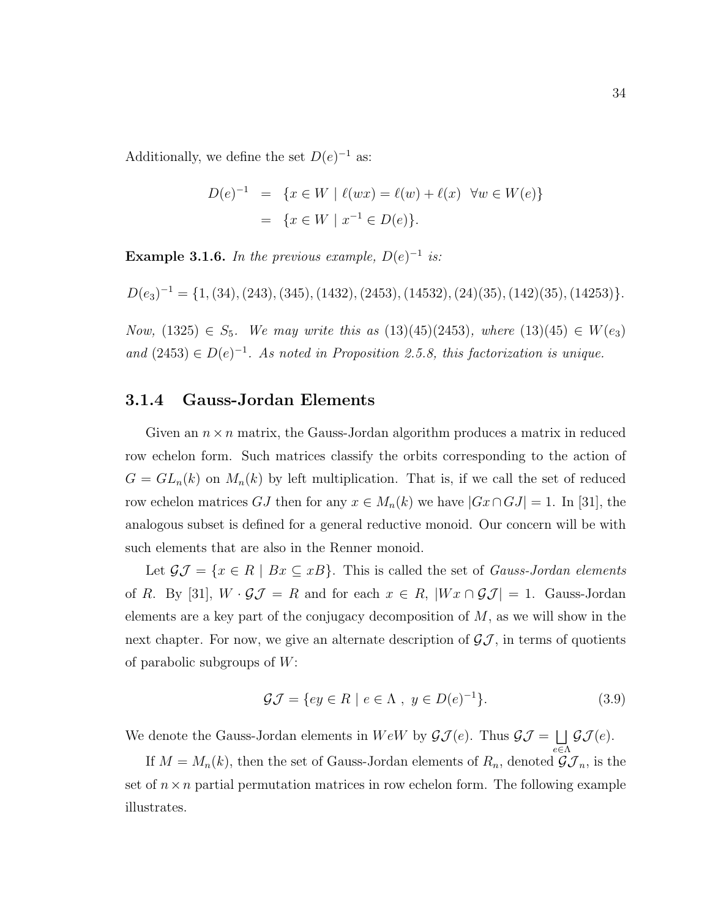Additionally, we define the set  $D(e)^{-1}$  as:

$$
D(e)^{-1} = \{ x \in W \mid \ell(wx) = \ell(w) + \ell(x) \quad \forall w \in W(e) \}
$$
  
=  $\{ x \in W \mid x^{-1} \in D(e) \}.$ 

**Example 3.1.6.** In the previous example,  $D(e)^{-1}$  is:

$$
D(e_3)^{-1} = \{1, (34), (243), (345), (1432), (2453), (14532), (24)(35), (142)(35), (14253)\}.
$$

Now, (1325) ∈  $S_5$ . We may write this as (13)(45)(2453), where (13)(45) ∈ W(e<sub>3</sub>) and  $(2453) \in D(e)^{-1}$ . As noted in Proposition 2.5.8, this factorization is unique.

#### 3.1.4 Gauss-Jordan Elements

Given an  $n \times n$  matrix, the Gauss-Jordan algorithm produces a matrix in reduced row echelon form. Such matrices classify the orbits corresponding to the action of  $G = GL_n(k)$  on  $M_n(k)$  by left multiplication. That is, if we call the set of reduced row echelon matrices GJ then for any  $x \in M_n(k)$  we have  $|Gx \cap GJ| = 1$ . In [31], the analogous subset is defined for a general reductive monoid. Our concern will be with such elements that are also in the Renner monoid.

Let  $\mathcal{GJ} = \{x \in R \mid Bx \subseteq xB\}$ . This is called the set of *Gauss-Jordan elements* of R. By [31],  $W \cdot \mathcal{GI} = R$  and for each  $x \in R$ ,  $|Wx \cap \mathcal{GI}| = 1$ . Gauss-Jordan elements are a key part of the conjugacy decomposition of  $M$ , as we will show in the next chapter. For now, we give an alternate description of  $\mathcal{GI}$ , in terms of quotients of parabolic subgroups of  $W$ :

$$
\mathcal{GI} = \{ey \in R \mid e \in \Lambda, y \in D(e)^{-1}\}.
$$
\n(3.9)

 $e \in \Lambda$ 

We denote the Gauss-Jordan elements in  $WeW$  by  $\mathcal{GI}(e)$ . Thus  $\mathcal{GI} = \Box$  $\mathcal{GJ}(e).$ 

If  $M = M_n(k)$ , then the set of Gauss-Jordan elements of  $R_n$ , denoted  $\mathcal{GI}_n$ , is the set of  $n \times n$  partial permutation matrices in row echelon form. The following example illustrates.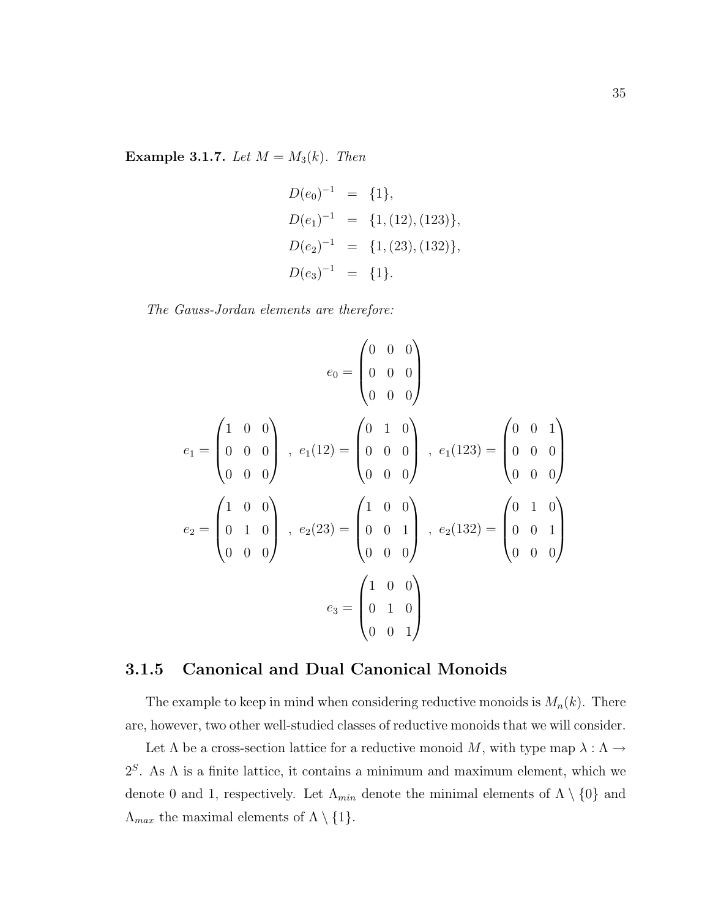Example 3.1.7. Let  $M = M_3(k)$ . Then

$$
D(e_0)^{-1} = \{1\},
$$
  
\n
$$
D(e_1)^{-1} = \{1, (12), (123)\},
$$
  
\n
$$
D(e_2)^{-1} = \{1, (23), (132)\},
$$
  
\n
$$
D(e_3)^{-1} = \{1\}.
$$

The Gauss-Jordan elements are therefore:

$$
e_0 = \begin{pmatrix} 0 & 0 & 0 \\ 0 & 0 & 0 \\ 0 & 0 & 0 \end{pmatrix}
$$
  
\n
$$
e_1 = \begin{pmatrix} 1 & 0 & 0 \\ 0 & 0 & 0 \\ 0 & 0 & 0 \end{pmatrix}, e_1(12) = \begin{pmatrix} 0 & 1 & 0 \\ 0 & 0 & 0 \\ 0 & 0 & 0 \end{pmatrix}, e_1(123) = \begin{pmatrix} 0 & 0 & 1 \\ 0 & 0 & 0 \\ 0 & 0 & 0 \end{pmatrix}
$$
  
\n
$$
e_2 = \begin{pmatrix} 1 & 0 & 0 \\ 0 & 1 & 0 \\ 0 & 0 & 0 \end{pmatrix}, e_2(23) = \begin{pmatrix} 1 & 0 & 0 \\ 0 & 0 & 1 \\ 0 & 0 & 0 \end{pmatrix}, e_2(132) = \begin{pmatrix} 0 & 1 & 0 \\ 0 & 0 & 1 \\ 0 & 0 & 0 \end{pmatrix}
$$
  
\n
$$
e_3 = \begin{pmatrix} 1 & 0 & 0 \\ 0 & 1 & 0 \\ 0 & 0 & 1 \end{pmatrix}
$$

#### 3.1.5 Canonical and Dual Canonical Monoids

The example to keep in mind when considering reductive monoids is  $M_n(k)$ . There are, however, two other well-studied classes of reductive monoids that we will consider.

Let  $\Lambda$  be a cross-section lattice for a reductive monoid M, with type map  $\lambda : \Lambda \to$  $2<sup>S</sup>$ . As  $\Lambda$  is a finite lattice, it contains a minimum and maximum element, which we denote 0 and 1, respectively. Let  $\Lambda_{min}$  denote the minimal elements of  $\Lambda \setminus \{0\}$  and  $\Lambda_{max}$  the maximal elements of  $\Lambda \setminus \{1\}.$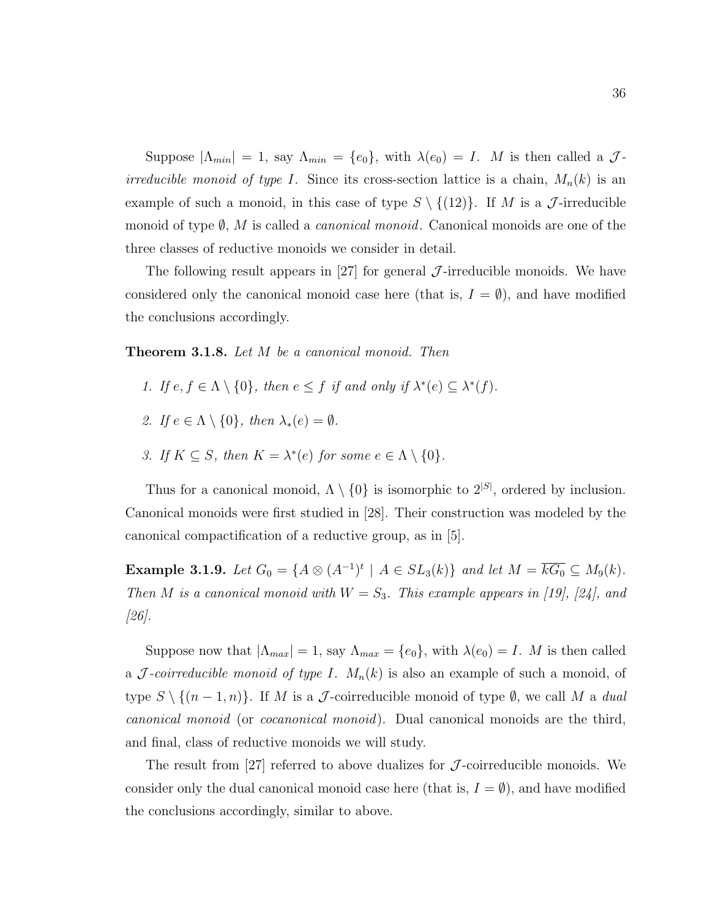Suppose  $|\Lambda_{min}| = 1$ , say  $\Lambda_{min} = \{e_0\}$ , with  $\lambda(e_0) = I$ . M is then called a  $\mathcal{J}$ *irreducible monoid of type I.* Since its cross-section lattice is a chain,  $M_n(k)$  is an example of such a monoid, in this case of type  $S \setminus \{(12)\}\$ . If M is a J-irreducible monoid of type  $\emptyset$ , M is called a *canonical monoid*. Canonical monoids are one of the three classes of reductive monoids we consider in detail.

The following result appears in [27] for general  $\mathcal{J}$ -irreducible monoids. We have considered only the canonical monoid case here (that is,  $I = \emptyset$ ), and have modified the conclusions accordingly.

**Theorem 3.1.8.** Let M be a canonical monoid. Then

- 1. If  $e, f \in \Lambda \setminus \{0\}$ , then  $e \leq f$  if and only if  $\lambda^*(e) \subseteq \lambda^*(f)$ .
- 2. If  $e \in \Lambda \setminus \{0\}$ , then  $\lambda_*(e) = \emptyset$ .
- 3. If  $K \subseteq S$ , then  $K = \lambda^*(e)$  for some  $e \in \Lambda \setminus \{0\}.$

Thus for a canonical monoid,  $\Lambda \setminus \{0\}$  is isomorphic to  $2^{|S|}$ , ordered by inclusion. Canonical monoids were first studied in [28]. Their construction was modeled by the canonical compactification of a reductive group, as in [5].

**Example 3.1.9.** Let  $G_0 = \{A \otimes (A^{-1})^t \mid A \in SL_3(k)\}\$  and let  $M = \overline{kG_0} \subseteq M_9(k)$ . Then M is a canonical monoid with  $W = S_3$ . This example appears in [19], [24], and [26].

Suppose now that  $|\Lambda_{max}| = 1$ , say  $\Lambda_{max} = \{e_0\}$ , with  $\lambda(e_0) = I$ . M is then called a *J*-coirreducible monoid of type I.  $M_n(k)$  is also an example of such a monoid, of type  $S \setminus \{(n-1,n)\}\$ . If M is a J-coirreducible monoid of type  $\emptyset$ , we call M a dual canonical monoid (or cocanonical monoid). Dual canonical monoids are the third, and final, class of reductive monoids we will study.

The result from [27] referred to above dualizes for  $\mathcal{J}$ -coirreducible monoids. We consider only the dual canonical monoid case here (that is,  $I = \emptyset$ ), and have modified the conclusions accordingly, similar to above.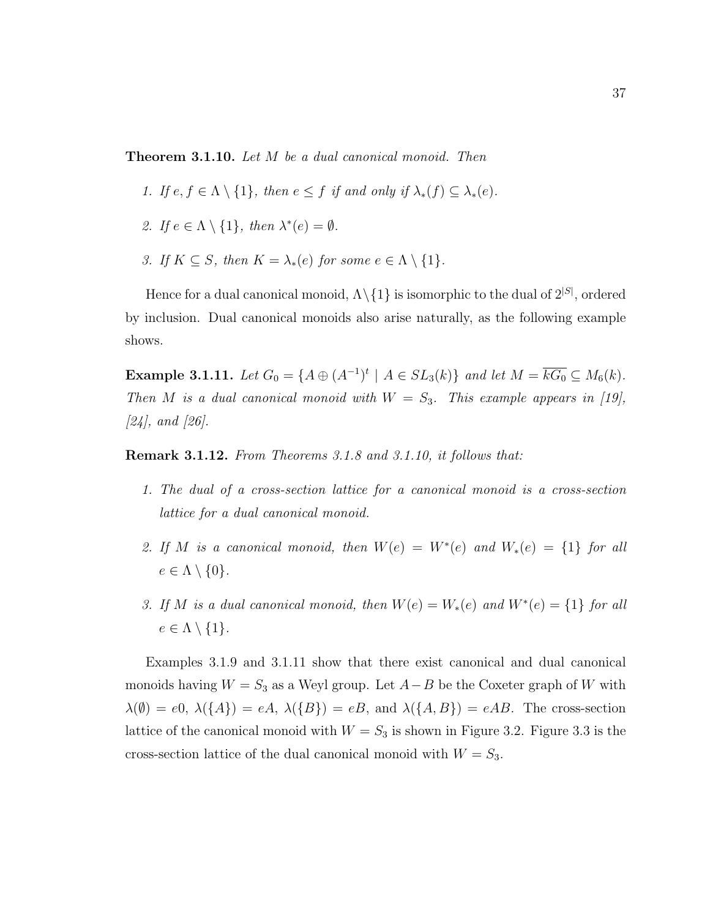Theorem 3.1.10. Let M be a dual canonical monoid. Then

- 1. If  $e, f \in \Lambda \setminus \{1\}$ , then  $e \leq f$  if and only if  $\lambda_*(f) \subseteq \lambda_*(e)$ .
- 2. If  $e \in \Lambda \setminus \{1\}$ , then  $\lambda^*(e) = \emptyset$ .
- 3. If  $K \subseteq S$ , then  $K = \lambda_*(e)$  for some  $e \in \Lambda \setminus \{1\}.$

Hence for a dual canonical monoid,  $\Lambda \setminus \{1\}$  is isomorphic to the dual of  $2^{|S|}$ , ordered by inclusion. Dual canonical monoids also arise naturally, as the following example shows.

**Example 3.1.11.** Let  $G_0 = \{A \oplus (A^{-1})^t \mid A \in SL_3(k)\}\$  and let  $M = \overline{kG_0} \subseteq M_6(k)$ . Then M is a dual canonical monoid with  $W = S_3$ . This example appears in [19], [24], and [26].

Remark 3.1.12. From Theorems 3.1.8 and 3.1.10, it follows that:

- 1. The dual of a cross-section lattice for a canonical monoid is a cross-section lattice for a dual canonical monoid.
- 2. If M is a canonical monoid, then  $W(e) = W^*(e)$  and  $W_*(e) = \{1\}$  for all  $e \in \Lambda \setminus \{0\}.$
- 3. If M is a dual canonical monoid, then  $W(e) = W_*(e)$  and  $W^*(e) = \{1\}$  for all  $e \in \Lambda \setminus \{1\}.$

Examples 3.1.9 and 3.1.11 show that there exist canonical and dual canonical monoids having  $W = S_3$  as a Weyl group. Let  $A - B$  be the Coxeter graph of W with  $\lambda(\emptyset) = e0, \lambda(\lbrace A \rbrace) = eA, \lambda(\lbrace B \rbrace) = eB, \text{ and } \lambda(\lbrace A, B \rbrace) = eAB.$  The cross-section lattice of the canonical monoid with  $W = S_3$  is shown in Figure 3.2. Figure 3.3 is the cross-section lattice of the dual canonical monoid with  $W = S_3$ .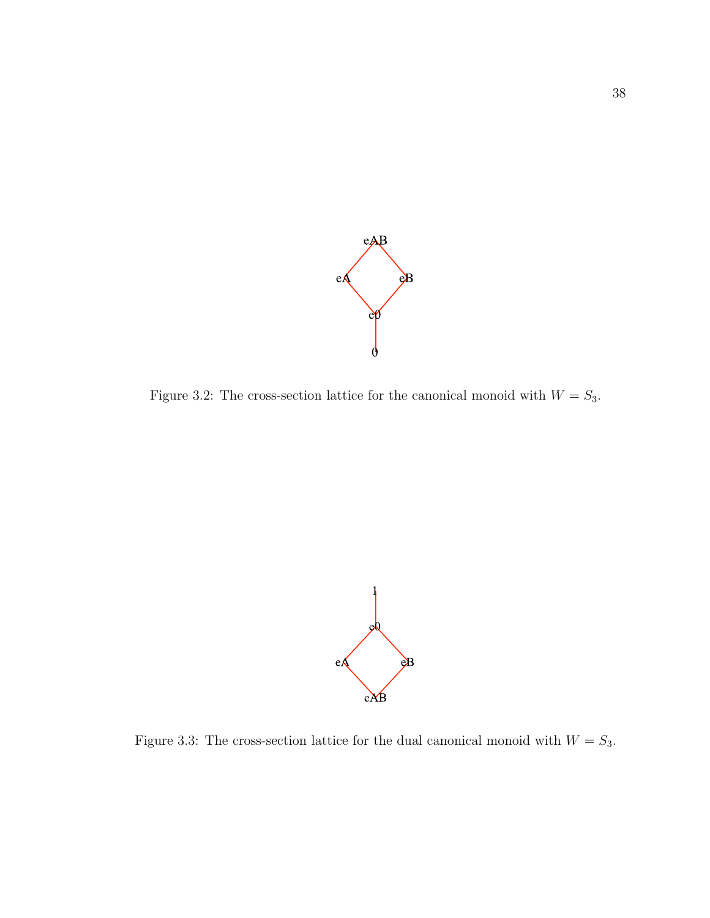

Figure 3.2: The cross-section lattice for the canonical monoid with  $W = S_3$ .



Figure 3.3: The cross-section lattice for the dual canonical monoid with  $W = S_3$ .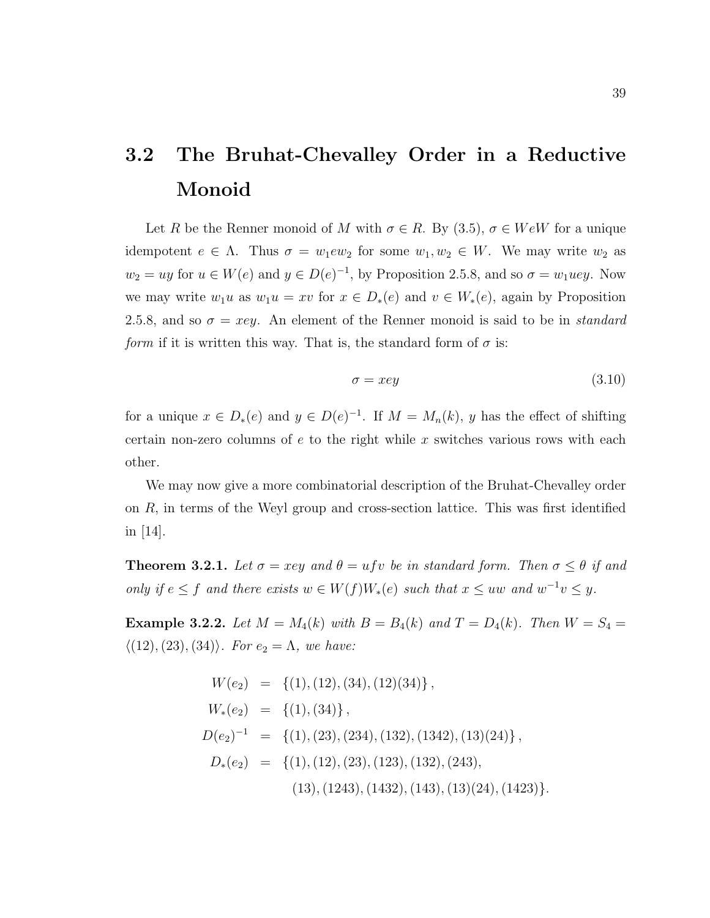# 3.2 The Bruhat-Chevalley Order in a Reductive Monoid

Let R be the Renner monoid of M with  $\sigma \in R$ . By  $(3.5)$ ,  $\sigma \in WeW$  for a unique idempotent  $e \in \Lambda$ . Thus  $\sigma = w_1 e w_2$  for some  $w_1, w_2 \in W$ . We may write  $w_2$  as  $w_2 = uy$  for  $u \in W(e)$  and  $y \in D(e)^{-1}$ , by Proposition 2.5.8, and so  $\sigma = w_1 u e y$ . Now we may write  $w_1u$  as  $w_1u = xv$  for  $x \in D_*(e)$  and  $v \in W_*(e)$ , again by Proposition 2.5.8, and so  $\sigma = xey$ . An element of the Renner monoid is said to be in *standard form* if it is written this way. That is, the standard form of  $\sigma$  is:

$$
\sigma = xey \tag{3.10}
$$

for a unique  $x \in D_*(e)$  and  $y \in D(e)^{-1}$ . If  $M = M_n(k)$ , y has the effect of shifting certain non-zero columns of  $e$  to the right while x switches various rows with each other.

We may now give a more combinatorial description of the Bruhat-Chevalley order on  $R$ , in terms of the Weyl group and cross-section lattice. This was first identified in  $|14|$ .

**Theorem 3.2.1.** Let  $\sigma = xey$  and  $\theta = ufv$  be in standard form. Then  $\sigma \leq \theta$  if and only if  $e \leq f$  and there exists  $w \in W(f)W_*(e)$  such that  $x \leq uw$  and  $w^{-1}v \leq y$ .

**Example 3.2.2.** Let  $M = M_4(k)$  with  $B = B_4(k)$  and  $T = D_4(k)$ . Then  $W = S_4 =$  $\langle (12), (23), (34) \rangle$ . For  $e_2 = \Lambda$ , we have:

$$
W(e_2) = \{(1), (12), (34), (12)(34)\},
$$
  
\n
$$
W_*(e_2) = \{(1), (34)\},
$$
  
\n
$$
D(e_2)^{-1} = \{(1), (23), (234), (132), (1342), (13)(24)\},
$$
  
\n
$$
D_*(e_2) = \{(1), (12), (23), (123), (132), (243),
$$
  
\n
$$
(13), (1243), (1432), (143), (13)(24), (1423)\}.
$$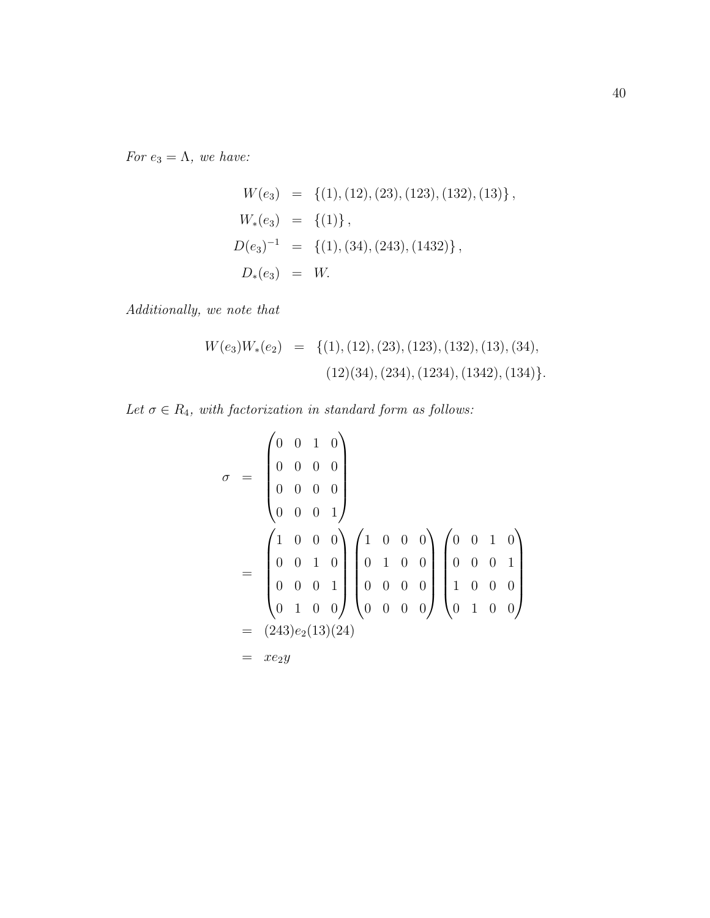For  $e_3 = \Lambda$ , we have:

$$
W(e_3) = \{(1), (12), (23), (123), (132), (13)\},
$$
  
\n
$$
W_*(e_3) = \{(1)\},
$$
  
\n
$$
D(e_3)^{-1} = \{(1), (34), (243), (1432)\},
$$
  
\n
$$
D_*(e_3) = W.
$$

Additionally, we note that

$$
W(e_3)W_*(e_2) = \{(1), (12), (23), (123), (132), (13), (34),(12)(34), (234), (1234), (1342), (134)\}.
$$

Let  $\sigma \in R_4$ , with factorization in standard form as follows:

$$
\sigma = \begin{pmatrix}\n0 & 0 & 1 & 0 \\
0 & 0 & 0 & 0 \\
0 & 0 & 0 & 0 \\
0 & 0 & 0 & 1\n\end{pmatrix}
$$
\n
$$
= \begin{pmatrix}\n1 & 0 & 0 & 0 \\
0 & 0 & 1 & 0 \\
0 & 0 & 0 & 1 \\
0 & 1 & 0 & 0\n\end{pmatrix}\n\begin{pmatrix}\n1 & 0 & 0 & 0 \\
0 & 1 & 0 & 0 \\
0 & 0 & 0 & 0 \\
0 & 0 & 0 & 0\n\end{pmatrix}\n\begin{pmatrix}\n0 & 0 & 1 & 0 \\
0 & 0 & 0 & 1 \\
1 & 0 & 0 & 0 \\
0 & 1 & 0 & 0\n\end{pmatrix}
$$
\n
$$
= (243)e_2(13)(24)
$$
\n
$$
= xe_2y
$$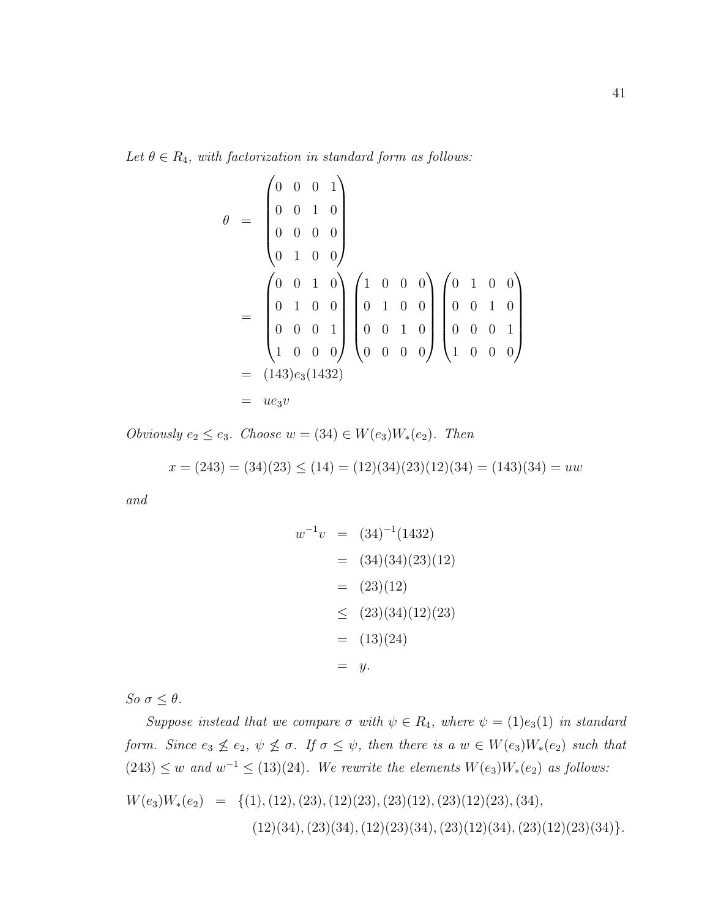Let  $\theta \in R_4$ , with factorization in standard form as follows:

$$
\theta = \begin{pmatrix}\n0 & 0 & 0 & 1 \\
0 & 0 & 1 & 0 \\
0 & 0 & 0 & 0 \\
0 & 1 & 0 & 0\n\end{pmatrix}
$$
\n
$$
= \begin{pmatrix}\n0 & 0 & 1 & 0 \\
0 & 1 & 0 & 0 \\
0 & 1 & 0 & 0 \\
0 & 0 & 0 & 1 \\
1 & 0 & 0 & 0\n\end{pmatrix} \begin{pmatrix}\n1 & 0 & 0 & 0 \\
0 & 1 & 0 & 0 \\
0 & 0 & 1 & 0 \\
0 & 0 & 0 & 0\n\end{pmatrix} \begin{pmatrix}\n0 & 1 & 0 & 0 \\
0 & 0 & 1 & 0 \\
0 & 0 & 0 & 1 \\
1 & 0 & 0 & 0\n\end{pmatrix}
$$
\n
$$
= (143)e_3(1432)
$$
\n
$$
= ue_3v
$$

Obviously  $e_2 \le e_3$ . Choose  $w = (34) \in W(e_3)W_*(e_2)$ . Then

$$
x = (243) = (34)(23) \le (14) = (12)(34)(23)(12)(34) = (143)(34) = uw
$$

and

$$
w^{-1}v = (34)^{-1}(1432)
$$
  
= (34)(34)(23)(12)  
= (23)(12)  

$$
\leq (23)(34)(12)(23)
$$
  
= (13)(24)  
= y.

So  $\sigma \leq \theta$ .

Suppose instead that we compare  $\sigma$  with  $\psi \in R_4$ , where  $\psi = (1)e_3(1)$  in standard form. Since  $e_3 \nleq e_2$ ,  $\psi \nleq \sigma$ . If  $\sigma \leq \psi$ , then there is a  $w \in W(e_3)W_*(e_2)$  such that  $(243) \leq w$  and  $w^{-1} \leq (13)(24)$ . We rewrite the elements  $W(e_3)W_*(e_2)$  as follows: W(e3)W∗(e2) = {(1),(12),(23),(12)(23),(23)(12),(23)(12)(23),(34),

$$
V(e_3)W_*(e_2) = \{ (1), (12), (23), (12)(23), (23)(12), (23)(12)(23), (34), (12)(34), (23)(34), (12)(23)(34), (23)(12)(34), (23)(12)(23)(34) \}.
$$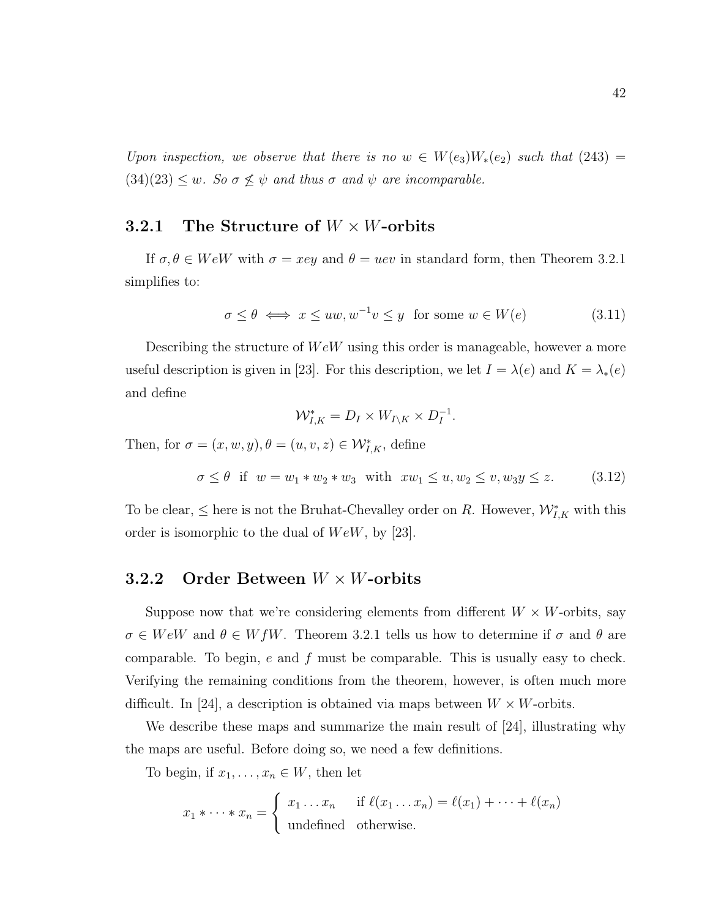Upon inspection, we observe that there is no  $w \in W(e_3)W_*(e_2)$  such that  $(243) =$  $(34)(23) \leq w$ . So  $\sigma \not\leq \psi$  and thus  $\sigma$  and  $\psi$  are incomparable.

## 3.2.1 The Structure of  $W \times W$ -orbits

If  $\sigma, \theta \in W eW$  with  $\sigma = xey$  and  $\theta = uev$  in standard form, then Theorem 3.2.1 simplifies to:

$$
\sigma \le \theta \iff x \le uw, w^{-1}v \le y \text{ for some } w \in W(e) \tag{3.11}
$$

Describing the structure of  $WeW$  using this order is manageable, however a more useful description is given in [23]. For this description, we let  $I = \lambda(e)$  and  $K = \lambda_*(e)$ and define

$$
\mathcal{W}_{I,K}^* = D_I \times W_{I \setminus K} \times D_I^{-1}.
$$

Then, for  $\sigma = (x, w, y), \theta = (u, v, z) \in \mathcal{W}_{I,K}^*$ , define

$$
\sigma \le \theta \quad \text{if} \quad w = w_1 * w_2 * w_3 \quad \text{with} \quad xw_1 \le u, w_2 \le v, w_3y \le z. \tag{3.12}
$$

To be clear,  $\leq$  here is not the Bruhat-Chevalley order on R. However,  $\mathcal{W}_{I,K}^*$  with this order is isomorphic to the dual of  $Wew$ , by [23].

#### **3.2.2** Order Between  $W \times W$ -orbits

Suppose now that we're considering elements from different  $W \times W$ -orbits, say  $\sigma \in W e W$  and  $\theta \in W f W$ . Theorem 3.2.1 tells us how to determine if  $\sigma$  and  $\theta$  are comparable. To begin,  $e$  and  $f$  must be comparable. This is usually easy to check. Verifying the remaining conditions from the theorem, however, is often much more difficult. In [24], a description is obtained via maps between  $W \times W$ -orbits.

We describe these maps and summarize the main result of [24], illustrating why the maps are useful. Before doing so, we need a few definitions.

To begin, if  $x_1, \ldots, x_n \in W$ , then let

$$
x_1 * \cdots * x_n = \begin{cases} x_1 \ldots x_n & \text{if } \ell(x_1 \ldots x_n) = \ell(x_1) + \cdots + \ell(x_n) \\ \text{undefined} & \text{otherwise.} \end{cases}
$$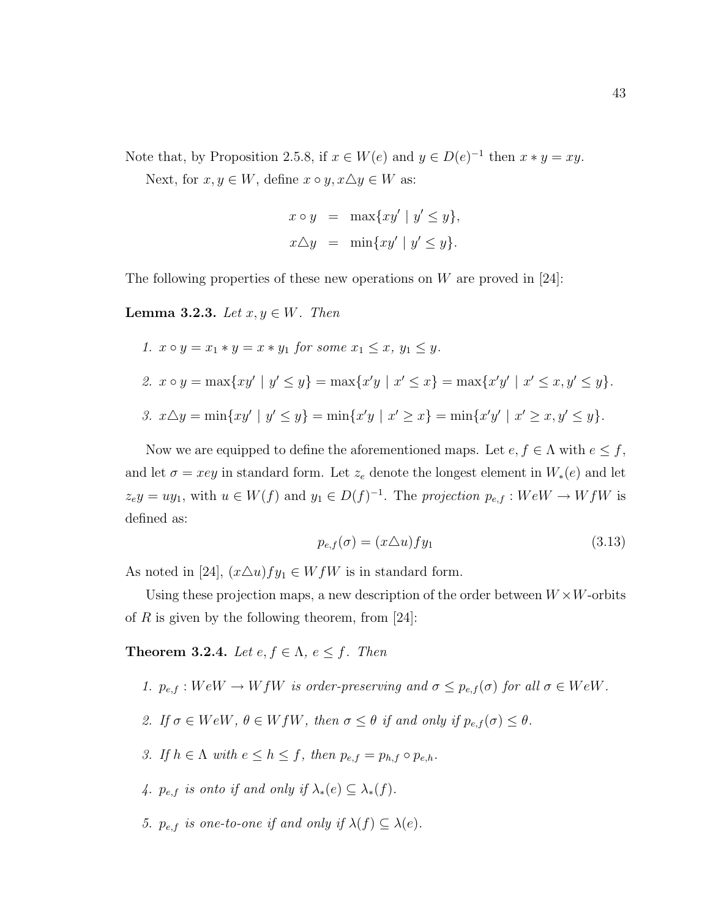Note that, by Proposition 2.5.8, if  $x \in W(e)$  and  $y \in D(e)^{-1}$  then  $x * y = xy$ .

Next, for  $x, y \in W$ , define  $x \circ y, x \triangle y \in W$  as:

$$
x \circ y = \max\{xy' \mid y' \le y\},
$$
  

$$
x \triangle y = \min\{xy' \mid y' \le y\}.
$$

The following properties of these new operations on  $W$  are proved in [24]:

**Lemma 3.2.3.** Let  $x, y \in W$ . Then

1. 
$$
x \circ y = x_1 * y = x * y_1
$$
 for some  $x_1 \le x$ ,  $y_1 \le y$ .  
\n2.  $x \circ y = \max\{xy' \mid y' \le y\} = \max\{x'y \mid x' \le x\} = \max\{x'y' \mid x' \le x, y' \le y\}.$   
\n3.  $x \triangle y = \min\{xy' \mid y' \le y\} = \min\{x'y \mid x' \ge x\} = \min\{x'y' \mid x' \ge x, y' \le y\}.$ 

Now we are equipped to define the aforementioned maps. Let  $e, f \in \Lambda$  with  $e \leq f$ , and let  $\sigma = xey$  in standard form. Let  $z_e$  denote the longest element in  $W_*(e)$  and let  $z_e y = u y_1$ , with  $u \in W(f)$  and  $y_1 \in D(f)^{-1}$ . The projection  $p_{e,f}: W e W \to W f W$  is defined as:

$$
p_{e,f}(\sigma) = (x \triangle u) f y_1 \tag{3.13}
$$

As noted in [24],  $(x \Delta u)fy_1 \in WfW$  is in standard form.

Using these projection maps, a new description of the order between  $W \times W$ -orbits of R is given by the following theorem, from  $[24]$ :

**Theorem 3.2.4.** Let  $e, f \in \Lambda$ ,  $e \leq f$ . Then

1.  $p_{e,f}: WeW \to WfW$  is order-preserving and  $\sigma \leq p_{e,f}(\sigma)$  for all  $\sigma \in WeW$ .

- 2. If  $\sigma \in W eW$ ,  $\theta \in W f W$ , then  $\sigma \leq \theta$  if and only if  $p_{e,f}(\sigma) \leq \theta$ .
- 3. If  $h \in \Lambda$  with  $e \leq h \leq f$ , then  $p_{e,f} = p_{h,f} \circ p_{e,h}$ .
- 4.  $p_{e,f}$  is onto if and only if  $\lambda_*(e) \subseteq \lambda_*(f)$ .
- 5.  $p_{e,f}$  is one-to-one if and only if  $\lambda(f) \subseteq \lambda(e)$ .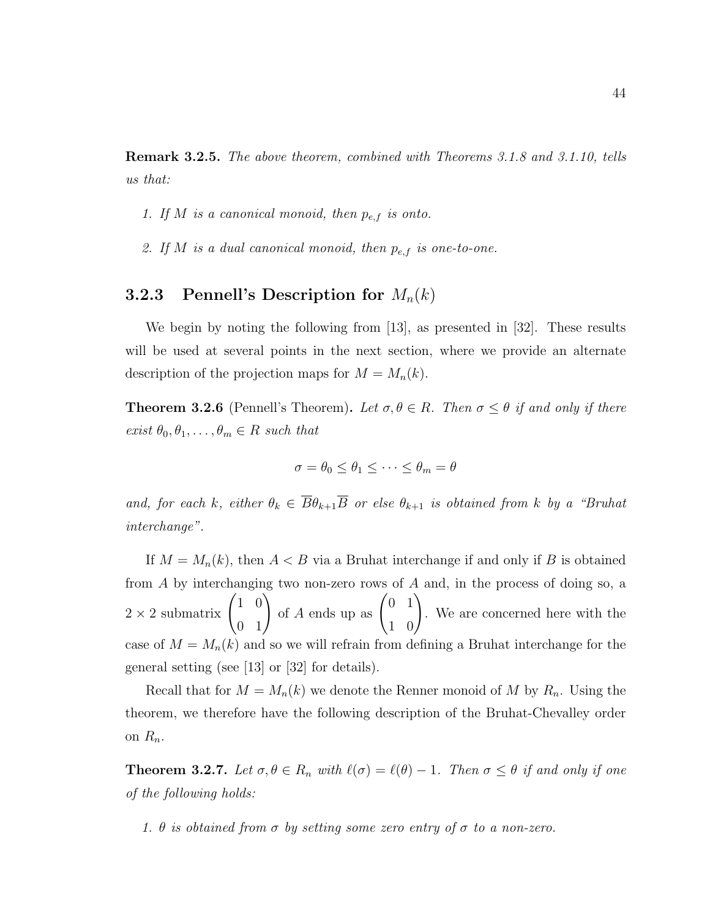Remark 3.2.5. The above theorem, combined with Theorems 3.1.8 and 3.1.10, tells us that:

- 1. If M is a canonical monoid, then  $p_{e,f}$  is onto.
- 2. If M is a dual canonical monoid, then  $p_{e,f}$  is one-to-one.

### **3.2.3** Pennell's Description for  $M_n(k)$

We begin by noting the following from [13], as presented in [32]. These results will be used at several points in the next section, where we provide an alternate description of the projection maps for  $M = M_n(k)$ .

**Theorem 3.2.6** (Pennell's Theorem). Let  $\sigma, \theta \in R$ . Then  $\sigma \leq \theta$  if and only if there exist  $\theta_0, \theta_1, \ldots, \theta_m \in R$  such that

$$
\sigma = \theta_0 \le \theta_1 \le \cdots \le \theta_m = \theta
$$

and, for each k, either  $\theta_k \in \overline{B}_{k+1}$  or else  $\theta_{k+1}$  is obtained from k by a "Bruhat" interchange".

If  $M = M_n(k)$ , then  $A < B$  via a Bruhat interchange if and only if B is obtained from A by interchanging two non-zero rows of A and, in the process of doing so, a  $2 \times 2$  submatrix  $\begin{pmatrix} 1 & 0 \\ 0 & 1 \end{pmatrix}$  of A ends up as  $\begin{pmatrix} 0 & 1 \\ 1 & 0 \end{pmatrix}$ . We are concerned here with the case of  $M = M_n(k)$  and so we will refrain from defining a Bruhat interchange for the general setting (see [13] or [32] for details).

Recall that for  $M = M_n(k)$  we denote the Renner monoid of M by  $R_n$ . Using the theorem, we therefore have the following description of the Bruhat-Chevalley order on  $R_n$ .

**Theorem 3.2.7.** Let  $\sigma, \theta \in R_n$  with  $\ell(\sigma) = \ell(\theta) - 1$ . Then  $\sigma \leq \theta$  if and only if one of the following holds:

1.  $\theta$  is obtained from  $\sigma$  by setting some zero entry of  $\sigma$  to a non-zero.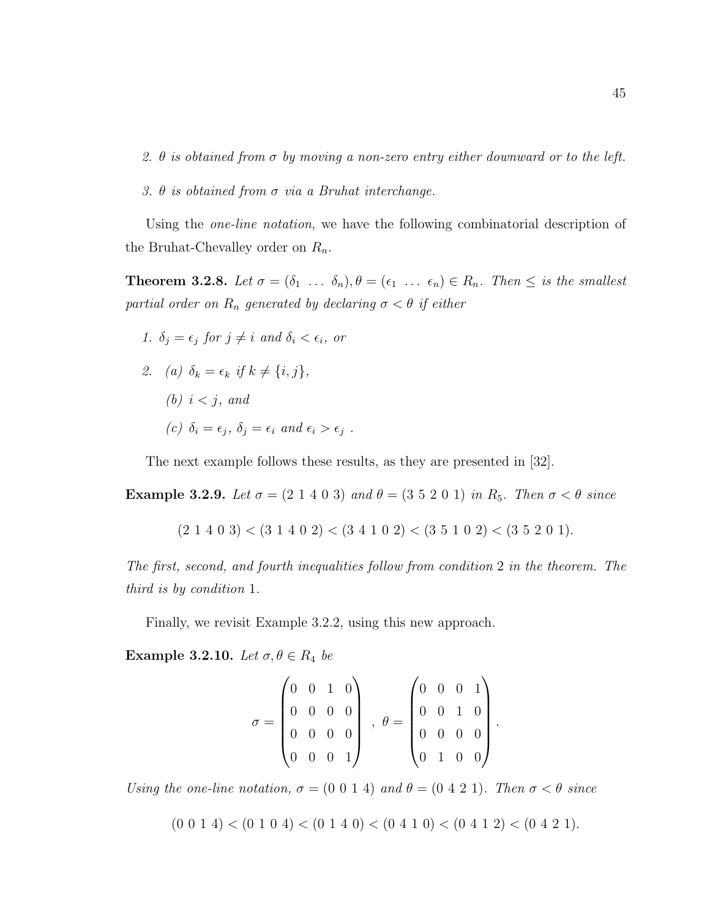- 2.  $\theta$  is obtained from  $\sigma$  by moving a non-zero entry either downward or to the left.
- 3.  $\theta$  is obtained from  $\sigma$  via a Bruhat interchange.

Using the *one-line notation*, we have the following combinatorial description of the Bruhat-Chevalley order on  $R_n$ .

**Theorem 3.2.8.** Let  $\sigma = (\delta_1 \ldots \delta_n), \theta = (\epsilon_1 \ldots \epsilon_n) \in R_n$ . Then  $\leq$  is the smallest partial order on  $R_n$  generated by declaring  $\sigma < \theta$  if either

- 1.  $\delta_i = \epsilon_i$  for  $j \neq i$  and  $\delta_i < \epsilon_i$ , or
- 2. (a)  $\delta_k = \epsilon_k$  if  $k \neq \{i, j\},\$ (b)  $i < j$ , and (c)  $\delta_i = \epsilon_j$ ,  $\delta_j = \epsilon_i$  and  $\epsilon_i > \epsilon_j$ .

The next example follows these results, as they are presented in [32].

Example 3.2.9. Let  $\sigma = (2 \ 1 \ 4 \ 0 \ 3)$  and  $\theta = (3 \ 5 \ 2 \ 0 \ 1)$  in  $R_5$ . Then  $\sigma < \theta$  since

$$
(2\ 1\ 4\ 0\ 3) < (3\ 1\ 4\ 0\ 2) < (3\ 4\ 1\ 0\ 2) < (3\ 5\ 1\ 0\ 2) < (3\ 5\ 2\ 0\ 1).
$$

The first, second, and fourth inequalities follow from condition 2 in the theorem. The third is by condition 1.

Finally, we revisit Example 3.2.2, using this new approach.

Example 3.2.10. Let  $\sigma, \theta \in R_4$  be

$$
\sigma = \begin{pmatrix} 0 & 0 & 1 & 0 \\ 0 & 0 & 0 & 0 \\ 0 & 0 & 0 & 0 \\ 0 & 0 & 0 & 1 \end{pmatrix} , \theta = \begin{pmatrix} 0 & 0 & 0 & 1 \\ 0 & 0 & 1 & 0 \\ 0 & 0 & 0 & 0 \\ 0 & 1 & 0 & 0 \end{pmatrix}
$$

.

Using the one-line notation,  $\sigma = (0\ 0\ 1\ 4)$  and  $\theta = (0\ 4\ 2\ 1)$ . Then  $\sigma < \theta$  since

 $(0\ 0\ 1\ 4) < (0\ 1\ 0\ 4) < (0\ 1\ 4\ 0) < (0\ 4\ 1\ 0) < (0\ 4\ 1\ 2) < (0\ 4\ 2\ 1).$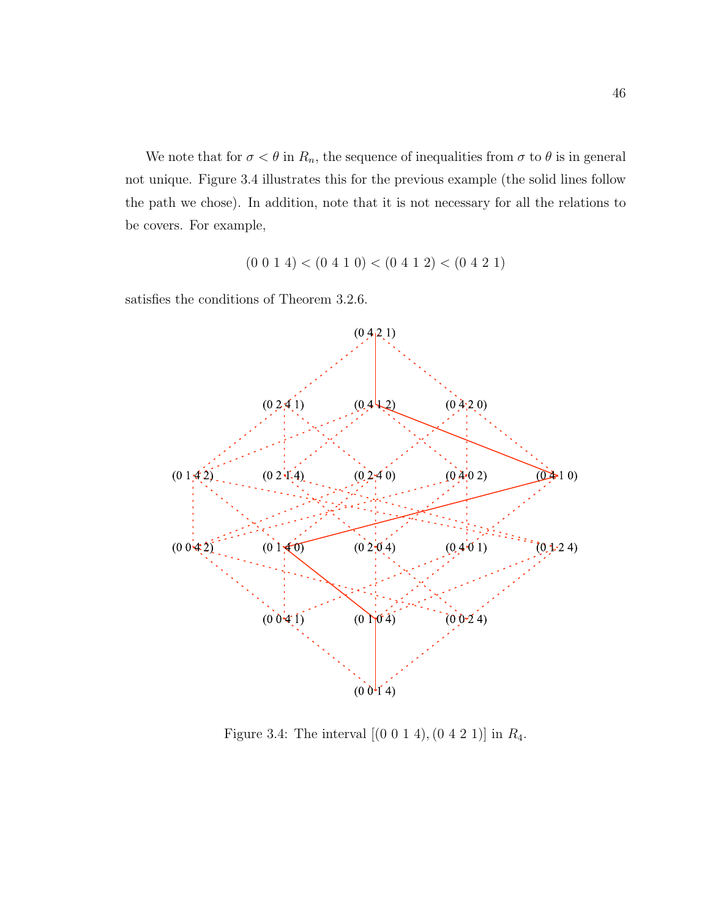We note that for  $\sigma < \theta$  in  $R_n$ , the sequence of inequalities from  $\sigma$  to  $\theta$  is in general not unique. Figure 3.4 illustrates this for the previous example (the solid lines follow the path we chose). In addition, note that it is not necessary for all the relations to be covers. For example,

$$
(0\ 0\ 1\ 4) < (0\ 4\ 1\ 0) < (0\ 4\ 1\ 2) < (0\ 4\ 2\ 1)
$$

satisfies the conditions of Theorem 3.2.6.



Figure 3.4: The interval  $[(0\ 0\ 1\ 4), (0\ 4\ 2\ 1)]$  in  $R_4$ .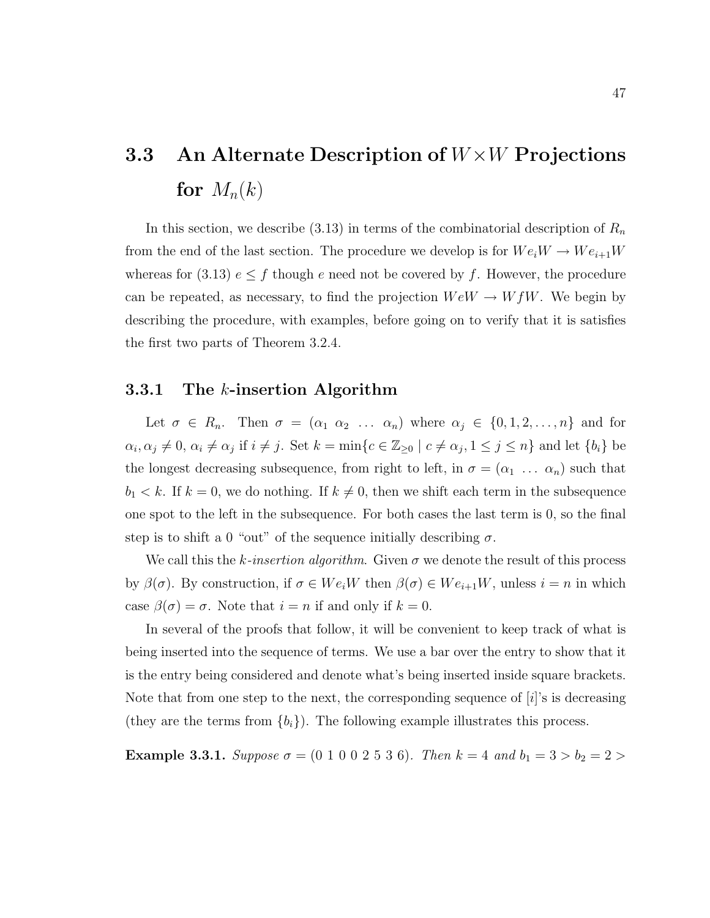# 3.3 An Alternate Description of  $W\times W$  Projections for  $M_n(k)$

In this section, we describe  $(3.13)$  in terms of the combinatorial description of  $R_n$ from the end of the last section. The procedure we develop is for  $We_iW \to We_{i+1}W$ whereas for (3.13)  $e \leq f$  though e need not be covered by f. However, the procedure can be repeated, as necessary, to find the projection  $W e W \to W f W$ . We begin by describing the procedure, with examples, before going on to verify that it is satisfies the first two parts of Theorem 3.2.4.

#### 3.3.1 The  $k$ -insertion Algorithm

Let  $\sigma \in R_n$ . Then  $\sigma = (\alpha_1 \alpha_2 \ldots \alpha_n)$  where  $\alpha_j \in \{0, 1, 2, \ldots, n\}$  and for  $\alpha_i, \alpha_j \neq 0, \alpha_i \neq \alpha_j$  if  $i \neq j$ . Set  $k = \min\{c \in \mathbb{Z}_{\geq 0} \mid c \neq \alpha_j, 1 \leq j \leq n\}$  and let  $\{b_i\}$  be the longest decreasing subsequence, from right to left, in  $\sigma = (\alpha_1 \ldots \alpha_n)$  such that  $b_1 < k$ . If  $k = 0$ , we do nothing. If  $k \neq 0$ , then we shift each term in the subsequence one spot to the left in the subsequence. For both cases the last term is 0, so the final step is to shift a 0 "out" of the sequence initially describing  $\sigma$ .

We call this the k-insertion algorithm. Given  $\sigma$  we denote the result of this process by  $\beta(\sigma)$ . By construction, if  $\sigma \in We_iW$  then  $\beta(\sigma) \in We_{i+1}W$ , unless  $i = n$  in which case  $\beta(\sigma) = \sigma$ . Note that  $i = n$  if and only if  $k = 0$ .

In several of the proofs that follow, it will be convenient to keep track of what is being inserted into the sequence of terms. We use a bar over the entry to show that it is the entry being considered and denote what's being inserted inside square brackets. Note that from one step to the next, the corresponding sequence of  $[i]$ 's is decreasing (they are the terms from  ${b_i}$ ). The following example illustrates this process.

Example 3.3.1. Suppose  $\sigma = (0 \ 1 \ 0 \ 0 \ 2 \ 5 \ 3 \ 6)$ . Then  $k = 4$  and  $b_1 = 3 > b_2 = 2 >$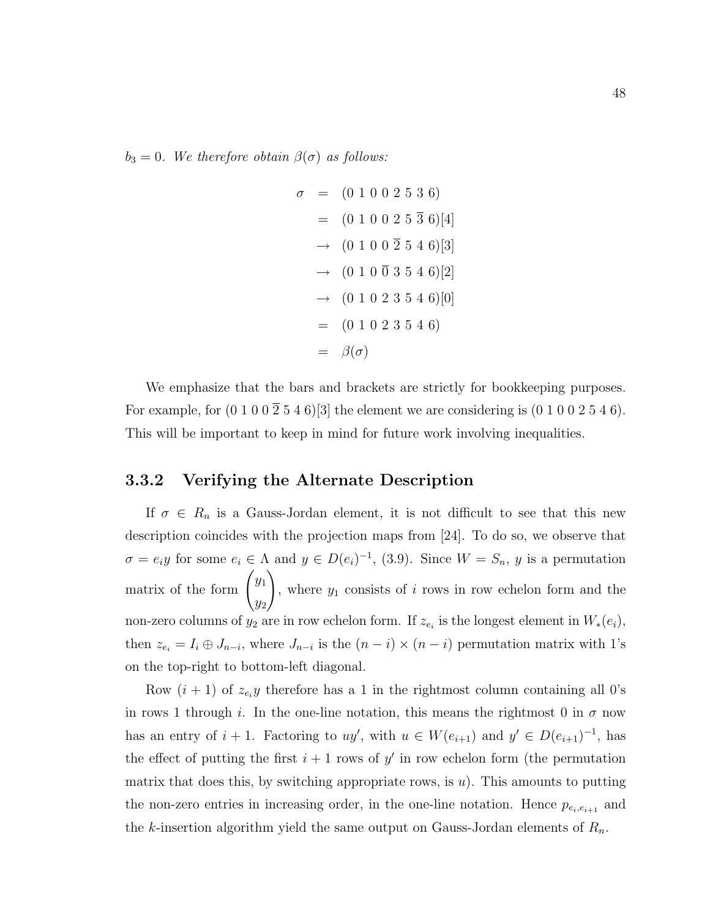$b_3 = 0$ . We therefore obtain  $\beta(\sigma)$  as follows:

$$
\sigma = (0 1 0 0 2 5 3 6)
$$
  
= (0 1 0 0 2 5 3 6)[4]  

$$
\rightarrow (0 1 0 0 2 5 4 6)[3]
$$
  

$$
\rightarrow (0 1 0 0 3 5 4 6)[2]
$$
  

$$
\rightarrow (0 1 0 2 3 5 4 6)[0]
$$
  
= (0 1 0 2 3 5 4 6)  
=  $\beta(\sigma)$ 

We emphasize that the bars and brackets are strictly for bookkeeping purposes. For example, for  $(0 1 0 0 2 5 4 6)$ [3] the element we are considering is  $(0 1 0 0 2 5 4 6)$ . This will be important to keep in mind for future work involving inequalities.

# 3.3.2 Verifying the Alternate Description

If  $\sigma \in R_n$  is a Gauss-Jordan element, it is not difficult to see that this new description coincides with the projection maps from [24]. To do so, we observe that  $\sigma = e_i y$  for some  $e_i \in \Lambda$  and  $y \in D(e_i)^{-1}$ , (3.9). Since  $W = S_n$ , y is a permutation matrix of the form  $\int y_1$  $y_2$  $\setminus$ , where  $y_1$  consists of i rows in row echelon form and the non-zero columns of  $y_2$  are in row echelon form. If  $z_{e_i}$  is the longest element in  $W_*(e_i)$ , then  $z_{e_i} = I_i \oplus J_{n-i}$ , where  $J_{n-i}$  is the  $(n-i) \times (n-i)$  permutation matrix with 1's on the top-right to bottom-left diagonal.

Row  $(i + 1)$  of  $z_{e_i}y$  therefore has a 1 in the rightmost column containing all 0's in rows 1 through i. In the one-line notation, this means the rightmost 0 in  $\sigma$  now has an entry of  $i + 1$ . Factoring to  $uy'$ , with  $u \in W(e_{i+1})$  and  $y' \in D(e_{i+1})^{-1}$ , has the effect of putting the first  $i + 1$  rows of  $y'$  in row echelon form (the permutation matrix that does this, by switching appropriate rows, is  $u$ ). This amounts to putting the non-zero entries in increasing order, in the one-line notation. Hence  $p_{e_i,e_{i+1}}$  and the k-insertion algorithm yield the same output on Gauss-Jordan elements of  $R_n$ .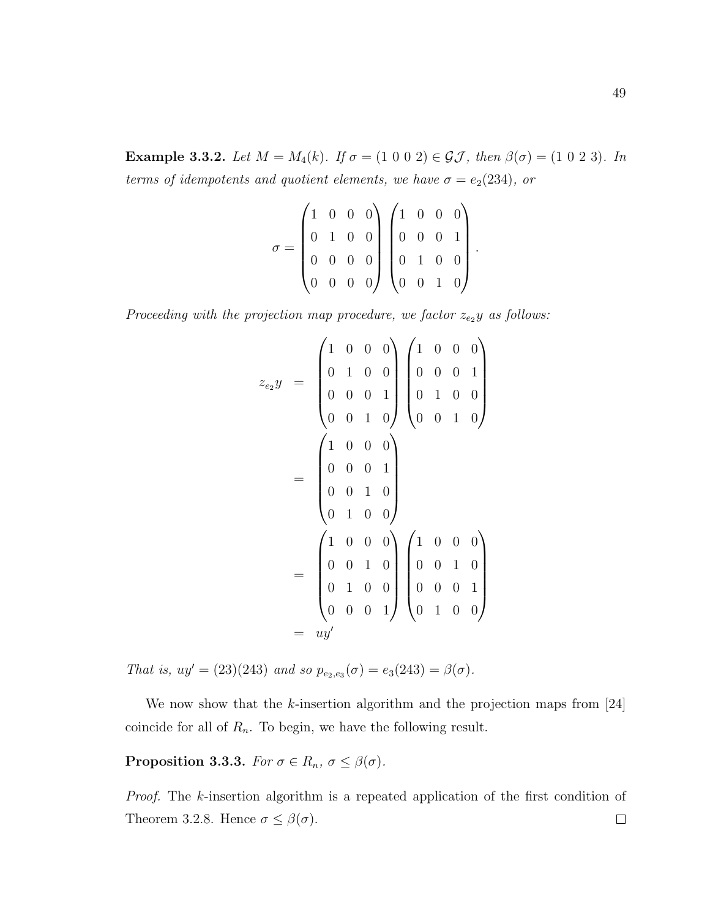Example 3.3.2. Let  $M = M_4(k)$ . If  $\sigma = (1 \ 0 \ 0 \ 2) \in \mathcal{GI}$ , then  $\beta(\sigma) = (1 \ 0 \ 2 \ 3)$ . In terms of idempotents and quotient elements, we have  $\sigma = e_2(234)$ , or

$$
\sigma = \begin{pmatrix} 1 & 0 & 0 & 0 \\ 0 & 1 & 0 & 0 \\ 0 & 0 & 0 & 0 \\ 0 & 0 & 0 & 0 \end{pmatrix} \begin{pmatrix} 1 & 0 & 0 & 0 \\ 0 & 0 & 0 & 1 \\ 0 & 1 & 0 & 0 \\ 0 & 0 & 1 & 0 \end{pmatrix}
$$

.

Proceeding with the projection map procedure, we factor  $z_{e_2}y$  as follows:

$$
z_{e_2}y = \begin{pmatrix} 1 & 0 & 0 & 0 \\ 0 & 1 & 0 & 0 \\ 0 & 0 & 0 & 1 \\ 0 & 0 & 1 & 0 \end{pmatrix} \begin{pmatrix} 1 & 0 & 0 & 0 \\ 0 & 0 & 0 & 1 \\ 0 & 1 & 0 & 0 \\ 0 & 0 & 1 & 0 \end{pmatrix}
$$

$$
= \begin{pmatrix} 1 & 0 & 0 & 0 \\ 0 & 0 & 0 & 1 \\ 0 & 0 & 1 & 0 \\ 0 & 1 & 0 & 0 \\ 0 & 1 & 0 & 0 \end{pmatrix} \begin{pmatrix} 1 & 0 & 0 & 0 \\ 0 & 0 & 1 & 0 \\ 0 & 0 & 0 & 1 \\ 0 & 0 & 0 & 1 \end{pmatrix}
$$

$$
= uy'
$$

That is,  $uy' = (23)(243)$  and so  $p_{e_2,e_3}(\sigma) = e_3(243) = \beta(\sigma)$ .

We now show that the  $k$ -insertion algorithm and the projection maps from [24] coincide for all of  $R_n$ . To begin, we have the following result.

**Proposition 3.3.3.** For  $\sigma \in R_n$ ,  $\sigma \leq \beta(\sigma)$ .

Proof. The k-insertion algorithm is a repeated application of the first condition of Theorem 3.2.8. Hence  $\sigma \leq \beta(\sigma)$ .  $\Box$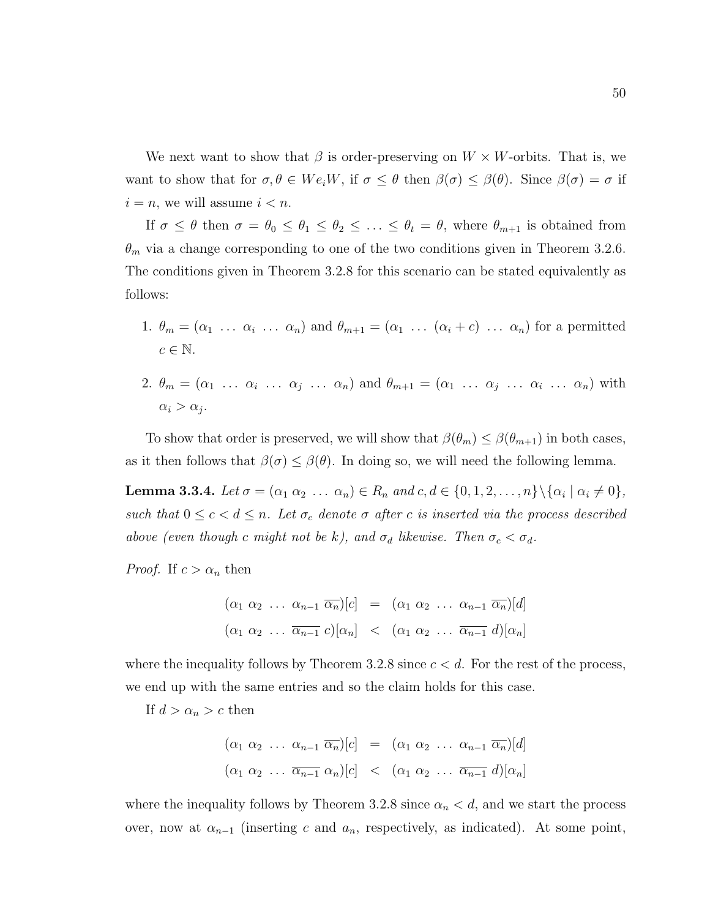We next want to show that  $\beta$  is order-preserving on  $W \times W$ -orbits. That is, we want to show that for  $\sigma, \theta \in We_iW$ , if  $\sigma \leq \theta$  then  $\beta(\sigma) \leq \beta(\theta)$ . Since  $\beta(\sigma) = \sigma$  if  $i = n$ , we will assume  $i < n$ .

If  $\sigma \leq \theta$  then  $\sigma = \theta_0 \leq \theta_1 \leq \theta_2 \leq \ldots \leq \theta_t = \theta$ , where  $\theta_{m+1}$  is obtained from  $\theta_m$  via a change corresponding to one of the two conditions given in Theorem 3.2.6. The conditions given in Theorem 3.2.8 for this scenario can be stated equivalently as follows:

- 1.  $\theta_m = (\alpha_1 \ldots \alpha_i \ldots \alpha_n)$  and  $\theta_{m+1} = (\alpha_1 \ldots (\alpha_i + c) \ldots \alpha_n)$  for a permitted  $c \in \mathbb{N}$ .
- 2.  $\theta_m = (\alpha_1 \ldots \alpha_i \ldots \alpha_j \ldots \alpha_n)$  and  $\theta_{m+1} = (\alpha_1 \ldots \alpha_j \ldots \alpha_i \ldots \alpha_n)$  with  $\alpha_i > \alpha_j$ .

To show that order is preserved, we will show that  $\beta(\theta_m) \leq \beta(\theta_{m+1})$  in both cases, as it then follows that  $\beta(\sigma) \leq \beta(\theta)$ . In doing so, we will need the following lemma.

**Lemma 3.3.4.** Let  $\sigma = (\alpha_1 \alpha_2 \dots \alpha_n) \in R_n$  and  $c, d \in \{0, 1, 2, \dots, n\} \setminus {\alpha_i | \alpha_i \neq 0}$ , such that  $0 \leq c < d \leq n$ . Let  $\sigma_c$  denote  $\sigma$  after c is inserted via the process described above (even though c might not be k), and  $\sigma_d$  likewise. Then  $\sigma_c < \sigma_d$ .

*Proof.* If  $c > \alpha_n$  then

$$
(\alpha_1 \alpha_2 \ldots \alpha_{n-1} \overline{\alpha_n})[c] = (\alpha_1 \alpha_2 \ldots \alpha_{n-1} \overline{\alpha_n})[d]
$$
  

$$
(\alpha_1 \alpha_2 \ldots \overline{\alpha_{n-1}} c)[\alpha_n] < (\alpha_1 \alpha_2 \ldots \overline{\alpha_{n-1}} d)[\alpha_n]
$$

where the inequality follows by Theorem 3.2.8 since  $c < d$ . For the rest of the process, we end up with the same entries and so the claim holds for this case.

If  $d > \alpha_n > c$  then

$$
(\alpha_1 \alpha_2 \ldots \alpha_{n-1} \overline{\alpha_n})[c] = (\alpha_1 \alpha_2 \ldots \alpha_{n-1} \overline{\alpha_n})[d]
$$
  

$$
(\alpha_1 \alpha_2 \ldots \overline{\alpha_{n-1}} \alpha_n)[c] < (\alpha_1 \alpha_2 \ldots \overline{\alpha_{n-1}} d)[\alpha_n]
$$

where the inequality follows by Theorem 3.2.8 since  $\alpha_n < d$ , and we start the process over, now at  $\alpha_{n-1}$  (inserting c and  $a_n$ , respectively, as indicated). At some point,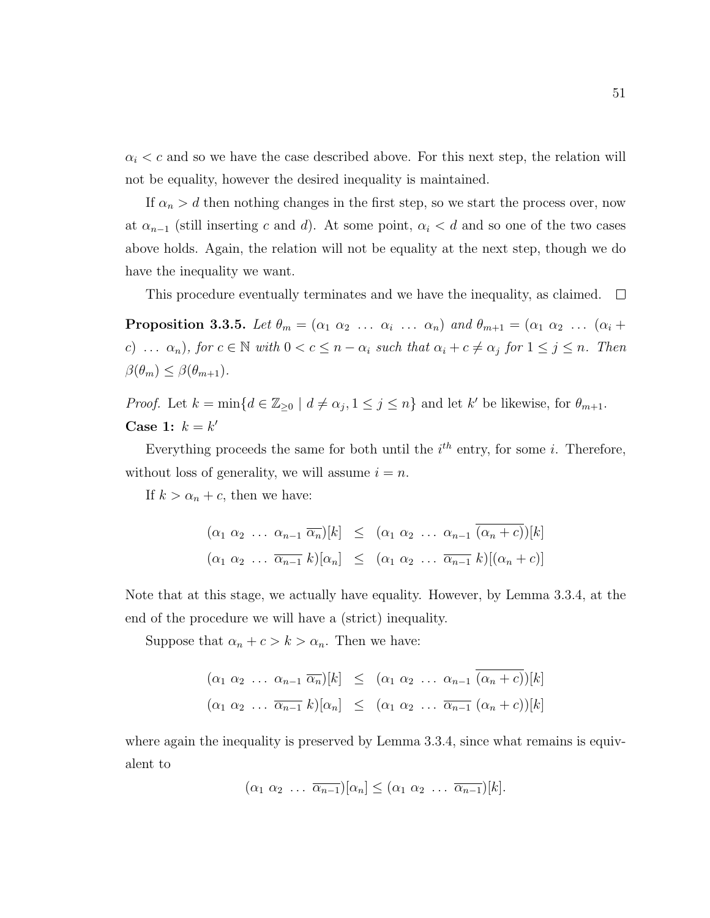$\alpha_i < c$  and so we have the case described above. For this next step, the relation will not be equality, however the desired inequality is maintained.

If  $\alpha_n > d$  then nothing changes in the first step, so we start the process over, now at  $\alpha_{n-1}$  (still inserting c and d). At some point,  $\alpha_i < d$  and so one of the two cases above holds. Again, the relation will not be equality at the next step, though we do have the inequality we want.

This procedure eventually terminates and we have the inequality, as claimed.  $\square$ 

**Proposition 3.3.5.** Let  $\theta_m = (\alpha_1 \ \alpha_2 \ \dots \ \alpha_i \ \dots \ \alpha_n)$  and  $\theta_{m+1} = (\alpha_1 \ \alpha_2 \ \dots \ (\alpha_i +$ c) ...  $\alpha_n$ , for  $c \in \mathbb{N}$  with  $0 < c \leq n - \alpha_i$  such that  $\alpha_i + c \neq \alpha_j$  for  $1 \leq j \leq n$ . Then  $\beta(\theta_m) \leq \beta(\theta_{m+1}).$ 

*Proof.* Let  $k = \min\{d \in \mathbb{Z}_{\geq 0} \mid d \neq \alpha_j, 1 \leq j \leq n\}$  and let  $k'$  be likewise, for  $\theta_{m+1}$ . Case 1:  $k = k'$ 

Everything proceeds the same for both until the  $i<sup>th</sup>$  entry, for some i. Therefore, without loss of generality, we will assume  $i = n$ .

If  $k > \alpha_n + c$ , then we have:

$$
(\alpha_1 \alpha_2 \ldots \alpha_{n-1} \overline{\alpha_n})[k] \leq (\alpha_1 \alpha_2 \ldots \alpha_{n-1} (\alpha_n + c))[k]
$$
  

$$
(\alpha_1 \alpha_2 \ldots \overline{\alpha_{n-1}} k)[\alpha_n] \leq (\alpha_1 \alpha_2 \ldots \overline{\alpha_{n-1}} k)[(\alpha_n + c)]
$$

Note that at this stage, we actually have equality. However, by Lemma 3.3.4, at the end of the procedure we will have a (strict) inequality.

Suppose that  $\alpha_n + c > k > \alpha_n$ . Then we have:

$$
(\alpha_1 \alpha_2 \ldots \alpha_{n-1} \overline{\alpha_n})[k] \leq (\alpha_1 \alpha_2 \ldots \alpha_{n-1} (\alpha_n + c))[k]
$$
  

$$
(\alpha_1 \alpha_2 \ldots \overline{\alpha_{n-1}} k)[\alpha_n] \leq (\alpha_1 \alpha_2 \ldots \overline{\alpha_{n-1}} (\alpha_n + c))[k]
$$

where again the inequality is preserved by Lemma 3.3.4, since what remains is equivalent to

$$
(\alpha_1 \ \alpha_2 \ \ldots \ \overline{\alpha_{n-1}})[\alpha_n] \leq (\alpha_1 \ \alpha_2 \ \ldots \ \overline{\alpha_{n-1}})[k].
$$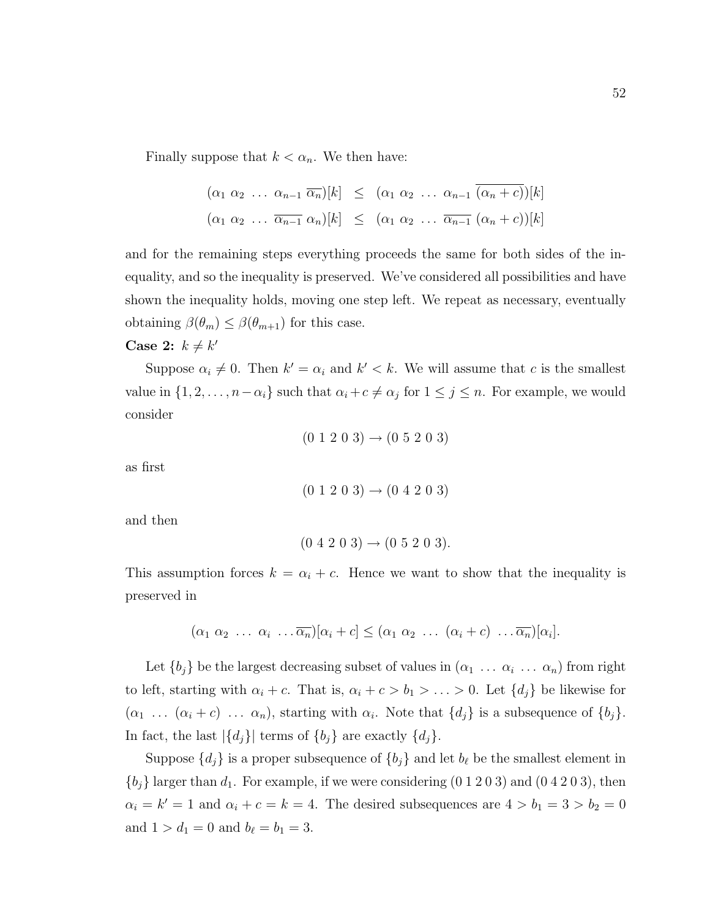Finally suppose that  $k < \alpha_n$ . We then have:

$$
(\alpha_1 \alpha_2 \ldots \alpha_{n-1} \overline{\alpha_n})[k] \leq (\alpha_1 \alpha_2 \ldots \alpha_{n-1} \overline{(\alpha_n + c)})[k]
$$
  

$$
(\alpha_1 \alpha_2 \ldots \overline{\alpha_{n-1}} \alpha_n)[k] \leq (\alpha_1 \alpha_2 \ldots \overline{\alpha_{n-1}} (\alpha_n + c))[k]
$$

and for the remaining steps everything proceeds the same for both sides of the inequality, and so the inequality is preserved. We've considered all possibilities and have shown the inequality holds, moving one step left. We repeat as necessary, eventually obtaining  $\beta(\theta_m) \leq \beta(\theta_{m+1})$  for this case.

### Case 2:  $k \neq k'$

Suppose  $\alpha_i \neq 0$ . Then  $k' = \alpha_i$  and  $k' < k$ . We will assume that c is the smallest value in  $\{1, 2, \ldots, n - \alpha_i\}$  such that  $\alpha_i + c \neq \alpha_j$  for  $1 \leq j \leq n$ . For example, we would consider

$$
(0 1 2 0 3) \rightarrow (0 5 2 0 3)
$$

as first

$$
(0\ 1\ 2\ 0\ 3) \to (0\ 4\ 2\ 0\ 3)
$$

and then

$$
(0\ 4\ 2\ 0\ 3) \rightarrow (0\ 5\ 2\ 0\ 3).
$$

This assumption forces  $k = \alpha_i + c$ . Hence we want to show that the inequality is preserved in

$$
(\alpha_1 \alpha_2 \ldots \alpha_i \ldots \overline{\alpha_n})[\alpha_i+c] \leq (\alpha_1 \alpha_2 \ldots (\alpha_i+c) \ldots \overline{\alpha_n})[\alpha_i].
$$

Let  $\{b_j\}$  be the largest decreasing subset of values in  $(\alpha_1 \ldots \alpha_i \ldots \alpha_n)$  from right to left, starting with  $\alpha_i + c$ . That is,  $\alpha_i + c > b_1 > \ldots > 0$ . Let  $\{d_j\}$  be likewise for  $(\alpha_1 \ldots (\alpha_i + c) \ldots \alpha_n)$ , starting with  $\alpha_i$ . Note that  $\{d_j\}$  is a subsequence of  $\{b_j\}$ . In fact, the last  $|\{d_j\}|$  terms of  $\{b_j\}$  are exactly  $\{d_j\}.$ 

Suppose  $\{d_j\}$  is a proper subsequence of  $\{b_j\}$  and let  $b_\ell$  be the smallest element in  ${b_j}$  larger than  $d_1$ . For example, if we were considering  $(0 1 2 0 3)$  and  $(0 4 2 0 3)$ , then  $\alpha_i = k' = 1$  and  $\alpha_i + c = k = 4$ . The desired subsequences are  $4 > b_1 = 3 > b_2 = 0$ and  $1 > d_1 = 0$  and  $b_\ell = b_1 = 3$ .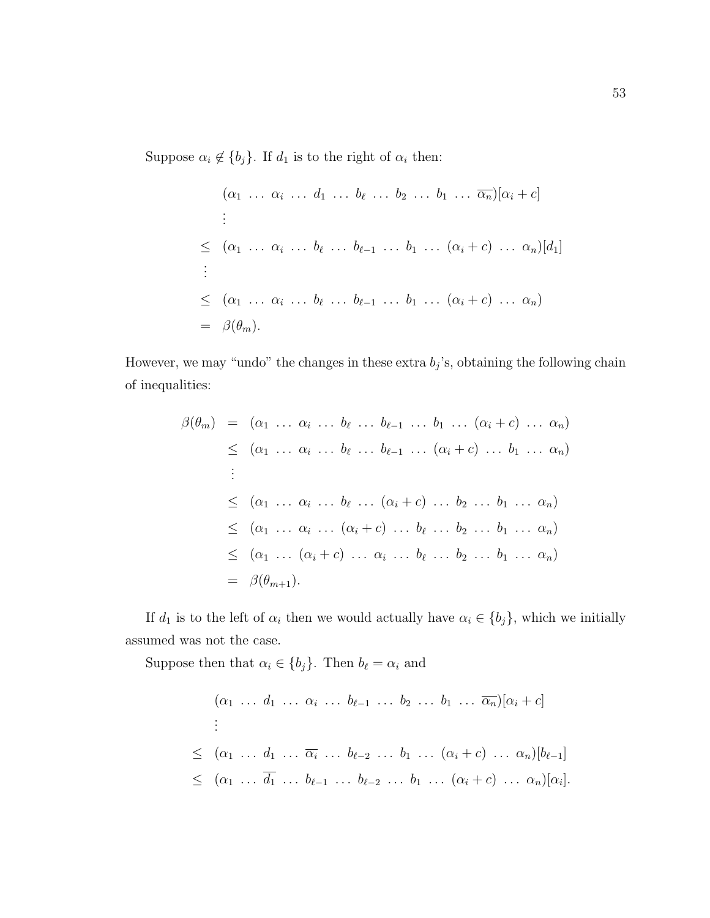Suppose  $\alpha_i \notin \{b_j\}$ . If  $d_1$  is to the right of  $\alpha_i$  then:

$$
(\alpha_1 \ldots \alpha_i \ldots d_1 \ldots b_\ell \ldots b_2 \ldots b_1 \ldots \overline{\alpha_n})[\alpha_i + c]
$$
  
\n
$$
\leq (\alpha_1 \ldots \alpha_i \ldots b_\ell \ldots b_{\ell-1} \ldots b_1 \ldots (\alpha_i + c) \ldots \alpha_n)[d_1]
$$
  
\n
$$
\leq (\alpha_1 \ldots \alpha_i \ldots b_\ell \ldots b_{\ell-1} \ldots b_1 \ldots (\alpha_i + c) \ldots \alpha_n)
$$
  
\n
$$
= \beta(\theta_m).
$$

However, we may "undo" the changes in these extra  $b_j$ 's, obtaining the following chain of inequalities:

$$
\beta(\theta_m) = (\alpha_1 \dots \alpha_i \dots b_\ell \dots b_{\ell-1} \dots b_1 \dots (\alpha_i + c) \dots \alpha_n)
$$
  
\n
$$
\leq (\alpha_1 \dots \alpha_i \dots b_\ell \dots b_{\ell-1} \dots (\alpha_i + c) \dots b_1 \dots \alpha_n)
$$
  
\n
$$
\vdots
$$
  
\n
$$
\leq (\alpha_1 \dots \alpha_i \dots b_\ell \dots (\alpha_i + c) \dots b_2 \dots b_1 \dots \alpha_n)
$$
  
\n
$$
\leq (\alpha_1 \dots \alpha_i \dots (\alpha_i + c) \dots b_\ell \dots b_2 \dots b_1 \dots \alpha_n)
$$
  
\n
$$
\leq (\alpha_1 \dots (\alpha_i + c) \dots \alpha_i \dots b_\ell \dots b_2 \dots b_1 \dots \alpha_n)
$$
  
\n
$$
= \beta(\theta_{m+1}).
$$

If  $d_1$  is to the left of  $\alpha_i$  then we would actually have  $\alpha_i \in \{b_j\}$ , which we initially assumed was not the case.

Suppose then that  $\alpha_i \in \{b_j\}$ . Then  $b_\ell = \alpha_i$  and

$$
(\alpha_1 \ldots d_1 \ldots \alpha_i \ldots b_{\ell-1} \ldots b_2 \ldots b_1 \ldots \overline{\alpha_n})[\alpha_i + c]
$$
  
\n
$$
\leq (\alpha_1 \ldots d_1 \ldots \overline{\alpha_i} \ldots b_{\ell-2} \ldots b_1 \ldots (\alpha_i + c) \ldots \alpha_n)[b_{\ell-1}]
$$
  
\n
$$
\leq (\alpha_1 \ldots \overline{d_1} \ldots b_{\ell-1} \ldots b_{\ell-2} \ldots b_1 \ldots (\alpha_i + c) \ldots \alpha_n)[\alpha_i].
$$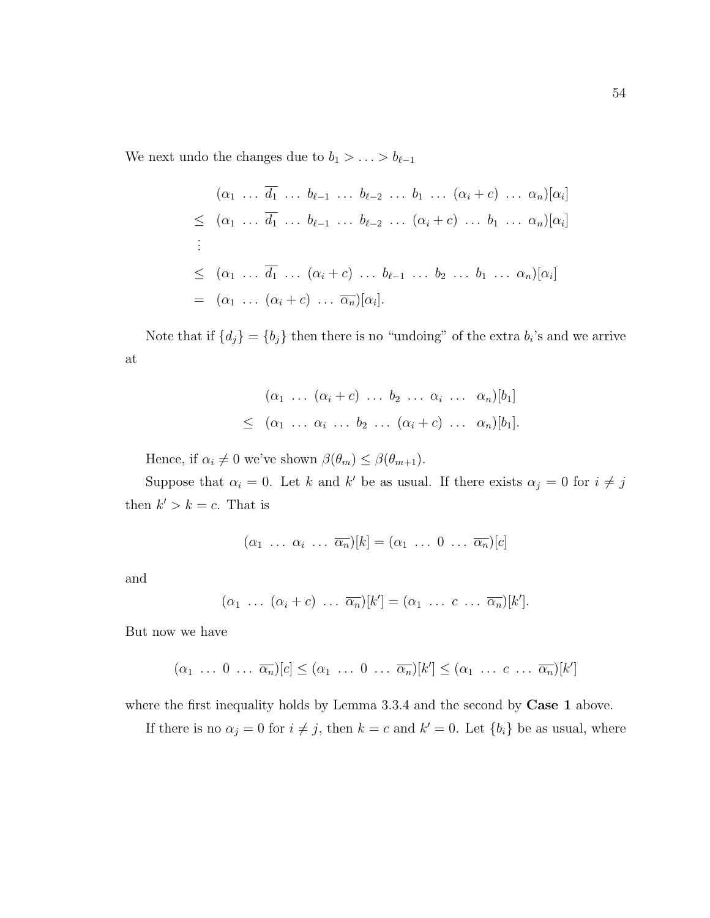We next undo the changes due to  $b_1 > \ldots > b_{\ell-1}$ 

$$
(\alpha_1 \ldots \overline{d_1} \ldots b_{\ell-1} \ldots b_{\ell-2} \ldots b_1 \ldots (\alpha_i + c) \ldots \alpha_n)[\alpha_i]
$$
  
\n
$$
\leq (\alpha_1 \ldots \overline{d_1} \ldots b_{\ell-1} \ldots b_{\ell-2} \ldots (\alpha_i + c) \ldots b_1 \ldots \alpha_n)[\alpha_i]
$$
  
\n
$$
\leq (\alpha_1 \ldots \overline{d_1} \ldots (\alpha_i + c) \ldots b_{\ell-1} \ldots b_2 \ldots b_1 \ldots \alpha_n)[\alpha_i]
$$
  
\n
$$
= (\alpha_1 \ldots (\alpha_i + c) \ldots \overline{\alpha_n})[\alpha_i].
$$

Note that if  $\{d_j\} = \{b_j\}$  then there is no "undoing" of the extra  $b_i$ 's and we arrive at

$$
(\alpha_1 \ldots (\alpha_i + c) \ldots b_2 \ldots \alpha_i \ldots \alpha_n)[b_1]
$$
  
\$\leq (\alpha\_1 \ldots \alpha\_i \ldots b\_2 \ldots (\alpha\_i + c) \ldots \alpha\_n)[b\_1]\$.

Hence, if  $\alpha_i \neq 0$  we've shown  $\beta(\theta_m) \leq \beta(\theta_{m+1})$ .

Suppose that  $\alpha_i = 0$ . Let k and k' be as usual. If there exists  $\alpha_j = 0$  for  $i \neq j$ then  $k' > k = c$ . That is

$$
(\alpha_1 \ldots \alpha_i \ldots \overline{\alpha_n})[k] = (\alpha_1 \ldots 0 \ldots \overline{\alpha_n})[c]
$$

and

$$
(\alpha_1 \ \ldots \ (\alpha_i + c) \ \ldots \ \overline{\alpha_n})[k'] = (\alpha_1 \ \ldots \ c \ \ldots \ \overline{\alpha_n})[k'].
$$

But now we have

$$
(\alpha_1 \ldots 0 \ldots \overline{\alpha_n})[c] \leq (\alpha_1 \ldots 0 \ldots \overline{\alpha_n})[k'] \leq (\alpha_1 \ldots c \ldots \overline{\alpha_n})[k']
$$

where the first inequality holds by Lemma 3.3.4 and the second by **Case 1** above.

If there is no  $\alpha_j = 0$  for  $i \neq j$ , then  $k = c$  and  $k' = 0$ . Let  $\{b_i\}$  be as usual, where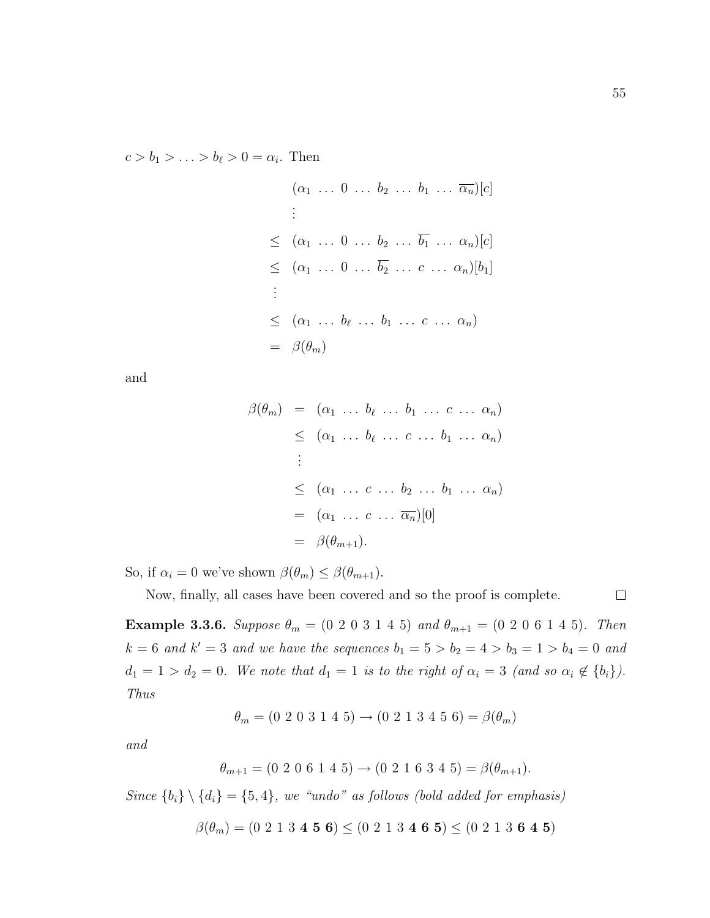$c > b_1 > \ldots > b_\ell > 0 = \alpha_i$ . Then

$$
(\alpha_1 \dots 0 \dots b_2 \dots b_1 \dots \overline{\alpha_n})[c]
$$
  
\n:  
\n
$$
\leq (\alpha_1 \dots 0 \dots b_2 \dots \overline{b_1} \dots \alpha_n)[c]
$$
  
\n
$$
\leq (\alpha_1 \dots 0 \dots \overline{b_2} \dots c \dots \alpha_n)[b_1]
$$
  
\n:  
\n
$$
\leq (\alpha_1 \dots b_{\ell} \dots b_1 \dots c \dots \alpha_n)
$$
  
\n
$$
= \beta(\theta_m)
$$

and

$$
\beta(\theta_m) = (\alpha_1 \dots b_{\ell} \dots b_1 \dots c \dots \alpha_n)
$$
  
\n
$$
\leq (\alpha_1 \dots b_{\ell} \dots c \dots b_1 \dots \alpha_n)
$$
  
\n
$$
\vdots
$$
  
\n
$$
\leq (\alpha_1 \dots c \dots b_2 \dots b_1 \dots \alpha_n)
$$
  
\n
$$
= (\alpha_1 \dots c \dots \overline{\alpha_n})[0]
$$
  
\n
$$
= \beta(\theta_{m+1}).
$$

So, if  $\alpha_i = 0$  we've shown  $\beta(\theta_m) \leq \beta(\theta_{m+1})$ .

Now, finally, all cases have been covered and so the proof is complete.

 $\Box$ 

Example 3.3.6. Suppose  $\theta_m = (0\ 2\ 0\ 3\ 1\ 4\ 5)$  and  $\theta_{m+1} = (0\ 2\ 0\ 6\ 1\ 4\ 5)$ . Then  $k = 6$  and  $k' = 3$  and we have the sequences  $b_1 = 5 > b_2 = 4 > b_3 = 1 > b_4 = 0$  and  $d_1 = 1 > d_2 = 0$ . We note that  $d_1 = 1$  is to the right of  $\alpha_i = 3$  (and so  $\alpha_i \notin \{b_i\}$ ). Thus

$$
\theta_m = (0\ 2\ 0\ 3\ 1\ 4\ 5) \rightarrow (0\ 2\ 1\ 3\ 4\ 5\ 6) = \beta(\theta_m)
$$

and

$$
\theta_{m+1} = (0\ 2\ 0\ 6\ 1\ 4\ 5) \rightarrow (0\ 2\ 1\ 6\ 3\ 4\ 5) = \beta(\theta_{m+1}).
$$

Since  ${b_i} \setminus {d_i} = {5, 4}$ , we "undo" as follows (bold added for emphasis)

 $\beta(\theta_m) = (0\ 2\ 1\ 3\ 4\ 5\ 6) \leq (0\ 2\ 1\ 3\ 4\ 6\ 5) \leq (0\ 2\ 1\ 3\ 6\ 4\ 5)$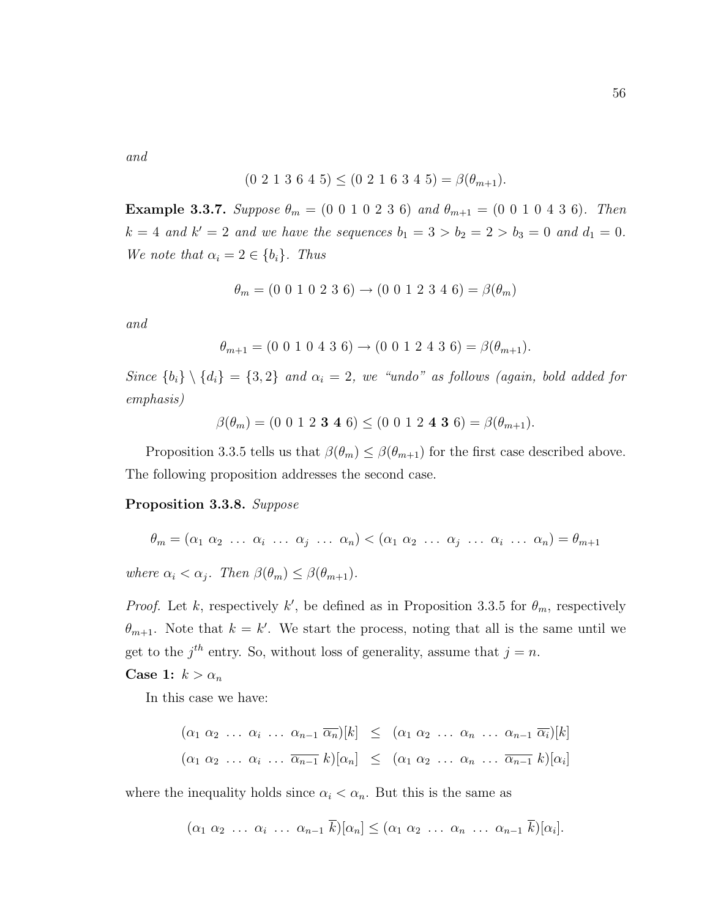and

$$
(0\ 2\ 1\ 3\ 6\ 4\ 5) \leq (0\ 2\ 1\ 6\ 3\ 4\ 5) = \beta(\theta_{m+1}).
$$

Example 3.3.7. Suppose  $\theta_m = (0\ 0\ 1\ 0\ 2\ 3\ 6)$  and  $\theta_{m+1} = (0\ 0\ 1\ 0\ 4\ 3\ 6)$ . Then  $k = 4$  and  $k' = 2$  and we have the sequences  $b_1 = 3 > b_2 = 2 > b_3 = 0$  and  $d_1 = 0$ . We note that  $\alpha_i = 2 \in \{b_i\}$ . Thus

$$
\theta_m = (0\ 0\ 1\ 0\ 2\ 3\ 6) \rightarrow (0\ 0\ 1\ 2\ 3\ 4\ 6) = \beta(\theta_m)
$$

and

$$
\theta_{m+1} = (0\ 0\ 1\ 0\ 4\ 3\ 6) \rightarrow (0\ 0\ 1\ 2\ 4\ 3\ 6) = \beta(\theta_{m+1}).
$$

Since  ${b_i} \setminus {d_i} = {3, 2}$  and  $\alpha_i = 2$ , we "undo" as follows (again, bold added for emphasis)

$$
\beta(\theta_m) = (0\ 0\ 1\ 2\ 3\ 4\ 6) \leq (0\ 0\ 1\ 2\ 4\ 3\ 6) = \beta(\theta_{m+1}).
$$

Proposition 3.3.5 tells us that  $\beta(\theta_m) \leq \beta(\theta_{m+1})$  for the first case described above. The following proposition addresses the second case.

#### Proposition 3.3.8. Suppose

$$
\theta_m = (\alpha_1 \ \alpha_2 \ \ldots \ \alpha_i \ \ldots \ \alpha_j \ \ldots \ \alpha_n) < (\alpha_1 \ \alpha_2 \ \ldots \ \alpha_j \ \ldots \ \alpha_i \ \ldots \ \alpha_n) = \theta_{m+1}
$$

where  $\alpha_i < \alpha_j$ . Then  $\beta(\theta_m) \leq \beta(\theta_{m+1})$ .

*Proof.* Let k, respectively k', be defined as in Proposition 3.3.5 for  $\theta_m$ , respectively  $\theta_{m+1}$ . Note that  $k = k'$ . We start the process, noting that all is the same until we get to the  $j^{th}$  entry. So, without loss of generality, assume that  $j = n$ .

#### Case 1:  $k > \alpha_n$

In this case we have:

$$
(\alpha_1 \alpha_2 \ldots \alpha_i \ldots \alpha_{n-1} \overline{\alpha_n})[k] \leq (\alpha_1 \alpha_2 \ldots \alpha_n \ldots \alpha_{n-1} \overline{\alpha_i})[k]
$$
  

$$
(\alpha_1 \alpha_2 \ldots \alpha_i \ldots \overline{\alpha_{n-1}} k)[\alpha_n] \leq (\alpha_1 \alpha_2 \ldots \alpha_n \ldots \overline{\alpha_{n-1}} k)[\alpha_i]
$$

where the inequality holds since  $\alpha_i < \alpha_n$ . But this is the same as

$$
(\alpha_1 \alpha_2 \ldots \alpha_i \ldots \alpha_{n-1} k)[\alpha_n] \leq (\alpha_1 \alpha_2 \ldots \alpha_n \ldots \alpha_{n-1} k)[\alpha_i].
$$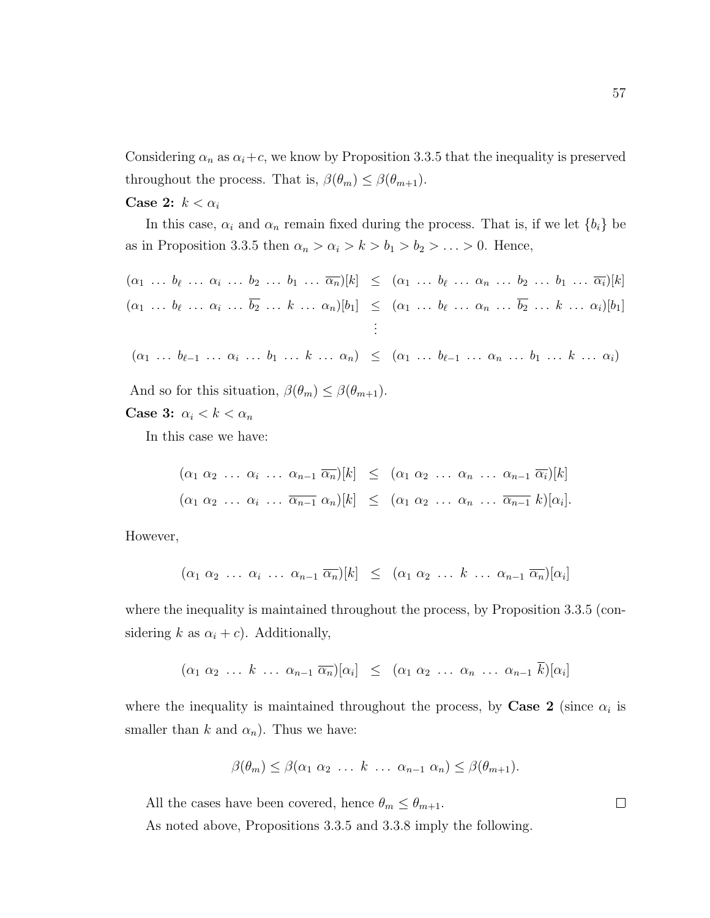Considering  $\alpha_n$  as  $\alpha_i + c$ , we know by Proposition 3.3.5 that the inequality is preserved throughout the process. That is,  $\beta(\theta_m) \leq \beta(\theta_{m+1})$ .

#### Case 2:  $k < \alpha_i$

In this case,  $\alpha_i$  and  $\alpha_n$  remain fixed during the process. That is, if we let  $\{b_i\}$  be as in Proposition 3.3.5 then  $\alpha_n > \alpha_i > k > b_1 > b_2 > \ldots > 0$ . Hence,

$$
(\alpha_1 \ldots b_{\ell} \ldots \alpha_i \ldots b_2 \ldots b_1 \ldots \overline{\alpha_n})[k] \leq (\alpha_1 \ldots b_{\ell} \ldots \alpha_n \ldots b_2 \ldots b_1 \ldots \overline{\alpha_i})[k]
$$
  

$$
(\alpha_1 \ldots b_{\ell} \ldots \alpha_i \ldots \overline{b_2} \ldots k \ldots \alpha_n)[b_1] \leq (\alpha_1 \ldots b_{\ell} \ldots \alpha_n \ldots \overline{b_2} \ldots k \ldots \alpha_i)[b_1]
$$
  

$$
\vdots
$$

$$
(\alpha_1 \ \ldots \ b_{\ell-1} \ \ldots \ \alpha_i \ \ldots \ b_1 \ \ldots \ k \ \ldots \ \alpha_n) \leq (\alpha_1 \ \ldots \ b_{\ell-1} \ \ldots \ \alpha_n \ \ldots \ b_1 \ \ldots \ k \ \ldots \ \alpha_i)
$$

And so for this situation,  $\beta(\theta_m) \leq \beta(\theta_{m+1})$ .

Case 3:  $\alpha_i < k < \alpha_n$ 

In this case we have:

$$
(\alpha_1 \alpha_2 \ldots \alpha_i \ldots \alpha_{n-1} \overline{\alpha_n})[k] \leq (\alpha_1 \alpha_2 \ldots \alpha_n \ldots \alpha_{n-1} \overline{\alpha_i})[k]
$$
  

$$
(\alpha_1 \alpha_2 \ldots \alpha_i \ldots \overline{\alpha_{n-1}} \alpha_n)[k] \leq (\alpha_1 \alpha_2 \ldots \alpha_n \ldots \overline{\alpha_{n-1}} k)[\alpha_i].
$$

However,

$$
(\alpha_1 \alpha_2 \ldots \alpha_i \ldots \alpha_{n-1} \overline{\alpha_n})[k] \leq (\alpha_1 \alpha_2 \ldots k \ldots \alpha_{n-1} \overline{\alpha_n})[\alpha_i]
$$

where the inequality is maintained throughout the process, by Proposition 3.3.5 (considering k as  $\alpha_i + c$ ). Additionally,

$$
(\alpha_1 \alpha_2 \ldots k \ldots \alpha_{n-1} \overline{\alpha_n})[\alpha_i] \leq (\alpha_1 \alpha_2 \ldots \alpha_n \ldots \alpha_{n-1} k)[\alpha_i]
$$

where the inequality is maintained throughout the process, by Case 2 (since  $\alpha_i$  is smaller than k and  $\alpha_n$ ). Thus we have:

$$
\beta(\theta_m) \leq \beta(\alpha_1 \ \alpha_2 \ \ldots \ k \ \ldots \ \alpha_{n-1} \ \alpha_n) \leq \beta(\theta_{m+1}).
$$

All the cases have been covered, hence  $\theta_m \leq \theta_{m+1}$ .

As noted above, Propositions 3.3.5 and 3.3.8 imply the following.

 $\Box$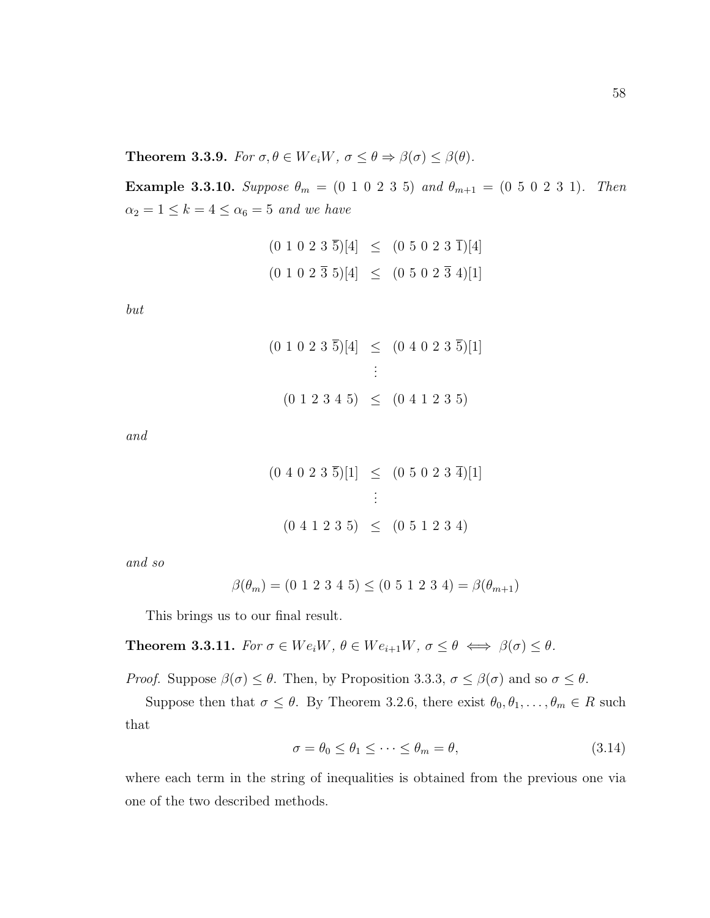**Theorem 3.3.9.** For  $\sigma, \theta \in We_iW$ ,  $\sigma \leq \theta \Rightarrow \beta(\sigma) \leq \beta(\theta)$ .

Example 3.3.10. Suppose  $\theta_m = (0 \ 1 \ 0 \ 2 \ 3 \ 5)$  and  $\theta_{m+1} = (0 \ 5 \ 0 \ 2 \ 3 \ 1)$ . Then  $\alpha_2 = 1 \leq k = 4 \leq \alpha_6 = 5$  and we have

$$
(0\ 1\ 0\ 2\ 3\ \overline{5})[4] \leq (0\ 5\ 0\ 2\ 3\ \overline{1})[4]
$$
  

$$
(0\ 1\ 0\ 2\ \overline{3}\ 5)[4] \leq (0\ 5\ 0\ 2\ \overline{3}\ 4)[1]
$$

but

$$
(0 1 0 2 3 \overline{5})[4] \leq (0 4 0 2 3 \overline{5})[1]
$$
  
 
$$
\vdots
$$
  
 
$$
(0 1 2 3 4 5) \leq (0 4 1 2 3 5)
$$

and

$$
(0\ 4\ 0\ 2\ 3\ \overline{5})[1] \leq (0\ 5\ 0\ 2\ 3\ \overline{4})[1]
$$
  
:  

$$
(0\ 4\ 1\ 2\ 3\ 5) \leq (0\ 5\ 1\ 2\ 3\ 4)
$$

and so

$$
\beta(\theta_m) = (0 \ 1 \ 2 \ 3 \ 4 \ 5) \leq (0 \ 5 \ 1 \ 2 \ 3 \ 4) = \beta(\theta_{m+1})
$$

This brings us to our final result.

**Theorem 3.3.11.** For  $\sigma \in We_iW$ ,  $\theta \in We_{i+1}W$ ,  $\sigma \le \theta \iff \beta(\sigma) \le \theta$ .

*Proof.* Suppose  $\beta(\sigma) \leq \theta$ . Then, by Proposition 3.3.3,  $\sigma \leq \beta(\sigma)$  and so  $\sigma \leq \theta$ .

Suppose then that  $\sigma \leq \theta$ . By Theorem 3.2.6, there exist  $\theta_0, \theta_1, \ldots, \theta_m \in R$  such that

$$
\sigma = \theta_0 \le \theta_1 \le \dots \le \theta_m = \theta,\tag{3.14}
$$

where each term in the string of inequalities is obtained from the previous one via one of the two described methods.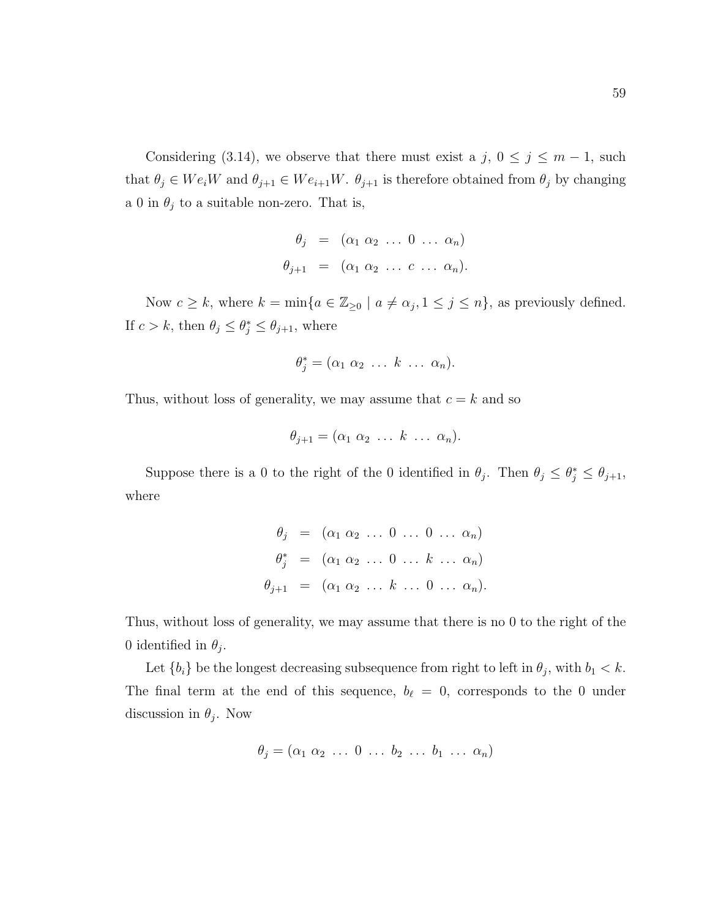Considering (3.14), we observe that there must exist a j,  $0 \le j \le m - 1$ , such that  $\theta_j \in We_iW$  and  $\theta_{j+1} \in We_{i+1}W$ .  $\theta_{j+1}$  is therefore obtained from  $\theta_j$  by changing a 0 in  $\theta_j$  to a suitable non-zero. That is,

$$
\theta_j = (\alpha_1 \alpha_2 \dots 0 \dots \alpha_n)
$$
  

$$
\theta_{j+1} = (\alpha_1 \alpha_2 \dots c \dots \alpha_n).
$$

Now  $c \geq k$ , where  $k = \min\{a \in \mathbb{Z}_{\geq 0} \mid a \neq \alpha_j, 1 \leq j \leq n\}$ , as previously defined. If  $c > k$ , then  $\theta_j \leq \theta_j^* \leq \theta_{j+1}$ , where

$$
\theta_j^* = (\alpha_1 \ \alpha_2 \ \ldots \ k \ \ldots \ \alpha_n).
$$

Thus, without loss of generality, we may assume that  $c = k$  and so

$$
\theta_{j+1} = (\alpha_1 \ \alpha_2 \ \ldots \ k \ \ldots \ \alpha_n).
$$

Suppose there is a 0 to the right of the 0 identified in  $\theta_j$ . Then  $\theta_j \leq \theta_j^* \leq \theta_{j+1}$ , where

|  | $\theta_j = (\alpha_1 \alpha_2 \ldots 0 \ldots 0 \ldots \alpha_n)$      |  |  |  |
|--|-------------------------------------------------------------------------|--|--|--|
|  | $\theta_j^*$ = $(\alpha_1 \alpha_2 \ldots 0 \ldots k \ldots \alpha_n)$  |  |  |  |
|  | $\theta_{j+1} = (\alpha_1 \alpha_2 \ldots k \ldots 0 \ldots \alpha_n).$ |  |  |  |

Thus, without loss of generality, we may assume that there is no 0 to the right of the 0 identified in  $\theta_j$ .

Let  ${b_i}$  be the longest decreasing subsequence from right to left in  $\theta_j$ , with  $b_1 < k$ . The final term at the end of this sequence,  $b_{\ell} = 0$ , corresponds to the 0 under discussion in  $\theta_j$ . Now

$$
\theta_j = (\alpha_1 \ \alpha_2 \ \ldots \ 0 \ \ldots \ b_2 \ \ldots \ b_1 \ \ldots \ \alpha_n)
$$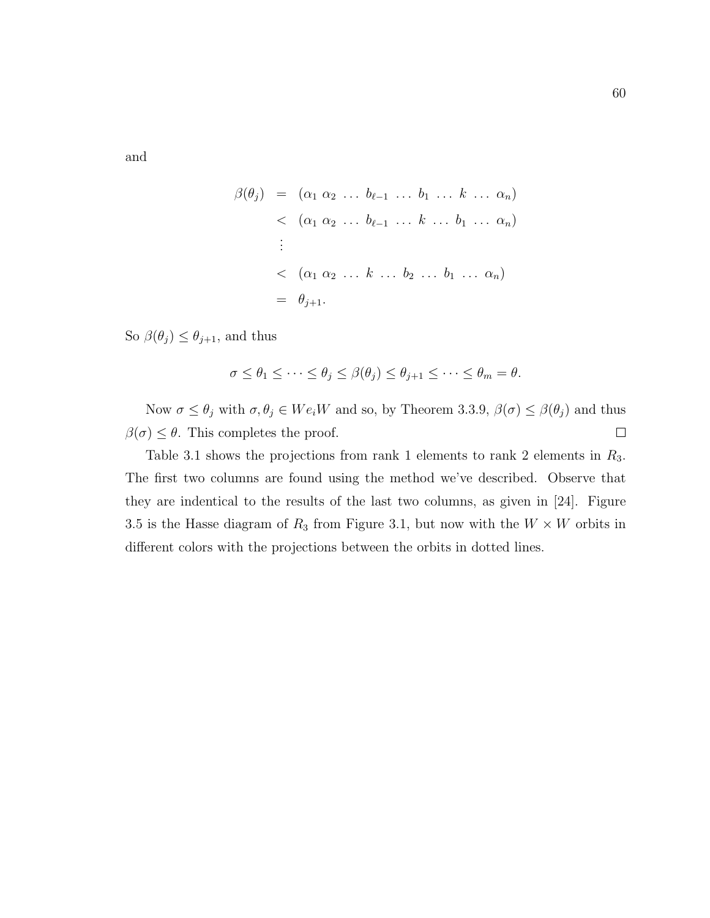and

$$
\beta(\theta_j) = (\alpha_1 \alpha_2 \dots b_{\ell-1} \dots b_1 \dots k \dots \alpha_n)
$$
  

$$
< (\alpha_1 \alpha_2 \dots b_{\ell-1} \dots k \dots b_1 \dots \alpha_n)
$$
  

$$
\vdots
$$
  

$$
< (\alpha_1 \alpha_2 \dots k \dots b_2 \dots b_1 \dots \alpha_n)
$$
  

$$
= \theta_{j+1}.
$$

So  $\beta(\theta_j) \leq \theta_{j+1}$ , and thus

$$
\sigma \leq \theta_1 \leq \cdots \leq \theta_j \leq \beta(\theta_j) \leq \theta_{j+1} \leq \cdots \leq \theta_m = \theta.
$$

Now  $\sigma \le \theta_j$  with  $\sigma, \theta_j \in We_iW$  and so, by Theorem 3.3.9,  $\beta(\sigma) \le \beta(\theta_j)$  and thus  $\beta(\sigma) \leq \theta$ . This completes the proof.  $\Box$ 

Table 3.1 shows the projections from rank 1 elements to rank 2 elements in  $R_3$ . The first two columns are found using the method we've described. Observe that they are indentical to the results of the last two columns, as given in [24]. Figure 3.5 is the Hasse diagram of  $R_3$  from Figure 3.1, but now with the  $W \times W$  orbits in different colors with the projections between the orbits in dotted lines.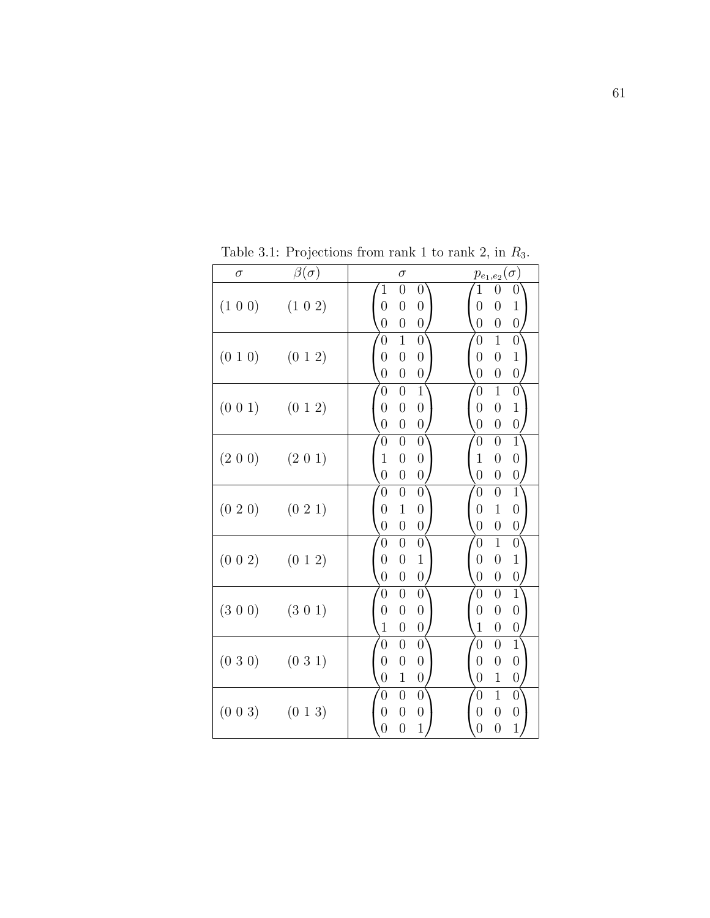| $\sigma$      | $\beta(\sigma)$         | $\sigma$                                                                                                                                                                 | $p_{e_1,e_2}(\sigma)$                                                                                                                                              |
|---------------|-------------------------|--------------------------------------------------------------------------------------------------------------------------------------------------------------------------|--------------------------------------------------------------------------------------------------------------------------------------------------------------------|
|               | $(1\;0\;0)$ $(1\;0\;2)$ | $\overline{0}$<br>$\mathbf{1}$<br>$\boldsymbol{0}$<br>$\overline{0}$<br>$\boldsymbol{0}$<br>$\boldsymbol{0}$<br>$\overline{0}$<br>$\boldsymbol{0}$<br>$\boldsymbol{0}$   | $\mathbf 1$<br>$\overline{0}$<br>$\boldsymbol{0}$<br>$\overline{0}$<br>$\overline{0}$<br>$\mathbf 1$<br>$\overline{0}$<br>$\boldsymbol{0}$<br>$\boldsymbol{0}$     |
| $(0\; 1\; 0)$ | (012)                   | $\overline{1}$<br>$\overline{0}$<br>$\boldsymbol{0}$<br>$\overline{0}$<br>$\boldsymbol{0}$<br>$\boldsymbol{0}$<br>$\overline{0}$<br>$\boldsymbol{0}$<br>$\boldsymbol{0}$ | $\overline{1}$<br>$\overline{0}$<br>$\boldsymbol{0}$<br>$\mathbf 1$<br>$\overline{0}$<br>$\overline{0}$<br>$\overline{0}$<br>$\boldsymbol{0}$<br>$\overline{0}$    |
| $(0\;0\;1)$   | (0 1 2)                 | $\overline{0}$<br>$\overline{0}$<br>1<br>$\overline{0}$<br>$\boldsymbol{0}$<br>$\boldsymbol{0}$<br>$\overline{0}$<br>$\overline{0}$<br>$\boldsymbol{0}$                  | $\overline{1}$<br>$\overline{0}$<br>$\boldsymbol{0}$<br>$\overline{0}$<br>$\mathbf{1}$<br>$\overline{0}$<br>$\overline{0}$<br>$\boldsymbol{0}$<br>$\overline{0}$   |
| (2 0 0)       | $(2\;0\;1)$             | $\overline{0}$<br>$\overline{0}$<br>$\boldsymbol{0}$<br>$\mathbf{1}$<br>$\boldsymbol{0}$<br>$\boldsymbol{0}$<br>$\overline{0}$<br>$\overline{0}$<br>$\boldsymbol{0}$     | $\overline{1}$<br>$\overline{0}$<br>$\overline{0}$<br>$\mathbf{1}$<br>$\boldsymbol{0}$<br>$\overline{0}$<br>$\overline{0}$<br>$\overline{0}$<br>$\boldsymbol{0}$   |
|               | $(0\;2\;0)$ $(0\;2\;1)$ | $\boldsymbol{0}$<br>$\overline{0}$<br>$\boldsymbol{0}$<br>$\overline{0}$<br>$\mathbf{1}$<br>$\boldsymbol{0}$<br>$\overline{0}$<br>$\overline{0}$<br>$\boldsymbol{0}$     | $\overline{1}$<br>$\boldsymbol{0}$<br>$\overline{0}$<br>$\mathbf{1}$<br>$\overline{0}$<br>$\boldsymbol{0}$<br>$\overline{0}$<br>$\overline{0}$<br>$\boldsymbol{0}$ |
| (0 0 2)       | $(0\;1\;2)$             | $\overline{0}$<br>$\boldsymbol{0}$<br>$\boldsymbol{0}$<br>$\overline{0}$<br>$\mathbf{1}$<br>$\boldsymbol{0}$<br>$\boldsymbol{0}$<br>$\overline{0}$<br>$\overline{0}$     | $\overline{1}$<br>$\overline{0}$<br>$\boldsymbol{0}$<br>$\mathbf{1}$<br>$\overline{0}$<br>$\overline{0}$<br>$\overline{0}$<br>$\boldsymbol{0}$<br>$\overline{0}$   |
| (3 0 0)       | $(3\;0\;1)$             | $\overline{0}$<br>$\overline{0}$<br>$\boldsymbol{0}$<br>$\overline{0}$<br>$\boldsymbol{0}$<br>$\boldsymbol{0}$<br>$\mathbf{1}$<br>$\boldsymbol{0}$<br>$\overline{0}$     | $\overline{1}$<br>$\overline{0}$<br>$\overline{0}$<br>$\overline{0}$<br>$\boldsymbol{0}$<br>$\boldsymbol{0}$<br>$1\,$<br>$\overline{0}$<br>$\boldsymbol{0}$        |
|               | $(030)$ $(031)$         | $\boldsymbol{0}$<br>$\overline{0}$<br>$\boldsymbol{0}$<br>$\overline{0}$<br>$\boldsymbol{0}$<br>$\boldsymbol{0}$<br>$\mathbf{1}$<br>$\boldsymbol{0}$<br>$\overline{0}$   | $\overline{1}$<br>$\overline{0}$<br>$\overline{0}$<br>$\overline{0}$<br>$\boldsymbol{0}$<br>$\boldsymbol{0}$<br>$\overline{0}$<br>$\mathbf{1}$<br>$\boldsymbol{0}$ |
| (0 0 3)       | $(0\; 1\; 3)$           | $\overline{0}$<br>$\overline{0}$<br>$\boldsymbol{0}$<br>$\overline{0}$<br>$\boldsymbol{0}$<br>$\boldsymbol{0}$<br>$\overline{0}$<br>$\mathbf 1$<br>$\overline{0}$        | $\overline{1}$<br>$\overline{0}$<br>$\boldsymbol{0}$<br>$\overline{0}$<br>$\boldsymbol{0}$<br>$\boldsymbol{0}$<br>$\mathbf{1}$<br>$\overline{0}$<br>$\overline{0}$ |

Table 3.1: Projections from rank 1 to rank 2, in  $R_3$ .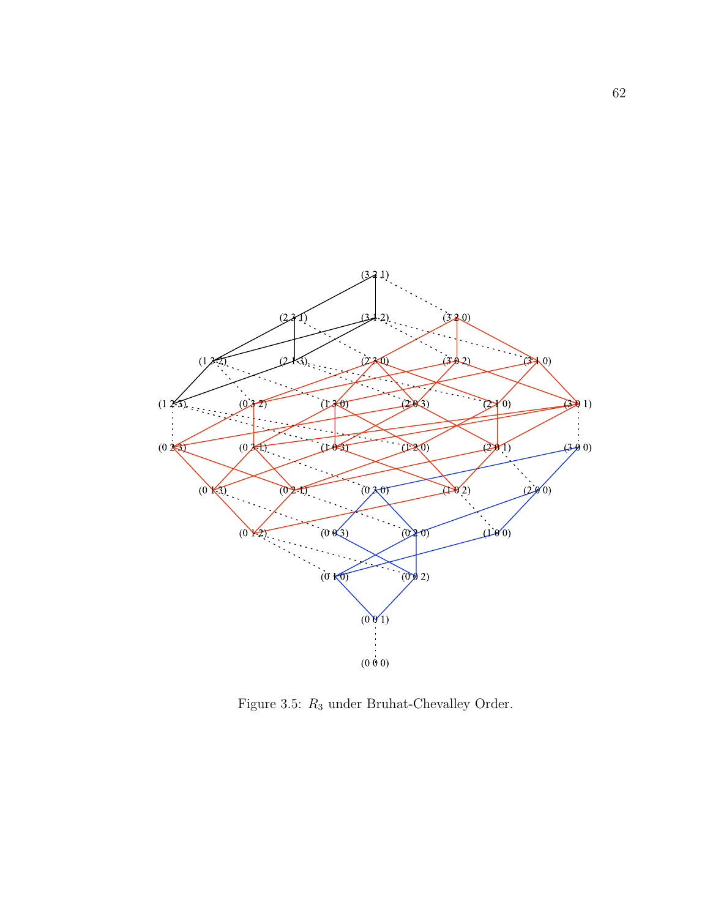

Figure 3.5:  $R_3$  under Bruhat-Chevalley Order.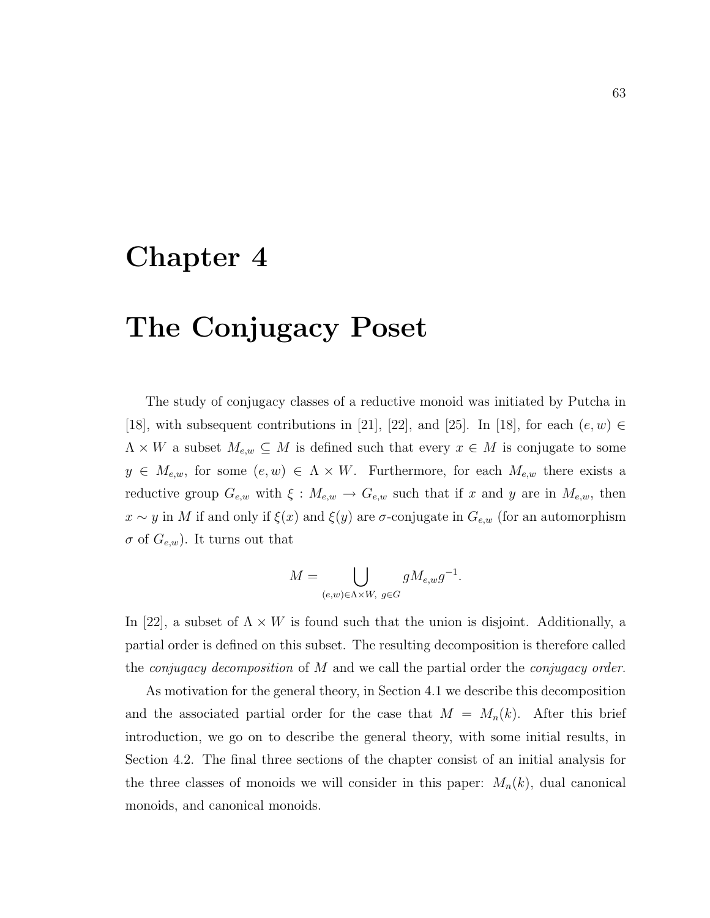### Chapter 4

## The Conjugacy Poset

The study of conjugacy classes of a reductive monoid was initiated by Putcha in [18], with subsequent contributions in [21], [22], and [25]. In [18], for each  $(e, w) \in$  $\Lambda \times W$  a subset  $M_{e,w} \subseteq M$  is defined such that every  $x \in M$  is conjugate to some  $y \in M_{e,w}$ , for some  $(e, w) \in \Lambda \times W$ . Furthermore, for each  $M_{e,w}$  there exists a reductive group  $G_{e,w}$  with  $\xi: M_{e,w} \to G_{e,w}$  such that if x and y are in  $M_{e,w}$ , then  $x \sim y$  in M if and only if  $\xi(x)$  and  $\xi(y)$  are  $\sigma$ -conjugate in  $G_{e,w}$  (for an automorphism  $\sigma$  of  $G_{e,w}$ ). It turns out that

$$
M = \bigcup_{(e,w)\in \Lambda \times W, \ g\in G} gM_{e,w}g^{-1}.
$$

In [22], a subset of  $\Lambda \times W$  is found such that the union is disjoint. Additionally, a partial order is defined on this subset. The resulting decomposition is therefore called the *conjugacy decomposition* of  $M$  and we call the partial order the *conjugacy order*.

As motivation for the general theory, in Section 4.1 we describe this decomposition and the associated partial order for the case that  $M = M_n(k)$ . After this brief introduction, we go on to describe the general theory, with some initial results, in Section 4.2. The final three sections of the chapter consist of an initial analysis for the three classes of monoids we will consider in this paper:  $M_n(k)$ , dual canonical monoids, and canonical monoids.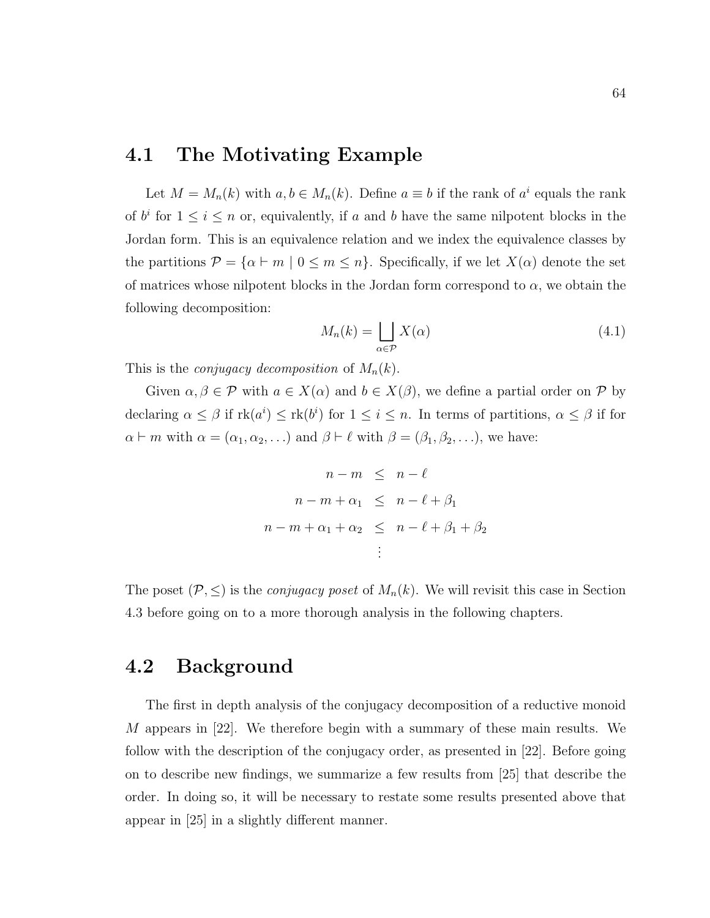### 4.1 The Motivating Example

Let  $M = M_n(k)$  with  $a, b \in M_n(k)$ . Define  $a \equiv b$  if the rank of  $a^i$  equals the rank of  $b^i$  for  $1 \leq i \leq n$  or, equivalently, if a and b have the same nilpotent blocks in the Jordan form. This is an equivalence relation and we index the equivalence classes by the partitions  $\mathcal{P} = \{ \alpha \vdash m \mid 0 \leq m \leq n \}.$  Specifically, if we let  $X(\alpha)$  denote the set of matrices whose nilpotent blocks in the Jordan form correspond to  $\alpha$ , we obtain the following decomposition:

$$
M_n(k) = \bigsqcup_{\alpha \in \mathcal{P}} X(\alpha) \tag{4.1}
$$

This is the *conjugacy decomposition* of  $M_n(k)$ .

Given  $\alpha, \beta \in \mathcal{P}$  with  $a \in X(\alpha)$  and  $b \in X(\beta)$ , we define a partial order on  $\mathcal{P}$  by declaring  $\alpha \leq \beta$  if  $rk(a^i) \leq rk(b^i)$  for  $1 \leq i \leq n$ . In terms of partitions,  $\alpha \leq \beta$  if for  $\alpha \vdash m$  with  $\alpha = (\alpha_1, \alpha_2, \ldots)$  and  $\beta \vdash \ell$  with  $\beta = (\beta_1, \beta_2, \ldots)$ , we have:

$$
n - m \leq n - \ell
$$
  
\n
$$
n - m + \alpha_1 \leq n - \ell + \beta_1
$$
  
\n
$$
n - m + \alpha_1 + \alpha_2 \leq n - \ell + \beta_1 + \beta_2
$$
  
\n
$$
\vdots
$$

The poset  $(\mathcal{P}, \leq)$  is the *conjugacy poset* of  $M_n(k)$ . We will revisit this case in Section 4.3 before going on to a more thorough analysis in the following chapters.

### 4.2 Background

The first in depth analysis of the conjugacy decomposition of a reductive monoid M appears in  $[22]$ . We therefore begin with a summary of these main results. We follow with the description of the conjugacy order, as presented in [22]. Before going on to describe new findings, we summarize a few results from [25] that describe the order. In doing so, it will be necessary to restate some results presented above that appear in [25] in a slightly different manner.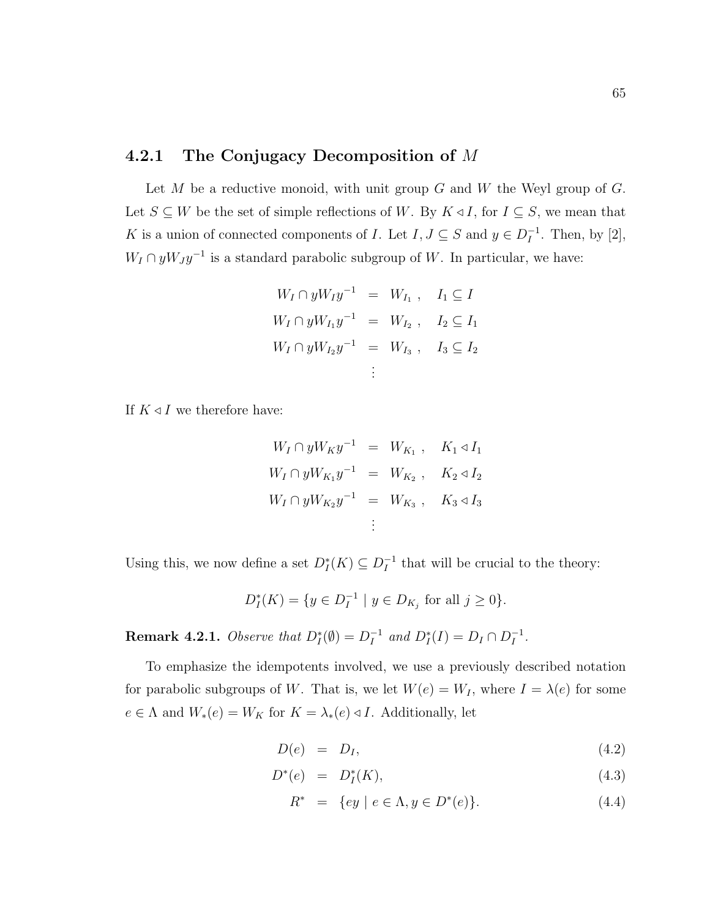#### 4.2.1 The Conjugacy Decomposition of M

Let  $M$  be a reductive monoid, with unit group  $G$  and  $W$  the Weyl group of  $G$ . Let  $S \subseteq W$  be the set of simple reflections of W. By  $K \triangleleft I$ , for  $I \subseteq S$ , we mean that K is a union of connected components of I. Let  $I, J \subseteq S$  and  $y \in D_I^{-1}$  $I^{\text{-}1}$ . Then, by [2],  $W_I \cap yW_J y^{-1}$  is a standard parabolic subgroup of W. In particular, we have:

$$
W_I \cap yW_I y^{-1} = W_{I_1} , I_1 \subseteq I
$$
  

$$
W_I \cap yW_{I_1} y^{-1} = W_{I_2} , I_2 \subseteq I_1
$$
  

$$
W_I \cap yW_{I_2} y^{-1} = W_{I_3} , I_3 \subseteq I_2
$$
  

$$
\vdots
$$

If  $K \triangleleft I$  we therefore have:

$$
W_I \cap yW_Ky^{-1} = W_{K_1}, \quad K_1 \triangleleft I_1
$$
  

$$
W_I \cap yW_{K_1}y^{-1} = W_{K_2}, \quad K_2 \triangleleft I_2
$$
  

$$
W_I \cap yW_{K_2}y^{-1} = W_{K_3}, \quad K_3 \triangleleft I_3
$$
  

$$
\vdots
$$

Using this, we now define a set  $D_I^*(K) \subseteq D_I^{-1}$  $I_I^{-1}$  that will be crucial to the theory:

$$
D_I^*(K) = \{ y \in D_I^{-1} \mid y \in D_{K_j} \text{ for all } j \ge 0 \}.
$$

**Remark 4.2.1.** Observe that  $D_I^*(\emptyset) = D_I^{-1}$  $I_I^{-1}$  and  $D_I^*(I) = D_I \cap D_I^{-1}$  $I^{-1}$ .

To emphasize the idempotents involved, we use a previously described notation for parabolic subgroups of W. That is, we let  $W(e) = W_I$ , where  $I = \lambda(e)$  for some  $e \in \Lambda$  and  $W_*(e) = W_K$  for  $K = \lambda_*(e) \triangleleft I$ . Additionally, let

$$
D(e) = D_I, \t\t(4.2)
$$

$$
D^*(e) = D_I^*(K), \t\t(4.3)
$$

$$
R^* = \{ey \mid e \in \Lambda, y \in D^*(e)\}.
$$
 (4.4)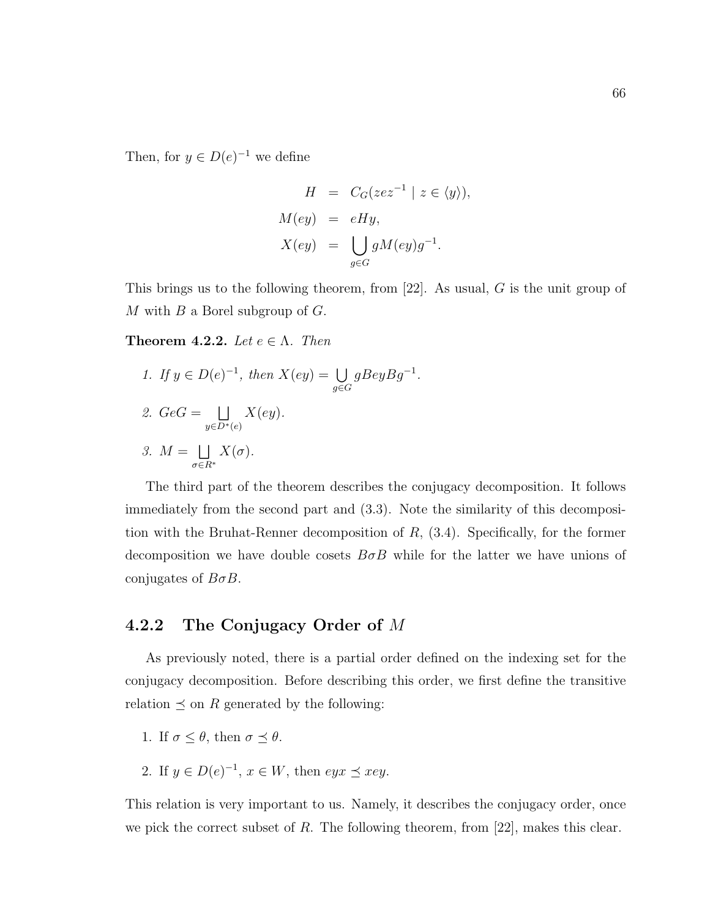Then, for  $y \in D(e)^{-1}$  we define

$$
H = C_G(zez^{-1} | z \in \langle y \rangle),
$$
  
\n
$$
M(ey) = eHy,
$$
  
\n
$$
X(ey) = \bigcup_{g \in G} gM(ey)g^{-1}.
$$

This brings us to the following theorem, from [22]. As usual, G is the unit group of M with  $B$  a Borel subgroup of  $G$ .

**Theorem 4.2.2.** Let  $e \in \Lambda$ . Then

1. If  $y \in D(e)^{-1}$ , then  $X(ey) = \bigcup$  $g{\in}G$  $gBeyBg^{-1}.$ 2.  $GeG = \Box$  $y \in D^*(e)$  $X(ey).$ 3.  $M = \Box$ σ∈R<sup>∗</sup>  $X(\sigma).$ 

The third part of the theorem describes the conjugacy decomposition. It follows immediately from the second part and (3.3). Note the similarity of this decomposition with the Bruhat-Renner decomposition of  $R$ ,  $(3.4)$ . Specifically, for the former decomposition we have double cosets  $B \sigma B$  while for the latter we have unions of conjugates of  $B\sigma B$ .

#### 4.2.2 The Conjugacy Order of M

As previously noted, there is a partial order defined on the indexing set for the conjugacy decomposition. Before describing this order, we first define the transitive relation  $\preceq$  on R generated by the following:

- 1. If  $\sigma \leq \theta$ , then  $\sigma \preceq \theta$ .
- 2. If  $y \in D(e)^{-1}$ ,  $x \in W$ , then  $eyx \preceq xey$ .

This relation is very important to us. Namely, it describes the conjugacy order, once we pick the correct subset of  $R$ . The following theorem, from [22], makes this clear.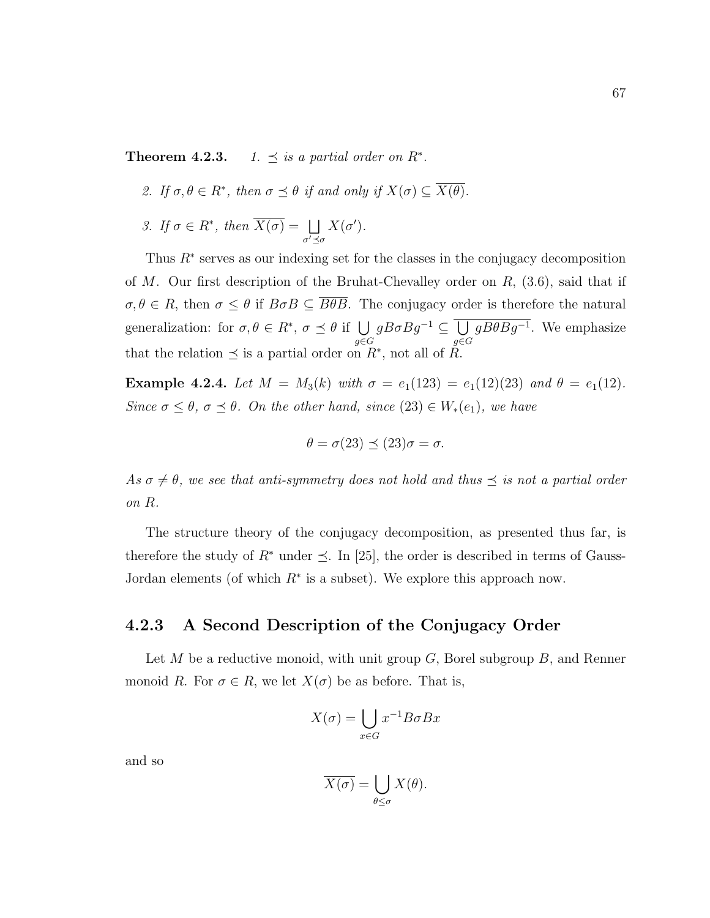**Theorem 4.2.3.** 1.  $\preceq$  is a partial order on  $R^*$ .

- 2. If  $\sigma, \theta \in R^*$ , then  $\sigma \preceq \theta$  if and only if  $X(\sigma) \subseteq \overline{X(\theta)}$ .
- 3. If  $\sigma \in R^*$ , then  $\overline{X(\sigma)} = \Box$  $\sigma' \preceq \sigma$  $X(\sigma')$ .

Thus  $R^*$  serves as our indexing set for the classes in the conjugacy decomposition of M. Our first description of the Bruhat-Chevalley order on  $R$ , (3.6), said that if  $\sigma, \theta \in R$ , then  $\sigma \leq \theta$  if  $B \sigma B \subseteq \overline{B\theta B}$ . The conjugacy order is therefore the natural generalization: for  $\sigma, \theta \in R^*$ ,  $\sigma \preceq \theta$  if  $\bigcup$ g∈G  $gB\sigma Bg^{-1}\subseteq\overline{\bigcup}$ g∈G  $gB\theta Bg^{-1}$ . We emphasize that the relation  $\preceq$  is a partial order on  $R^*$ , not all of R.

Example 4.2.4. Let  $M = M_3(k)$  with  $\sigma = e_1(123) = e_1(12)(23)$  and  $\theta = e_1(12)$ . Since  $\sigma \leq \theta$ ,  $\sigma \leq \theta$ . On the other hand, since  $(23) \in W_*(e_1)$ , we have

$$
\theta = \sigma(23) \preceq (23)\sigma = \sigma.
$$

As  $\sigma \neq \theta$ , we see that anti-symmetry does not hold and thus  $\preceq$  is not a partial order on R.

The structure theory of the conjugacy decomposition, as presented thus far, is therefore the study of  $R^*$  under  $\leq$ . In [25], the order is described in terms of Gauss-Jordan elements (of which  $R^*$  is a subset). We explore this approach now.

#### 4.2.3 A Second Description of the Conjugacy Order

Let M be a reductive monoid, with unit group  $G$ , Borel subgroup  $B$ , and Renner monoid R. For  $\sigma \in R$ , we let  $X(\sigma)$  be as before. That is,

$$
X(\sigma) = \bigcup_{x \in G} x^{-1} B \sigma B x
$$

and so

$$
\overline{X(\sigma)} = \bigcup_{\theta \le \sigma} X(\theta).
$$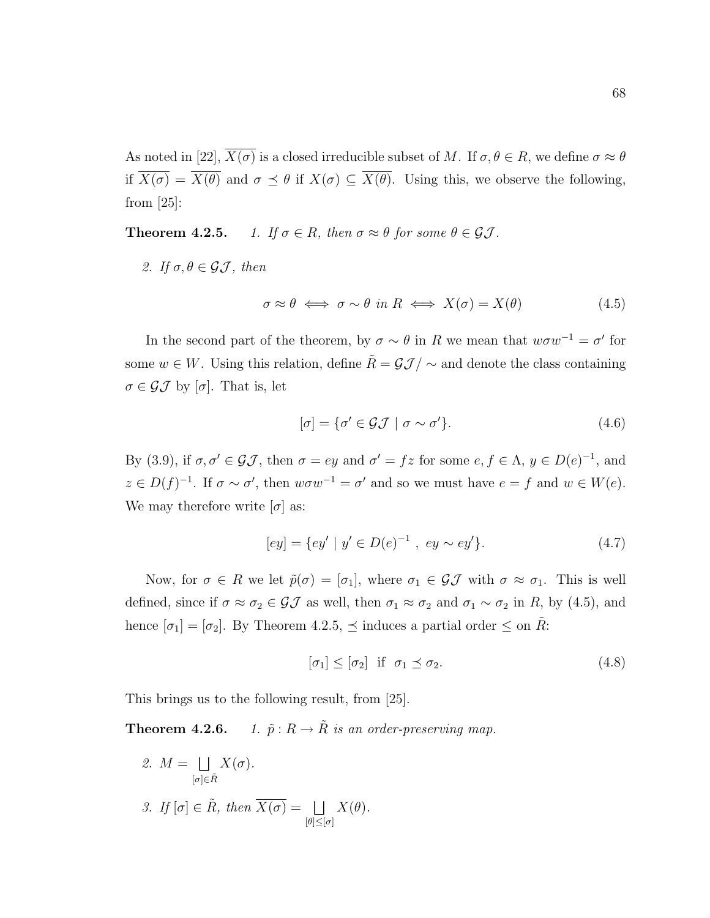As noted in [22],  $\overline{X(\sigma)}$  is a closed irreducible subset of M. If  $\sigma, \theta \in R$ , we define  $\sigma \approx \theta$ if  $\overline{X(\sigma)} = \overline{X(\theta)}$  and  $\sigma \preceq \theta$  if  $X(\sigma) \subseteq \overline{X(\theta)}$ . Using this, we observe the following, from [25]:

**Theorem 4.2.5.** 1. If  $\sigma \in R$ , then  $\sigma \approx \theta$  for some  $\theta \in \mathcal{GI}$ .

2. If  $\sigma, \theta \in \mathcal{GI}$ , then

$$
\sigma \approx \theta \iff \sigma \sim \theta \text{ in } R \iff X(\sigma) = X(\theta) \tag{4.5}
$$

In the second part of the theorem, by  $\sigma \sim \theta$  in R we mean that  $w\sigma w^{-1} = \sigma'$  for some  $w \in W$ . Using this relation, define  $\tilde{R} = \mathcal{GI}/\sim$  and denote the class containing  $\sigma \in \mathcal{GI}$  by  $[\sigma]$ . That is, let

$$
[\sigma] = {\sigma' \in \mathcal{GI} \mid \sigma \sim \sigma'}.
$$
\n(4.6)

By (3.9), if  $\sigma, \sigma' \in \mathcal{GI}$ , then  $\sigma = ey$  and  $\sigma' = fz$  for some  $e, f \in \Lambda, y \in D(e)^{-1}$ , and  $z \in D(f)^{-1}$ . If  $\sigma \sim \sigma'$ , then  $w\sigma w^{-1} = \sigma'$  and so we must have  $e = f$  and  $w \in W(e)$ . We may therefore write  $[\sigma]$  as:

$$
[ey] = \{ey' \mid y' \in D(e)^{-1}, \ ey \sim ey'\}.
$$
\n(4.7)

Now, for  $\sigma \in R$  we let  $\tilde{p}(\sigma) = [\sigma_1]$ , where  $\sigma_1 \in \mathcal{GI}$  with  $\sigma \approx \sigma_1$ . This is well defined, since if  $\sigma \approx \sigma_2 \in \mathcal{GI}$  as well, then  $\sigma_1 \approx \sigma_2$  and  $\sigma_1 \sim \sigma_2$  in R, by (4.5), and hence  $[\sigma_1] = [\sigma_2]$ . By Theorem 4.2.5,  $\preceq$  induces a partial order  $\leq$  on  $\hat{R}$ :

$$
[\sigma_1] \le [\sigma_2] \quad \text{if} \quad \sigma_1 \preceq \sigma_2. \tag{4.8}
$$

This brings us to the following result, from [25].

**Theorem 4.2.6.** 1.  $\tilde{p}: R \to \tilde{R}$  is an order-preserving map.

2.  $M = \Box$  $[\sigma]{\in}\tilde{R}$  $X(\sigma).$ 3. If  $[\sigma] \in \tilde{R}$ , then  $\overline{X(\sigma)} = \Box$  $\lbrack \theta \rbrack \leq \lbrack \sigma \rbrack$  $X(\theta)$ .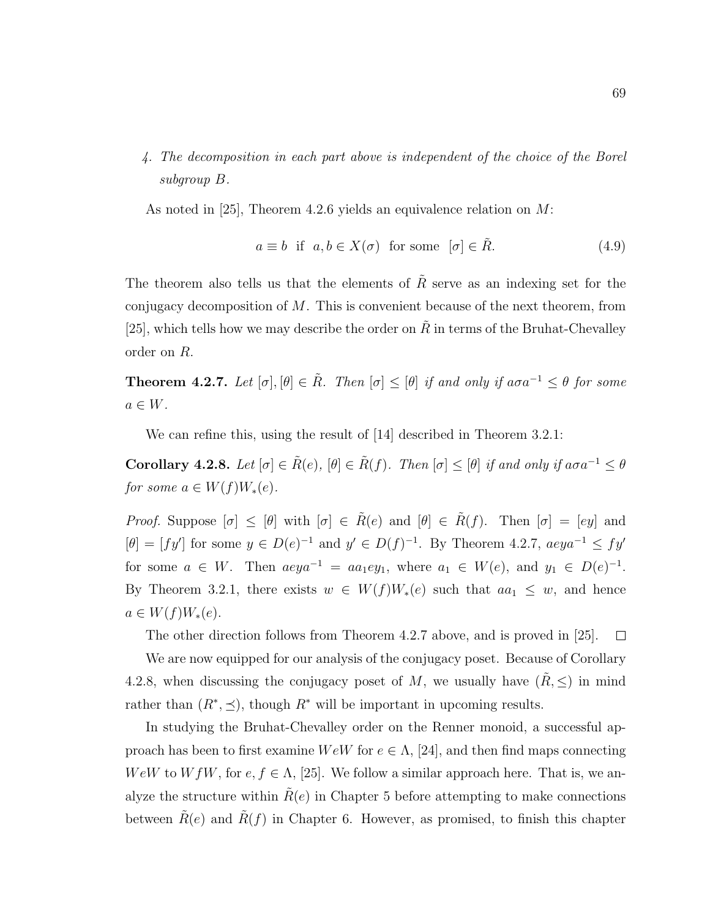4. The decomposition in each part above is independent of the choice of the Borel subgroup B.

As noted in [25], Theorem 4.2.6 yields an equivalence relation on M:

$$
a \equiv b \quad \text{if} \quad a, b \in X(\sigma) \quad \text{for some} \quad [\sigma] \in \tilde{R}.\tag{4.9}
$$

The theorem also tells us that the elements of  $\tilde{R}$  serve as an indexing set for the conjugacy decomposition of  $M$ . This is convenient because of the next theorem, from [25], which tells how we may describe the order on  $\ddot{R}$  in terms of the Bruhat-Chevalley order on R.

**Theorem 4.2.7.** Let  $[\sigma], [\theta] \in \tilde{R}$ . Then  $[\sigma] \leq [\theta]$  if and only if  $a\sigma a^{-1} \leq \theta$  for some  $a \in W$ .

We can refine this, using the result of [14] described in Theorem 3.2.1:

Corollary 4.2.8. Let  $[\sigma] \in \tilde{R}(e)$ ,  $[\theta] \in \tilde{R}(f)$ . Then  $[\sigma] \leq [\theta]$  if and only if  $a\sigma a^{-1} \leq \theta$ for some  $a \in W(f)W_*(e)$ .

Proof. Suppose  $[\sigma] \leq [\theta]$  with  $[\sigma] \in \tilde{R}(e)$  and  $[\theta] \in \tilde{R}(f)$ . Then  $[\sigma] = [ey]$  and  $[\theta] = [fy']$  for some  $y \in D(e)^{-1}$  and  $y' \in D(f)^{-1}$ . By Theorem 4.2.7,  $aega^{-1} \leq fy'$ for some  $a \in W$ . Then  $aeya^{-1} = aa_1ey_1$ , where  $a_1 \in W(e)$ , and  $y_1 \in D(e)^{-1}$ . By Theorem 3.2.1, there exists  $w \in W(f)W_*(e)$  such that  $aa_1 \leq w$ , and hence  $a \in W(f)W_*(e).$ 

The other direction follows from Theorem 4.2.7 above, and is proved in [25].  $\Box$ 

We are now equipped for our analysis of the conjugacy poset. Because of Corollary 4.2.8, when discussing the conjugacy poset of M, we usually have  $(R, \leq)$  in mind rather than  $(R^*, \leq)$ , though  $R^*$  will be important in upcoming results.

In studying the Bruhat-Chevalley order on the Renner monoid, a successful approach has been to first examine  $W \in W$  for  $e \in \Lambda$ , [24], and then find maps connecting WeW to W fW, for  $e, f \in \Lambda$ , [25]. We follow a similar approach here. That is, we analyze the structure within  $\hat{R}(e)$  in Chapter 5 before attempting to make connections between  $R(e)$  and  $R(f)$  in Chapter 6. However, as promised, to finish this chapter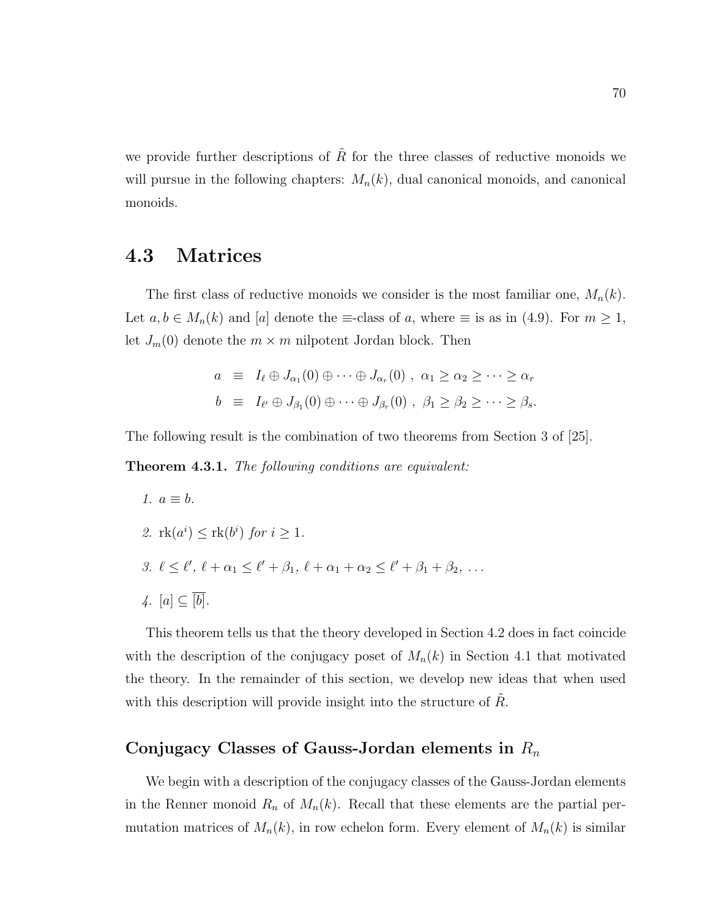we provide further descriptions of  $\tilde{R}$  for the three classes of reductive monoids we will pursue in the following chapters:  $M_n(k)$ , dual canonical monoids, and canonical monoids.

### 4.3 Matrices

The first class of reductive monoids we consider is the most familiar one,  $M_n(k)$ . Let  $a, b \in M_n(k)$  and [a] denote the  $\equiv$ -class of a, where  $\equiv$  is as in (4.9). For  $m \geq 1$ , let  $J_m(0)$  denote the  $m \times m$  nilpotent Jordan block. Then

$$
a \equiv I_{\ell} \oplus J_{\alpha_1}(0) \oplus \cdots \oplus J_{\alpha_r}(0) , \ \alpha_1 \ge \alpha_2 \ge \cdots \ge \alpha_r
$$
  

$$
b \equiv I_{\ell'} \oplus J_{\beta_1}(0) \oplus \cdots \oplus J_{\beta_r}(0) , \ \beta_1 \ge \beta_2 \ge \cdots \ge \beta_s.
$$

The following result is the combination of two theorems from Section 3 of [25].

Theorem 4.3.1. The following conditions are equivalent:

1.  $a \equiv b$ . 2.  $rk(a^i) \leq rk(b^i)$  for  $i \geq 1$ . 3.  $\ell \leq \ell', \ell + \alpha_1 \leq \ell' + \beta_1, \ell + \alpha_1 + \alpha_2 \leq \ell' + \beta_1 + \beta_2, \ldots$ 4.  $[a] \subseteq \overline{[b]}$ .

This theorem tells us that the theory developed in Section 4.2 does in fact coincide with the description of the conjugacy poset of  $M_n(k)$  in Section 4.1 that motivated the theory. In the remainder of this section, we develop new ideas that when used with this description will provide insight into the structure of  $R$ .

#### Conjugacy Classes of Gauss-Jordan elements in  $R_n$

We begin with a description of the conjugacy classes of the Gauss-Jordan elements in the Renner monoid  $R_n$  of  $M_n(k)$ . Recall that these elements are the partial permutation matrices of  $M_n(k)$ , in row echelon form. Every element of  $M_n(k)$  is similar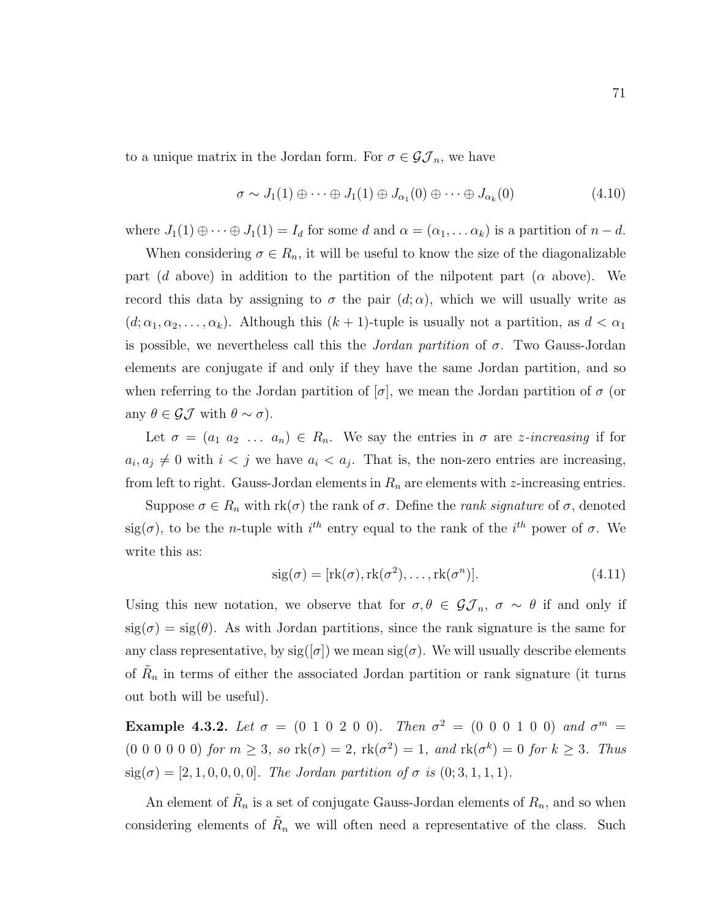to a unique matrix in the Jordan form. For  $\sigma \in \mathcal{GI}_n$ , we have

$$
\sigma \sim J_1(1) \oplus \cdots \oplus J_1(1) \oplus J_{\alpha_1}(0) \oplus \cdots \oplus J_{\alpha_k}(0) \tag{4.10}
$$

where  $J_1(1) \oplus \cdots \oplus J_1(1) = I_d$  for some d and  $\alpha = (\alpha_1, \ldots \alpha_k)$  is a partition of  $n - d$ .

When considering  $\sigma \in R_n$ , it will be useful to know the size of the diagonalizable part (d above) in addition to the partition of the nilpotent part ( $\alpha$  above). We record this data by assigning to  $\sigma$  the pair  $(d; \alpha)$ , which we will usually write as  $(d; \alpha_1, \alpha_2, \ldots, \alpha_k)$ . Although this  $(k + 1)$ -tuple is usually not a partition, as  $d < \alpha_1$ is possible, we nevertheless call this the *Jordan partition* of  $\sigma$ . Two Gauss-Jordan elements are conjugate if and only if they have the same Jordan partition, and so when referring to the Jordan partition of  $[\sigma]$ , we mean the Jordan partition of  $\sigma$  (or any  $\theta \in \mathcal{GI}$  with  $\theta \sim \sigma$ ).

Let  $\sigma = (a_1 \ a_2 \ \ldots \ a_n) \in R_n$ . We say the entries in  $\sigma$  are *z*-increasing if for  $a_i, a_j \neq 0$  with  $i < j$  we have  $a_i < a_j$ . That is, the non-zero entries are increasing, from left to right. Gauss-Jordan elements in  $R_n$  are elements with z-increasing entries.

Suppose  $\sigma \in R_n$  with  $rk(\sigma)$  the rank of  $\sigma$ . Define the *rank signature* of  $\sigma$ , denoted sig( $\sigma$ ), to be the *n*-tuple with  $i^{th}$  entry equal to the rank of the  $i^{th}$  power of  $\sigma$ . We write this as:

$$
sig(\sigma) = [rk(\sigma), rk(\sigma^2), \dots, rk(\sigma^n)].
$$
\n(4.11)

Using this new notation, we observe that for  $\sigma, \theta \in \mathcal{GI}_n$ ,  $\sigma \sim \theta$  if and only if  $sig(\sigma) = sig(\theta)$ . As with Jordan partitions, since the rank signature is the same for any class representative, by  $sig([\sigma])$  we mean  $sig(\sigma)$ . We will usually describe elements of  $R_n$  in terms of either the associated Jordan partition or rank signature (it turns out both will be useful).

Example 4.3.2. Let  $\sigma = (0 1 0 2 0 0)$ . Then  $\sigma^2 = (0 0 0 1 0 0)$  and  $\sigma^m =$  $(0\;0\;0\;0\;0\;0)$  for  $m\geq 3$ , so  $\text{rk}(\sigma)=2$ ,  $\text{rk}(\sigma^2)=1$ , and  $\text{rk}(\sigma^k)=0$  for  $k\geq 3$ . Thus  $sig(\sigma) = [2, 1, 0, 0, 0, 0]$ . The Jordan partition of  $\sigma$  is  $(0; 3, 1, 1, 1)$ .

An element of  $\tilde{R}_n$  is a set of conjugate Gauss-Jordan elements of  $R_n$ , and so when considering elements of  $R_n$  we will often need a representative of the class. Such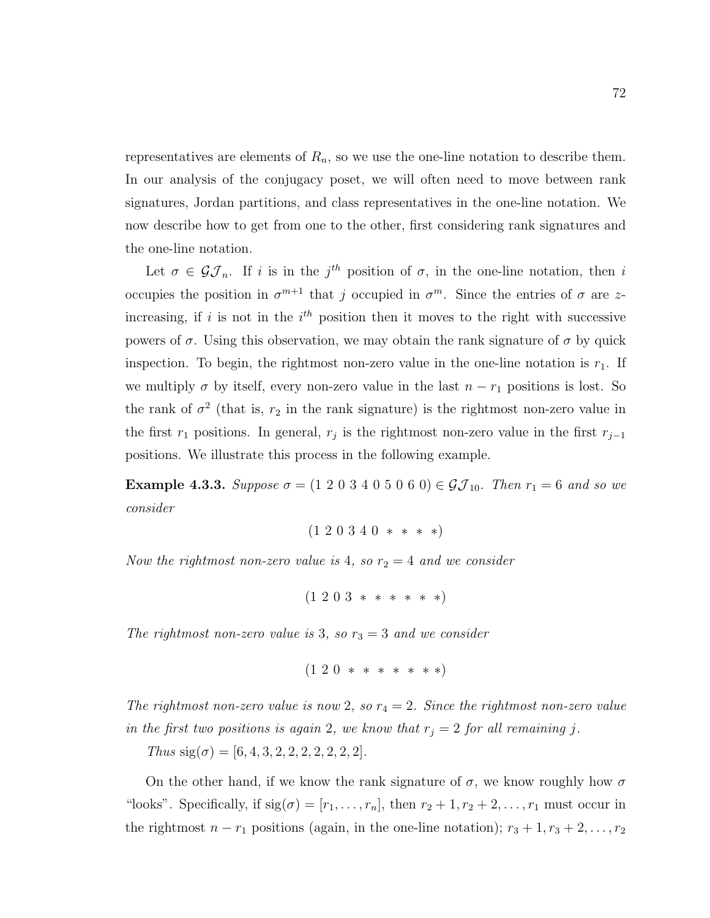representatives are elements of  $R_n$ , so we use the one-line notation to describe them. In our analysis of the conjugacy poset, we will often need to move between rank signatures, Jordan partitions, and class representatives in the one-line notation. We now describe how to get from one to the other, first considering rank signatures and the one-line notation.

Let  $\sigma \in \mathcal{GI}_n$ . If i is in the j<sup>th</sup> position of  $\sigma$ , in the one-line notation, then i occupies the position in  $\sigma^{m+1}$  that j occupied in  $\sigma^m$ . Since the entries of  $\sigma$  are zincreasing, if i is not in the  $i<sup>th</sup>$  position then it moves to the right with successive powers of  $\sigma$ . Using this observation, we may obtain the rank signature of  $\sigma$  by quick inspection. To begin, the rightmost non-zero value in the one-line notation is  $r_1$ . If we multiply  $\sigma$  by itself, every non-zero value in the last  $n - r_1$  positions is lost. So the rank of  $\sigma^2$  (that is,  $r_2$  in the rank signature) is the rightmost non-zero value in the first  $r_1$  positions. In general,  $r_j$  is the rightmost non-zero value in the first  $r_{j-1}$ positions. We illustrate this process in the following example.

**Example 4.3.3.** Suppose  $\sigma = (1\ 2\ 0\ 3\ 4\ 0\ 5\ 0\ 6\ 0) \in \mathcal{GI}_{10}$ . Then  $r_1 = 6$  and so we consider

 $(1\ 2\ 0\ 3\ 4\ 0\ *\ *\ *\ * )$ 

Now the rightmost non-zero value is 4, so  $r_2 = 4$  and we consider

 $(1\;2\;0\;3\;***\;***\;*)$ 

The rightmost non-zero value is 3, so  $r_3 = 3$  and we consider

```
(1\;2\;0\;***\;***\;*\;*\;*)
```
The rightmost non-zero value is now 2, so  $r_4 = 2$ . Since the rightmost non-zero value in the first two positions is again 2, we know that  $r_j = 2$  for all remaining j.

Thus  $sig(\sigma) = [6, 4, 3, 2, 2, 2, 2, 2, 2, 2]$ .

On the other hand, if we know the rank signature of  $\sigma$ , we know roughly how  $\sigma$ "looks". Specifically, if  $sig(\sigma) = [r_1, \ldots, r_n]$ , then  $r_2 + 1, r_2 + 2, \ldots, r_1$  must occur in the rightmost  $n - r_1$  positions (again, in the one-line notation);  $r_3 + 1, r_3 + 2, \ldots, r_2$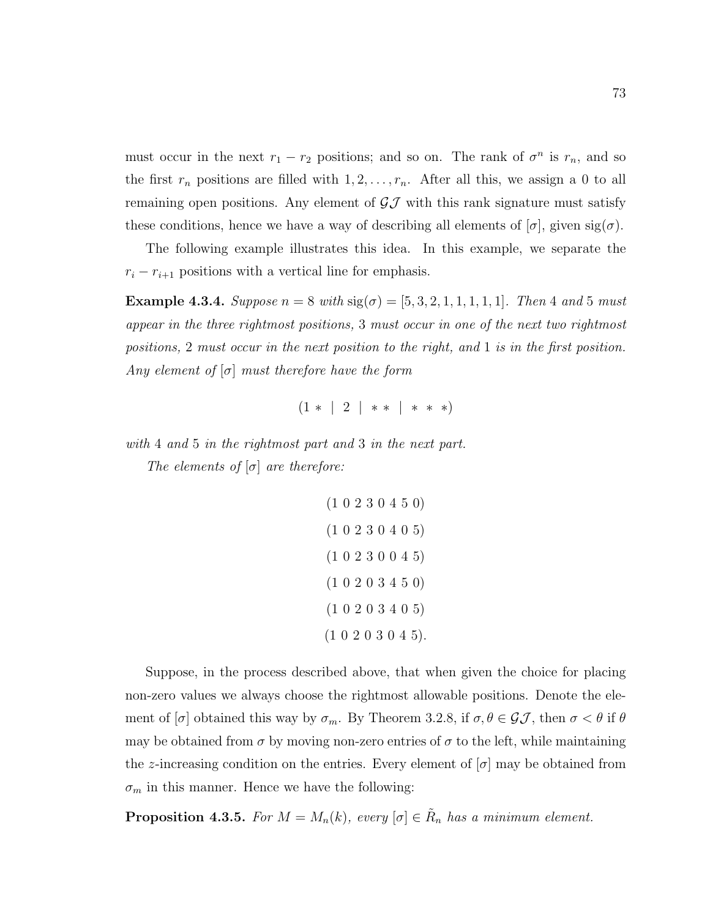must occur in the next  $r_1 - r_2$  positions; and so on. The rank of  $\sigma^n$  is  $r_n$ , and so the first  $r_n$  positions are filled with  $1, 2, \ldots, r_n$ . After all this, we assign a 0 to all remaining open positions. Any element of  $\mathcal{GJ}$  with this rank signature must satisfy these conditions, hence we have a way of describing all elements of  $[\sigma]$ , given  $sig(\sigma)$ .

The following example illustrates this idea. In this example, we separate the  $r_i - r_{i+1}$  positions with a vertical line for emphasis.

Example 4.3.4. Suppose  $n = 8$  with  $sig(\sigma) = [5, 3, 2, 1, 1, 1, 1, 1]$ . Then 4 and 5 must appear in the three rightmost positions, 3 must occur in one of the next two rightmost positions, 2 must occur in the next position to the right, and 1 is in the first position. Any element of  $[\sigma]$  must therefore have the form

 $(1 * | 2 | * * | * * *)$ 

with 4 and 5 in the rightmost part and 3 in the next part. The elements of  $[\sigma]$  are therefore:

```
(1 0 2 3 0 4 5 0)
(1 0 2 3 0 4 0 5)
(1 0 2 3 0 0 4 5)
(1 0 2 0 3 4 5 0)
(1 0 2 0 3 4 0 5)
(1 0 2 0 3 0 4 5).
```
Suppose, in the process described above, that when given the choice for placing non-zero values we always choose the rightmost allowable positions. Denote the element of  $[\sigma]$  obtained this way by  $\sigma_m$ . By Theorem 3.2.8, if  $\sigma, \theta \in \mathcal{GI}$ , then  $\sigma < \theta$  if  $\theta$ may be obtained from  $\sigma$  by moving non-zero entries of  $\sigma$  to the left, while maintaining the z-increasing condition on the entries. Every element of  $[\sigma]$  may be obtained from  $\sigma_m$  in this manner. Hence we have the following:

**Proposition 4.3.5.** For  $M = M_n(k)$ , every  $[\sigma] \in \tilde{R}_n$  has a minimum element.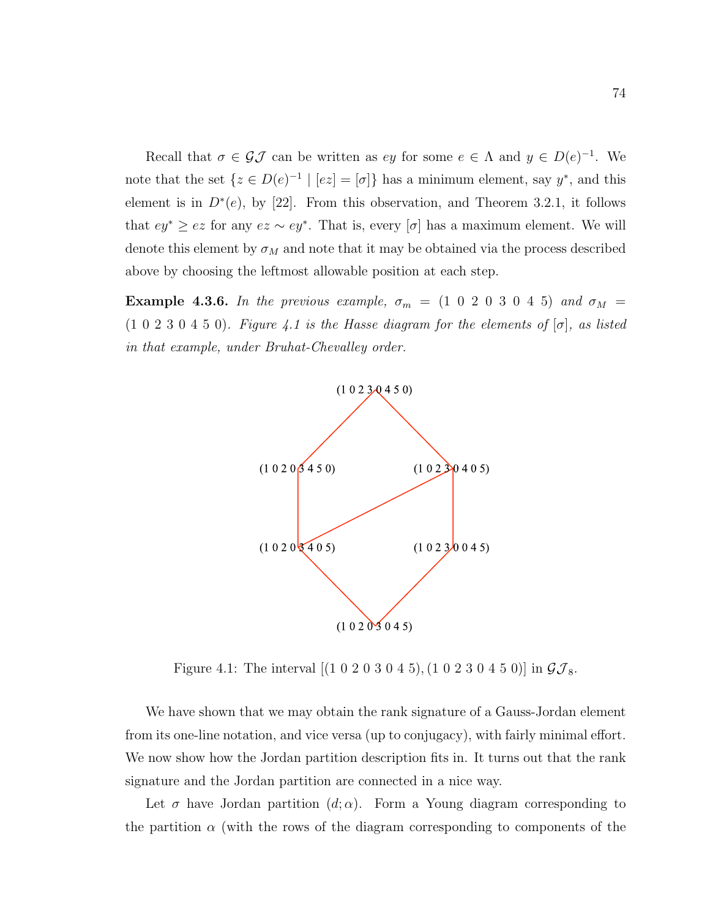Recall that  $\sigma \in \mathcal{GI}$  can be written as ey for some  $e \in \Lambda$  and  $y \in D(e)^{-1}$ . We note that the set  $\{z \in D(e)^{-1} \mid [ez] = [\sigma]\}\$  has a minimum element, say  $y^*$ , and this element is in  $D^*(e)$ , by [22]. From this observation, and Theorem 3.2.1, it follows that  $ey^* \geq ez$  for any  $ez \sim ey^*$ . That is, every  $[\sigma]$  has a maximum element. We will denote this element by  $\sigma_M$  and note that it may be obtained via the process described above by choosing the leftmost allowable position at each step.

Example 4.3.6. In the previous example,  $\sigma_m = (1\ 0\ 2\ 0\ 3\ 0\ 4\ 5)$  and  $\sigma_M =$  $(1\ 0\ 2\ 3\ 0\ 4\ 5\ 0)$ . Figure 4.1 is the Hasse diagram for the elements of  $[\sigma]$ , as listed in that example, under Bruhat-Chevalley order.



Figure 4.1: The interval  $[(1 0 2 0 3 0 4 5), (1 0 2 3 0 4 5 0)]$  in  $\mathcal{GI}_8$ .

We have shown that we may obtain the rank signature of a Gauss-Jordan element from its one-line notation, and vice versa (up to conjugacy), with fairly minimal effort. We now show how the Jordan partition description fits in. It turns out that the rank signature and the Jordan partition are connected in a nice way.

Let  $\sigma$  have Jordan partition  $(d; \alpha)$ . Form a Young diagram corresponding to the partition  $\alpha$  (with the rows of the diagram corresponding to components of the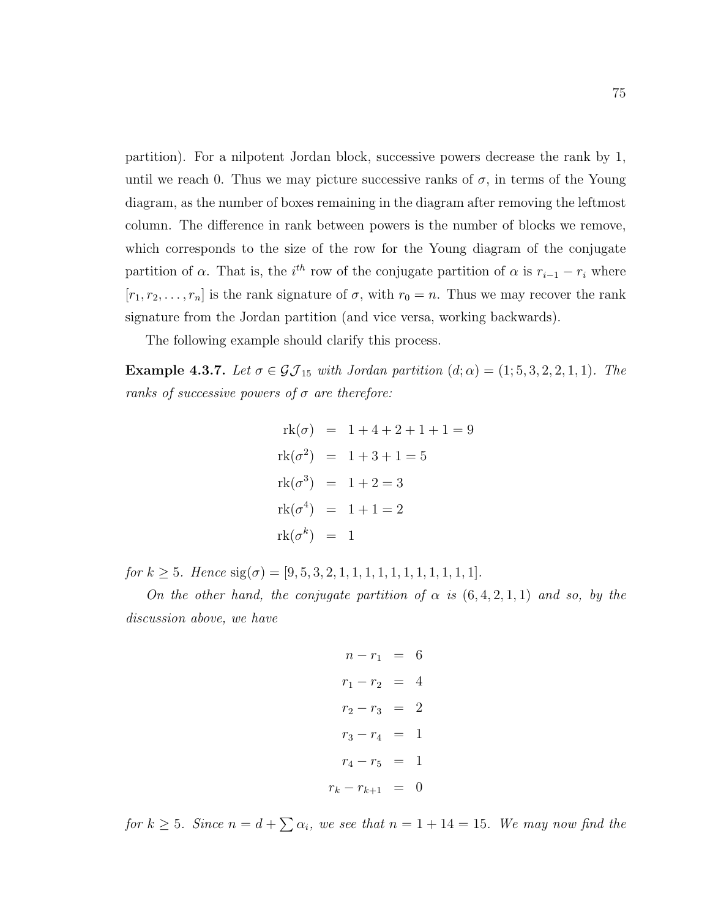partition). For a nilpotent Jordan block, successive powers decrease the rank by 1, until we reach 0. Thus we may picture successive ranks of  $\sigma$ , in terms of the Young diagram, as the number of boxes remaining in the diagram after removing the leftmost column. The difference in rank between powers is the number of blocks we remove, which corresponds to the size of the row for the Young diagram of the conjugate partition of  $\alpha$ . That is, the *i*<sup>th</sup> row of the conjugate partition of  $\alpha$  is  $r_{i-1} - r_i$  where  $[r_1, r_2, \ldots, r_n]$  is the rank signature of  $\sigma$ , with  $r_0 = n$ . Thus we may recover the rank signature from the Jordan partition (and vice versa, working backwards).

The following example should clarify this process.

Example 4.3.7. Let  $\sigma \in \mathcal{GI}_{15}$  with Jordan partition  $(d; \alpha) = (1; 5, 3, 2, 2, 1, 1)$ . The ranks of successive powers of  $\sigma$  are therefore:

$$
rk(\sigma) = 1 + 4 + 2 + 1 + 1 = 9
$$
  
\n
$$
rk(\sigma^2) = 1 + 3 + 1 = 5
$$
  
\n
$$
rk(\sigma^3) = 1 + 2 = 3
$$
  
\n
$$
rk(\sigma^4) = 1 + 1 = 2
$$
  
\n
$$
rk(\sigma^k) = 1
$$

for  $k \geq 5$ . Hence  $sig(\sigma) = [9, 5, 3, 2, 1, 1, 1, 1, 1, 1, 1, 1, 1, 1, 1]$ .

On the other hand, the conjugate partition of  $\alpha$  is  $(6,4,2,1,1)$  and so, by the discussion above, we have

$$
n - r_1 = 6
$$
  
\n
$$
r_1 - r_2 = 4
$$
  
\n
$$
r_2 - r_3 = 2
$$
  
\n
$$
r_3 - r_4 = 1
$$
  
\n
$$
r_4 - r_5 = 1
$$
  
\n
$$
r_k - r_{k+1} = 0
$$

for  $k \geq 5$ . Since  $n = d + \sum \alpha_i$ , we see that  $n = 1 + 14 = 15$ . We may now find the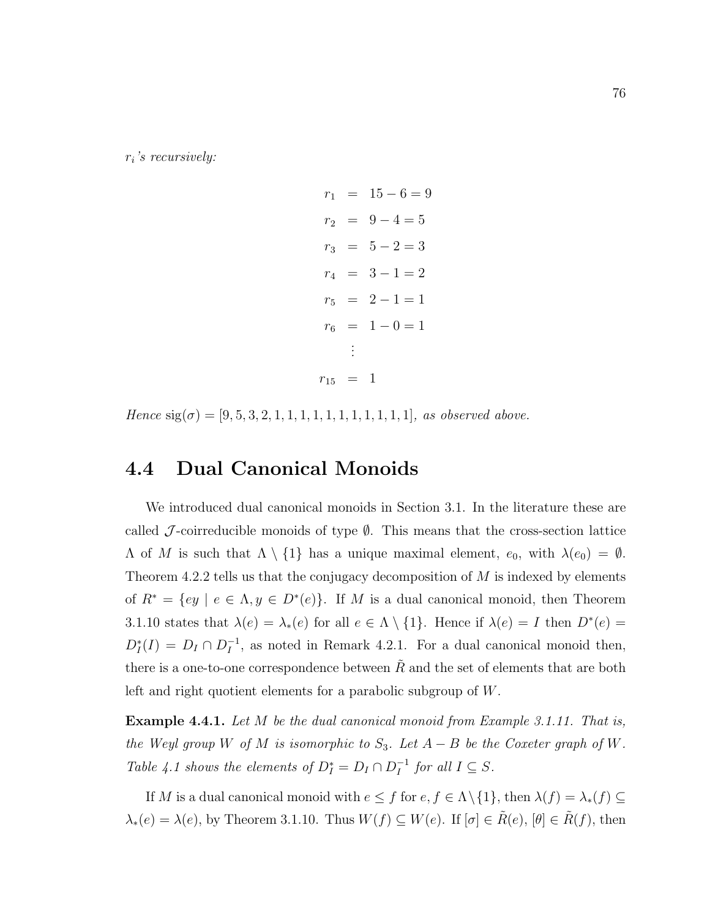$r_i$ 's recursively:

$$
r_1 = 15 - 6 = 9
$$
  
\n
$$
r_2 = 9 - 4 = 5
$$
  
\n
$$
r_3 = 5 - 2 = 3
$$
  
\n
$$
r_4 = 3 - 1 = 2
$$
  
\n
$$
r_5 = 2 - 1 = 1
$$
  
\n
$$
r_6 = 1 - 0 = 1
$$
  
\n
$$
\vdots
$$
  
\n
$$
r_{15} = 1
$$

Hence  $sig(\sigma) = [9, 5, 3, 2, 1, 1, 1, 1, 1, 1, 1, 1, 1, 1, 1, 1]$ , as observed above.

### 4.4 Dual Canonical Monoids

We introduced dual canonical monoids in Section 3.1. In the literature these are called J-coirreducible monoids of type  $\emptyset$ . This means that the cross-section lattice  $Λ$  of M is such that  $Λ \setminus \{1\}$  has a unique maximal element,  $e_0$ , with  $λ(e_0) = ∅$ . Theorem 4.2.2 tells us that the conjugacy decomposition of  $M$  is indexed by elements of  $R^* = \{ey \mid e \in \Lambda, y \in D^*(e)\}.$  If M is a dual canonical monoid, then Theorem 3.1.10 states that  $\lambda(e) = \lambda_*(e)$  for all  $e \in \Lambda \setminus \{1\}$ . Hence if  $\lambda(e) = I$  then  $D^*(e) =$  $D_I^*(I) = D_I \cap D_I^{-1}$  $I_I^{-1}$ , as noted in Remark 4.2.1. For a dual canonical monoid then, there is a one-to-one correspondence between  $R$  and the set of elements that are both left and right quotient elements for a parabolic subgroup of W.

Example 4.4.1. Let M be the dual canonical monoid from Example 3.1.11. That is, the Weyl group W of M is isomorphic to  $S_3$ . Let  $A - B$  be the Coxeter graph of W. Table 4.1 shows the elements of  $D_I^* = D_I \cap D_I^{-1}$  $I^{-1}$  for all  $I \subseteq S$ .

If M is a dual canonical monoid with  $e \leq f$  for  $e, f \in \Lambda \setminus \{1\}$ , then  $\lambda(f) = \lambda_*(f) \subseteq$  $\lambda_*(e) = \lambda(e)$ , by Theorem 3.1.10. Thus  $W(f) \subseteq W(e)$ . If  $[\sigma] \in \tilde{R}(e)$ ,  $[\theta] \in \tilde{R}(f)$ , then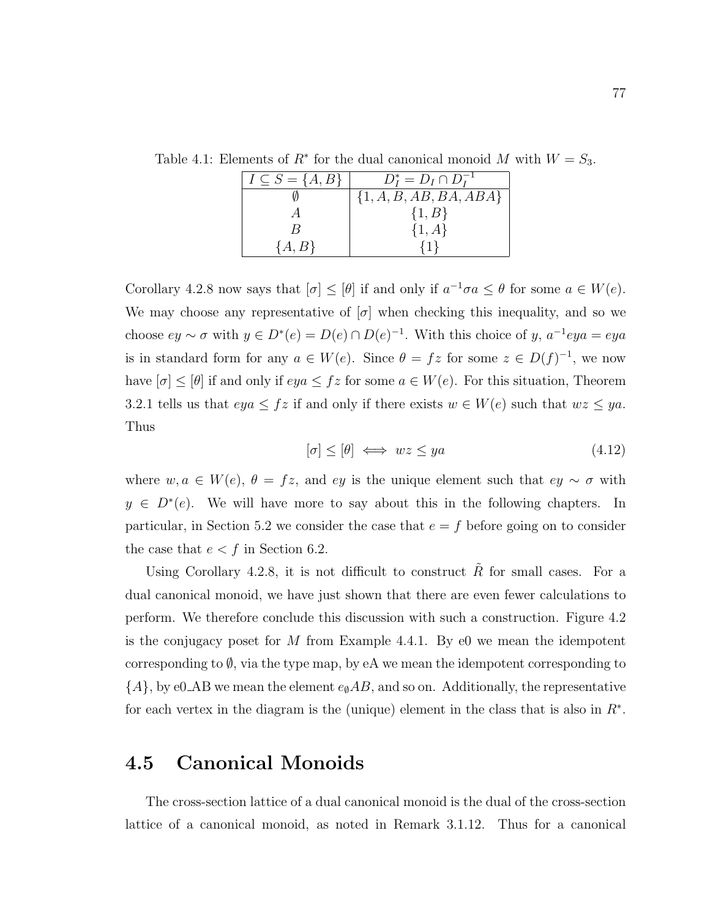| $I \subseteq S = \{A, B\}$ | $D_I^* = D_I \cap D_I^{-1}$ |
|----------------------------|-----------------------------|
|                            | $\{1, A, B, AB, BA, ABA\}$  |
|                            | $\{1, B\}$                  |
|                            | $\{1, A\}$                  |
| $\{A,B\}$                  |                             |

Table 4.1: Elements of  $R^*$  for the dual canonical monoid M with  $W = S_3$ .

Corollary 4.2.8 now says that  $[\sigma] \leq [\theta]$  if and only if  $a^{-1}\sigma a \leq \theta$  for some  $a \in W(e)$ . We may choose any representative of  $[\sigma]$  when checking this inequality, and so we choose  $ey \sim \sigma$  with  $y \in D^*(e) = D(e) \cap D(e)^{-1}$ . With this choice of y,  $a^{-1}eya = eya$ is in standard form for any  $a \in W(e)$ . Since  $\theta = fz$  for some  $z \in D(f)^{-1}$ , we now have  $[\sigma] \leq [\theta]$  if and only if  $eya \leq fz$  for some  $a \in W(e)$ . For this situation, Theorem 3.2.1 tells us that  $eya \leq fz$  if and only if there exists  $w \in W(e)$  such that  $wz \leq ya$ . Thus

$$
[\sigma] \le [\theta] \iff wz \le ya \tag{4.12}
$$

where  $w, a \in W(e), \theta = fz$ , and ey is the unique element such that  $ey \sim \sigma$  with  $y \in D^*(e)$ . We will have more to say about this in the following chapters. In particular, in Section 5.2 we consider the case that  $e = f$  before going on to consider the case that  $e < f$  in Section 6.2.

Using Corollary 4.2.8, it is not difficult to construct  $\tilde{R}$  for small cases. For a dual canonical monoid, we have just shown that there are even fewer calculations to perform. We therefore conclude this discussion with such a construction. Figure 4.2 is the conjugacy poset for M from Example 4.4.1. By  $\epsilon_0$  we mean the idempotent corresponding to  $\emptyset$ , via the type map, by eA we mean the idempotent corresponding to  ${A}$ , by e0\_AB we mean the element  $e_{\emptyset}AB$ , and so on. Additionally, the representative for each vertex in the diagram is the (unique) element in the class that is also in  $R^*$ .

### 4.5 Canonical Monoids

The cross-section lattice of a dual canonical monoid is the dual of the cross-section lattice of a canonical monoid, as noted in Remark 3.1.12. Thus for a canonical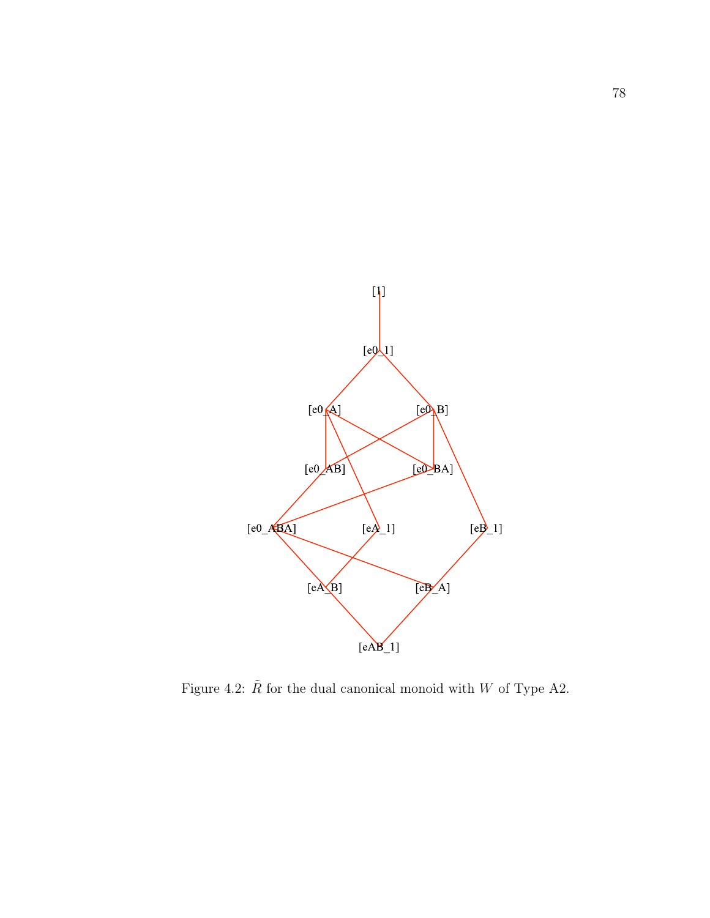

Figure 4.2:  $\tilde{R}$  for the dual canonical monoid with W of Type A2.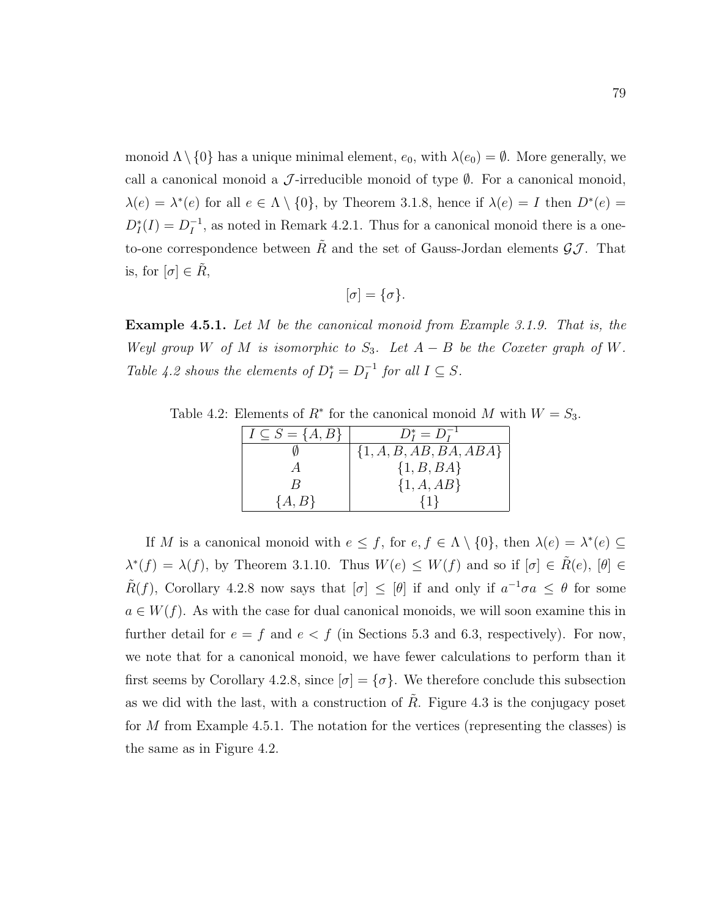monoid  $\Lambda \setminus \{0\}$  has a unique minimal element,  $e_0$ , with  $\lambda(e_0) = \emptyset$ . More generally, we call a canonical monoid a  $\mathcal{J}$ -irreducible monoid of type  $\emptyset$ . For a canonical monoid,  $\lambda(e) = \lambda^*(e)$  for all  $e \in \Lambda \setminus \{0\}$ , by Theorem 3.1.8, hence if  $\lambda(e) = I$  then  $D^*(e) =$  $D_I^*(I) = D_I^{-1}$  $I_I^{-1}$ , as noted in Remark 4.2.1. Thus for a canonical monoid there is a oneto-one correspondence between  $\tilde{R}$  and the set of Gauss-Jordan elements  $\mathcal{GI}$ . That is, for  $[\sigma] \in \tilde{R}$ ,

$$
[\sigma]=\{\sigma\}.
$$

**Example 4.5.1.** Let M be the canonical monoid from Example 3.1.9. That is, the Weyl group W of M is isomorphic to  $S_3$ . Let  $A - B$  be the Coxeter graph of W. Table 4.2 shows the elements of  $D_I^* = D_I^{-1}$  $I^{-1}$  for all  $I \subseteq S$ .

Table 4.2: Elements of  $R^*$  for the canonical monoid M with  $W = S_3$ .

| $I \subseteq S = \{A, B\}$ | $D_I^* = D_I^{-1}$         |  |  |  |  |  |
|----------------------------|----------------------------|--|--|--|--|--|
|                            | $\{1, A, B, AB, BA, ABA\}$ |  |  |  |  |  |
|                            | $\{1, B, BA\}$             |  |  |  |  |  |
|                            | $\{1, A, AB\}$             |  |  |  |  |  |
| $\{A,B\}$                  |                            |  |  |  |  |  |

If M is a canonical monoid with  $e \leq f$ , for  $e, f \in \Lambda \setminus \{0\}$ , then  $\lambda(e) = \lambda^*(e) \subseteq$  $\lambda^*(f) = \lambda(f)$ , by Theorem 3.1.10. Thus  $W(e) \leq W(f)$  and so if  $[\sigma] \in \tilde{R}(e)$ ,  $[\theta] \in \tilde{R}(e)$  $\tilde{R}(f)$ , Corollary 4.2.8 now says that  $[\sigma] \leq [\theta]$  if and only if  $a^{-1}\sigma a \leq \theta$  for some  $a \in W(f)$ . As with the case for dual canonical monoids, we will soon examine this in further detail for  $e = f$  and  $e < f$  (in Sections 5.3 and 6.3, respectively). For now, we note that for a canonical monoid, we have fewer calculations to perform than it first seems by Corollary 4.2.8, since  $[\sigma] = {\sigma}$ . We therefore conclude this subsection as we did with the last, with a construction of  $\tilde{R}$ . Figure 4.3 is the conjugacy poset for M from Example 4.5.1. The notation for the vertices (representing the classes) is the same as in Figure 4.2.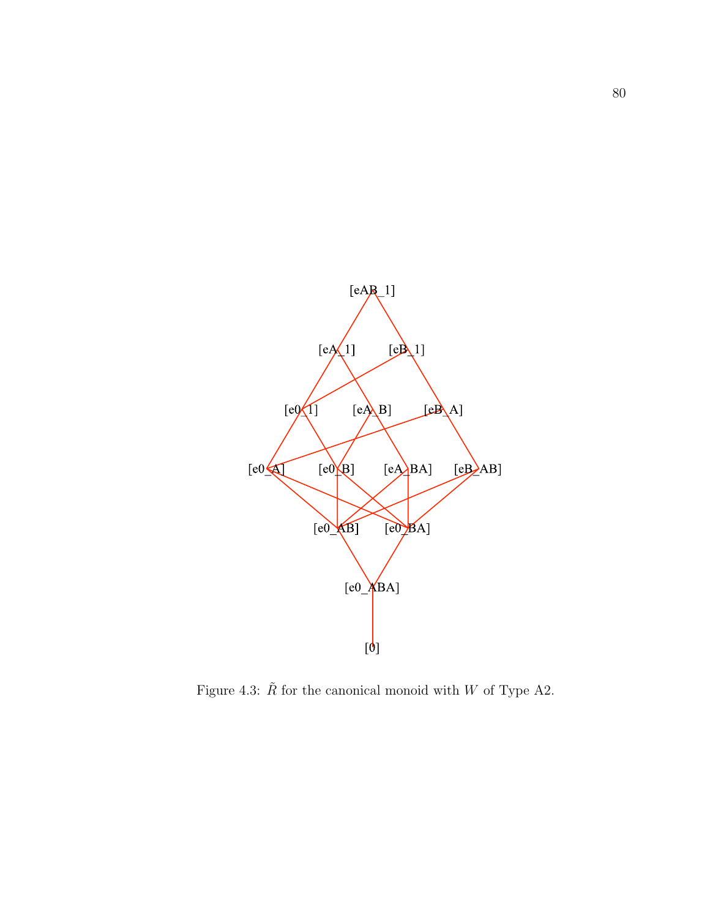

Figure 4.3:  $\tilde{R}$  for the canonical monoid with  $W$  of Type A2.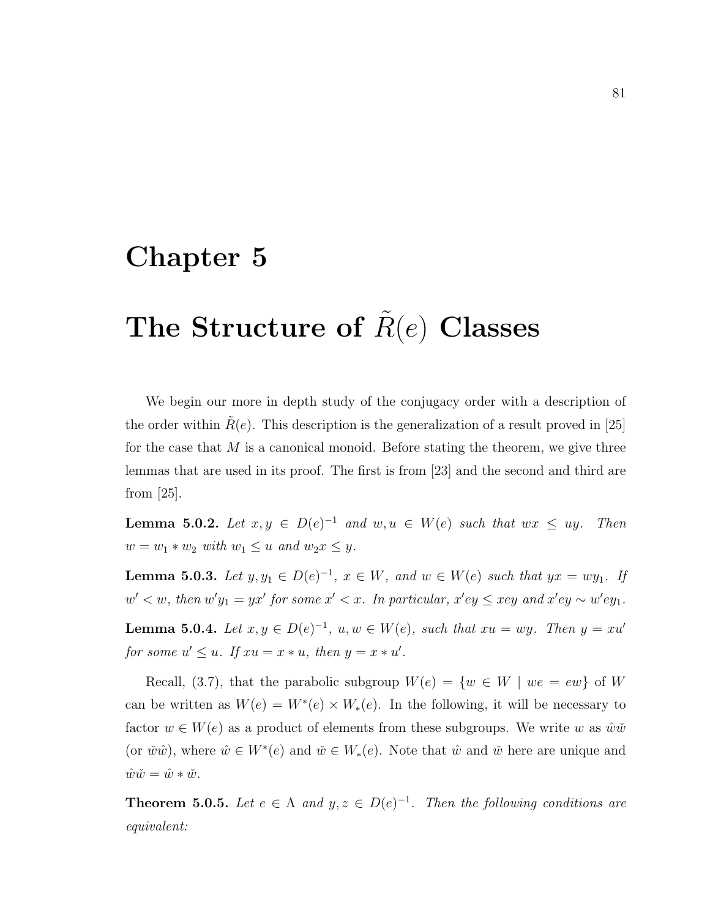### Chapter 5

# The Structure of  $R(e)$  Classes

We begin our more in depth study of the conjugacy order with a description of the order within  $R(e)$ . This description is the generalization of a result proved in [25] for the case that  $M$  is a canonical monoid. Before stating the theorem, we give three lemmas that are used in its proof. The first is from [23] and the second and third are from [25].

**Lemma 5.0.2.** Let  $x, y \in D(e)^{-1}$  and  $w, u \in W(e)$  such that  $wx \leq uy$ . Then  $w = w_1 * w_2$  with  $w_1 \leq u$  and  $w_2 x \leq y$ .

**Lemma 5.0.3.** Let  $y, y_1 \in D(e)^{-1}$ ,  $x \in W$ , and  $w \in W(e)$  such that  $yx = wy_1$ . If  $w' < w$ , then  $w'y_1 = yx'$  for some  $x' < x$ . In particular,  $x'ey \leq xey$  and  $x'ey \sim w'ey_1$ .

**Lemma 5.0.4.** Let  $x, y \in D(e)^{-1}$ ,  $u, w \in W(e)$ , such that  $xu = wy$ . Then  $y = xu'$ for some  $u' \leq u$ . If  $xu = x * u$ , then  $y = x * u'$ .

Recall, (3.7), that the parabolic subgroup  $W(e) = \{w \in W \mid we = ew\}$  of W can be written as  $W(e) = W^*(e) \times W_*(e)$ . In the following, it will be necessary to factor  $w \in W(e)$  as a product of elements from these subgroups. We write w as  $\hat{w}\hat{w}$ (or  $\check{w}\hat{w}$ ), where  $\hat{w} \in W^*(e)$  and  $\check{w} \in W^*(e)$ . Note that  $\hat{w}$  and  $\check{w}$  here are unique and  $\hat{w}\check{w} = \hat{w} * \check{w}.$ 

**Theorem 5.0.5.** Let  $e \in \Lambda$  and  $y, z \in D(e)^{-1}$ . Then the following conditions are equivalent: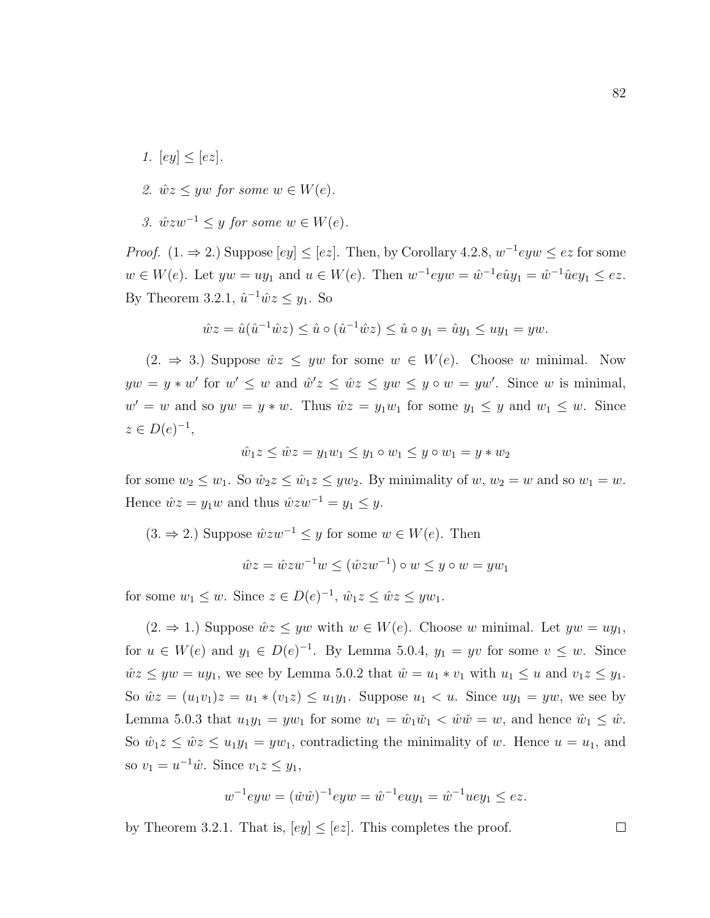- 1.  $[ey] < [ez]$ .
- 2.  $\hat{w}z \leq yw$  for some  $w \in W(e)$ .
- 3.  $\hat{w}zw^{-1} \leq y$  for some  $w \in W(e)$ .

*Proof.*  $(1. \Rightarrow 2.)$  Suppose  $[ey] \leq [ez]$ . Then, by Corollary 4.2.8,  $w^{-1}eyw \leq ez$  for some  $w \in W(e)$ . Let  $yw = uy_1$  and  $u \in W(e)$ . Then  $w^{-1}eyw = \hat{w}^{-1}e\hat{u}y_1 = \hat{w}^{-1}\hat{u}ey_1 \leq ez$ . By Theorem 3.2.1,  $\hat{u}^{-1}\hat{w}z \leq y_1$ . So

$$
\hat{w}z = \hat{u}(\hat{u}^{-1}\hat{w}z) \le \hat{u} \circ (\hat{u}^{-1}\hat{w}z) \le \hat{u} \circ y_1 = \hat{u}y_1 \le uy_1 = yw.
$$

 $(2. \Rightarrow 3.)$  Suppose  $\hat{w}z \leq yw$  for some  $w \in W(e)$ . Choose w minimal. Now  $yw = y * w'$  for  $w' \leq w$  and  $\hat{w}'z \leq \hat{w}z \leq yw \leq y \circ w = yw'$ . Since w is minimal,  $w' = w$  and so  $yw = y * w$ . Thus  $\hat{w}z = y_1w_1$  for some  $y_1 \leq y$  and  $w_1 \leq w$ . Since  $z \in D(e)^{-1},$ 

$$
\hat{w}_1 z \le \hat{w} z = y_1 w_1 \le y_1 \circ w_1 \le y \circ w_1 = y * w_2
$$

for some  $w_2 \leq w_1$ . So  $\hat{w}_2 z \leq \hat{w}_1 z \leq y w_2$ . By minimality of  $w, w_2 = w$  and so  $w_1 = w$ . Hence  $\hat{w}z = y_1w$  and thus  $\hat{w}zw^{-1} = y_1 \leq y$ .

 $(3. \Rightarrow 2.)$  Suppose  $\hat{w}zw^{-1} \leq y$  for some  $w \in W(e)$ . Then

$$
\hat{w}z = \hat{w}zw^{-1}w \le (\hat{w}zw^{-1}) \circ w \le y \circ w = yw_1
$$

for some  $w_1 \leq w$ . Since  $z \in D(e)^{-1}$ ,  $\hat{w}_1 z \leq \hat{w} z \leq yw_1$ .

 $(2. \Rightarrow 1.$ ) Suppose  $\hat{w}z \leq yw$  with  $w \in W(e)$ . Choose w minimal. Let  $yw = uy_1$ , for  $u \in W(e)$  and  $y_1 \in D(e)^{-1}$ . By Lemma 5.0.4,  $y_1 = yv$  for some  $v \leq w$ . Since  $\hat{w}z \leq yw = uy_1$ , we see by Lemma 5.0.2 that  $\hat{w} = u_1 * v_1$  with  $u_1 \leq u$  and  $v_1z \leq y_1$ . So  $\hat{w}z = (u_1v_1)z = u_1 * (v_1z) \le u_1y_1$ . Suppose  $u_1 < u$ . Since  $uy_1 = yw$ , we see by Lemma 5.0.3 that  $u_1y_1 = yw_1$  for some  $w_1 = \hat{w}_1\check{w}_1 < \hat{w}\check{w} = w$ , and hence  $\hat{w}_1 \leq \hat{w}$ . So  $\hat{w}_1z \leq \hat{w}z \leq u_1y_1 = yw_1$ , contradicting the minimality of w. Hence  $u = u_1$ , and so  $v_1 = u^{-1}\hat{w}$ . Since  $v_1z \leq y_1$ ,

$$
w^{-1}eyw = (\check{w}\hat{w})^{-1}eyw = \hat{w}^{-1}euy_1 = \hat{w}^{-1}uey_1 \le ez.
$$

by Theorem 3.2.1. That is,  $[ey] \leq [ez]$ . This completes the proof.

 $\Box$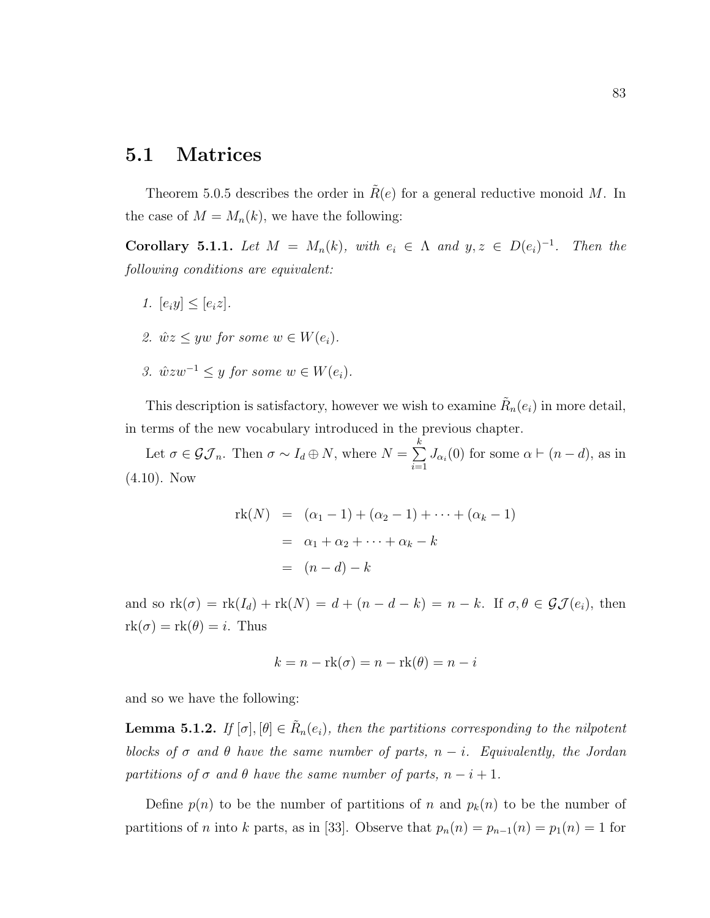### 5.1 Matrices

Theorem 5.0.5 describes the order in  $R(e)$  for a general reductive monoid M. In the case of  $M = M_n(k)$ , we have the following:

Corollary 5.1.1. Let  $M = M_n(k)$ , with  $e_i \in \Lambda$  and  $y, z \in D(e_i)^{-1}$ . Then the following conditions are equivalent:

- 1.  $[e_i y] \leq [e_i z]$ .
- 2.  $\hat{w}z \leq yw$  for some  $w \in W(e_i)$ .
- 3.  $\hat{w}zw^{-1} \leq y$  for some  $w \in W(e_i)$ .

This description is satisfactory, however we wish to examine  $\tilde{R}_n(e_i)$  in more detail, in terms of the new vocabulary introduced in the previous chapter.

Let  $\sigma \in \mathcal{GI}_n$ . Then  $\sigma \sim I_d \oplus N$ , where  $N = \sum_{n=1}^{k} I_n$  $\sum_{i=1} J_{\alpha_i}(0)$  for some  $\alpha \vdash (n-d)$ , as in  $(4.10)$ . Now

$$
rk(N) = (\alpha_1 - 1) + (\alpha_2 - 1) + \dots + (\alpha_k - 1)
$$
  
=  $\alpha_1 + \alpha_2 + \dots + \alpha_k - k$   
=  $(n - d) - k$ 

and so  $\text{rk}(\sigma) = \text{rk}(I_d) + \text{rk}(N) = d + (n - d - k) = n - k$ . If  $\sigma, \theta \in \mathcal{GI}(e_i)$ , then  $rk(\sigma) = rk(\theta) = i$ . Thus

$$
k = n - \text{rk}(\sigma) = n - \text{rk}(\theta) = n - i
$$

and so we have the following:

**Lemma 5.1.2.** If  $[\sigma], [\theta] \in \tilde{R}_n(e_i)$ , then the partitions corresponding to the nilpotent blocks of  $\sigma$  and  $\theta$  have the same number of parts,  $n - i$ . Equivalently, the Jordan partitions of  $\sigma$  and  $\theta$  have the same number of parts,  $n-i+1$ .

Define  $p(n)$  to be the number of partitions of n and  $p_k(n)$  to be the number of partitions of *n* into k parts, as in [33]. Observe that  $p_n(n) = p_{n-1}(n) = p_1(n) = 1$  for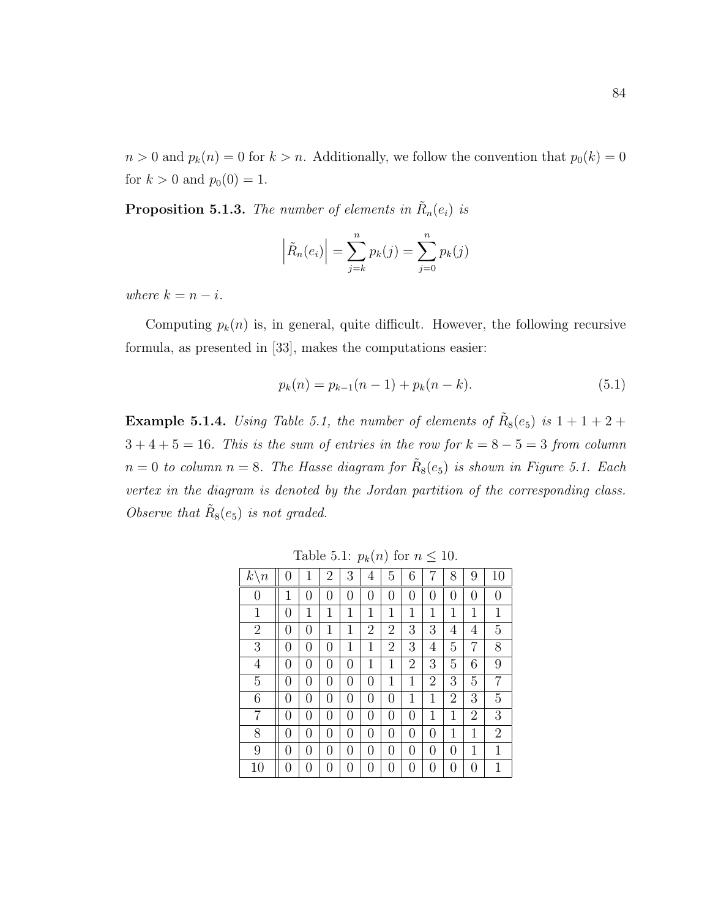$n > 0$  and  $p_k(n) = 0$  for  $k > n$ . Additionally, we follow the convention that  $p_0(k) = 0$ for  $k > 0$  and  $p_0(0) = 1$ .

**Proposition 5.1.3.** The number of elements in  $\tilde{R}_n(e_i)$  is

$$
\left| \tilde{R}_n(e_i) \right| = \sum_{j=k}^n p_k(j) = \sum_{j=0}^n p_k(j)
$$

where  $k = n - i$ .

Computing  $p_k(n)$  is, in general, quite difficult. However, the following recursive formula, as presented in [33], makes the computations easier:

$$
p_k(n) = p_{k-1}(n-1) + p_k(n-k).
$$
\n(5.1)

**Example 5.1.4.** Using Table 5.1, the number of elements of  $R_8(e_5)$  is  $1+1+2+$  $3 + 4 + 5 = 16$ . This is the sum of entries in the row for  $k = 8 - 5 = 3$  from column  $n=0$  to column  $n=8$ . The Hasse diagram for  $\tilde{R}_8(e_5)$  is shown in Figure 5.1. Each vertex in the diagram is denoted by the Jordan partition of the corresponding class. Observe that  $\tilde{R}_8(e_5)$  is not graded.

| $k^{\scriptscriptstyle \prime}$<br>$\, n$ | $\left( \right)$ | 1                | $\overline{2}$   | 3            | 4                | 5              | 6                |                | 8              | 9              | 10               |
|-------------------------------------------|------------------|------------------|------------------|--------------|------------------|----------------|------------------|----------------|----------------|----------------|------------------|
| 0                                         | 1                | 0                | $\left( \right)$ | 0            | $\overline{0}$   | $\overline{0}$ | 0                | 0              | 0              | $\overline{0}$ | $\boldsymbol{0}$ |
| $\mathbf 1$                               | 0                | 1                | 1                | 1            | 1                | $\mathbf{1}$   | 1                | 1              | 1              | 1              | 1                |
| $\overline{2}$                            | $\overline{0}$   | 0                | $\mathbf{1}$     | $\mathbf{1}$ | 2                | $\overline{2}$ | 3                | 3              | 4              | 4              | 5                |
| 3                                         | 0                | 0                | 0                | 1            | $\mathbf 1$      | $\overline{2}$ | 3                | 4              | 5              | 7              | 8                |
| $\overline{4}$                            | 0                | 0                | 0                | 0            | $\mathbf 1$      | $\mathbf{1}$   | $\overline{2}$   | 3              | 5              | 6              | 9                |
| $\overline{5}$                            | 0                | 0                | $\left( \right)$ | 0            | $\boldsymbol{0}$ | 1              | 1                | $\overline{2}$ | 3              | 5              | 7                |
| 6                                         | 0                | 0                | $\left( \right)$ | 0            | 0                | 0              | 1                | 1              | $\overline{2}$ | 3              | 5                |
| 7                                         | 0                | 0                | 0                | 0            | $\boldsymbol{0}$ | 0              | 0                | 1              | 1              | $\overline{2}$ | 3                |
| 8                                         | 0                | 0                | 0                | 0            | $\boldsymbol{0}$ | 0              | 0                | 0              | 1              | 1              | $\mathbf{2}$     |
| 9                                         | 0                | 0                | 0                | 0            | $\overline{0}$   | 0              | 0                | 0              | 0              | 1              | $\mathbf{1}$     |
| 10                                        | $\theta$         | $\left( \right)$ | $\left( \right)$ | 0            | 0                | 0              | $\left( \right)$ | 0              | 0              | $\overline{0}$ | 1                |

Table 5.1:  $p_k(n)$  for  $n \leq 10$ .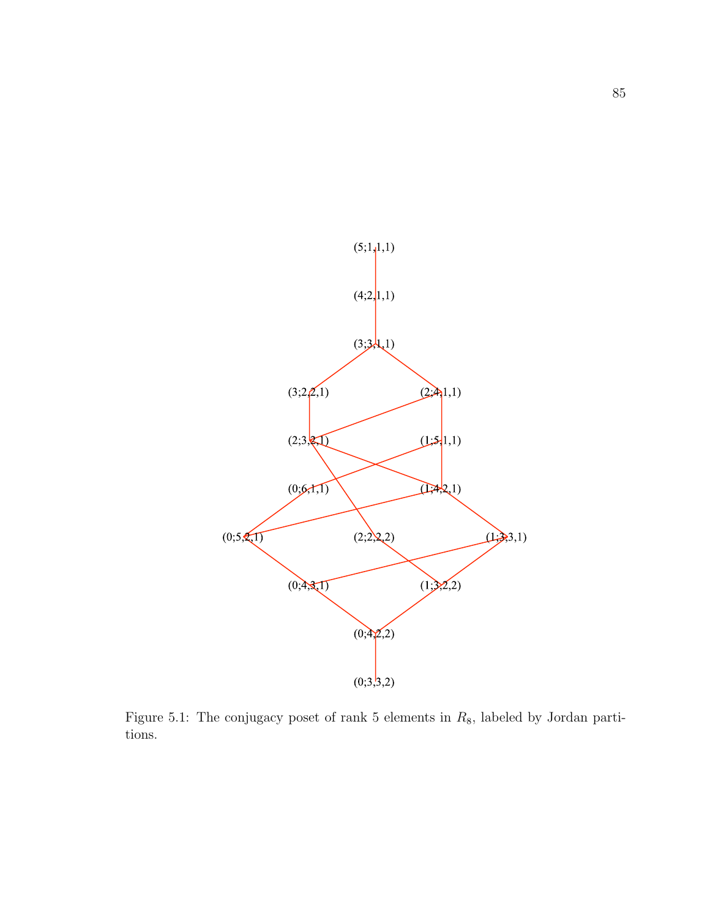

Figure 5.1: The conjugacy poset of rank 5 elements in  $R_8$ , labeled by Jordan partitions.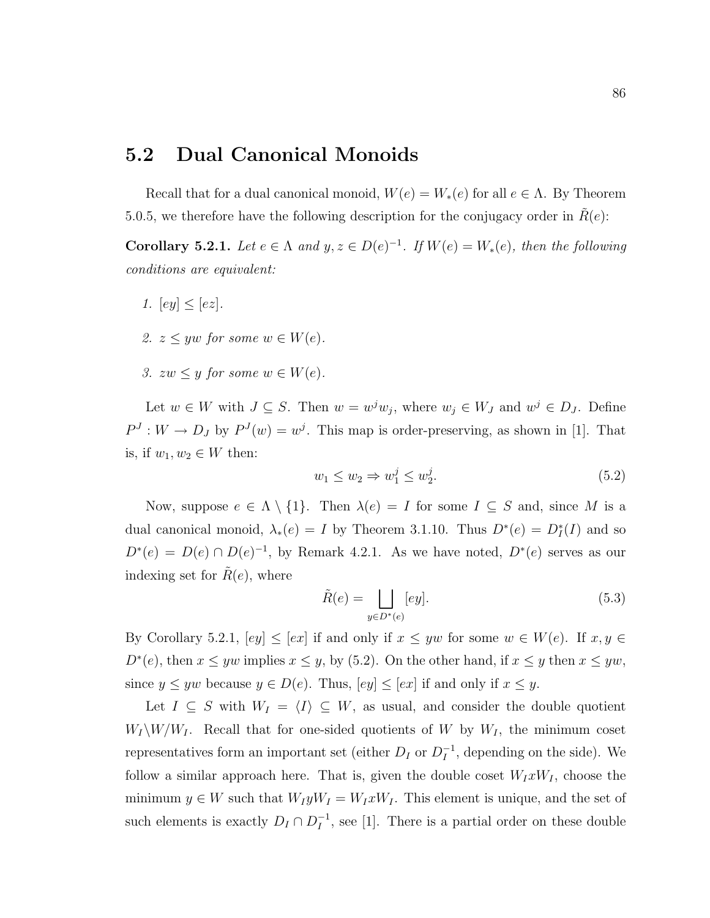### 5.2 Dual Canonical Monoids

Recall that for a dual canonical monoid,  $W(e) = W_*(e)$  for all  $e \in \Lambda$ . By Theorem 5.0.5, we therefore have the following description for the conjugacy order in  $R(e)$ :

**Corollary 5.2.1.** Let  $e \in \Lambda$  and  $y, z \in D(e)^{-1}$ . If  $W(e) = W_*(e)$ , then the following conditions are equivalent:

- 1.  $[ey] < [ez]$ .
- 2.  $z \leq yw$  for some  $w \in W(e)$ .
- 3.  $zw \leq y$  for some  $w \in W(e)$ .

Let  $w \in W$  with  $J \subseteq S$ . Then  $w = w^j w_j$ , where  $w_j \in W_J$  and  $w^j \in D_J$ . Define  $P<sup>J</sup>: W \to D<sub>J</sub>$  by  $P<sup>J</sup>(w) = w<sup>j</sup>$ . This map is order-preserving, as shown in [1]. That is, if  $w_1, w_2 \in W$  then:

$$
w_1 \le w_2 \Rightarrow w_1^j \le w_2^j. \tag{5.2}
$$

Now, suppose  $e \in \Lambda \setminus \{1\}$ . Then  $\lambda(e) = I$  for some  $I \subseteq S$  and, since M is a dual canonical monoid,  $\lambda_*(e) = I$  by Theorem 3.1.10. Thus  $D^*(e) = D_I^*(I)$  and so  $D^*(e) = D(e) \cap D(e)^{-1}$ , by Remark 4.2.1. As we have noted,  $D^*(e)$  serves as our indexing set for  $\tilde{R}(e)$ , where

$$
\tilde{R}(e) = \bigsqcup_{y \in D^*(e)} [ey]. \tag{5.3}
$$

By Corollary 5.2.1,  $[ey] \leq [ex]$  if and only if  $x \leq yw$  for some  $w \in W(e)$ . If  $x, y \in$  $D^*(e)$ , then  $x \leq yw$  implies  $x \leq y$ , by (5.2). On the other hand, if  $x \leq y$  then  $x \leq yw$ , since  $y \leq yw$  because  $y \in D(e)$ . Thus,  $[ey] \leq [ex]$  if and only if  $x \leq y$ .

Let  $I \subseteq S$  with  $W_I = \langle I \rangle \subseteq W$ , as usual, and consider the double quotient  $W_I\backslash W/W_I$ . Recall that for one-sided quotients of W by  $W_I$ , the minimum coset representatives form an important set (either  $D_I$  or  $D_I^{-1}$  $I_I^{-1}$ , depending on the side). We follow a similar approach here. That is, given the double coset  $W_I x W_I$ , choose the minimum  $y \in W$  such that  $W_I y W_I = W_I x W_I$ . This element is unique, and the set of such elements is exactly  $D_I \cap D_I^{-1}$  $I_I^{-1}$ , see [1]. There is a partial order on these double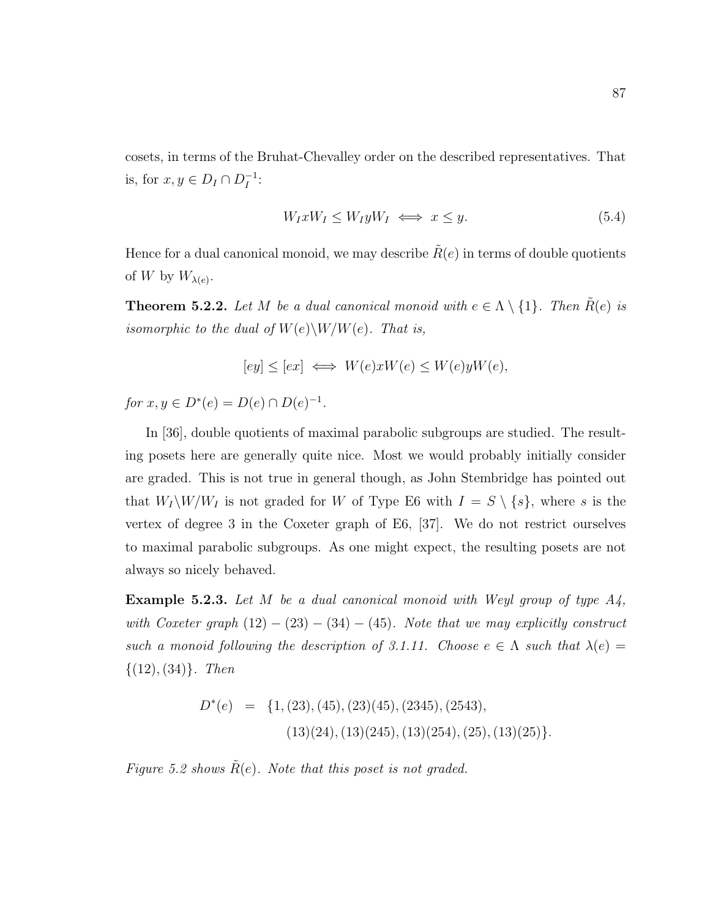cosets, in terms of the Bruhat-Chevalley order on the described representatives. That is, for  $x, y \in D_I \cap D_I^{-1}$  $^{-1}_{I}$ :

$$
W_I x W_I \le W_I y W_I \iff x \le y. \tag{5.4}
$$

Hence for a dual canonical monoid, we may describe  $\tilde{R}(e)$  in terms of double quotients of W by  $W_{\lambda(e)}$ .

**Theorem 5.2.2.** Let M be a dual canonical monoid with  $e \in \Lambda \setminus \{1\}$ . Then  $\tilde{R}(e)$  is isomorphic to the dual of  $W(e)\backslash W/W(e)$ . That is,

$$
[ey] \le [ex] \iff W(e)xW(e) \le W(e)yW(e),
$$

for  $x, y \in D^*(e) = D(e) \cap D(e)^{-1}$ .

In [36], double quotients of maximal parabolic subgroups are studied. The resulting posets here are generally quite nice. Most we would probably initially consider are graded. This is not true in general though, as John Stembridge has pointed out that  $W_I\backslash W/W_I$  is not graded for W of Type E6 with  $I = S \setminus \{s\}$ , where s is the vertex of degree 3 in the Coxeter graph of E6, [37]. We do not restrict ourselves to maximal parabolic subgroups. As one might expect, the resulting posets are not always so nicely behaved.

**Example 5.2.3.** Let M be a dual canonical monoid with Weyl group of type  $A_4$ , with Coxeter graph  $(12) - (23) - (34) - (45)$ . Note that we may explicitly construct such a monoid following the description of 3.1.11. Choose  $e \in \Lambda$  such that  $\lambda(e) =$  $\{(12), (34)\}.$  Then

$$
D^*(e) = \{1, (23), (45), (23)(45), (2345), (2543), (2543), (13)(24), (13)(245), (13)(254), (25), (13)(25)\}.
$$

Figure 5.2 shows  $R(e)$ . Note that this poset is not graded.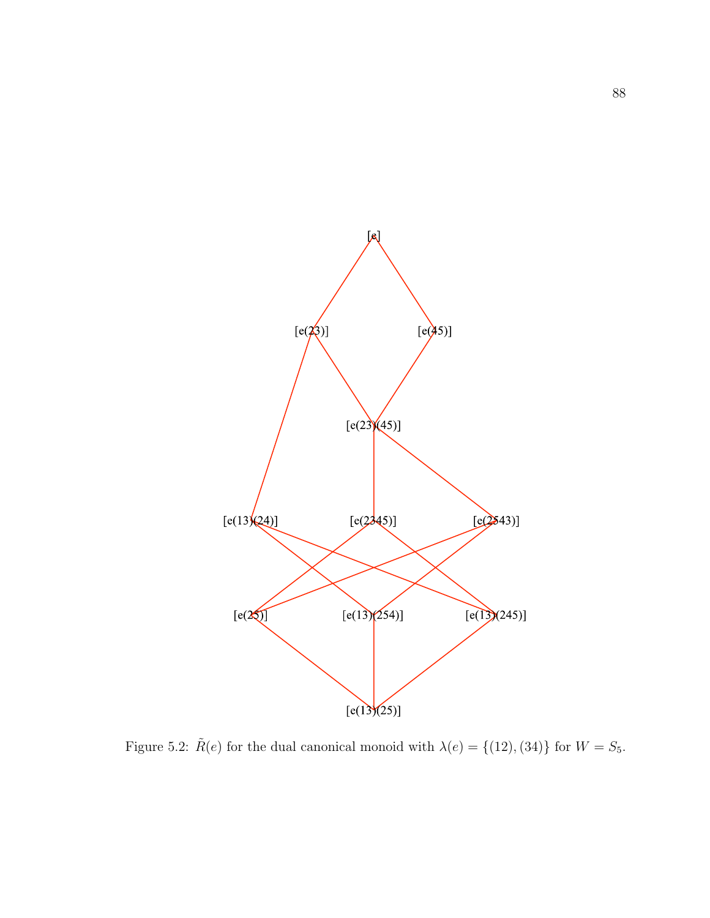

Figure 5.2:  $\tilde{R}(e)$  for the dual canonical monoid with  $\lambda(e) = \{(12), (34)\}\)$  for  $W = S_5$ .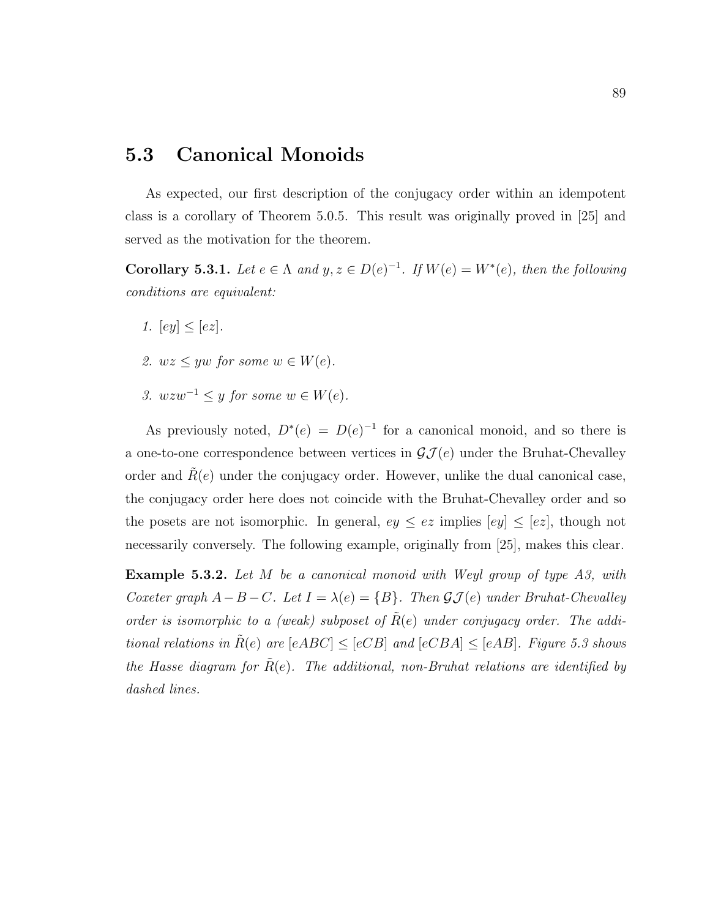### 5.3 Canonical Monoids

As expected, our first description of the conjugacy order within an idempotent class is a corollary of Theorem 5.0.5. This result was originally proved in [25] and served as the motivation for the theorem.

**Corollary 5.3.1.** Let  $e \in \Lambda$  and  $y, z \in D(e)^{-1}$ . If  $W(e) = W^*(e)$ , then the following conditions are equivalent:

- 1.  $[ey] < [ez]$ .
- 2.  $wz \leq yw$  for some  $w \in W(e)$ .
- 3.  $wzw^{-1} \leq y$  for some  $w \in W(e)$ .

As previously noted,  $D^*(e) = D(e)^{-1}$  for a canonical monoid, and so there is a one-to-one correspondence between vertices in  $\mathcal{GI}(e)$  under the Bruhat-Chevalley order and  $R(e)$  under the conjugacy order. However, unlike the dual canonical case, the conjugacy order here does not coincide with the Bruhat-Chevalley order and so the posets are not isomorphic. In general,  $ey \leq ez$  implies  $[ey] \leq [ez]$ , though not necessarily conversely. The following example, originally from [25], makes this clear.

**Example 5.3.2.** Let M be a canonical monoid with Weyl group of type A3, with Coxeter graph  $A-B-C$ . Let  $I = \lambda(e) = \{B\}$ . Then  $\mathcal{GI}(e)$  under Bruhat-Chevalley order is isomorphic to a (weak) subposet of  $\tilde{R}(e)$  under conjugacy order. The additional relations in  $\tilde{R}(e)$  are  $[eABC] \leq [eCB]$  and  $[eCBA] \leq [eAB]$ . Figure 5.3 shows the Hasse diagram for  $\hat{R}(e)$ . The additional, non-Bruhat relations are identified by dashed lines.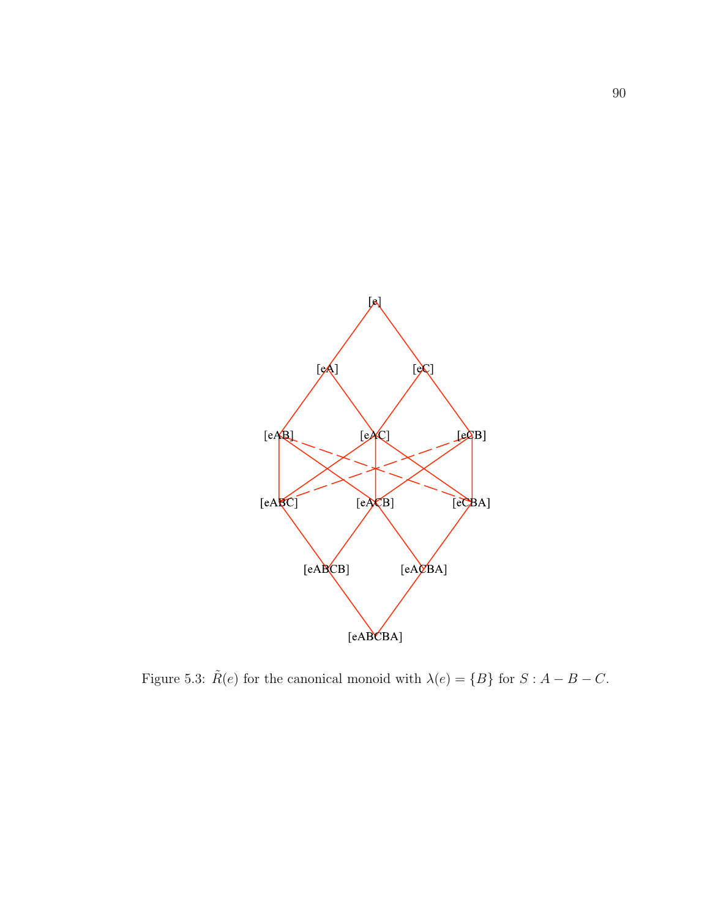

Figure 5.3:  $\tilde{R}(e)$  for the canonical monoid with  $\lambda(e) = \{B\}$  for  $S : A - B - C$ .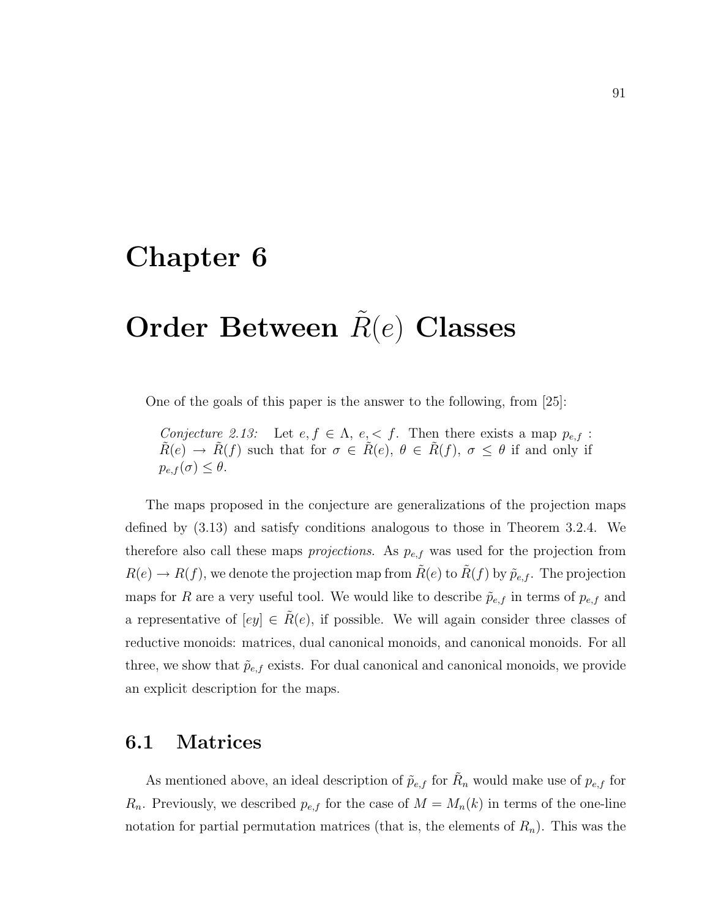## Chapter 6

# Order Between  $R(e)$  Classes

One of the goals of this paper is the answer to the following, from [25]:

Conjecture 2.13: Let  $e, f \in \Lambda$ ,  $e, \leq f$ . Then there exists a map  $p_{e,f}$ :  $\tilde{R}(e) \to \tilde{R}(f)$  such that for  $\sigma \in \tilde{R}(e), \theta \in \tilde{R}(f), \sigma \leq \theta$  if and only if  $p_{e,f}(\sigma) \leq \theta.$ 

The maps proposed in the conjecture are generalizations of the projection maps defined by (3.13) and satisfy conditions analogous to those in Theorem 3.2.4. We therefore also call these maps *projections*. As  $p_{e,f}$  was used for the projection from  $R(e) \to R(f)$ , we denote the projection map from  $\tilde{R}(e)$  to  $\tilde{R}(f)$  by  $\tilde{p}_{e,f}$ . The projection maps for R are a very useful tool. We would like to describe  $\tilde{p}_{e,f}$  in terms of  $p_{e,f}$  and a representative of  $[ey] \in \tilde{R}(e)$ , if possible. We will again consider three classes of reductive monoids: matrices, dual canonical monoids, and canonical monoids. For all three, we show that  $\tilde{p}_{e,f}$  exists. For dual canonical and canonical monoids, we provide an explicit description for the maps.

### 6.1 Matrices

As mentioned above, an ideal description of  $\tilde{p}_{e,f}$  for  $\tilde{R}_n$  would make use of  $p_{e,f}$  for  $R_n$ . Previously, we described  $p_{e,f}$  for the case of  $M = M_n(k)$  in terms of the one-line notation for partial permutation matrices (that is, the elements of  $R_n$ ). This was the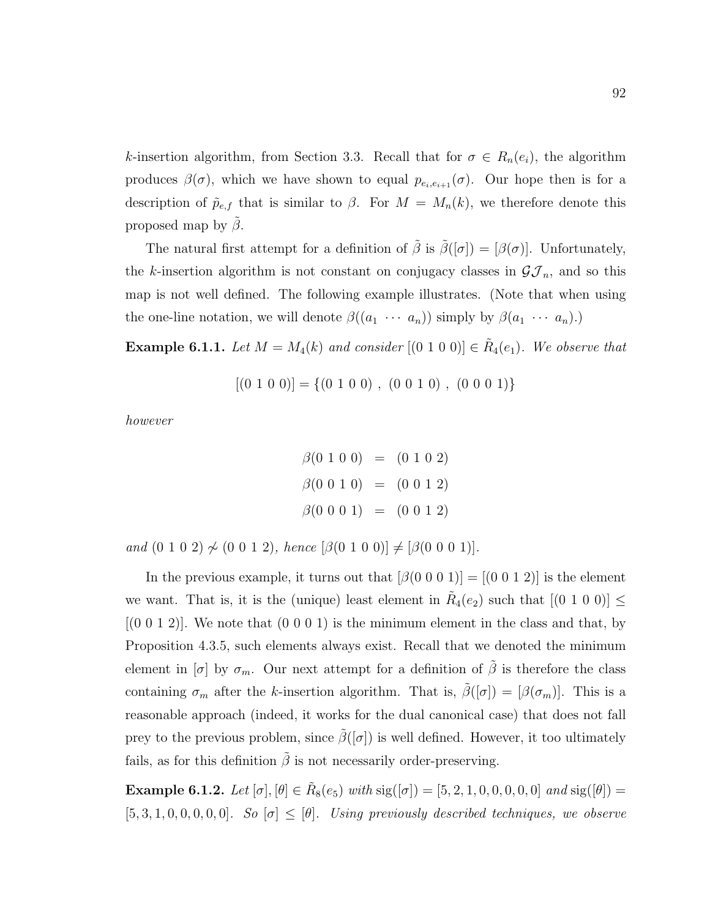k-insertion algorithm, from Section 3.3. Recall that for  $\sigma \in R_n(e_i)$ , the algorithm produces  $\beta(\sigma)$ , which we have shown to equal  $p_{e_i,e_{i+1}}(\sigma)$ . Our hope then is for a description of  $\tilde{p}_{e,f}$  that is similar to  $\beta$ . For  $M = M_n(k)$ , we therefore denote this proposed map by  $\beta$ .

The natural first attempt for a definition of  $\tilde{\beta}$  is  $\tilde{\beta}([\sigma]) = [\beta(\sigma)]$ . Unfortunately, the k-insertion algorithm is not constant on conjugacy classes in  $\mathcal{GI}_n$ , and so this map is not well defined. The following example illustrates. (Note that when using the one-line notation, we will denote  $\beta((a_1 \cdots a_n))$  simply by  $\beta(a_1 \cdots a_n)$ .

**Example 6.1.1.** Let  $M = M_4(k)$  and consider  $[(0\ 1\ 0\ 0)] \in \tilde{R}_4(e_1)$ . We observe that

$$
[(0 1 0 0)] = \{(0 1 0 0), (0 0 1 0), (0 0 0 1)\}
$$

however

$$
\beta(0\ 1\ 0\ 0) = (0\ 1\ 0\ 2)
$$
  

$$
\beta(0\ 0\ 1\ 0) = (0\ 0\ 1\ 2)
$$
  

$$
\beta(0\ 0\ 0\ 1) = (0\ 0\ 1\ 2)
$$

and  $(0 1 0 2) \not\sim (0 0 1 2)$ , hence  $[\beta(0 1 0 0)] \neq [\beta(0 0 0 1)].$ 

In the previous example, it turns out that  $[\beta(0 0 0 1)] = [(0 0 1 2)]$  is the element we want. That is, it is the (unique) least element in  $\tilde{R}_4(e_2)$  such that  $[(0\;1\;0\;0)] \le$  $(0\ 0\ 1\ 2)$ . We note that  $(0\ 0\ 0\ 1)$  is the minimum element in the class and that, by Proposition 4.3.5, such elements always exist. Recall that we denoted the minimum element in  $[\sigma]$  by  $\sigma_m$ . Our next attempt for a definition of  $\tilde{\beta}$  is therefore the class containing  $\sigma_m$  after the k-insertion algorithm. That is,  $\tilde{\beta}([\sigma]) = [\beta(\sigma_m)]$ . This is a reasonable approach (indeed, it works for the dual canonical case) that does not fall prey to the previous problem, since  $\tilde{\beta}([\sigma])$  is well defined. However, it too ultimately fails, as for this definition  $\tilde{\beta}$  is not necessarily order-preserving.

**Example 6.1.2.** Let  $[\sigma], [\theta] \in \tilde{R}_8(e_5)$  with  $sig([\sigma]) = [5, 2, 1, 0, 0, 0, 0, 0]$  and  $sig([\theta]) =$  $[5, 3, 1, 0, 0, 0, 0, 0]$ . So  $[\sigma] \leq [\theta]$ . Using previously described techniques, we observe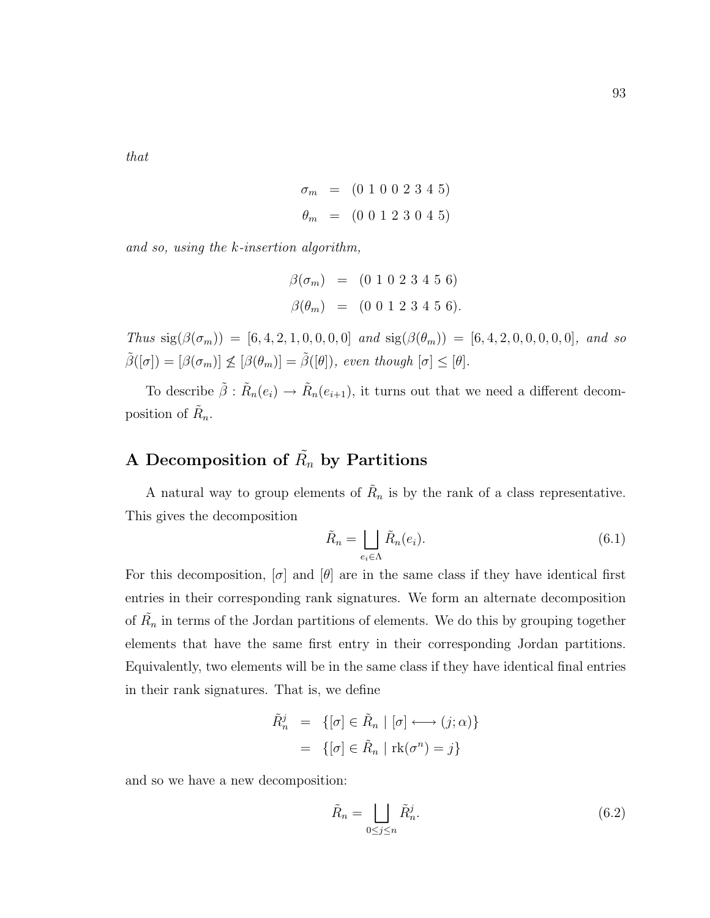that

$$
\sigma_m = (0 \ 1 \ 0 \ 0 \ 2 \ 3 \ 4 \ 5)
$$

$$
\theta_m = (0 \ 0 \ 1 \ 2 \ 3 \ 0 \ 4 \ 5)
$$

and so, using the k-insertion algorithm,

$$
\begin{array}{rcl} \beta(\sigma_m) & = & (0\ 1\ 0\ 2\ 3\ 4\ 5\ 6) \\ \beta(\theta_m) & = & (0\ 0\ 1\ 2\ 3\ 4\ 5\ 6). \end{array}
$$

Thus  $sig(\beta(\sigma_m)) = [6, 4, 2, 1, 0, 0, 0, 0]$  and  $sig(\beta(\theta_m)) = [6, 4, 2, 0, 0, 0, 0, 0]$ , and so  $\tilde{\beta}([\sigma]) = [\beta(\sigma_m)] \nleq [\beta(\theta_m)] = \tilde{\beta}([\theta]), \text{ even though } [\sigma] \leq [\theta].$ 

To describe  $\tilde{\beta}$  :  $\tilde{R}_n(e_i) \to \tilde{R}_n(e_{i+1}),$  it turns out that we need a different decomposition of  $\tilde{R}_n$ .

### A Decomposition of  $\tilde{R_n}$  by Partitions

A natural way to group elements of  $R_n$  is by the rank of a class representative. This gives the decomposition

$$
\tilde{R}_n = \bigsqcup_{e_i \in \Lambda} \tilde{R}_n(e_i). \tag{6.1}
$$

For this decomposition,  $\sigma$  and  $\theta$  are in the same class if they have identical first entries in their corresponding rank signatures. We form an alternate decomposition of  $\tilde{R_n}$  in terms of the Jordan partitions of elements. We do this by grouping together elements that have the same first entry in their corresponding Jordan partitions. Equivalently, two elements will be in the same class if they have identical final entries in their rank signatures. That is, we define

$$
\tilde{R}_n^j = \{ [\sigma] \in \tilde{R}_n \mid [\sigma] \longleftrightarrow (j; \alpha) \}
$$

$$
= \{ [\sigma] \in \tilde{R}_n \mid \text{rk}(\sigma^n) = j \}
$$

and so we have a new decomposition:

$$
\tilde{R}_n = \bigsqcup_{0 \le j \le n} \tilde{R}_n^j. \tag{6.2}
$$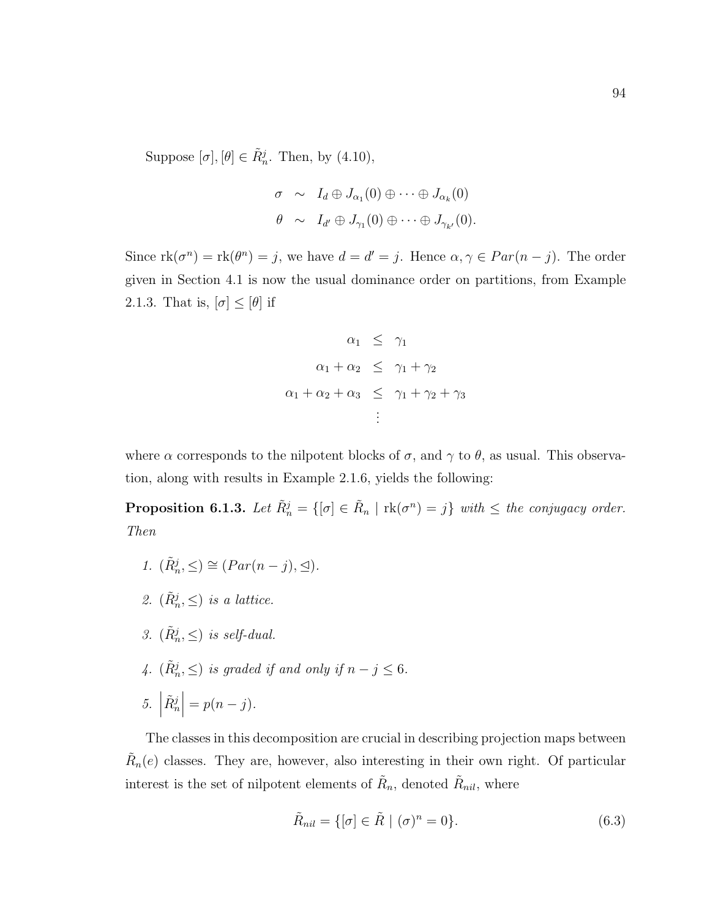Suppose  $[\sigma], [\theta] \in \tilde{R}_n^j$ . Then, by  $(4.10)$ ,

$$
\sigma \sim I_d \oplus J_{\alpha_1}(0) \oplus \cdots \oplus J_{\alpha_k}(0)
$$
  

$$
\theta \sim I_{d'} \oplus J_{\gamma_1}(0) \oplus \cdots \oplus J_{\gamma_{k'}}(0).
$$

Since  $\text{rk}(\sigma^n) = \text{rk}(\theta^n) = j$ , we have  $d = d' = j$ . Hence  $\alpha, \gamma \in Par(n - j)$ . The order given in Section 4.1 is now the usual dominance order on partitions, from Example 2.1.3. That is,  $[\sigma] \leq [\theta]$  if

$$
\alpha_1 \leq \gamma_1
$$
  
\n
$$
\alpha_1 + \alpha_2 \leq \gamma_1 + \gamma_2
$$
  
\n
$$
\alpha_1 + \alpha_2 + \alpha_3 \leq \gamma_1 + \gamma_2 + \gamma_3
$$
  
\n
$$
\vdots
$$

where  $\alpha$  corresponds to the nilpotent blocks of  $\sigma$ , and  $\gamma$  to  $\theta$ , as usual. This observation, along with results in Example 2.1.6, yields the following:

**Proposition 6.1.3.** Let  $\tilde{R}^j_n = \{ [\sigma] \in \tilde{R}_n \mid \text{rk}(\sigma^n) = j \}$  with  $\leq$  the conjugacy order. Then

$$
1. \ (\tilde{R}_n^j, \leq) \cong (Par(n-j), \trianglelefteq).
$$

- 2.  $(\tilde{R}_n^j, \leq)$  is a lattice.
- 3.  $(\tilde{R}_n^j, \leq)$  is self-dual.
- 4.  $(\tilde{R}_n^j, \leq)$  is graded if and only if  $n j \leq 6$ .

$$
5. \left| \tilde{R}_n^j \right| = p(n-j).
$$

The classes in this decomposition are crucial in describing projection maps between  $\tilde{R}_n(e)$  classes. They are, however, also interesting in their own right. Of particular interest is the set of nilpotent elements of  $\tilde{R}_n$ , denoted  $\tilde{R}_{nil}$ , where

$$
\tilde{R}_{nil} = \{ [\sigma] \in \tilde{R} \mid (\sigma)^n = 0 \}.
$$
\n(6.3)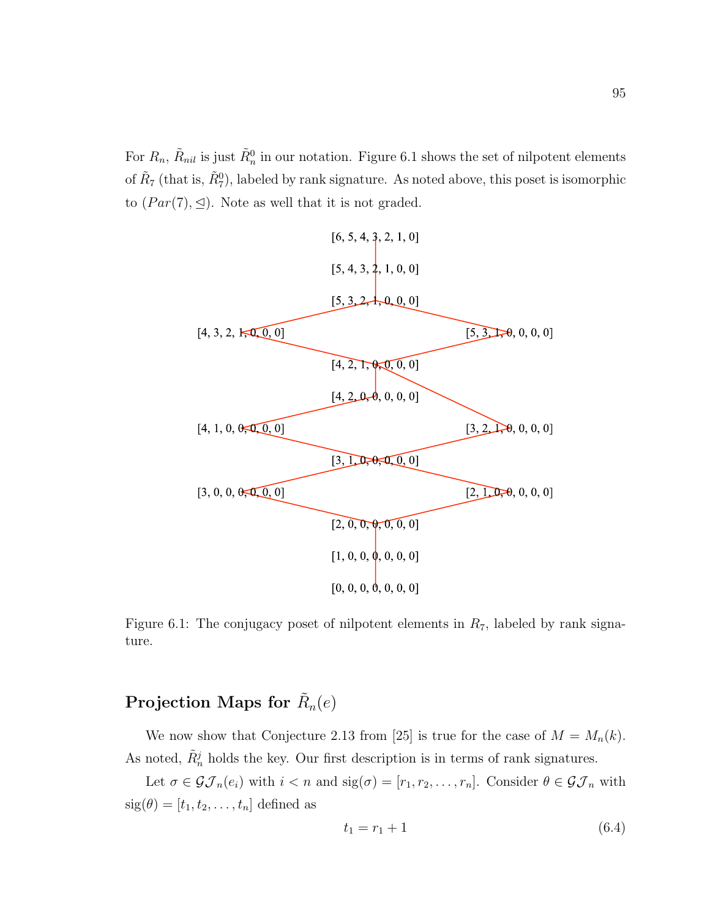For  $R_n$ ,  $\tilde{R}_{nil}$  is just  $\tilde{R}_n^0$  in our notation. Figure 6.1 shows the set of nilpotent elements of  $\tilde{R}_7$  (that is,  $\tilde{R}_7^0$ ), labeled by rank signature. As noted above, this poset is isomorphic to  $(Par(7), \trianglelefteq)$ . Note as well that it is not graded.



Figure 6.1: The conjugacy poset of nilpotent elements in  $R_7$ , labeled by rank signature.

### Projection Maps for  $\tilde{R}_n(e)$

We now show that Conjecture 2.13 from [25] is true for the case of  $M = M_n(k)$ . As noted,  $\tilde{R}^j_n$  holds the key. Our first description is in terms of rank signatures.

Let  $\sigma \in \mathcal{GI}_n(e_i)$  with  $i < n$  and  $sig(\sigma) = [r_1, r_2, \ldots, r_n]$ . Consider  $\theta \in \mathcal{GI}_n$  with  $sig(\theta) = [t_1, t_2, \ldots, t_n]$  defined as

$$
t_1 = r_1 + 1 \tag{6.4}
$$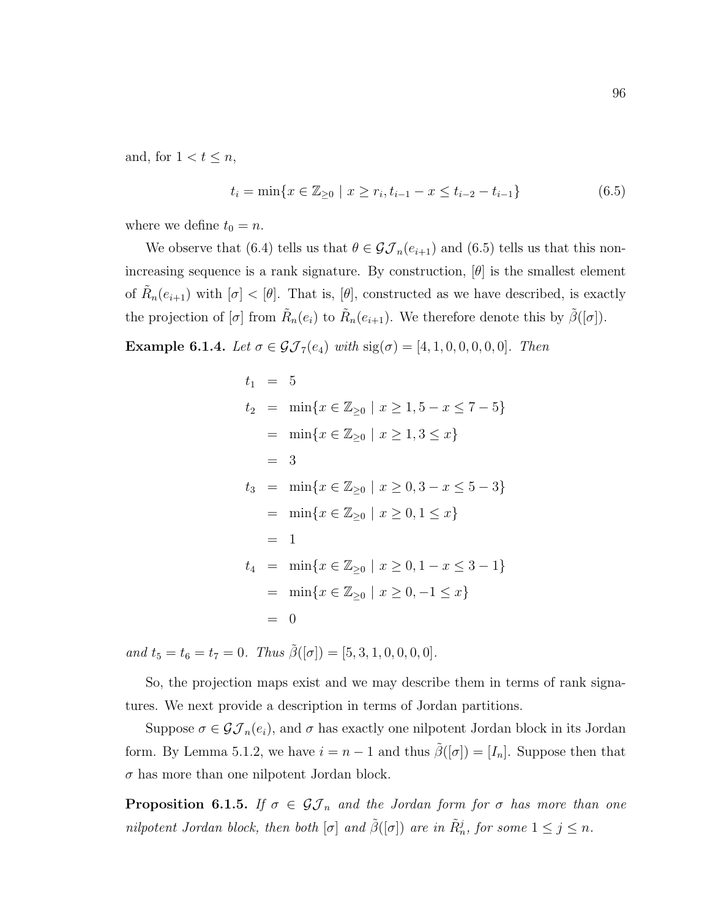and, for  $1 < t \leq n$ ,

$$
t_i = \min\{x \in \mathbb{Z}_{\geq 0} \mid x \geq r_i, t_{i-1} - x \leq t_{i-2} - t_{i-1}\}\tag{6.5}
$$

where we define  $t_0 = n$ .

We observe that (6.4) tells us that  $\theta \in \mathcal{GI}_n(e_{i+1})$  and (6.5) tells us that this nonincreasing sequence is a rank signature. By construction,  $[\theta]$  is the smallest element of  $\tilde{R}_n(e_{i+1})$  with  $[\sigma] < [\theta]$ . That is,  $[\theta]$ , constructed as we have described, is exactly the projection of  $[\sigma]$  from  $\tilde{R}_n(e_i)$  to  $\tilde{R}_n(e_{i+1})$ . We therefore denote this by  $\tilde{\beta}([\sigma])$ .

**Example 6.1.4.** Let  $\sigma \in \mathcal{GI}_7(e_4)$  with  $sig(\sigma) = [4, 1, 0, 0, 0, 0, 0]$ . Then

$$
t_1 = 5
$$
  
\n
$$
t_2 = \min\{x \in \mathbb{Z}_{\geq 0} \mid x \geq 1, 5 - x \leq 7 - 5\}
$$
  
\n
$$
= \min\{x \in \mathbb{Z}_{\geq 0} \mid x \geq 1, 3 \leq x\}
$$
  
\n
$$
= 3
$$
  
\n
$$
t_3 = \min\{x \in \mathbb{Z}_{\geq 0} \mid x \geq 0, 3 - x \leq 5 - 3\}
$$
  
\n
$$
= \min\{x \in \mathbb{Z}_{\geq 0} \mid x \geq 0, 1 \leq x\}
$$
  
\n
$$
= 1
$$
  
\n
$$
t_4 = \min\{x \in \mathbb{Z}_{\geq 0} \mid x \geq 0, 1 - x \leq 3 - 1\}
$$
  
\n
$$
= \min\{x \in \mathbb{Z}_{\geq 0} \mid x \geq 0, -1 \leq x\}
$$
  
\n
$$
= 0
$$

and  $t_5 = t_6 = t_7 = 0$ . Thus  $\tilde{\beta}([\sigma]) = [5, 3, 1, 0, 0, 0, 0]$ .

So, the projection maps exist and we may describe them in terms of rank signatures. We next provide a description in terms of Jordan partitions.

Suppose  $\sigma \in \mathcal{GI}_n(e_i)$ , and  $\sigma$  has exactly one nilpotent Jordan block in its Jordan form. By Lemma 5.1.2, we have  $i = n - 1$  and thus  $\tilde{\beta}([\sigma]) = [I_n]$ . Suppose then that  $\sigma$  has more than one nilpotent Jordan block.

**Proposition 6.1.5.** If  $\sigma \in \mathcal{GI}_n$  and the Jordan form for  $\sigma$  has more than one nilpotent Jordan block, then both  $[\sigma]$  and  $\tilde{\beta}([\sigma])$  are in  $\tilde{R}^j_n$ , for some  $1 \leq j \leq n$ .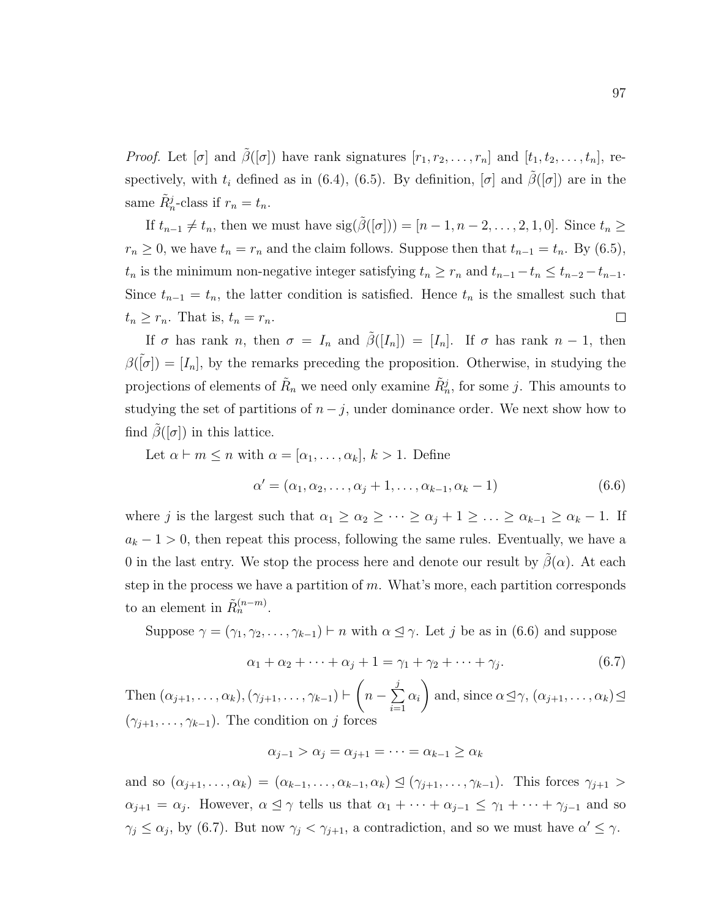*Proof.* Let  $[\sigma]$  and  $\tilde{\beta}([\sigma])$  have rank signatures  $[r_1, r_2, \ldots, r_n]$  and  $[t_1, t_2, \ldots, t_n]$ , respectively, with  $t_i$  defined as in (6.4), (6.5). By definition,  $[\sigma]$  and  $\tilde{\beta}([\sigma])$  are in the same  $\tilde{R}_n^j$ -class if  $r_n = t_n$ .

If  $t_{n-1} \neq t_n$ , then we must have  $sig(\tilde{\beta}([\sigma])) = [n-1, n-2, \ldots, 2, 1, 0]$ . Since  $t_n \geq$  $r_n \geq 0$ , we have  $t_n = r_n$  and the claim follows. Suppose then that  $t_{n-1} = t_n$ . By (6.5),  $t_n$  is the minimum non-negative integer satisfying  $t_n \geq r_n$  and  $t_{n-1} - t_n \leq t_{n-2} - t_{n-1}$ . Since  $t_{n-1} = t_n$ , the latter condition is satisfied. Hence  $t_n$  is the smallest such that  $t_n \geq r_n$ . That is,  $t_n = r_n$ .  $\Box$ 

If  $\sigma$  has rank n, then  $\sigma = I_n$  and  $\tilde{\beta}([I_n]) = [I_n]$ . If  $\sigma$  has rank  $n-1$ , then  $\beta(\tilde{p}) = [I_n]$ , by the remarks preceding the proposition. Otherwise, in studying the projections of elements of  $\tilde{R}_n$  we need only examine  $\tilde{R}^j_n$ , for some j. This amounts to studying the set of partitions of  $n - j$ , under dominance order. We next show how to find  $\beta([\sigma])$  in this lattice.

Let 
$$
\alpha \vdash m \le n
$$
 with  $\alpha = [\alpha_1, \ldots, \alpha_k]$ ,  $k > 1$ . Define  
\n
$$
\alpha' = (\alpha_1, \alpha_2, \ldots, \alpha_j + 1, \ldots, \alpha_{k-1}, \alpha_k - 1) \tag{6.6}
$$

where j is the largest such that  $\alpha_1 \geq \alpha_2 \geq \cdots \geq \alpha_j + 1 \geq \ldots \geq \alpha_{k-1} \geq \alpha_k - 1$ . If  $a_k - 1 > 0$ , then repeat this process, following the same rules. Eventually, we have a 0 in the last entry. We stop the process here and denote our result by  $\beta(\alpha)$ . At each step in the process we have a partition of  $m$ . What's more, each partition corresponds to an element in  $\tilde{R}_n^{(n-m)}$ .

Suppose  $\gamma = (\gamma_1, \gamma_2, \ldots, \gamma_{k-1}) \vdash n$  with  $\alpha \leq \gamma$ . Let j be as in (6.6) and suppose

$$
\alpha_1 + \alpha_2 + \dots + \alpha_j + 1 = \gamma_1 + \gamma_2 + \dots + \gamma_j. \tag{6.7}
$$

Then  $(\alpha_{j+1}, \ldots, \alpha_k), (\gamma_{j+1}, \ldots, \gamma_{k-1}) \vdash$  $\sqrt{ }$  $n-\sum$ j  $i=1$  $\alpha_i$  $\setminus$ and, since  $\alpha \leq \gamma$ ,  $(\alpha_{j+1}, \ldots, \alpha_k) \leq$  $(\gamma_{j+1}, \ldots, \gamma_{k-1})$ . The condition on j forces

$$
\alpha_{j-1} > \alpha_j = \alpha_{j+1} = \dots = \alpha_{k-1} \ge \alpha_k
$$

and so  $(\alpha_{j+1},\ldots,\alpha_k) = (\alpha_{k-1},\ldots,\alpha_{k-1},\alpha_k) \leq (\gamma_{j+1},\ldots,\gamma_{k-1})$ . This forces  $\gamma_{j+1} >$  $\alpha_{j+1} = \alpha_j$ . However,  $\alpha \leq \gamma$  tells us that  $\alpha_1 + \cdots + \alpha_{j-1} \leq \gamma_1 + \cdots + \gamma_{j-1}$  and so  $\gamma_j \leq \alpha_j$ , by (6.7). But now  $\gamma_j < \gamma_{j+1}$ , a contradiction, and so we must have  $\alpha' \leq \gamma$ .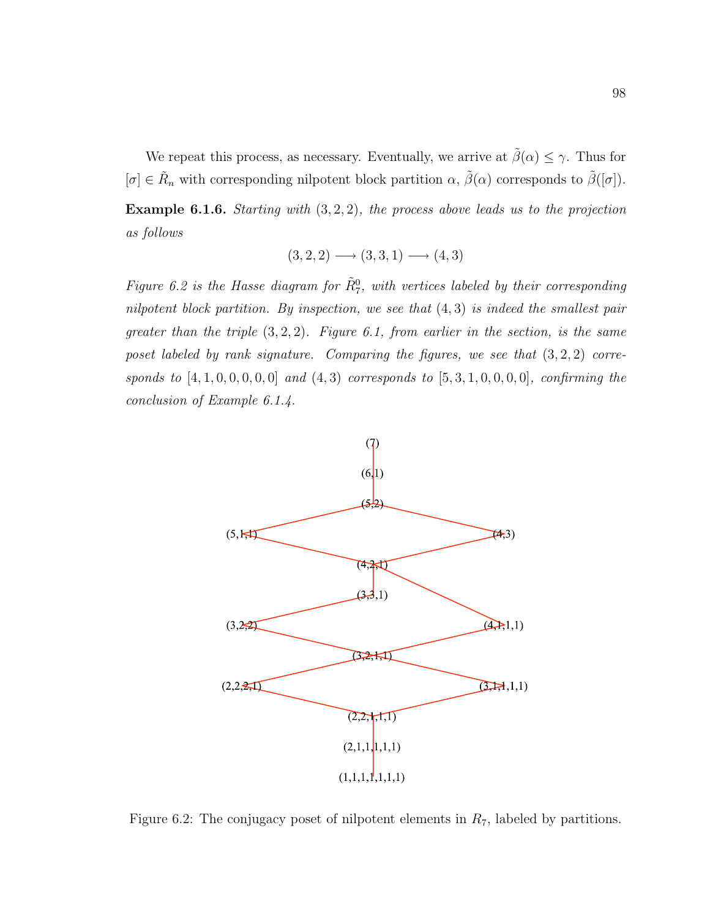We repeat this process, as necessary. Eventually, we arrive at  $\tilde{\beta}(\alpha) \leq \gamma$ . Thus for  $[\sigma] \in \tilde{R}_n$  with corresponding nilpotent block partition  $\alpha$ ,  $\tilde{\beta}(\alpha)$  corresponds to  $\tilde{\beta}([\sigma])$ .

**Example 6.1.6.** Starting with  $(3, 2, 2)$ , the process above leads us to the projection as follows

$$
(3,2,2) \longrightarrow (3,3,1) \longrightarrow (4,3)
$$

Figure 6.2 is the Hasse diagram for  $\tilde{R}_{7}^{0}$ , with vertices labeled by their corresponding nilpotent block partition. By inspection, we see that  $(4,3)$  is indeed the smallest pair greater than the triple  $(3, 2, 2)$ . Figure 6.1, from earlier in the section, is the same poset labeled by rank signature. Comparing the figures, we see that  $(3, 2, 2)$  corresponds to  $[4, 1, 0, 0, 0, 0, 0]$  and  $(4, 3)$  corresponds to  $[5, 3, 1, 0, 0, 0, 0]$ , confirming the conclusion of Example 6.1.4.



Figure 6.2: The conjugacy poset of nilpotent elements in  $R_7$ , labeled by partitions.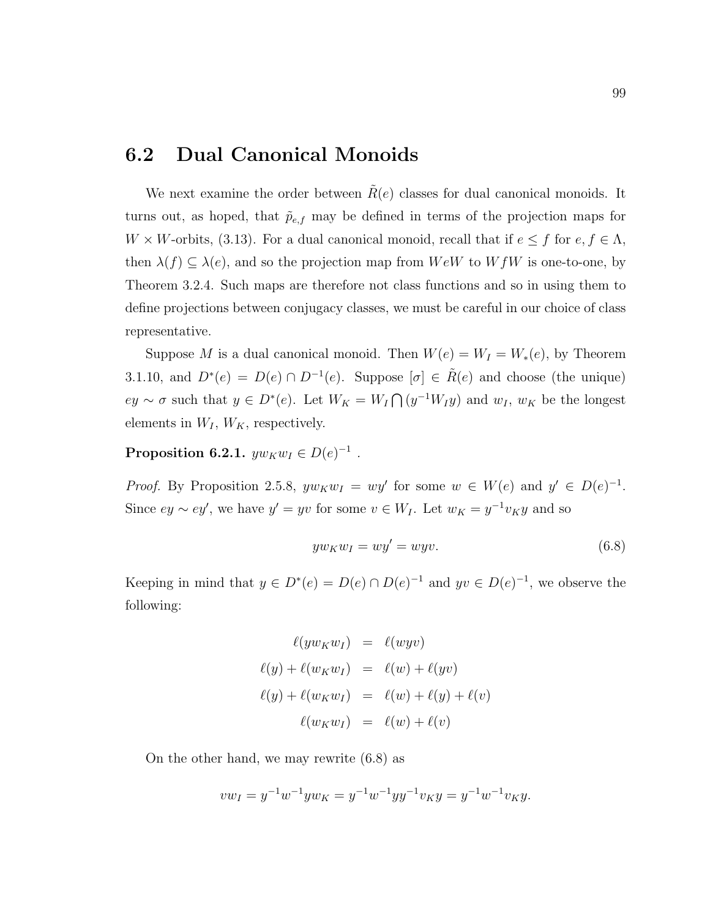#### 6.2 Dual Canonical Monoids

We next examine the order between  $R(e)$  classes for dual canonical monoids. It turns out, as hoped, that  $\tilde{p}_{e,f}$  may be defined in terms of the projection maps for  $W \times W$ -orbits, (3.13). For a dual canonical monoid, recall that if  $e \le f$  for  $e, f \in \Lambda$ , then  $\lambda(f) \subseteq \lambda(e)$ , and so the projection map from  $WeW$  to  $WfW$  is one-to-one, by Theorem 3.2.4. Such maps are therefore not class functions and so in using them to define projections between conjugacy classes, we must be careful in our choice of class representative.

Suppose M is a dual canonical monoid. Then  $W(e) = W_I = W_*(e)$ , by Theorem 3.1.10, and  $D^*(e) = D(e) \cap D^{-1}(e)$ . Suppose  $[\sigma] \in \tilde{R}(e)$  and choose (the unique)  $ey \sim \sigma$  such that  $y \in D^*(e)$ . Let  $W_K = W_I \cap (y^{-1}W_Iy)$  and  $w_I, w_K$  be the longest elements in  $W_I$ ,  $W_K$ , respectively.

Proposition 6.2.1.  $yw_Kw_I \in D(e)^{-1}$ .

*Proof.* By Proposition 2.5.8,  $yw_Kw_I = wy'$  for some  $w \in W(e)$  and  $y' \in D(e)^{-1}$ . Since  $ey \sim ey'$ , we have  $y' = yv$  for some  $v \in W_I$ . Let  $w_K = y^{-1}v_Ky$  and so

$$
yw_Kw_I = wy' = wyv.\t\t(6.8)
$$

Keeping in mind that  $y \in D^*(e) = D(e) \cap D(e)^{-1}$  and  $yv \in D(e)^{-1}$ , we observe the following:

$$
\ell(yw_Kw_I) = \ell(wyv)
$$
  

$$
\ell(y) + \ell(w_Kw_I) = \ell(w) + \ell(yv)
$$
  

$$
\ell(y) + \ell(w_Kw_I) = \ell(w) + \ell(y) + \ell(v)
$$
  

$$
\ell(w_Kw_I) = \ell(w) + \ell(v)
$$

On the other hand, we may rewrite (6.8) as

$$
vw_I = y^{-1}w^{-1}yw_K = y^{-1}w^{-1}yy^{-1}v_Ky = y^{-1}w^{-1}v_Ky.
$$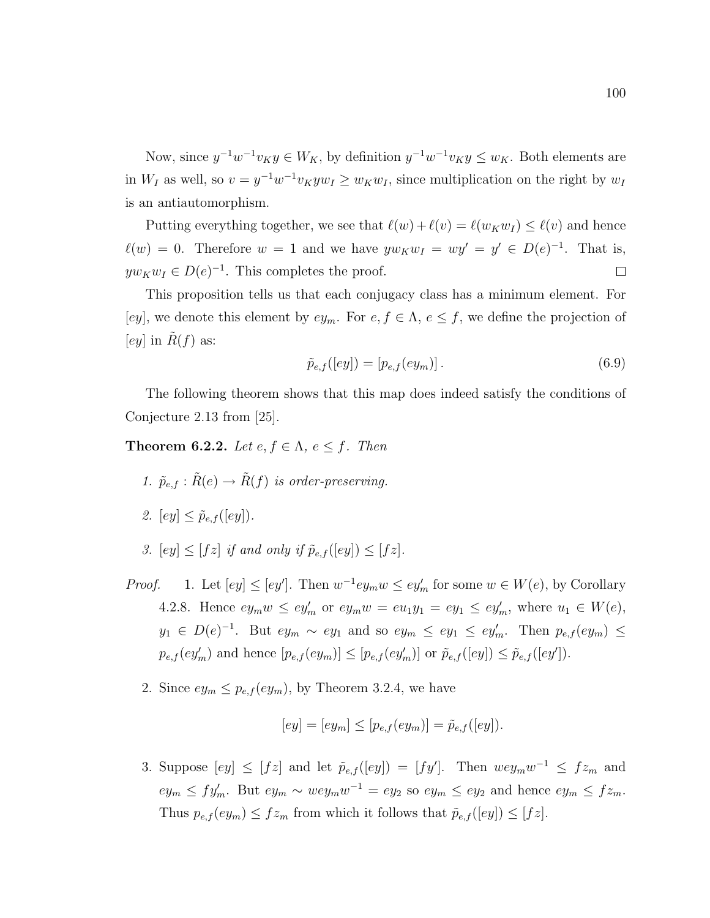Now, since  $y^{-1}w^{-1}v_Ky \in W_K$ , by definition  $y^{-1}w^{-1}v_Ky \le w_K$ . Both elements are in  $W_I$  as well, so  $v = y^{-1}w^{-1}v_K yw_I \ge w_K w_I$ , since multiplication on the right by  $w_I$ is an antiautomorphism.

Putting everything together, we see that  $\ell(w) + \ell(v) = \ell(w_K w_I) \leq \ell(v)$  and hence  $\ell(w) = 0$ . Therefore  $w = 1$  and we have  $yw_Kw_I = wy' \in D(e)^{-1}$ . That is,  $yw_Kw_I \in D(e)^{-1}$ . This completes the proof.  $\Box$ 

This proposition tells us that each conjugacy class has a minimum element. For [ey], we denote this element by  $ey_m$ . For  $e, f \in \Lambda$ ,  $e \leq f$ , we define the projection of [ey] in  $R(f)$  as:

$$
\tilde{p}_{e,f}([ey]) = [p_{e,f}(ey_m)].\tag{6.9}
$$

The following theorem shows that this map does indeed satisfy the conditions of Conjecture 2.13 from [25].

**Theorem 6.2.2.** Let  $e, f \in \Lambda$ ,  $e \leq f$ . Then

- 1.  $\tilde{p}_{e,f} : \tilde{R}(e) \to \tilde{R}(f)$  is order-preserving.
- 2.  $[ey] \leq \tilde{p}_{e,f}([ey]).$
- 3.  $[ey] \leq [fz]$  if and only if  $\tilde{p}_{e,f}([ey]) \leq [fz]$ .
- *Proof.* 1. Let  $[ey] \leq [ey']$ . Then  $w^{-1}ey_mw \leq ey'_m$  for some  $w \in W(e)$ , by Corollary 4.2.8. Hence  $ey_m w \leq ey_m'$  or  $ey_m w = eu_1 y_1 = ey_1 \leq ey_m'$ , where  $u_1 \in W(e)$ ,  $y_1 \in D(e)^{-1}$ . But  $ey_m \sim ey_1$  and so  $ey_m \le ey_1 \le ey'_m$ . Then  $p_{e,f}(ey_m) \le$  $p_{e,f}(ey_m')$  and hence  $[p_{e,f}(ey_m)] \le [p_{e,f}(ey_m')]$  or  $\tilde{p}_{e,f}([ey]) \le \tilde{p}_{e,f}([ey']).$ 
	- 2. Since  $ey_m \leq p_{e,f}(ey_m)$ , by Theorem 3.2.4, we have

$$
[ey] = [ey_m] \le [p_{e,f}(ey_m)] = \tilde{p}_{e,f}([ey]).
$$

3. Suppose  $[ey] \leq [fz]$  and let  $\tilde{p}_{e,f}([ey]) = [fy']$ . Then  $wey_mw^{-1} \leq fz_m$  and  $ey_m \leq fy'_m$ . But  $ey_m \sim wey_mw^{-1} = ey_2$  so  $ey_m \leq ey_2$  and hence  $ey_m \leq fz_m$ . Thus  $p_{e,f}(ey_m) \leq fz_m$  from which it follows that  $\tilde{p}_{e,f}([ey]) \leq [fx]$ .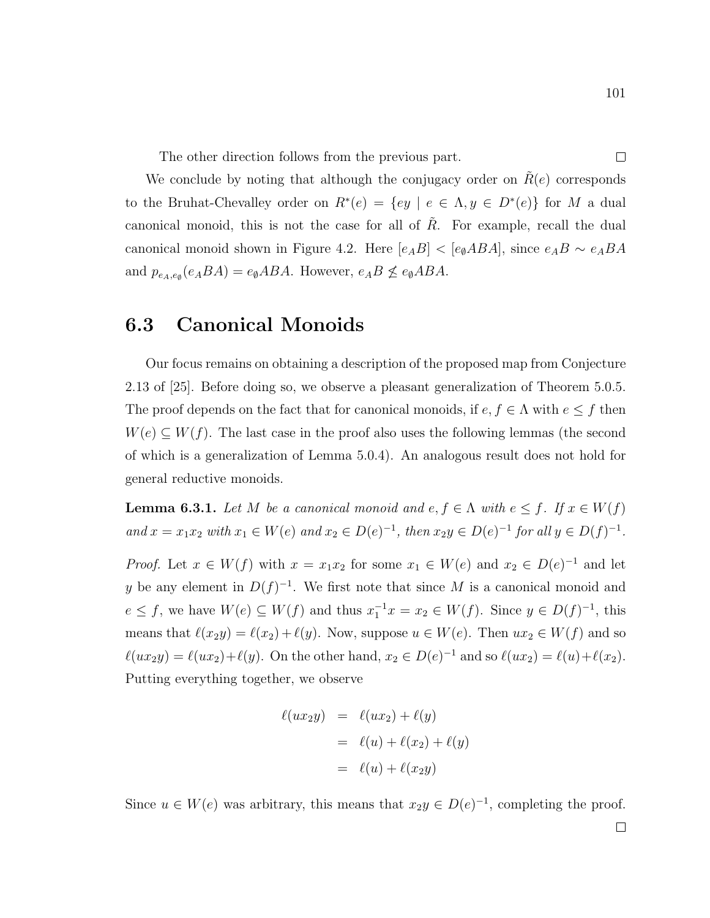The other direction follows from the previous part.

We conclude by noting that although the conjugacy order on  $R(e)$  corresponds to the Bruhat-Chevalley order on  $R^*(e) = \{ey \mid e \in \Lambda, y \in D^*(e)\}\$  for M a dual canonical monoid, this is not the case for all of  $R$ . For example, recall the dual canonical monoid shown in Figure 4.2. Here  $[e_A B] < [e_{\emptyset} A B A]$ , since  $e_A B \sim e_A B A$ and  $p_{e_A,e_\emptyset}(e_A BA) = e_\emptysetABA$ . However,  $e_A B \nleq e_\emptysetABA$ .

#### 6.3 Canonical Monoids

Our focus remains on obtaining a description of the proposed map from Conjecture 2.13 of [25]. Before doing so, we observe a pleasant generalization of Theorem 5.0.5. The proof depends on the fact that for canonical monoids, if  $e, f \in \Lambda$  with  $e \leq f$  then  $W(e) \subseteq W(f)$ . The last case in the proof also uses the following lemmas (the second of which is a generalization of Lemma 5.0.4). An analogous result does not hold for general reductive monoids.

**Lemma 6.3.1.** Let M be a canonical monoid and  $e, f \in \Lambda$  with  $e \leq f$ . If  $x \in W(f)$ and  $x = x_1 x_2$  with  $x_1 \in W(e)$  and  $x_2 \in D(e)^{-1}$ , then  $x_2 y \in D(e)^{-1}$  for all  $y \in D(f)^{-1}$ .

*Proof.* Let  $x \in W(f)$  with  $x = x_1x_2$  for some  $x_1 \in W(e)$  and  $x_2 \in D(e)^{-1}$  and let y be any element in  $D(f)^{-1}$ . We first note that since M is a canonical monoid and  $e \leq f$ , we have  $W(e) \subseteq W(f)$  and thus  $x_1^{-1}x = x_2 \in W(f)$ . Since  $y \in D(f)^{-1}$ , this means that  $\ell(x_2y) = \ell(x_2) + \ell(y)$ . Now, suppose  $u \in W(e)$ . Then  $ux_2 \in W(f)$  and so  $\ell(ux_2y) = \ell(ux_2)+\ell(y)$ . On the other hand,  $x_2 \in D(e)^{-1}$  and so  $\ell(ux_2) = \ell(u)+\ell(x_2)$ . Putting everything together, we observe

$$
\ell(ux_2y) = \ell(ux_2) + \ell(y)
$$

$$
= \ell(u) + \ell(x_2) + \ell(y)
$$

$$
= \ell(u) + \ell(x_2y)
$$

Since  $u \in W(e)$  was arbitrary, this means that  $x_2y \in D(e)^{-1}$ , completing the proof.

 $\Box$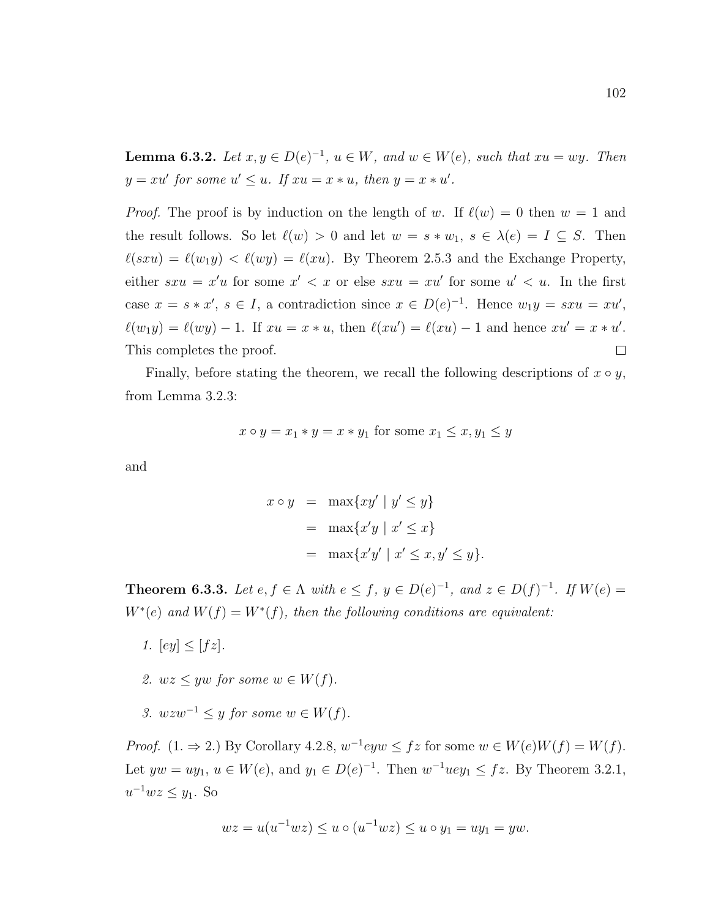**Lemma 6.3.2.** Let  $x, y \in D(e)^{-1}$ ,  $u \in W$ , and  $w \in W(e)$ , such that  $xu = wy$ . Then  $y = xu'$  for some  $u' \leq u$ . If  $xu = x * u$ , then  $y = x * u'$ .

*Proof.* The proof is by induction on the length of w. If  $\ell(w) = 0$  then  $w = 1$  and the result follows. So let  $\ell(w) > 0$  and let  $w = s * w_1, s \in \lambda(e) = I \subseteq S$ . Then  $\ell(sxu) = \ell(w_1y) < \ell(wy) = \ell(xu)$ . By Theorem 2.5.3 and the Exchange Property, either  $sxu = x'u$  for some  $x' < x$  or else  $sxu = xu'$  for some  $u' < u$ . In the first case  $x = s * x'$ ,  $s \in I$ , a contradiction since  $x \in D(e)^{-1}$ . Hence  $w_1y = sxu = xu'$ ,  $\ell(w_1y) = \ell(wy) - 1$ . If  $xu = x * u$ , then  $\ell(xu') = \ell(xu) - 1$  and hence  $xu' = x * u'$ .  $\Box$ This completes the proof.

Finally, before stating the theorem, we recall the following descriptions of  $x \circ y$ , from Lemma 3.2.3:

$$
x \circ y = x_1 * y = x * y_1 \text{ for some } x_1 \le x, y_1 \le y
$$

and

$$
x \circ y = \max\{xy' \mid y' \le y\}
$$
  
= 
$$
\max\{x'y \mid x' \le x\}
$$
  
= 
$$
\max\{x'y' \mid x' \le x, y' \le y\}.
$$

**Theorem 6.3.3.** Let  $e, f \in \Lambda$  with  $e \leq f, y \in D(e)^{-1}$ , and  $z \in D(f)^{-1}$ . If  $W(e) =$  $W^*(e)$  and  $W(f) = W^*(f)$ , then the following conditions are equivalent:

- 1.  $[ey] < [fz]$ .
- 2.  $wz \leq yw$  for some  $w \in W(f)$ .
- 3.  $wzw^{-1} \leq y$  for some  $w \in W(f)$ .

*Proof.*  $(1. \Rightarrow 2.)$  By Corollary 4.2.8,  $w^{-1}eyw \leq fz$  for some  $w \in W(e)W(f) = W(f)$ . Let  $yw = uy_1, u \in W(e)$ , and  $y_1 \in D(e)^{-1}$ . Then  $w^{-1}uey_1 \leq fz$ . By Theorem 3.2.1,  $u^{-1}wz \leq y_1$ . So

$$
wz = u(u^{-1}wz) \le u \circ (u^{-1}wz) \le u \circ y_1 = uy_1 = yw.
$$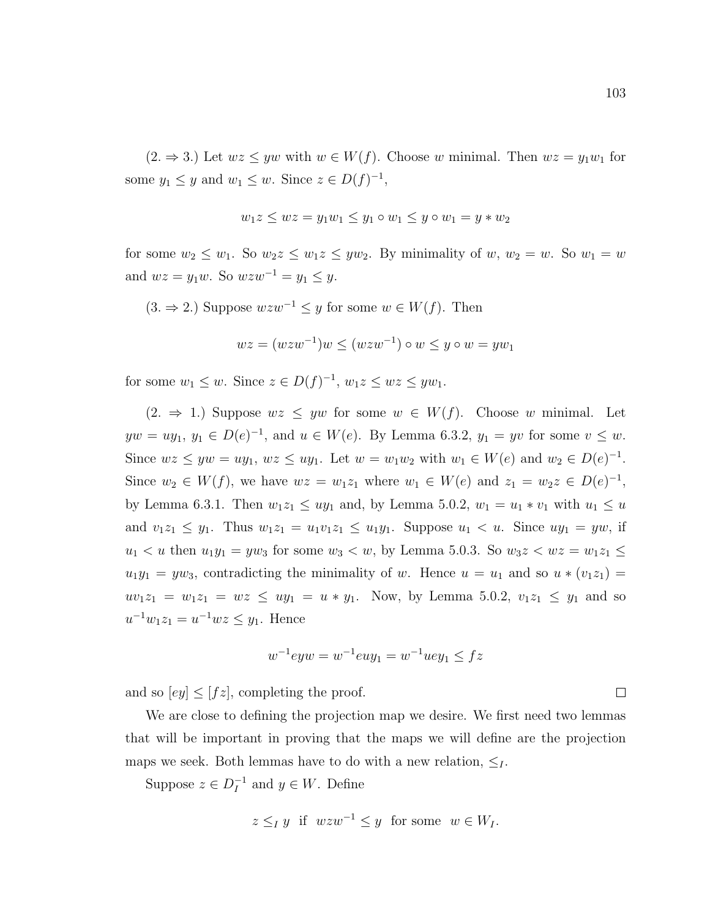$(2. \Rightarrow 3.)$  Let  $wz \leq yw$  with  $w \in W(f)$ . Choose w minimal. Then  $wz = y_1w_1$  for some  $y_1 \leq y$  and  $w_1 \leq w$ . Since  $z \in D(f)^{-1}$ ,

$$
w_1 z \le wz = y_1 w_1 \le y_1 \circ w_1 \le y \circ w_1 = y * w_2
$$

for some  $w_2 \leq w_1$ . So  $w_2z \leq w_1z \leq yw_2$ . By minimality of  $w, w_2 = w$ . So  $w_1 = w$ and  $wz = y_1w$ . So  $wzw^{-1} = y_1 \leq y$ .

 $(3. \Rightarrow 2.)$  Suppose  $wzw^{-1} \leq y$  for some  $w \in W(f)$ . Then

$$
wz = (wzw^{-1})w \le (wzw^{-1}) \circ w \le y \circ w = yw_1
$$

for some  $w_1 \leq w$ . Since  $z \in D(f)^{-1}$ ,  $w_1 z \leq wz \leq yw_1$ .

 $(2. \Rightarrow 1.)$  Suppose  $wz \leq yw$  for some  $w \in W(f)$ . Choose w minimal. Let  $yw = uy_1, y_1 \in D(e)^{-1}$ , and  $u \in W(e)$ . By Lemma 6.3.2,  $y_1 = yv$  for some  $v \leq w$ . Since  $wz \leq yw = uy_1, wz \leq uy_1$ . Let  $w = w_1w_2$  with  $w_1 \in W(e)$  and  $w_2 \in D(e)^{-1}$ . Since  $w_2 \in W(f)$ , we have  $wz = w_1z_1$  where  $w_1 \in W(e)$  and  $z_1 = w_2z \in D(e)^{-1}$ , by Lemma 6.3.1. Then  $w_1z_1 \leq uy_1$  and, by Lemma 5.0.2,  $w_1 = u_1 * v_1$  with  $u_1 \leq u_2$ and  $v_1z_1 \le y_1$ . Thus  $w_1z_1 = u_1v_1z_1 \le u_1y_1$ . Suppose  $u_1 < u$ . Since  $uy_1 = yw$ , if  $u_1 < u$  then  $u_1y_1 = yw_3$  for some  $w_3 < w$ , by Lemma 5.0.3. So  $w_3z < wz = w_1z_1 \le$  $u_1y_1 = yw_3$ , contradicting the minimality of w. Hence  $u = u_1$  and so  $u * (v_1z_1) =$  $uv_1z_1 = w_1z_1 = wz \le uy_1 = u * y_1$ . Now, by Lemma 5.0.2,  $v_1z_1 \le y_1$  and so  $u^{-1}w_1z_1 = u^{-1}wz \leq y_1$ . Hence

$$
w^{-1}eyw = w^{-1}euy_1 = w^{-1}uey_1 \leq fz
$$

and so  $[ey] \leq [fz]$ , completing the proof.

We are close to defining the projection map we desire. We first need two lemmas that will be important in proving that the maps we will define are the projection maps we seek. Both lemmas have to do with a new relation,  $\leq_I$ .

Suppose  $z \in D_I^{-1}$  $I_I^{-1}$  and  $y \in W$ . Define

$$
z \leq_I y
$$
 if  $wzw^{-1} \leq y$  for some  $w \in W_I$ .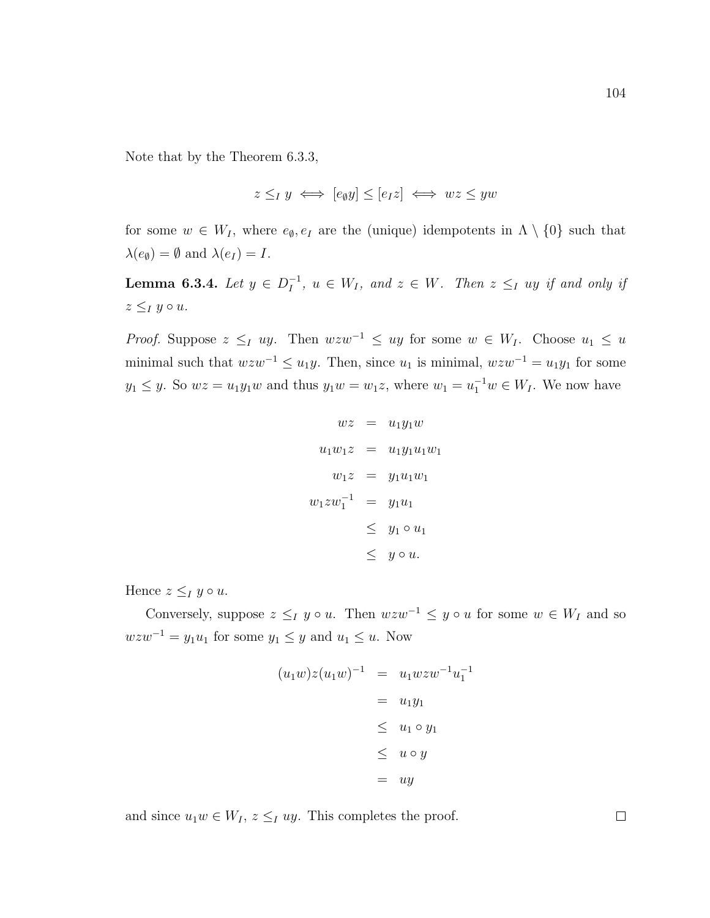Note that by the Theorem 6.3.3,

$$
z \leq_I y \iff [e_\emptyset y] \leq [e_I z] \iff wz \leq yw
$$

for some  $w \in W_I$ , where  $e_{\emptyset}, e_I$  are the (unique) idempotents in  $\Lambda \setminus \{0\}$  such that  $\lambda(e_{\emptyset}) = \emptyset$  and  $\lambda(e_I) = I$ .

Lemma 6.3.4. Let  $y \in D_I^{-1}$  $I_I^{-1}$ ,  $u \in W_I$ , and  $z \in W$ . Then  $z \leq_I uy$  if and only if  $z \leq_I y \circ u$ .

*Proof.* Suppose  $z \leq_I uy$ . Then  $wzw^{-1} \leq uy$  for some  $w \in W_I$ . Choose  $u_1 \leq u$ minimal such that  $wzw^{-1} \leq u_1y$ . Then, since  $u_1$  is minimal,  $wzw^{-1} = u_1y_1$  for some  $y_1 \leq y$ . So  $wz = u_1y_1w$  and thus  $y_1w = w_1z$ , where  $w_1 = u_1^{-1}w \in W_I$ . We now have

$$
wz = u_1y_1w
$$
  
\n
$$
u_1w_1z = u_1y_1u_1w_1
$$
  
\n
$$
w_1z = y_1u_1w_1
$$
  
\n
$$
w_1zw_1^{-1} = y_1u_1
$$
  
\n
$$
\leq y_1 \circ u_1
$$
  
\n
$$
\leq y \circ u.
$$

Hence  $z \leq_I y \circ u$ .

Conversely, suppose  $z \leq_I y \circ u$ . Then  $wzw^{-1} \leq y \circ u$  for some  $w \in W_I$  and so  $wzw^{-1} = y_1u_1$  for some  $y_1 \leq y$  and  $u_1 \leq u$ . Now

$$
(u_1w)z(u_1w)^{-1} = u_1wzw^{-1}u_1^{-1}
$$

$$
= u_1y_1
$$

$$
\leq u_1 \circ y_1
$$

$$
\leq u \circ y
$$

$$
= uy
$$

and since  $u_1w \in W_I$ ,  $z \leq_I uy$ . This completes the proof.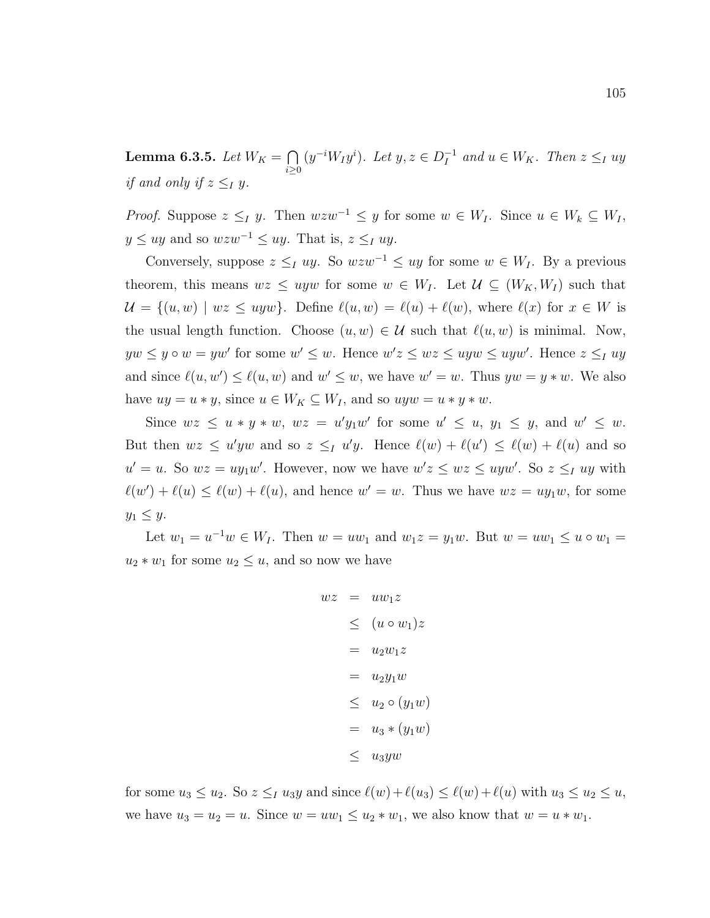Lemma 6.3.5. Let  $W_K = \bigcap$  $i \geq 0$  $(y^{-i}W_Iy^i)$ . Let  $y, z \in D_I^{-1}$  $I_I^{-1}$  and  $u \in W_K$ . Then  $z \leq_I uy$ if and only if  $z \leq_I y$ .

*Proof.* Suppose  $z \leq_I y$ . Then  $wzw^{-1} \leq y$  for some  $w \in W_I$ . Since  $u \in W_k \subseteq W_I$ ,  $y \leq uy$  and so  $wzw^{-1} \leq uy$ . That is,  $z \leq_I uy$ .

Conversely, suppose  $z \leq_I uy$ . So  $wzw^{-1} \leq uy$  for some  $w \in W_I$ . By a previous theorem, this means  $wz \leq uyw$  for some  $w \in W_I$ . Let  $\mathcal{U} \subseteq (W_K, W_I)$  such that  $\mathcal{U} = \{(u, w) \mid wz \leq uyw\}.$  Define  $\ell(u, w) = \ell(u) + \ell(w)$ , where  $\ell(x)$  for  $x \in W$  is the usual length function. Choose  $(u, w) \in \mathcal{U}$  such that  $\ell(u, w)$  is minimal. Now,  $yw \leq y \circ w = yw'$  for some  $w' \leq w$ . Hence  $w'z \leq wz \leq uyw \leq uyw'$ . Hence  $z \leq_I uy$ and since  $\ell(u, w') \leq \ell(u, w)$  and  $w' \leq w$ , we have  $w' = w$ . Thus  $yw = y * w$ . We also have  $uy = u * y$ , since  $u \in W_K \subseteq W_I$ , and so  $uyw = u * y * w$ .

Since  $wz \leq u * y * w$ ,  $wz = u'y_1w'$  for some  $u' \leq u$ ,  $y_1 \leq y$ , and  $w' \leq w$ . But then  $wz \leq u'yw$  and so  $z \leq_l u'y$ . Hence  $\ell(w) + \ell(u') \leq \ell(w) + \ell(u)$  and so  $u' = u$ . So  $wz = uy_1w'$ . However, now we have  $w'z \leq wz \leq uyw'$ . So  $z \leq_l uy$  with  $\ell(w') + \ell(u) \leq \ell(w) + \ell(u)$ , and hence  $w' = w$ . Thus we have  $wz = uy_1w$ , for some  $y_1 \leq y$ .

Let  $w_1 = u^{-1}w \in W_I$ . Then  $w = uw_1$  and  $w_1z = y_1w$ . But  $w = uw_1 \le u \circ w_1 =$  $u_2 * w_1$  for some  $u_2 \leq u$ , and so now we have

$$
wz = uw_1z
$$
  
\n
$$
\leq (u \circ w_1)z
$$
  
\n
$$
= u_2w_1z
$$
  
\n
$$
= u_2y_1w
$$
  
\n
$$
\leq u_2 \circ (y_1w)
$$
  
\n
$$
= u_3 * (y_1w)
$$
  
\n
$$
\leq u_3yw
$$

for some  $u_3 \le u_2$ . So  $z \le u_1 u_3y$  and since  $\ell(w)+\ell(u_3) \le \ell(w)+\ell(u)$  with  $u_3 \le u_2 \le u$ , we have  $u_3 = u_2 = u$ . Since  $w = uw_1 \le u_2 * w_1$ , we also know that  $w = u * w_1$ .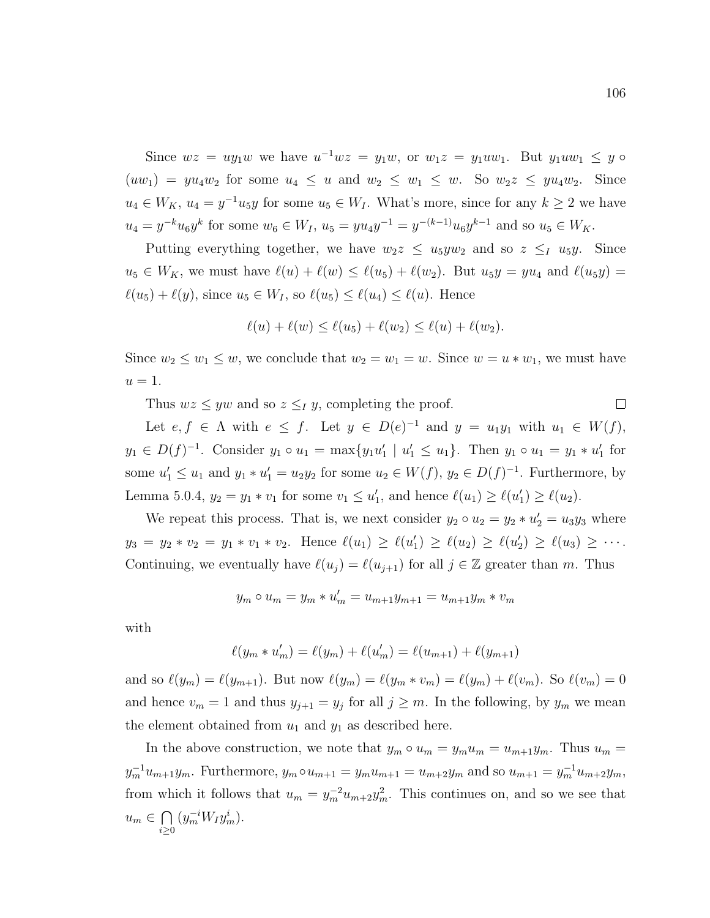Since  $wz = uy_1w$  we have  $u^{-1}wz = y_1w$ , or  $w_1z = y_1uw_1$ . But  $y_1uw_1 \leq y \circ w_1w_1$  $(uw_1) = yu_4w_2$  for some  $u_4 \leq u$  and  $w_2 \leq w_1 \leq w$ . So  $w_2z \leq yu_4w_2$ . Since  $u_4 \in W_K$ ,  $u_4 = y^{-1}u_5y$  for some  $u_5 \in W_I$ . What's more, since for any  $k \ge 2$  we have  $u_4 = y^{-k}u_6y^k$  for some  $w_6 \in W_I$ ,  $u_5 = yu_4y^{-1} = y^{-(k-1)}u_6y^{k-1}$  and so  $u_5 \in W_K$ .

Putting everything together, we have  $w_2z \leq u_5yw_2$  and so  $z \leq_I u_5y$ . Since  $u_5 \in W_K$ , we must have  $\ell(u) + \ell(w) \leq \ell(u_5) + \ell(w_2)$ . But  $u_5y = yu_4$  and  $\ell(u_5y) =$  $\ell(u_5) + \ell(y)$ , since  $u_5 \in W_I$ , so  $\ell(u_5) \leq \ell(u_4) \leq \ell(u)$ . Hence

$$
\ell(u) + \ell(w) \le \ell(u_5) + \ell(w_2) \le \ell(u) + \ell(w_2).
$$

Since  $w_2 \leq w_1 \leq w$ , we conclude that  $w_2 = w_1 = w$ . Since  $w = u * w_1$ , we must have  $u=1$ .

Thus  $wz \leq yw$  and so  $z \leq_I y$ , completing the proof.

Let  $e, f \in \Lambda$  with  $e \leq f$ . Let  $y \in D(e)^{-1}$  and  $y = u_1y_1$  with  $u_1 \in W(f)$ ,  $y_1 \in D(f)^{-1}$ . Consider  $y_1 \circ u_1 = \max\{y_1u'_1 \mid u'_1 \leq u_1\}$ . Then  $y_1 \circ u_1 = y_1 * u'_1$  for some  $u'_1 \leq u_1$  and  $y_1 * u'_1 = u_2 y_2$  for some  $u_2 \in W(f)$ ,  $y_2 \in D(f)^{-1}$ . Furthermore, by Lemma 5.0.4,  $y_2 = y_1 * v_1$  for some  $v_1 \le u'_1$ , and hence  $\ell(u_1) \ge \ell(u'_1) \ge \ell(u_2)$ .

We repeat this process. That is, we next consider  $y_2 \circ u_2 = y_2 * u'_2 = u_3 y_3$  where  $y_3 = y_2 * v_2 = y_1 * v_1 * v_2$ . Hence  $\ell(u_1) \ge \ell(u'_1) \ge \ell(u_2) \ge \ell(u'_2) \ge \ell(u_3) \ge \cdots$ . Continuing, we eventually have  $\ell(u_j) = \ell(u_{j+1})$  for all  $j \in \mathbb{Z}$  greater than m. Thus

$$
y_m \circ u_m = y_m * u'_m = u_{m+1}y_{m+1} = u_{m+1}y_m * v_m
$$

with

$$
\ell(y_m * u_m') = \ell(y_m) + \ell(u_m') = \ell(u_{m+1}) + \ell(y_{m+1})
$$

and so  $\ell(y_m) = \ell(y_{m+1})$ . But now  $\ell(y_m) = \ell(y_m * v_m) = \ell(y_m) + \ell(v_m)$ . So  $\ell(v_m) = 0$ and hence  $v_m = 1$  and thus  $y_{j+1} = y_j$  for all  $j \geq m$ . In the following, by  $y_m$  we mean the element obtained from  $u_1$  and  $y_1$  as described here.

In the above construction, we note that  $y_m \circ u_m = y_m u_m = u_{m+1} y_m$ . Thus  $u_m = u_m$  $y_m^{-1}u_{m+1}y_m$ . Furthermore,  $y_m \circ u_{m+1} = y_m u_{m+1} = u_{m+2}y_m$  and so  $u_{m+1} = y_m^{-1}u_{m+2}y_m$ , from which it follows that  $u_m = y_m^{-2}u_{m+2}y_m^2$ . This continues on, and so we see that  $u_m \in \bigcap$  $i \geq 0$  $(y_m^{-i}W_Iy_m^i)$ .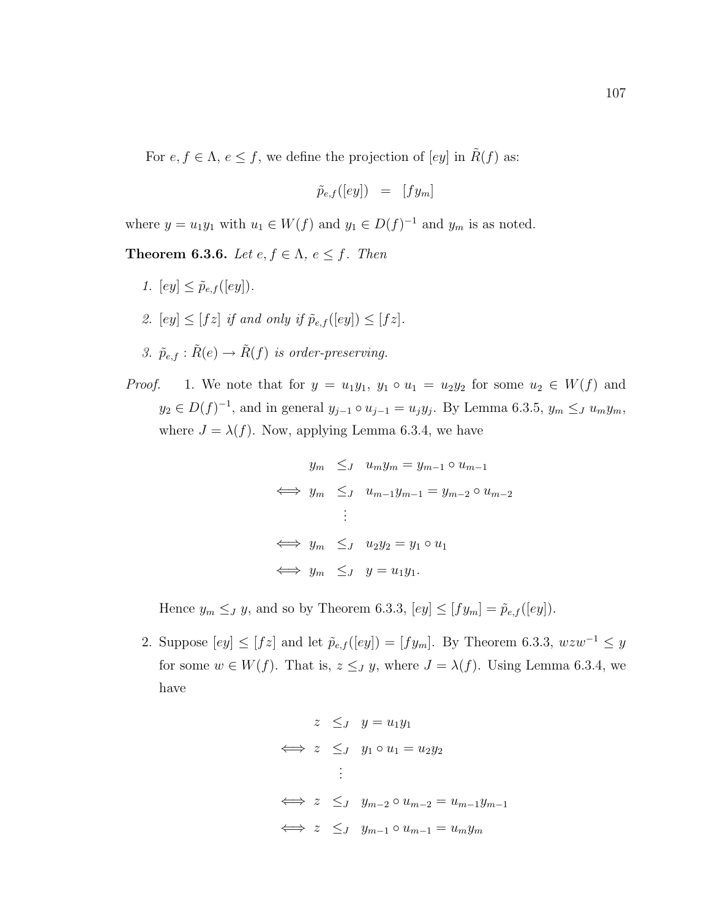For  $e, f \in \Lambda$ ,  $e \leq f$ , we define the projection of  $[ey]$  in  $\tilde{R}(f)$  as:

$$
\tilde{p}_{e,f}([ey]) = [fy_m]
$$

where  $y = u_1y_1$  with  $u_1 \in W(f)$  and  $y_1 \in D(f)^{-1}$  and  $y_m$  is as noted.

**Theorem 6.3.6.** Let  $e, f \in \Lambda$ ,  $e \leq f$ . Then

- 1.  $[ey] \leq \tilde{p}_{e,f}([ey]).$
- 2.  $[ey] \leq [fz]$  if and only if  $\tilde{p}_{e,f}([ey]) \leq [fz]$ .
- 3.  $\tilde{p}_{e,f} : \tilde{R}(e) \to \tilde{R}(f)$  is order-preserving.
- *Proof.* 1. We note that for  $y = u_1y_1$ ,  $y_1 \circ u_1 = u_2y_2$  for some  $u_2 \in W(f)$  and  $y_2 \in D(f)^{-1}$ , and in general  $y_{j-1} \circ u_{j-1} = u_j y_j$ . By Lemma 6.3.5,  $y_m \leq J u_m y_m$ , where  $J = \lambda(f)$ . Now, applying Lemma 6.3.4, we have

$$
y_m \leq_J u_m y_m = y_{m-1} \circ u_{m-1}
$$
  
\n
$$
\iff y_m \leq_J u_{m-1} y_{m-1} = y_{m-2} \circ u_{m-2}
$$
  
\n:  
\n
$$
\iff y_m \leq_J u_2 y_2 = y_1 \circ u_1
$$
  
\n
$$
\iff y_m \leq_J y = u_1 y_1.
$$

Hence  $y_m \leq_J y$ , and so by Theorem 6.3.3,  $[ey] \leq [fy_m] = \tilde{p}_{e,f}([ey]).$ 

2. Suppose  $[ey] \leq [f\overline{z}]$  and let  $\tilde{p}_{e,f}([ey]) = [fy_m]$ . By Theorem 6.3.3,  $wzw^{-1} \leq y$ for some  $w \in W(f)$ . That is,  $z \leq J y$ , where  $J = \lambda(f)$ . Using Lemma 6.3.4, we have

$$
z \leq_J y = u_1y_1
$$
  
\n
$$
\iff z \leq_J y_1 \circ u_1 = u_2y_2
$$
  
\n:  
\n
$$
\iff z \leq_J y_{m-2} \circ u_{m-2} = u_{m-1}y_{m-1}
$$
  
\n
$$
\iff z \leq_J y_{m-1} \circ u_{m-1} = u_my_m
$$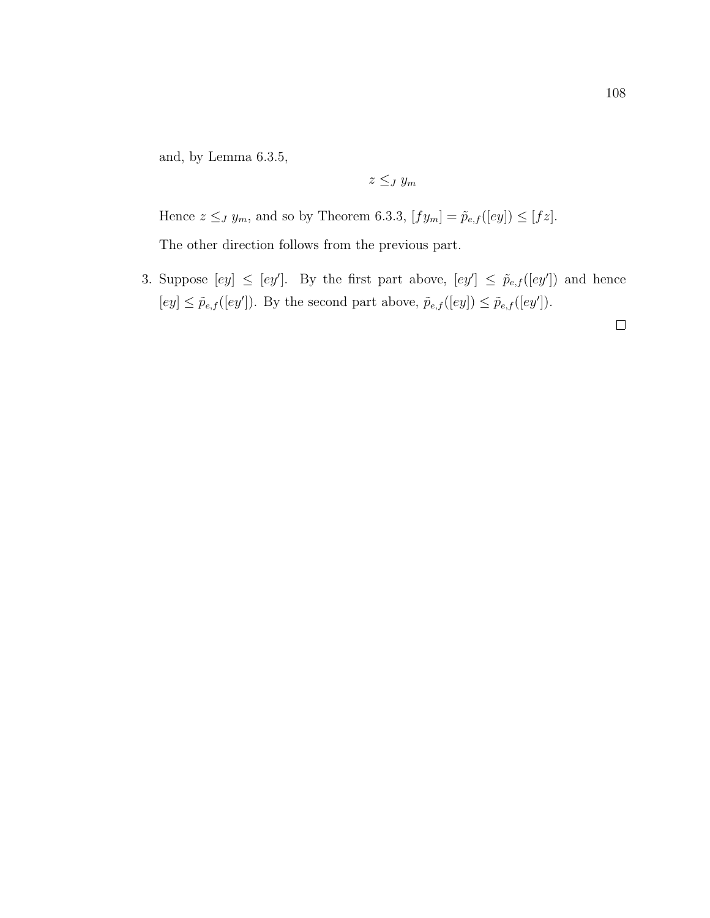and, by Lemma 6.3.5,

 $z \leq_J y_m$ 

Hence  $z \leq_J y_m$ , and so by Theorem 6.3.3,  $[fy_m] = \tilde{p}_{e,f}([ey]) \leq [fz]$ . The other direction follows from the previous part.

3. Suppose  $[ey] \leq [ey']$ . By the first part above,  $[ey'] \leq \tilde{p}_{e,f}([ey'])$  and hence  $[ey] \leq \tilde{p}_{e,f}([ey'])$ . By the second part above,  $\tilde{p}_{e,f}([ey]) \leq \tilde{p}_{e,f}([ey'])$ .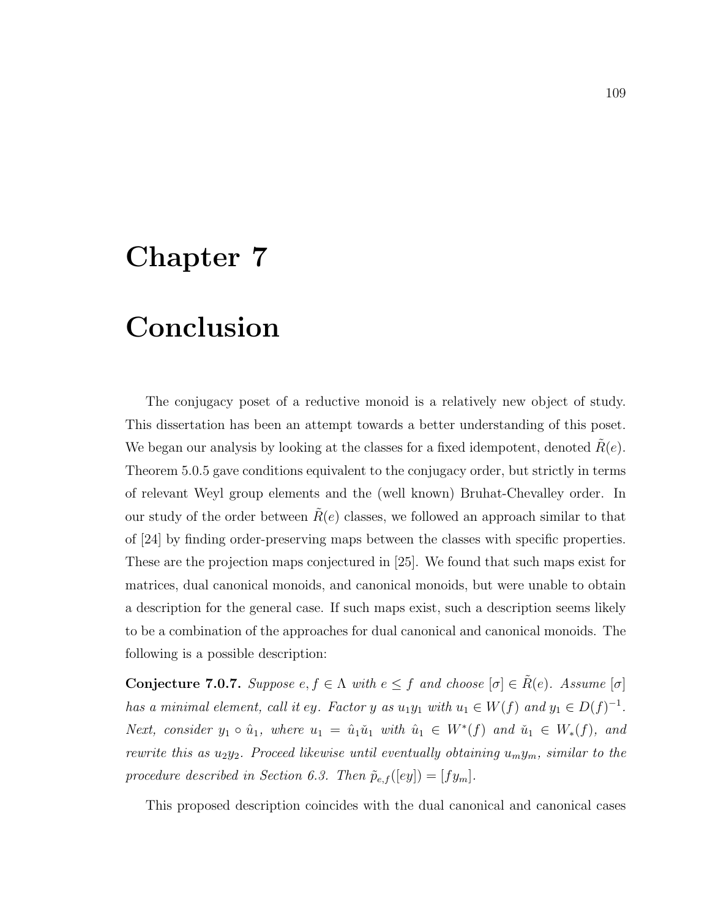# Chapter 7

### Conclusion

The conjugacy poset of a reductive monoid is a relatively new object of study. This dissertation has been an attempt towards a better understanding of this poset. We began our analysis by looking at the classes for a fixed idempotent, denoted  $R(e)$ . Theorem 5.0.5 gave conditions equivalent to the conjugacy order, but strictly in terms of relevant Weyl group elements and the (well known) Bruhat-Chevalley order. In our study of the order between  $R(e)$  classes, we followed an approach similar to that of [24] by finding order-preserving maps between the classes with specific properties. These are the projection maps conjectured in [25]. We found that such maps exist for matrices, dual canonical monoids, and canonical monoids, but were unable to obtain a description for the general case. If such maps exist, such a description seems likely to be a combination of the approaches for dual canonical and canonical monoids. The following is a possible description:

Conjecture 7.0.7. Suppose  $e, f \in \Lambda$  with  $e \leq f$  and choose  $[\sigma] \in \tilde{R}(e)$ . Assume  $[\sigma]$ has a minimal element, call it ey. Factor y as  $u_1y_1$  with  $u_1 \in W(f)$  and  $y_1 \in D(f)^{-1}$ . Next, consider  $y_1 \circ \hat{u}_1$ , where  $u_1 = \hat{u}_1 \check{u}_1$  with  $\hat{u}_1 \in W^*(f)$  and  $\check{u}_1 \in W_*(f)$ , and rewrite this as  $u_2y_2$ . Proceed likewise until eventually obtaining  $u_my_m$ , similar to the procedure described in Section 6.3. Then  $\tilde{p}_{e,f}([ey]) = [fy_m]$ .

This proposed description coincides with the dual canonical and canonical cases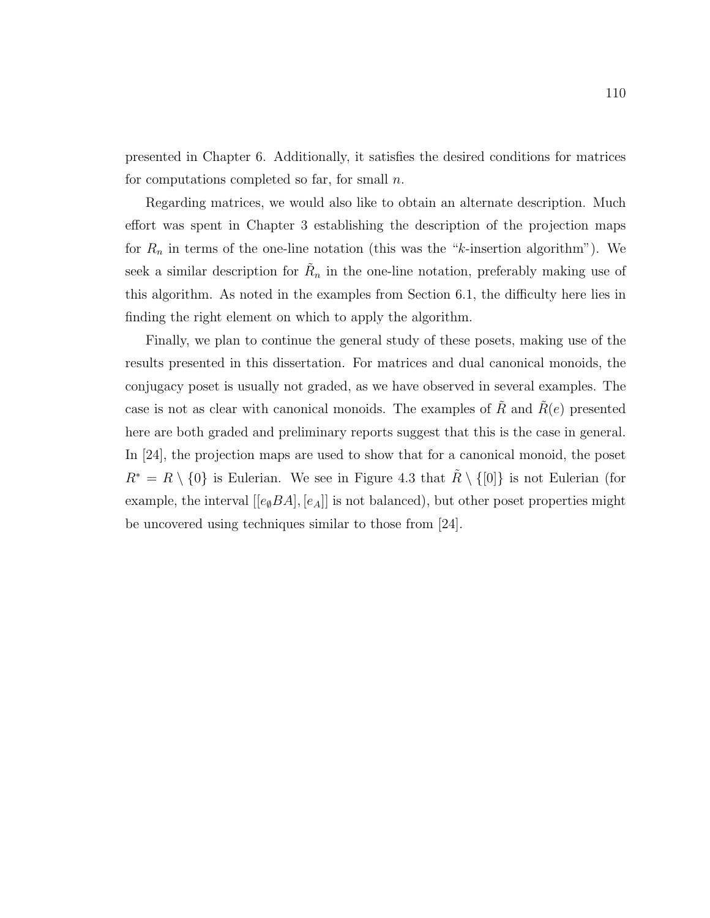presented in Chapter 6. Additionally, it satisfies the desired conditions for matrices for computations completed so far, for small  $n$ .

Regarding matrices, we would also like to obtain an alternate description. Much effort was spent in Chapter 3 establishing the description of the projection maps for  $R_n$  in terms of the one-line notation (this was the "k-insertion algorithm"). We seek a similar description for  $\tilde{R}_n$  in the one-line notation, preferably making use of this algorithm. As noted in the examples from Section 6.1, the difficulty here lies in finding the right element on which to apply the algorithm.

Finally, we plan to continue the general study of these posets, making use of the results presented in this dissertation. For matrices and dual canonical monoids, the conjugacy poset is usually not graded, as we have observed in several examples. The case is not as clear with canonical monoids. The examples of R and  $R(e)$  presented here are both graded and preliminary reports suggest that this is the case in general. In [24], the projection maps are used to show that for a canonical monoid, the poset  $R^* = R \setminus \{0\}$  is Eulerian. We see in Figure 4.3 that  $\tilde{R} \setminus \{0\}$  is not Eulerian (for example, the interval  $[[e_{\emptyset}BA],[e_A]]$  is not balanced), but other poset properties might be uncovered using techniques similar to those from [24].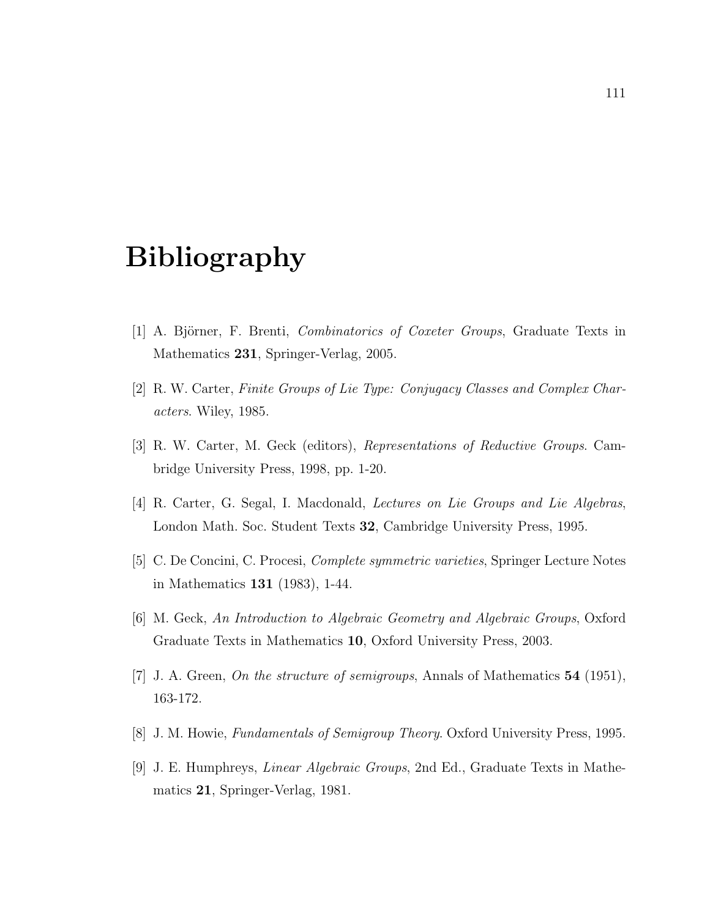## Bibliography

- [1] A. Björner, F. Brenti, *Combinatorics of Coxeter Groups*, Graduate Texts in Mathematics 231, Springer-Verlag, 2005.
- [2] R. W. Carter, Finite Groups of Lie Type: Conjugacy Classes and Complex Characters. Wiley, 1985.
- [3] R. W. Carter, M. Geck (editors), Representations of Reductive Groups. Cambridge University Press, 1998, pp. 1-20.
- [4] R. Carter, G. Segal, I. Macdonald, Lectures on Lie Groups and Lie Algebras, London Math. Soc. Student Texts 32, Cambridge University Press, 1995.
- [5] C. De Concini, C. Procesi, Complete symmetric varieties, Springer Lecture Notes in Mathematics 131 (1983), 1-44.
- [6] M. Geck, An Introduction to Algebraic Geometry and Algebraic Groups, Oxford Graduate Texts in Mathematics 10, Oxford University Press, 2003.
- [7] J. A. Green, On the structure of semigroups, Annals of Mathematics 54 (1951), 163-172.
- [8] J. M. Howie, Fundamentals of Semigroup Theory. Oxford University Press, 1995.
- [9] J. E. Humphreys, Linear Algebraic Groups, 2nd Ed., Graduate Texts in Mathematics 21, Springer-Verlag, 1981.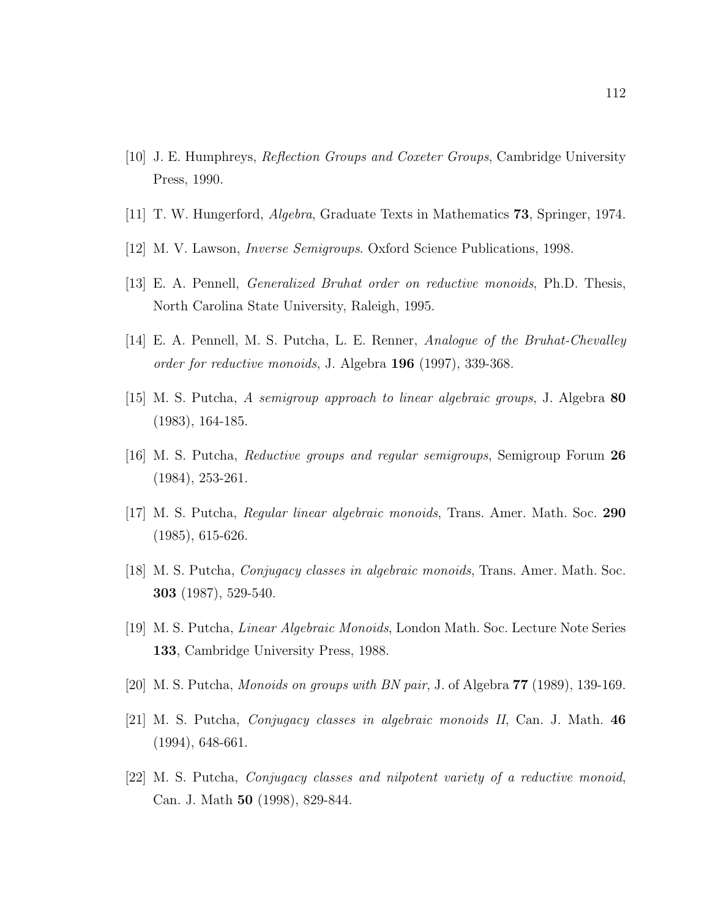- [10] J. E. Humphreys, Reflection Groups and Coxeter Groups, Cambridge University Press, 1990.
- [11] T. W. Hungerford, Algebra, Graduate Texts in Mathematics 73, Springer, 1974.
- [12] M. V. Lawson, Inverse Semigroups. Oxford Science Publications, 1998.
- [13] E. A. Pennell, Generalized Bruhat order on reductive monoids, Ph.D. Thesis, North Carolina State University, Raleigh, 1995.
- [14] E. A. Pennell, M. S. Putcha, L. E. Renner, Analogue of the Bruhat-Chevalley order for reductive monoids, J. Algebra 196 (1997), 339-368.
- [15] M. S. Putcha, A semigroup approach to linear algebraic groups, J. Algebra 80 (1983), 164-185.
- [16] M. S. Putcha, Reductive groups and regular semigroups, Semigroup Forum 26 (1984), 253-261.
- [17] M. S. Putcha, Regular linear algebraic monoids, Trans. Amer. Math. Soc. 290 (1985), 615-626.
- [18] M. S. Putcha, Conjugacy classes in algebraic monoids, Trans. Amer. Math. Soc. 303 (1987), 529-540.
- [19] M. S. Putcha, Linear Algebraic Monoids, London Math. Soc. Lecture Note Series 133, Cambridge University Press, 1988.
- [20] M. S. Putcha, Monoids on groups with BN pair, J. of Algebra 77 (1989), 139-169.
- [21] M. S. Putcha, Conjugacy classes in algebraic monoids II, Can. J. Math. 46 (1994), 648-661.
- [22] M. S. Putcha, Conjugacy classes and nilpotent variety of a reductive monoid, Can. J. Math 50 (1998), 829-844.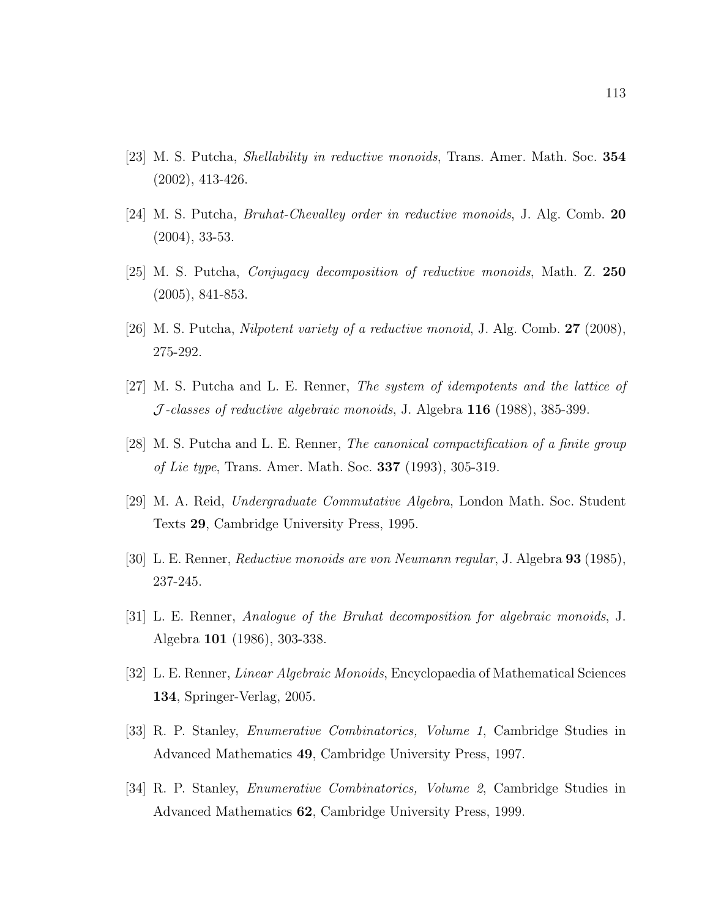- [23] M. S. Putcha, Shellability in reductive monoids, Trans. Amer. Math. Soc. 354 (2002), 413-426.
- [24] M. S. Putcha, Bruhat-Chevalley order in reductive monoids, J. Alg. Comb. 20 (2004), 33-53.
- [25] M. S. Putcha, Conjugacy decomposition of reductive monoids, Math. Z. 250 (2005), 841-853.
- [26] M. S. Putcha, *Nilpotent variety of a reductive monoid*, J. Alg. Comb.  $27$  (2008), 275-292.
- [27] M. S. Putcha and L. E. Renner, The system of idempotents and the lattice of  $J$ -classes of reductive algebraic monoids, J. Algebra 116 (1988), 385-399.
- [28] M. S. Putcha and L. E. Renner, The canonical compactification of a finite group of Lie type, Trans. Amer. Math. Soc. 337 (1993), 305-319.
- [29] M. A. Reid, Undergraduate Commutative Algebra, London Math. Soc. Student Texts 29, Cambridge University Press, 1995.
- [30] L. E. Renner, Reductive monoids are von Neumann regular, J. Algebra 93 (1985), 237-245.
- [31] L. E. Renner, Analogue of the Bruhat decomposition for algebraic monoids, J. Algebra 101 (1986), 303-338.
- [32] L. E. Renner, Linear Algebraic Monoids, Encyclopaedia of Mathematical Sciences 134, Springer-Verlag, 2005.
- [33] R. P. Stanley, Enumerative Combinatorics, Volume 1, Cambridge Studies in Advanced Mathematics 49, Cambridge University Press, 1997.
- [34] R. P. Stanley, Enumerative Combinatorics, Volume 2, Cambridge Studies in Advanced Mathematics 62, Cambridge University Press, 1999.